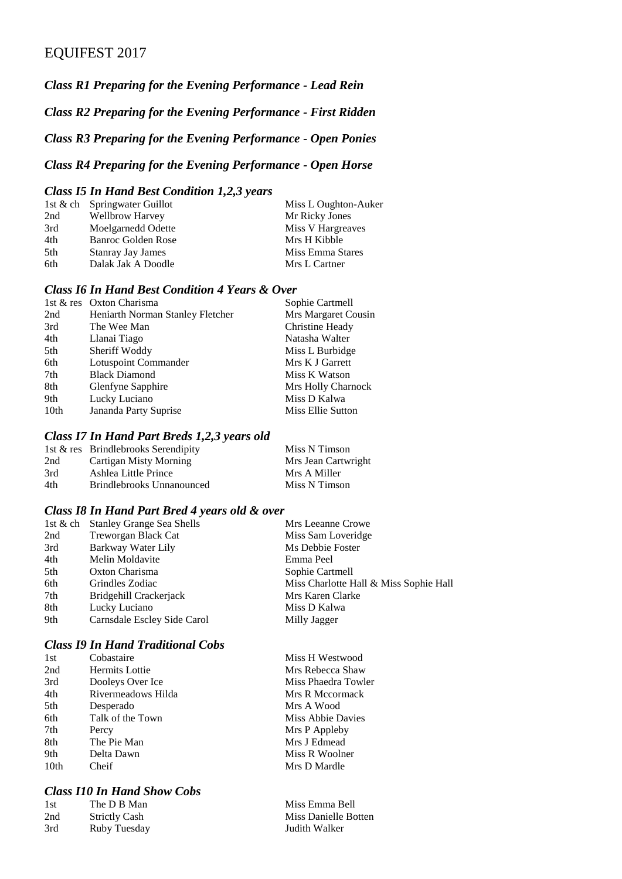### EQUIFEST 2017

*Class R1 Preparing for the Evening Performance - Lead Rein*

*Class R2 Preparing for the Evening Performance - First Ridden*

*Class R3 Preparing for the Evening Performance - Open Ponies*

#### *Class R4 Preparing for the Evening Performance - Open Horse*

#### *Class I5 In Hand Best Condition 1,2,3 years*

| Miss L Oughton-Auker                                                                                                                                 |
|------------------------------------------------------------------------------------------------------------------------------------------------------|
| Mr Ricky Jones                                                                                                                                       |
| Miss V Hargreaves                                                                                                                                    |
| Mrs H Kibble                                                                                                                                         |
| Miss Emma Stares                                                                                                                                     |
| Mrs L Cartner                                                                                                                                        |
| 1st & ch Springwater Guillot<br><b>Wellbrow Harvey</b><br>Moelgarnedd Odette<br>Banroc Golden Rose<br><b>Stanray Jay James</b><br>Dalak Jak A Doodle |

#### *Class I6 In Hand Best Condition 4 Years & Over*

| 1st & res Oxton Charisma         | Sophie Cartmell     |
|----------------------------------|---------------------|
| Heniarth Norman Stanley Fletcher | Mrs Margaret Cousin |
| The Wee Man                      | Christine Heady     |
| Llanai Tiago                     | Natasha Walter      |
| Sheriff Woddy                    | Miss L Burbidge     |
| Lotuspoint Commander             | Mrs K J Garrett     |
| <b>Black Diamond</b>             | Miss K Watson       |
| Glenfyne Sapphire                | Mrs Holly Charnock  |
| Lucky Luciano                    | Miss D Kalwa        |
| Jananda Party Suprise            | Miss Ellie Sutton   |
|                                  |                     |

#### *Class I7 In Hand Part Breds 1,2,3 years old*

|     | 1st & res Brindlebrooks Serendipity | Miss N Timson       |
|-----|-------------------------------------|---------------------|
| 2nd | Cartigan Misty Morning              | Mrs Jean Cartwright |
| 3rd | Ashlea Little Prince                | Mrs A Miller        |
| 4th | Brindlebrooks Unnanounced           | Miss N Timson       |

#### *Class I8 In Hand Part Bred 4 years old & over*

|     | 1st & ch Stanley Grange Sea Shells | Mrs Leeanne Crowe                      |
|-----|------------------------------------|----------------------------------------|
| 2nd | Treworgan Black Cat                | Miss Sam Loveridge                     |
| 3rd | Barkway Water Lily                 | Ms Debbie Foster                       |
| 4th | Melin Moldavite                    | Emma Peel                              |
| 5th | Oxton Charisma                     | Sophie Cartmell                        |
| 6th | Grindles Zodiac                    | Miss Charlotte Hall & Miss Sophie Hall |
| 7th | Bridgehill Crackerjack             | Mrs Karen Clarke                       |
| 8th | Lucky Luciano                      | Miss D Kalwa                           |
| 9th | Carnsdale Escley Side Carol        | Milly Jagger                           |
|     |                                    |                                        |

## *Class I9 In Hand Traditional Cobs*

| 1 St             | Cobastaire            |   |
|------------------|-----------------------|---|
| 2nd              | <b>Hermits Lottie</b> | ľ |
| 3rd              | Dooleys Over Ice      | ľ |
| 4th              | Rivermeadows Hilda    | ľ |
| 5th              | Desperado             | ľ |
| 6th              | Talk of the Town      | ľ |
| 7th              | Percy                 | ľ |
| 8th              | The Pie Man           | ľ |
| 9th              | Delta Dawn            | ľ |
| 10 <sub>th</sub> | Cheif                 | P |
|                  |                       |   |

#### *Class I10 In Hand Show Cobs*

| 1st | The D B Man          |
|-----|----------------------|
| 2nd | <b>Strictly Cash</b> |
| 3rd | Ruby Tuesday         |

Miss H Westwood Mrs Rebecca Shaw Miss Phaedra Towler Mrs R Mccormack Mrs A Wood Miss Abbie Davies Mrs P Appleby Mrs J Edmead Miss R Woolner Mrs D Mardle

Miss Emma Bell Miss Danielle Botten Judith Walker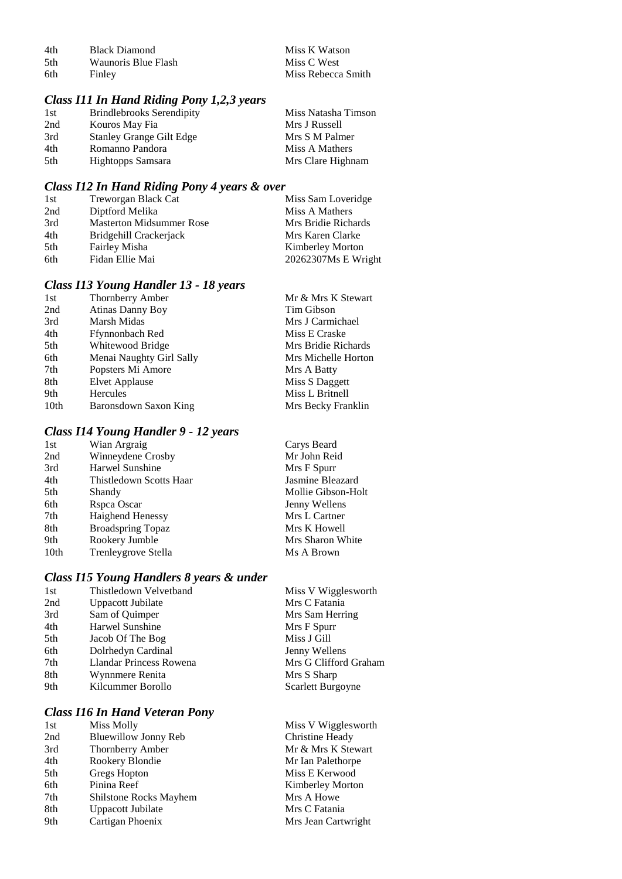| 4th  | <b>Black Diamond</b> | Miss K Watson      |
|------|----------------------|--------------------|
| .5th | Waunoris Blue Flash  | Miss C West        |
| -6th | Finley               | Miss Rebecca Smith |

#### *Class I11 In Hand Riding Pony 1,2,3 years*

| 1st  | <b>Brindlebrooks Serendipity</b> | Miss Natasha Timson |
|------|----------------------------------|---------------------|
| 2nd  | Kouros May Fia                   | Mrs J Russell       |
| 3rd  | <b>Stanley Grange Gilt Edge</b>  | Mrs S M Palmer      |
| 4th  | Romanno Pandora                  | Miss A Mathers      |
| .5th | Hightopps Samsara                | Mrs Clare Highnam   |

### *Class I12 In Hand Riding Pony 4 years & over*

| 1st | Treworgan Black Cat             | Miss Sam Loveridge      |
|-----|---------------------------------|-------------------------|
| 2nd | Diptford Melika                 | Miss A Mathers          |
| 3rd | <b>Masterton Midsummer Rose</b> | Mrs Bridie Richards     |
| 4th | Bridgehill Crackeriack          | Mrs Karen Clarke        |
| 5th | Fairley Misha                   | <b>Kimberley Morton</b> |
| 6th | Fidan Ellie Mai                 | 20262307Ms E Wright     |

#### *Class I13 Young Handler 13 - 18 years*

| 1st  | Thornberry Amber         | Mr & Mrs K Stewart  |
|------|--------------------------|---------------------|
| 2nd  | <b>Atinas Danny Boy</b>  | Tim Gibson          |
| 3rd  | Marsh Midas              | Mrs J Carmichael    |
| 4th  | Ffynnonbach Red          | Miss E Craske       |
| 5th  | Whitewood Bridge         | Mrs Bridie Richards |
| 6th  | Menai Naughty Girl Sally | Mrs Michelle Horton |
| 7th  | Popsters Mi Amore        | Mrs A Batty         |
| 8th  | Elvet Applause           | Miss S Daggett      |
| 9th  | Hercules                 | Miss L Britnell     |
| 10th | Baronsdown Saxon King    | Mrs Becky Franklin  |

#### *Class I14 Young Handler 9 - 12 years*

| 1st  | Wian Argraig             | Carys Beard        |
|------|--------------------------|--------------------|
| 2nd  | Winneydene Crosby        | Mr John Reid       |
| 3rd  | Harwel Sunshine          | Mrs F Spurr        |
| 4th  | Thistledown Scotts Haar  | Jasmine Bleazard   |
| 5th  | Shandy                   | Mollie Gibson-Holt |
| 6th  | Rspca Oscar              | Jenny Wellens      |
| 7th  | <b>Haighend Henessy</b>  | Mrs L Cartner      |
| 8th  | <b>Broadspring Topaz</b> | Mrs K Howell       |
| 9th  | Rookery Jumble           | Mrs Sharon White   |
| 10th | Trenleygrove Stella      | Ms A Brown         |
|      |                          |                    |

#### *Class I15 Young Handlers 8 years & under*

| 1st | Thistledown Velvetband  | Miss V Wigglesworth   |
|-----|-------------------------|-----------------------|
| 2nd | Uppacott Jubilate       | Mrs C Fatania         |
| 3rd | Sam of Quimper          | Mrs Sam Herring       |
| 4th | Harwel Sunshine         | Mrs F Spurr           |
| 5th | Jacob Of The Bog        | Miss J Gill           |
| 6th | Dolrhedyn Cardinal      | Jenny Wellens         |
| 7th | Llandar Princess Rowena | Mrs G Clifford Graham |
| 8th | Wynnmere Renita         | Mrs S Sharp           |
| 9th | Kilcummer Borollo       | Scarlett Burgoyne     |
|     |                         |                       |

#### *Class I16 In Hand Veteran Pony*

| 1st | Miss Molly             | Miss V Wigglesworth     |
|-----|------------------------|-------------------------|
| 2nd | Bluewillow Jonny Reb   | Christine Heady         |
| 3rd | Thornberry Amber       | Mr & Mrs K Stewart      |
| 4th | Rookery Blondie        | Mr Ian Palethorpe       |
| 5th | Gregs Hopton           | Miss E Kerwood          |
| 6th | Pinina Reef            | <b>Kimberley Morton</b> |
| 7th | Shilstone Rocks Mayhem | Mrs A Howe              |
| 8th | Uppacott Jubilate      | Mrs C Fatania           |
| 9th | Cartigan Phoenix       | Mrs Jean Cartwright     |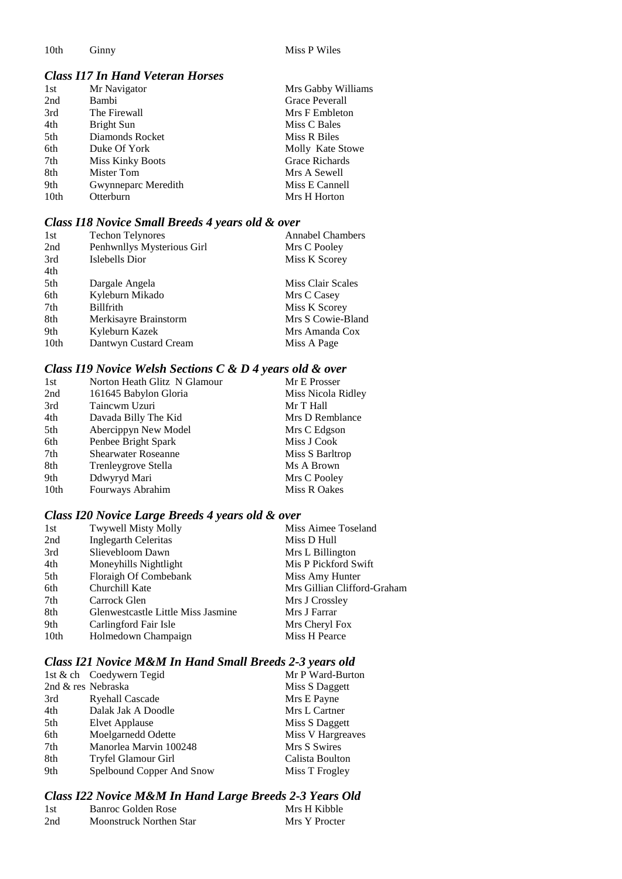10th Ginny Miss P Wiles

### *Class I17 In Hand Veteran Horses*

| 1st              | Mr Navigator            | Mrs Gabby Williams    |
|------------------|-------------------------|-----------------------|
| 2nd              | Bambi                   | <b>Grace Peverall</b> |
| 3rd              | The Firewall            | Mrs F Embleton        |
| 4th              | Bright Sun              | Miss C Bales          |
| 5th              | Diamonds Rocket         | Miss R Biles          |
| 6th              | Duke Of York            | Molly Kate Stowe      |
| 7th              | <b>Miss Kinky Boots</b> | Grace Richards        |
| 8th              | Mister Tom              | Mrs A Sewell          |
| 9th              | Gwynneparc Meredith     | Miss E Cannell        |
| 10 <sub>th</sub> | Otterburn               | Mrs H Horton          |

#### *Class I18 Novice Small Breeds 4 years old & over*

| <b>Techon Telynores</b>    | <b>Annabel Chambers</b> |
|----------------------------|-------------------------|
| Penhwnllys Mysterious Girl | Mrs C Pooley            |
| Islebells Dior             | Miss K Scorey           |
|                            |                         |
| Dargale Angela             | Miss Clair Scales       |
| Kyleburn Mikado            | Mrs C Casey             |
| Billfrith                  | Miss K Scorey           |
| Merkisayre Brainstorm      | Mrs S Cowie-Bland       |
| Kyleburn Kazek             | Mrs Amanda Cox          |
| Dantwyn Custard Cream      | Miss A Page             |
|                            |                         |

### *Class I19 Novice Welsh Sections C & D 4 years old & over*

| 1st  | Norton Heath Glitz N Glamour | Mr E Prosser       |
|------|------------------------------|--------------------|
| 2nd  | 161645 Babylon Gloria        | Miss Nicola Ridley |
| 3rd  | Taincwm Uzuri                | Mr T Hall          |
| 4th  | Davada Billy The Kid         | Mrs D Remblance    |
| 5th  | Abercippyn New Model         | Mrs C Edgson       |
| 6th  | Penbee Bright Spark          | Miss J Cook        |
| 7th  | <b>Shearwater Roseanne</b>   | Miss S Barltrop    |
| 8th  | Trenleygrove Stella          | Ms A Brown         |
| 9th  | Ddwyryd Mari                 | Mrs C Pooley       |
| 10th | Fourways Abrahim             | Miss R Oakes       |

#### *Class I20 Novice Large Breeds 4 years old & over*

| 1st  | Twywell Misty Molly                | Miss Aimee Toseland         |
|------|------------------------------------|-----------------------------|
| 2nd  | <b>Inglegarth Celeritas</b>        | Miss D Hull                 |
| 3rd  | Slievebloom Dawn                   | Mrs L Billington            |
| 4th  | Moneyhills Nightlight              | Mis P Pickford Swift        |
| 5th  | Floraigh Of Combebank              | Miss Amy Hunter             |
| 6th  | Churchill Kate                     | Mrs Gillian Clifford-Graham |
| 7th  | Carrock Glen                       | Mrs J Crossley              |
| 8th  | Glenwestcastle Little Miss Jasmine | Mrs J Farrar                |
| 9th  | Carlingford Fair Isle              | Mrs Cheryl Fox              |
| 10th | Holmedown Champaign                | Miss H Pearce               |
|      |                                    |                             |

### *Class I21 Novice M&M In Hand Small Breeds 2-3 years old*

|                    | 1st & ch Coedywern Tegid  | Mr P Ward-Burton  |
|--------------------|---------------------------|-------------------|
| 2nd & res Nebraska |                           | Miss S Daggett    |
| 3rd                | <b>Ryehall Cascade</b>    | Mrs E Payne       |
| 4th                | Dalak Jak A Doodle        | Mrs L Cartner     |
| 5th                | Elvet Applause            | Miss S Daggett    |
| 6th                | Moelgarnedd Odette        | Miss V Hargreaves |
| 7th                | Manorlea Marvin 100248    | Mrs S Swires      |
| 8th                | Tryfel Glamour Girl       | Calista Boulton   |
| 9th                | Spelbound Copper And Snow | Miss T Frogley    |

### *Class I22 Novice M&M In Hand Large Breeds 2-3 Years Old*

| -1st | Banroc Golden Rose      | Mrs H Kibble  |
|------|-------------------------|---------------|
| 2nd  | Moonstruck Northen Star | Mrs Y Procter |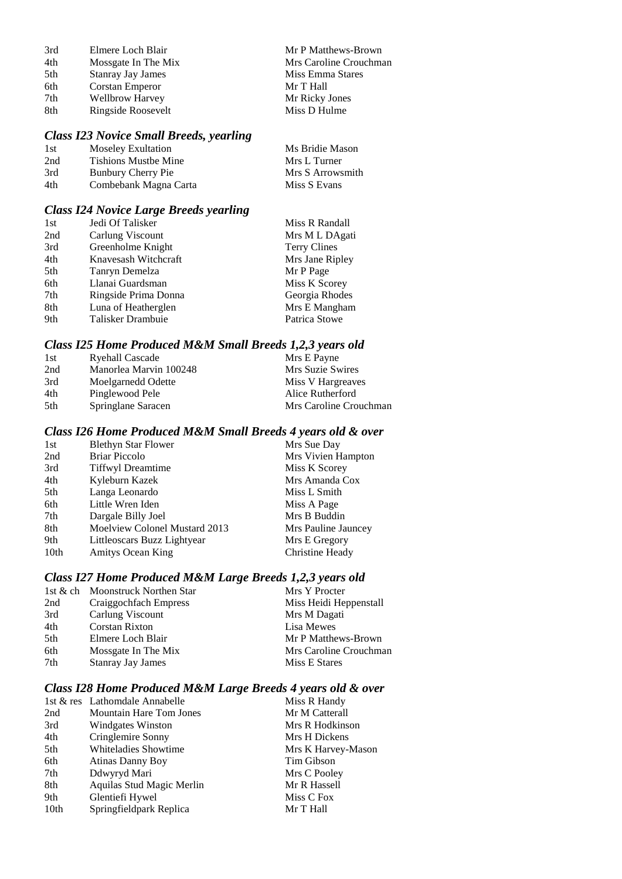| 3rd | Elmere Loch Blair        | Mr P Matthews-Brown    |
|-----|--------------------------|------------------------|
| 4th | Mossgate In The Mix      | Mrs Caroline Crouchman |
| 5th | <b>Stanray Jay James</b> | Miss Emma Stares       |
| 6th | Corstan Emperor          | Mr T Hall              |
| 7th | <b>Wellbrow Harvey</b>   | Mr Ricky Jones         |
| 8th | Ringside Roosevelt       | Miss D Hulme           |
|     |                          |                        |

### *Class I23 Novice Small Breeds, yearling*

| 1st | Moseley Exultation          | Ms Bridie Mason  |
|-----|-----------------------------|------------------|
| 2nd | <b>Tishions Mustbe Mine</b> | Mrs L Turner     |
| 3rd | Bunbury Cherry Pie          | Mrs S Arrowsmith |
| 4th | Combebank Magna Carta       | Miss S Evans     |

### *Class I24 Novice Large Breeds yearling*

| 1st | Jedi Of Talisker     | Miss R Randall      |
|-----|----------------------|---------------------|
| 2nd | Carlung Viscount     | Mrs M L DAgati      |
| 3rd | Greenholme Knight    | <b>Terry Clines</b> |
| 4th | Knavesash Witchcraft | Mrs Jane Ripley     |
| 5th | Tanryn Demelza       | Mr P Page           |
| 6th | Llanai Guardsman     | Miss K Scorey       |
| 7th | Ringside Prima Donna | Georgia Rhodes      |
| 8th | Luna of Heatherglen  | Mrs E Mangham       |
| 9th | Talisker Drambuie    | Patrica Stowe       |

### *Class I25 Home Produced M&M Small Breeds 1,2,3 years old*

| 1st  | Ryehall Cascade        | Mrs E Payne            |
|------|------------------------|------------------------|
| 2nd  | Manorlea Marvin 100248 | Mrs Suzie Swires       |
| 3rd  | Moelgarnedd Odette     | Miss V Hargreaves      |
| 4th  | Pinglewood Pele        | Alice Rutherford       |
| .5th | Springlane Saracen     | Mrs Caroline Crouchman |

### *Class I26 Home Produced M&M Small Breeds 4 years old & over*

| <b>Blethyn Star Flower</b>    | Mrs Sue Day         |
|-------------------------------|---------------------|
| <b>Briar Piccolo</b>          | Mrs Vivien Hampton  |
| <b>Tiffwyl Dreamtime</b>      | Miss K Scorey       |
| Kyleburn Kazek                | Mrs Amanda Cox      |
| Langa Leonardo                | Miss L Smith        |
| Little Wren Iden              | Miss A Page         |
| Dargale Billy Joel            | Mrs B Buddin        |
| Moelview Colonel Mustard 2013 | Mrs Pauline Jauncey |
| Littleoscars Buzz Lightyear   | Mrs E Gregory       |
| Amitys Ocean King             | Christine Heady     |
|                               |                     |

### *Class I27 Home Produced M&M Large Breeds 1,2,3 years old*

| 1st & ch Moonstruck Northen Star | Mrs Y Procter          |
|----------------------------------|------------------------|
| Craiggochfach Empress            | Miss Heidi Heppenstall |
| Carlung Viscount                 | Mrs M Dagati           |
| <b>Corstan Rixton</b>            | Lisa Mewes             |
| Elmere Loch Blair                | Mr P Matthews-Brown    |
| Mossgate In The Mix              | Mrs Caroline Crouchman |
| <b>Stanray Jay James</b>         | Miss E Stares          |
|                                  |                        |

### *Class I28 Home Produced M&M Large Breeds 4 years old & over*

|      | 1st & res Lathomdale Annabelle | Miss R Handy       |
|------|--------------------------------|--------------------|
| 2nd  | <b>Mountain Hare Tom Jones</b> | Mr M Catterall     |
| 3rd  | <b>Windgates Winston</b>       | Mrs R Hodkinson    |
| 4th  | Cringlemire Sonny              | Mrs H Dickens      |
| 5th  | Whiteladies Showtime           | Mrs K Harvey-Mason |
| 6th  | <b>Atinas Danny Boy</b>        | Tim Gibson         |
| 7th  | Ddwyryd Mari                   | Mrs C Pooley       |
| 8th  | Aquilas Stud Magic Merlin      | Mr R Hassell       |
| 9th  | Glentiefi Hywel                | Miss C Fox         |
| 10th | Springfieldpark Replica        | Mr T Hall          |
|      |                                |                    |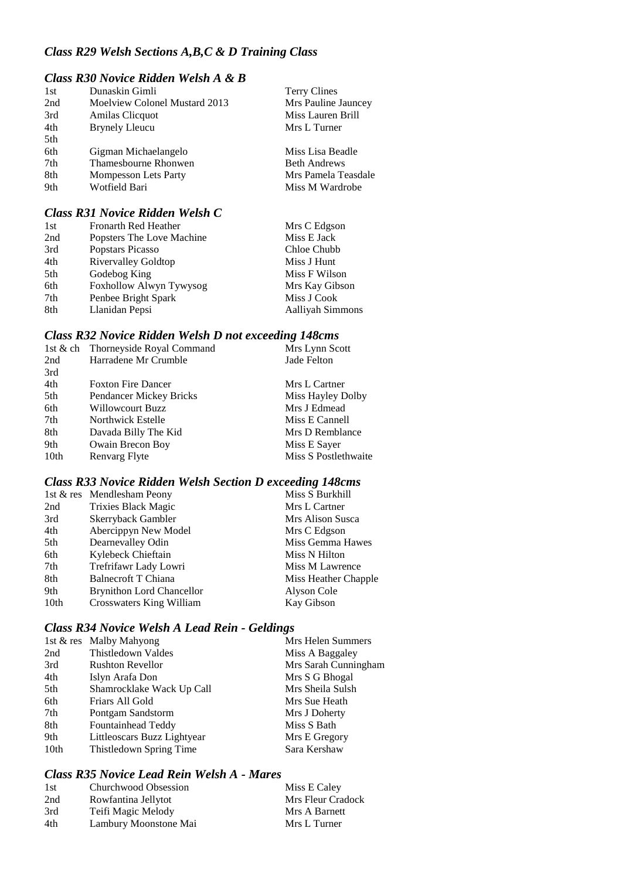### *Class R29 Welsh Sections A,B,C & D Training Class*

#### *Class R30 Novice Ridden Welsh A & B*

| 1st | Dunaskin Gimli                | <b>Terry Clines</b> |
|-----|-------------------------------|---------------------|
| 2nd | Moelview Colonel Mustard 2013 | Mrs Pauline Jauncey |
| 3rd | Amilas Clicquot               | Miss Lauren Brill   |
| 4th | <b>Brynely Lleucu</b>         | Mrs L Turner        |
| 5th |                               |                     |
| 6th | Gigman Michaelangelo          | Miss Lisa Beadle    |
| 7th | Thamesbourne Rhonwen          | <b>Beth Andrews</b> |
| 8th | <b>Mompesson Lets Party</b>   | Mrs Pamela Teasdale |
| 9th | Wotfield Bari                 | Miss M Wardrobe     |
|     |                               |                     |

### *Class R31 Novice Ridden Welsh C*

| 1st | Fronarth Red Heather       | Mrs C Edgson            |
|-----|----------------------------|-------------------------|
| 2nd | Popsters The Love Machine  | Miss E Jack             |
| 3rd | Popstars Picasso           | Chloe Chubb             |
| 4th | <b>Rivervalley Goldtop</b> | Miss J Hunt             |
| 5th | Godebog King               | Miss F Wilson           |
| 6th | Foxhollow Alwyn Tywysog    | Mrs Kay Gibson          |
| 7th | Penbee Bright Spark        | Miss J Cook             |
| 8th | Llanidan Pepsi             | <b>Aalliyah Simmons</b> |

#### *Class R32 Novice Ridden Welsh D not exceeding 148cms*

| 1st & ch | Thorneyside Royal Command      | Mrs Lynn Scott       |
|----------|--------------------------------|----------------------|
| 2nd      | Harradene Mr Crumble           | Jade Felton          |
| 3rd      |                                |                      |
| 4th      | <b>Foxton Fire Dancer</b>      | Mrs L Cartner        |
| 5th      | <b>Pendancer Mickey Bricks</b> | Miss Hayley Dolby    |
| 6th      | <b>Willowcourt Buzz</b>        | Mrs J Edmead         |
| 7th      | Northwick Estelle              | Miss E Cannell       |
| 8th      | Davada Billy The Kid           | Mrs D Remblance      |
| 9th      | Owain Brecon Boy               | Miss E Sayer         |
| 10th     | Renvarg Flyte                  | Miss S Postlethwaite |
|          |                                |                      |

#### *Class R33 Novice Ridden Welsh Section D exceeding 148cms*

|      | 1st & res Mendlesham Peony       | Miss S Burkhill      |
|------|----------------------------------|----------------------|
| 2nd  | Trixies Black Magic              | Mrs L Cartner        |
| 3rd  | Skerryback Gambler               | Mrs Alison Susca     |
| 4th  | Abercippyn New Model             | Mrs C Edgson         |
| 5th  | Dearnevalley Odin                | Miss Gemma Hawes     |
| 6th  | Kylebeck Chieftain               | Miss N Hilton        |
| 7th  | Trefrifawr Lady Lowri            | Miss M Lawrence      |
| 8th  | Balnecroft T Chiana              | Miss Heather Chapple |
| 9th  | <b>Brynithon Lord Chancellor</b> | Alyson Cole          |
| 10th | Crosswaters King William         | Kay Gibson           |
|      |                                  |                      |

### *Class R34 Novice Welsh A Lead Rein - Geldings*

|      | 1st & res Malby Mahyong     | Mrs Helen Summers    |
|------|-----------------------------|----------------------|
| 2nd  | Thistledown Valdes          | Miss A Baggaley      |
| 3rd  | <b>Rushton Revellor</b>     | Mrs Sarah Cunningham |
| 4th  | Islyn Arafa Don             | Mrs S G Bhogal       |
| 5th  | Shamrocklake Wack Up Call   | Mrs Sheila Sulsh     |
| 6th  | Friars All Gold             | Mrs Sue Heath        |
| 7th  | Pontgam Sandstorm           | Mrs J Doherty        |
| 8th  | Fountainhead Teddy          | Miss S Bath          |
| 9th  | Littleoscars Buzz Lightyear | Mrs E Gregory        |
| 10th | Thistledown Spring Time     | Sara Kershaw         |
|      |                             |                      |

### *Class R35 Novice Lead Rein Welsh A - Mares*

| 1st | Churchwood Obsession  | Miss E Caley      |
|-----|-----------------------|-------------------|
| 2nd | Rowfantina Jellytot   | Mrs Fleur Cradock |
| 3rd | Teifi Magic Melody    | Mrs A Barnett     |
| 4th | Lambury Moonstone Mai | Mrs L Turner      |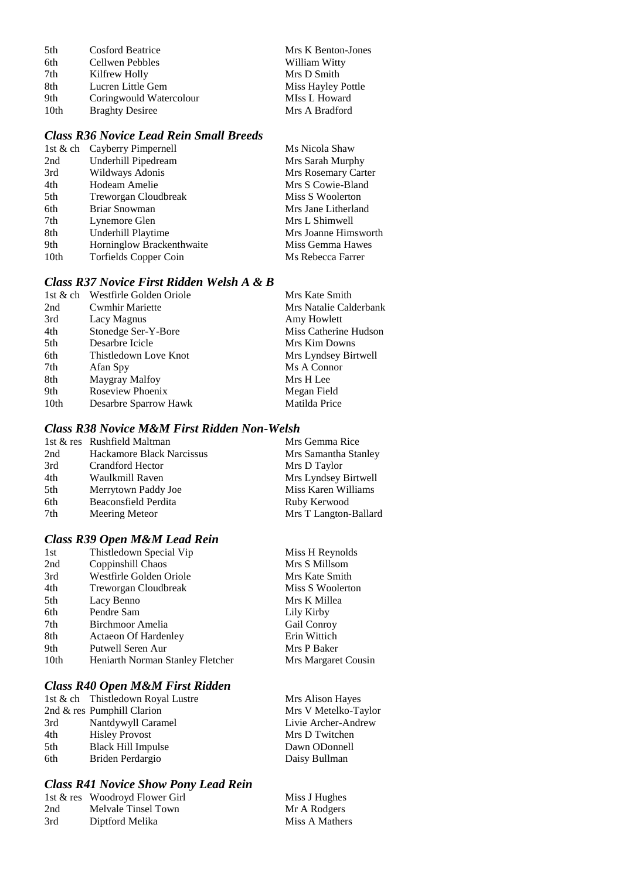| 5th  | <b>Cosford Beatrice</b> | Mrs K Benton-Jones |
|------|-------------------------|--------------------|
| 6th  | Cellwen Pebbles         | William Witty      |
| 7th  | Kilfrew Holly           | Mrs D Smith        |
| 8th  | Lucren Little Gem       | Miss Hayley Pottle |
| 9th  | Coringwould Watercolour | MIss L Howard      |
| 10th | <b>Braghty Desiree</b>  | Mrs A Bradford     |

### *Class R36 Novice Lead Rein Small Breeds*

|      | 1st & ch Cayberry Pimpernell | Ms Nicola Shaw       |
|------|------------------------------|----------------------|
| 2nd  | Underhill Pipedream          | Mrs Sarah Murphy     |
| 3rd  | Wildways Adonis              | Mrs Rosemary Carter  |
| 4th  | Hodeam Amelie                | Mrs S Cowie-Bland    |
| 5th  | Treworgan Cloudbreak         | Miss S Woolerton     |
| 6th  | <b>Briar Snowman</b>         | Mrs Jane Litherland  |
| 7th  | Lynemore Glen                | Mrs L Shimwell       |
| 8th  | Underhill Playtime           | Mrs Joanne Himsworth |
| 9th  | Horninglow Brackenthwaite    | Miss Gemma Hawes     |
| 10th | <b>Torfields Copper Coin</b> | Ms Rebecca Farrer    |
|      |                              |                      |

### *Class R37 Novice First Ridden Welsh A & B*

| 1st & ch | Westfirle Golden Oriole | Mrs Kate Smith         |
|----------|-------------------------|------------------------|
| 2nd      | <b>Cwmhir Mariette</b>  | Mrs Natalie Calderbank |
| 3rd      | Lacy Magnus             | Amy Howlett            |
| 4th      | Stonedge Ser-Y-Bore     | Miss Catherine Hudson  |
| 5th      | Desarbre Icicle         | Mrs Kim Downs          |
| 6th      | Thistledown Love Knot   | Mrs Lyndsey Birtwell   |
| 7th      | Afan Spy                | Ms A Connor            |
| 8th      | Maygray Malfoy          | Mrs H Lee              |
| 9th      | Roseview Phoenix        | Megan Field            |
| 10th     | Desarbre Sparrow Hawk   | Matilda Price          |

#### *Class R38 Novice M&M First Ridden Non-Welsh*

|     | 1st & res Rushfield Maltman      | Mrs Gemma Rice        |
|-----|----------------------------------|-----------------------|
| 2nd | <b>Hackamore Black Narcissus</b> | Mrs Samantha Stanley  |
| 3rd | Crandford Hector                 | Mrs D Taylor          |
| 4th | Waulkmill Raven                  | Mrs Lyndsey Birtwell  |
| 5th | Merrytown Paddy Joe              | Miss Karen Williams   |
| 6th | Beaconsfield Perdita             | Ruby Kerwood          |
| 7th | Meering Meteor                   | Mrs T Langton-Ballard |

### *Class R39 Open M&M Lead Rein*

| 1st              | Thistledown Special Vip          | Miss H Reynolds     |
|------------------|----------------------------------|---------------------|
| 2nd              | Coppinshill Chaos                | Mrs S Millsom       |
| 3rd              | Westfirle Golden Oriole          | Mrs Kate Smith      |
| 4th              | Treworgan Cloudbreak             | Miss S Woolerton    |
| 5th              | Lacy Benno                       | Mrs K Millea        |
| 6th              | Pendre Sam                       | Lily Kirby          |
| 7th              | Birchmoor Amelia                 | Gail Conroy         |
| 8th              | <b>Actaeon Of Hardenley</b>      | Erin Wittich        |
| 9th              | Putwell Seren Aur                | Mrs P Baker         |
| 10 <sub>th</sub> | Heniarth Norman Stanley Fletcher | Mrs Margaret Cousin |
|                  |                                  |                     |

### *Class R40 Open M&M First Ridden*

|     | 1st & ch Thistledown Royal Lustre | Mrs Alison Hayes     |
|-----|-----------------------------------|----------------------|
|     | 2nd $&$ res Pumphill Clarion      | Mrs V Metelko-Taylor |
| 3rd | Nantdywyll Caramel                | Livie Archer-Andrew  |
| 4th | <b>Hisley Provost</b>             | Mrs D Twitchen       |
| 5th | <b>Black Hill Impulse</b>         | Dawn ODonnell        |
| 6th | Briden Perdargio                  | Daisy Bullman        |

#### *Class R41 Novice Show Pony Lead Rein*

|     | 1st & res Woodroyd Flower Girl | Miss J Hughes  |
|-----|--------------------------------|----------------|
| 2nd | Melvale Tinsel Town            | Mr A Rodgers   |
| 3rd | Diptford Melika                | Miss A Mathers |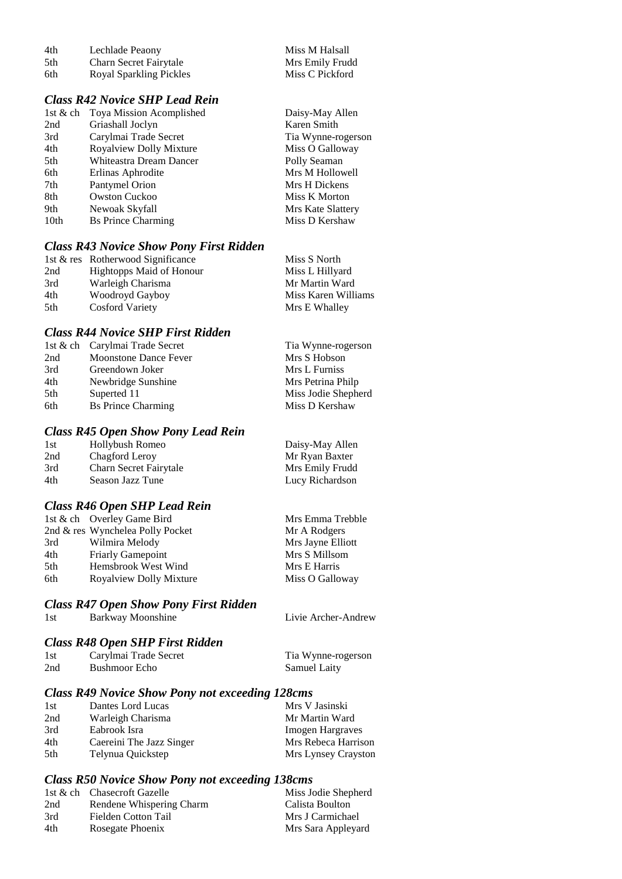| 4th | Lechlade Peaony               | Miss M Halsall  |
|-----|-------------------------------|-----------------|
| 5th | <b>Charn Secret Fairytale</b> | Mrs Emily Frudd |
| 6th | Royal Sparkling Pickles       | Miss C Pickford |

### *Class R42 Novice SHP Lead Rein*

| 1st $\&$ ch | Toya Mission Acomplished       | Daisy-May Allen    |
|-------------|--------------------------------|--------------------|
| 2nd         | Griashall Joclyn               | Karen Smith        |
| 3rd         | Carylmai Trade Secret          | Tia Wynne-rogerson |
| 4th         | <b>Royalview Dolly Mixture</b> | Miss O Galloway    |
| 5th         | Whiteastra Dream Dancer        | Polly Seaman       |
| 6th         | Erlinas Aphrodite              | Mrs M Hollowell    |
| 7th         | Pantymel Orion                 | Mrs H Dickens      |
| 8th         | <b>Owston Cuckoo</b>           | Miss K Morton      |
| 9th         | Newoak Skyfall                 | Mrs Kate Slattery  |
| 10th        | <b>Bs Prince Charming</b>      | Miss D Kershaw     |
|             |                                |                    |

#### *Class R43 Novice Show Pony First Ridden*

|     | 1st & res Rotherwood Significance | Miss S North        |
|-----|-----------------------------------|---------------------|
| 2nd | Hightopps Maid of Honour          | Miss L Hillyard     |
| 3rd | Warleigh Charisma                 | Mr Martin Ward      |
| 4th | Woodroyd Gayboy                   | Miss Karen Williams |
| 5th | <b>Cosford Variety</b>            | Mrs E Whalley       |

#### *Class R44 Novice SHP First Ridden*

|     | 1st & ch Carylmai Trade Secret | Tia Wynne-rogerson  |
|-----|--------------------------------|---------------------|
| 2nd | Moonstone Dance Fever          | Mrs S Hobson        |
| 3rd | Greendown Joker                | Mrs L Furniss       |
| 4th | Newbridge Sunshine             | Mrs Petrina Philp   |
| 5th | Superted 11                    | Miss Jodie Shepherd |
| 6th | <b>Bs Prince Charming</b>      | Miss D Kershaw      |

#### *Class R45 Open Show Pony Lead Rein*

| 1st | Hollybush Romeo        | Daisy-May Allen |
|-----|------------------------|-----------------|
| 2nd | Chagford Leroy         | Mr Ryan Baxter  |
| 3rd | Charn Secret Fairytale | Mrs Emily Frudd |
| 4th | Season Jazz Tune       | Lucy Richardson |

#### *Class R46 Open SHP Lead Rein*

|     | 1st & ch Overley Game Bird       | Mrs Emma Trebble  |
|-----|----------------------------------|-------------------|
|     | 2nd & res Wynchelea Polly Pocket | Mr A Rodgers      |
| 3rd | Wilmira Melody                   | Mrs Jayne Elliott |
| 4th | <b>Friarly Gamepoint</b>         | Mrs S Millsom     |
| 5th | Hemsbrook West Wind              | Mrs E Harris      |
| 6th | <b>Royalview Dolly Mixture</b>   | Miss O Galloway   |

#### *Class R47 Open Show Pony First Ridden*

1st Barkway Moonshine Livie Archer-Andrew

#### *Class R48 Open SHP First Ridden* 1st Carylmai Trade Secret Tia Wynne-rogerson

| 1 S U | Carylinar Trage Secret | <b>THE WYNNE-TOGETS</b> |
|-------|------------------------|-------------------------|
| 2nd   | <b>Bushmoor Echo</b>   | <b>Samuel Laity</b>     |

#### *Class R49 Novice Show Pony not exceeding 128cms*

| 1st | Dantes Lord Lucas        | Mrs V Jasinski      |
|-----|--------------------------|---------------------|
| 2nd | Warleigh Charisma        | Mr Martin Ward      |
| 3rd | Eabrook Isra             | Imogen Hargraves    |
| 4th | Caereini The Jazz Singer | Mrs Rebeca Harrison |
| 5th | Telynua Quickstep        | Mrs Lynsey Crayston |

#### *Class R50 Novice Show Pony not exceeding 138cms*

|     | 1st & ch Chasecroft Gazelle | Miss Jodie Shepherd |
|-----|-----------------------------|---------------------|
| 2nd | Rendene Whispering Charm    | Calista Boulton     |
| 3rd | Fielden Cotton Tail         | Mrs J Carmichael    |
| 4th | Rosegate Phoenix            | Mrs Sara Appleyard  |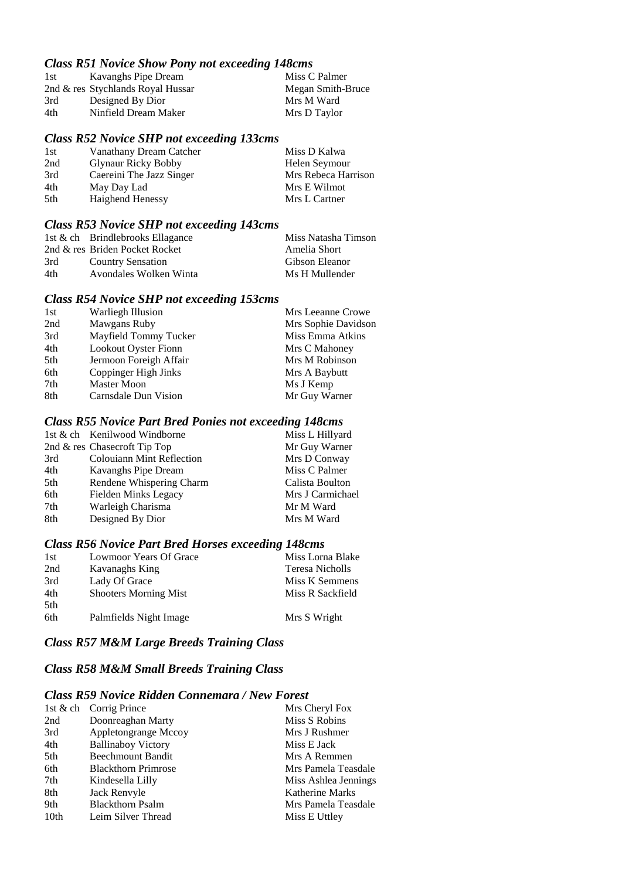#### *Class R51 Novice Show Pony not exceeding 148cms*

| 1st | Kavanghs Pipe Dream               | Miss C Palmer     |
|-----|-----------------------------------|-------------------|
|     | 2nd & res Stychlands Royal Hussar | Megan Smith-Bruce |
| 3rd | Designed By Dior                  | Mrs M Ward        |
| 4th | Ninfield Dream Maker              | Mrs D Taylor      |
|     |                                   |                   |

#### *Class R52 Novice SHP not exceeding 133cms*

| 1st | Vanathany Dream Catcher    | Miss D Kalwa        |
|-----|----------------------------|---------------------|
| 2nd | <b>Glynaur Ricky Bobby</b> | Helen Seymour       |
| 3rd | Caereini The Jazz Singer   | Mrs Rebeca Harrison |
| 4th | May Day Lad                | Mrs E Wilmot        |
| 5th | Haighend Henessy           | Mrs L Cartner       |

### *Class R53 Novice SHP not exceeding 143cms*

|     | 1st & ch Brindlebrooks Ellagance | Miss Natasha Timson |
|-----|----------------------------------|---------------------|
|     | 2nd & res Briden Pocket Rocket   | Amelia Short        |
| 3rd | <b>Country Sensation</b>         | Gibson Eleanor      |
| 4th | Avondales Wolken Winta           | Ms H Mullender      |

#### *Class R54 Novice SHP not exceeding 153cms*

| 1st | <b>Warliegh Illusion</b>    | Mrs Leeanne Crowe   |
|-----|-----------------------------|---------------------|
| 2nd | Mawgans Ruby                | Mrs Sophie Davidson |
| 3rd | Mayfield Tommy Tucker       | Miss Emma Atkins    |
| 4th | <b>Lookout Oyster Fionn</b> | Mrs C Mahoney       |
| 5th | Jermoon Foreigh Affair      | Mrs M Robinson      |
| 6th | Coppinger High Jinks        | Mrs A Baybutt       |
| 7th | Master Moon                 | Ms J Kemp           |
| 8th | Carnsdale Dun Vision        | Mr Guy Warner       |

#### *Class R55 Novice Part Bred Ponies not exceeding 148cms*

|     | 1st & ch Kenilwood Windborne     | Miss L Hillyard  |
|-----|----------------------------------|------------------|
|     | 2nd $\&$ res Chasecroft Tip Top  | Mr Guy Warner    |
| 3rd | <b>Colouiann Mint Reflection</b> | Mrs D Conway     |
| 4th | Kavanghs Pipe Dream              | Miss C Palmer    |
| 5th | Rendene Whispering Charm         | Calista Boulton  |
| 6th | Fielden Minks Legacy             | Mrs J Carmichael |
| 7th | Warleigh Charisma                | Mr M Ward        |
| 8th | Designed By Dior                 | Mrs M Ward       |
|     |                                  |                  |

### *Class R56 Novice Part Bred Horses exceeding 148cms*

| 1st | Lowmoor Years Of Grace       | Miss Lorna Blake |
|-----|------------------------------|------------------|
| 2nd | Kavanaghs King               | Teresa Nicholls  |
| 3rd | Lady Of Grace                | Miss K Semmens   |
| 4th | <b>Shooters Morning Mist</b> | Miss R Sackfield |
| 5th |                              |                  |
| 6th | Palmfields Night Image       | Mrs S Wright     |

### *Class R57 M&M Large Breeds Training Class*

### *Class R58 M&M Small Breeds Training Class*

#### *Class R59 Novice Ridden Connemara / New Forest*

|                  | 1st & ch Corrig Prince     | Mrs Cheryl Fox         |
|------------------|----------------------------|------------------------|
| 2nd              | Doonreaghan Marty          | Miss S Robins          |
| 3rd              | Appletongrange Mccoy       | Mrs J Rushmer          |
| 4th              | <b>Ballinaboy Victory</b>  | Miss E Jack            |
| 5th              | Beechmount Bandit          | Mrs A Remmen           |
| 6th              | <b>Blackthorn Primrose</b> | Mrs Pamela Teasdale    |
| 7th              | Kindesella Lilly           | Miss Ashlea Jennings   |
| 8th              | Jack Renvyle               | <b>Katherine Marks</b> |
| 9th              | <b>Blackthorn Psalm</b>    | Mrs Pamela Teasdale    |
| 10 <sub>th</sub> | Leim Silver Thread         | Miss E Uttley          |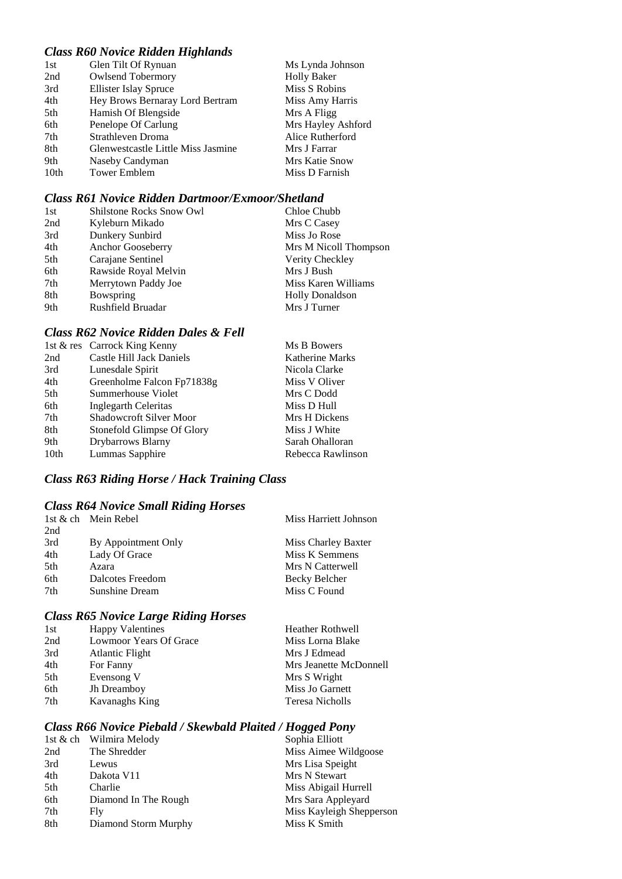### *Class R60 Novice Ridden Highlands*

| Glen Tilt Of Rynuan                | Ms Lynda Johnson   |
|------------------------------------|--------------------|
| <b>Owlsend Tobermory</b>           | <b>Holly Baker</b> |
| <b>Ellister Islay Spruce</b>       | Miss S Robins      |
| Hey Brows Bernaray Lord Bertram    | Miss Amy Harris    |
| Hamish Of Blengside                | Mrs A Fligg        |
| Penelope Of Carlung                | Mrs Hayley Ashford |
| Strathleven Droma                  | Alice Rutherford   |
| Glenwestcastle Little Miss Jasmine | Mrs J Farrar       |
| Naseby Candyman                    | Mrs Katie Snow     |
| <b>Tower Emblem</b>                | Miss D Farnish     |
|                                    |                    |

### *Class R61 Novice Ridden Dartmoor/Exmoor/Shetland*

| 1st | <b>Shilstone Rocks Snow Owl</b> | Chloe Chubb            |
|-----|---------------------------------|------------------------|
| 2nd | Kyleburn Mikado                 | Mrs C Casey            |
| 3rd | Dunkery Sunbird                 | Miss Jo Rose           |
| 4th | Anchor Gooseberry               | Mrs M Nicoll Thompson  |
| 5th | Carajane Sentinel               | Verity Checkley        |
| 6th | Rawside Royal Melvin            | Mrs J Bush             |
| 7th | Merrytown Paddy Joe             | Miss Karen Williams    |
| 8th | Bowspring                       | <b>Holly Donaldson</b> |
| 9th | Rushfield Bruadar               | Mrs J Turner           |

### *Class R62 Novice Ridden Dales & Fell*

|      | 1st & res Carrock King Kenny | Ms B Bowers            |
|------|------------------------------|------------------------|
| 2nd  | Castle Hill Jack Daniels     | <b>Katherine Marks</b> |
| 3rd  | Lunesdale Spirit             | Nicola Clarke          |
| 4th  | Greenholme Falcon Fp71838g   | Miss V Oliver          |
| 5th  | Summerhouse Violet           | Mrs C Dodd             |
| 6th  | Inglegarth Celeritas         | Miss D Hull            |
| 7th  | Shadowcroft Silver Moor      | Mrs H Dickens          |
| 8th  | Stonefold Glimpse Of Glory   | Miss J White           |
| 9th  | Drybarrows Blarny            | Sarah Ohalloran        |
| 10th | Lummas Sapphire              | Rebecca Rawlinson      |

### *Class R63 Riding Horse / Hack Training Class*

### *Class R64 Novice Small Riding Horses*

|     | 1st & ch Mein Rebel | Miss Harriett Johnson |
|-----|---------------------|-----------------------|
| 2nd |                     |                       |
| 3rd | By Appointment Only | Miss Charley Baxter   |
| 4th | Lady Of Grace       | Miss K Semmens        |
| 5th | Azara               | Mrs N Catterwell      |
| 6th | Dalcotes Freedom    | Becky Belcher         |
| 7th | Sunshine Dream      | Miss C Found          |
|     |                     |                       |

### *Class R65 Novice Large Riding Horses*

| 1st | <b>Happy Valentines</b> | <b>Heather Rothwell</b> |
|-----|-------------------------|-------------------------|
| 2nd | Lowmoor Years Of Grace  | Miss Lorna Blake        |
| 3rd | <b>Atlantic Flight</b>  | Mrs J Edmead            |
| 4th | For Fanny               | Mrs Jeanette McDonnell  |
| 5th | Evensong V              | Mrs S Wright            |
| 6th | Jh Dreamboy             | Miss Jo Garnett         |
| 7th | Kavanaghs King          | Teresa Nicholls         |
|     |                         |                         |

#### *Class R66 Novice Piebald / Skewbald Plaited / Hogged Pony*

|     | 1st & ch Wilmira Melody | Sophia Elliott           |
|-----|-------------------------|--------------------------|
| 2nd | The Shredder            | Miss Aimee Wildgoose     |
| 3rd | Lewus                   | Mrs Lisa Speight         |
| 4th | Dakota V11              | Mrs N Stewart            |
| 5th | Charlie                 | Miss Abigail Hurrell     |
| 6th | Diamond In The Rough    | Mrs Sara Appleyard       |
| 7th | Fly                     | Miss Kayleigh Shepperson |
| 8th | Diamond Storm Murphy    | Miss K Smith             |
|     |                         |                          |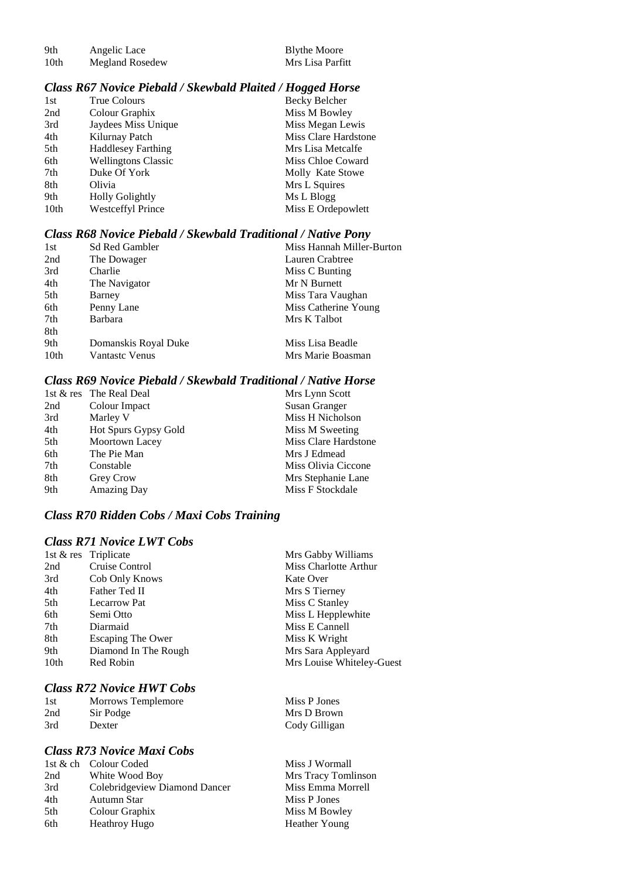| 9th  | Angelic Lace    | <b>Blythe Moore</b> |
|------|-----------------|---------------------|
| 10th | Megland Rosedew | Mrs Lisa Parfitt    |

Blythe Moore

#### *Class R67 Novice Piebald / Skewbald Plaited / Hogged Horse*

| 1st  | True Colours               | Becky Belcher        |
|------|----------------------------|----------------------|
| 2nd  | Colour Graphix             | Miss M Bowley        |
| 3rd  | Jaydees Miss Unique        | Miss Megan Lewis     |
| 4th  | Kilurnay Patch             | Miss Clare Hardstone |
| 5th  | <b>Haddlesey Farthing</b>  | Mrs Lisa Metcalfe    |
| 6th  | <b>Wellingtons Classic</b> | Miss Chloe Coward    |
| 7th  | Duke Of York               | Molly Kate Stowe     |
| 8th  | Olivia                     | Mrs L Squires        |
| 9th  | <b>Holly Golightly</b>     | Ms L Blogg           |
| 10th | <b>Westceffyl Prince</b>   | Miss E Ordepowlett   |

### *Class R68 Novice Piebald / Skewbald Traditional / Native Pony*

| 1st  | <b>Sd Red Gambler</b> | Miss Hannah Miller-Burton |
|------|-----------------------|---------------------------|
| 2nd  | The Dowager           | Lauren Crabtree           |
| 3rd  | Charlie               | Miss C Bunting            |
| 4th  | The Navigator         | Mr N Burnett              |
| 5th  | Barney                | Miss Tara Vaughan         |
| 6th  | Penny Lane            | Miss Catherine Young      |
| 7th  | <b>Barbara</b>        | Mrs K Talbot              |
| 8th  |                       |                           |
| 9th  | Domanskis Royal Duke  | Miss Lisa Beadle          |
| 10th | <b>Vantastc Venus</b> | Mrs Marie Boasman         |

#### *Class R69 Novice Piebald / Skewbald Traditional / Native Horse*

|     | 1st & res The Real Deal | Mrs Lynn Scott       |
|-----|-------------------------|----------------------|
| 2nd | Colour Impact           | Susan Granger        |
| 3rd | Marley V                | Miss H Nicholson     |
| 4th | Hot Spurs Gypsy Gold    | Miss M Sweeting      |
| 5th | Moortown Lacey          | Miss Clare Hardstone |
| 6th | The Pie Man             | Mrs J Edmead         |
| 7th | Constable               | Miss Olivia Ciccone  |
| 8th | Grey Crow               | Mrs Stephanie Lane   |
| 9th | <b>Amazing Day</b>      | Miss F Stockdale     |

### *Class R70 Ridden Cobs / Maxi Cobs Training*

### *Class R71 Novice LWT Cobs*

|      | 1st & res Triplicate     | Mrs Gabby Williams        |
|------|--------------------------|---------------------------|
| 2nd  | Cruise Control           | Miss Charlotte Arthur     |
| 3rd  | Cob Only Knows           | Kate Over                 |
| 4th  | Father Ted II            | Mrs S Tierney             |
| 5th  | Lecarrow Pat             | Miss C Stanley            |
| 6th  | Semi Otto                | Miss L Hepplewhite        |
| 7th  | Diarmaid                 | Miss E Cannell            |
| 8th  | <b>Escaping The Ower</b> | Miss K Wright             |
| 9th  | Diamond In The Rough     | Mrs Sara Appleyard        |
| 10th | Red Robin                | Mrs Louise Whiteley-Guest |
|      |                          |                           |

### *Class R72 Novice HWT Cobs*

| 1st | Morrows Templemore | Miss P Jones  |
|-----|--------------------|---------------|
| 2nd | Sir Podge          | Mrs D Brown   |
| 3rd | Dexter             | Cody Gilligan |

### *Class R73 Novice Maxi Cobs*

| 1st & ch Colour Coded         | Miss J Wormall      |
|-------------------------------|---------------------|
| White Wood Boy                | Mrs Tracy Tomlinson |
| Colebridgeview Diamond Dancer | Miss Emma Morrell   |
| Autumn Star                   | Miss P Jones        |
| Colour Graphix                | Miss M Bowley       |
| <b>Heathroy Hugo</b>          | Heather Young       |
|                               |                     |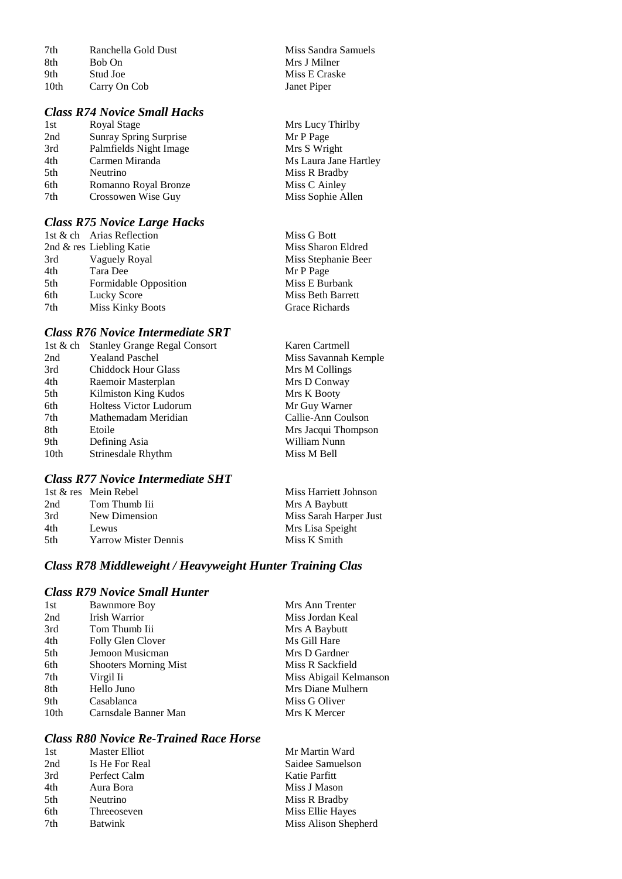| 7th              | Ranchella Gold Dust |
|------------------|---------------------|
| 8th              | Bob On              |
| 9th              | Stud Joe            |
| 10 <sub>th</sub> | Carry On Cob        |

#### *Class R74 Novice Small Hacks*

| 1st | Royal Stage            |
|-----|------------------------|
| 2nd | Sunray Spring Surprise |
| 3rd | Palmfields Night Image |
| 4th | Carmen Miranda         |
| 5th | Neutrino               |
| 6th | Romanno Royal Bronze   |
| 7th | Crossowen Wise Guy     |

#### *Class R75 Novice Large Hacks*

|     | 1st & ch Arias Reflection | Miss G Bott         |
|-----|---------------------------|---------------------|
|     | 2nd & res Liebling Katie  | Miss Sharon Eldred  |
| 3rd | Vaguely Royal             | Miss Stephanie Beer |
| 4th | Tara Dee                  | Mr P Page           |
| 5th | Formidable Opposition     | Miss E Burbank      |
| 6th | Lucky Score               | Miss Beth Barrett   |
| 7th | <b>Miss Kinky Boots</b>   | Grace Richards      |
|     |                           |                     |

### *Class R76 Novice Intermediate SRT*

| 1st & ch | <b>Stanley Grange Regal Consort</b> | Karen Cartmell       |
|----------|-------------------------------------|----------------------|
| 2nd      | <b>Yealand Paschel</b>              | Miss Savannah Kemple |
| 3rd      | <b>Chiddock Hour Glass</b>          | Mrs M Collings       |
| 4th      | Raemoir Masterplan                  | Mrs D Conway         |
| 5th      | Kilmiston King Kudos                | Mrs K Booty          |
| 6th      | <b>Holtess Victor Ludorum</b>       | Mr Guy Warner        |
| 7th      | Mathemadam Meridian                 | Callie-Ann Coulson   |
| 8th      | Etoile                              | Mrs Jacqui Thompson  |
| 9th      | Defining Asia                       | William Nunn         |
| 10th     | Strinesdale Rhythm                  | Miss M Bell          |
|          |                                     |                      |

### *Class R77 Novice Intermediate SHT*

|     | 1st & res Mein Rebel        | Miss Harriett Johnson  |
|-----|-----------------------------|------------------------|
| 2nd | Tom Thumb Iii               | Mrs A Baybutt          |
| 3rd | New Dimension               | Miss Sarah Harper Just |
| 4th | Lewus                       | Mrs Lisa Speight       |
| 5th | <b>Yarrow Mister Dennis</b> | Miss K Smith           |

### *Class R78 Middleweight / Heavyweight Hunter Training Clas*

### *Class R79 Novice Small Hunter*

| 1st  | <b>Bawnmore Boy</b>          | Mrs Ann Trenter        |
|------|------------------------------|------------------------|
| 2nd  | Irish Warrior                | Miss Jordan Keal       |
| 3rd  | Tom Thumb Iii                | Mrs A Baybutt          |
| 4th  | Folly Glen Clover            | Ms Gill Hare           |
| 5th  | Jemoon Musicman              | Mrs D Gardner          |
| 6th  | <b>Shooters Morning Mist</b> | Miss R Sackfield       |
| 7th  | Virgil Ii                    | Miss Abigail Kelmanson |
| 8th  | Hello Juno                   | Mrs Diane Mulhern      |
| 9th  | Casablanca                   | Miss G Oliver          |
| 10th | Carnsdale Banner Man         | Mrs K Mercer           |
|      |                              |                        |

### *Class R80 Novice Re-Trained Race Horse*

| 1st | Master Elliot  | Mr Martin Ward       |
|-----|----------------|----------------------|
| 2nd | Is He For Real | Saidee Samuelson     |
| 3rd | Perfect Calm   | Katie Parfitt        |
| 4th | Aura Bora      | Miss J Mason         |
| 5th | Neutrino       | Miss R Bradby        |
| 6th | Threeoseven    | Miss Ellie Hayes     |
| 7th | <b>Batwink</b> | Miss Alison Shepherd |
|     |                |                      |

Miss Sandra Samuels Mrs J Milner Miss E Craske Janet Piper

Mrs Lucy Thirlby Mr P Page Mrs S Wright Ms Laura Jane Hartley Miss R Bradby Miss C Ainley Miss Sophie Allen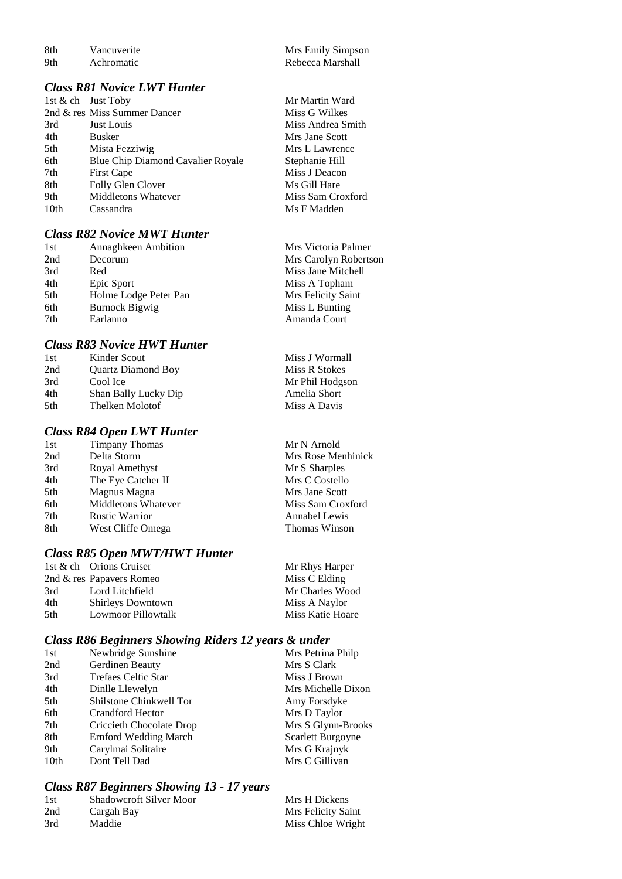8th Vancuverite Mrs Emily Simpson<br>
9th Achromatic Rebecca Marshall

#### *Class R81 Novice LWT Hunter*

| 1st $\&$ ch Just Toby |                                   |
|-----------------------|-----------------------------------|
|                       | 2nd & res Miss Summer Dancer      |
| 3rd                   | Just Louis                        |
| 4th                   | Busker                            |
| 5th                   | Mista Fezziwig                    |
| 6th                   | Blue Chip Diamond Cavalier Royale |
| 7th                   | <b>First Cape</b>                 |
| 8th                   | Folly Glen Clover                 |
| 9th                   | <b>Middletons Whatever</b>        |
| 10 <sub>th</sub>      | Cassandra                         |

### *Class R82 Novice MWT Hunter*

| Mrs Carolyn Robertson |
|-----------------------|
|                       |
|                       |
|                       |
|                       |
|                       |
|                       |
|                       |

#### *Class R83 Novice HWT Hunter*

| 1st | Kinder Scout              | Miss J Wormall  |
|-----|---------------------------|-----------------|
| 2nd | <b>Quartz Diamond Boy</b> | Miss R Stokes   |
| 3rd | Cool Ice                  | Mr Phil Hodgson |
| 4th | Shan Bally Lucky Dip      | Amelia Short    |
| 5th | Thelken Molotof           | Miss A Davis    |
|     |                           |                 |

#### *Class R84 Open LWT Hunter*

| 1st | <b>Timpany Thomas</b>      | Mr N Arnold          |
|-----|----------------------------|----------------------|
| 2nd | Delta Storm                | Mrs Rose Menhinick   |
| 3rd | Royal Amethyst             | Mr S Sharples        |
| 4th | The Eye Catcher II         | Mrs C Costello       |
| 5th | Magnus Magna               | Mrs Jane Scott       |
| 6th | <b>Middletons Whatever</b> | Miss Sam Croxford    |
| 7th | <b>Rustic Warrior</b>      | Annabel Lewis        |
| 8th | West Cliffe Omega          | <b>Thomas Winson</b> |
|     |                            |                      |

#### *Class R85 Open MWT/HWT Hunter*

|     | 1st & ch Orions Cruiser  | Mr Rhys Harper   |
|-----|--------------------------|------------------|
|     | 2nd & res Papavers Romeo | Miss C Elding    |
| 3rd | Lord Litchfield          | Mr Charles Wood  |
| 4th | <b>Shirleys Downtown</b> | Miss A Naylor    |
| 5th | Lowmoor Pillowtalk       | Miss Katie Hoare |
|     |                          |                  |

#### *Class R86 Beginners Showing Riders 12 years & under*

| 1st              | Newbridge Sunshine           | Mrs Petrina Philp  |
|------------------|------------------------------|--------------------|
| 2nd              | Gerdinen Beauty              | Mrs S Clark        |
| 3rd              | Trefaes Celtic Star          | Miss J Brown       |
| 4th              | Dinlle Llewelyn              | Mrs Michelle Dixon |
| 5th              | Shilstone Chinkwell Tor      | Amy Forsdyke       |
| 6th              | Crandford Hector             | Mrs D Taylor       |
| 7th              | Criccieth Chocolate Drop     | Mrs S Glynn-Brooks |
| 8th              | <b>Ernford Wedding March</b> | Scarlett Burgoyne  |
| 9th              | Carylmai Solitaire           | Mrs G Krajnyk      |
| 10 <sub>th</sub> | Dont Tell Dad                | Mrs C Gillivan     |
|                  |                              |                    |

### *Class R87 Beginners Showing 13 - 17 years*

| -1st | <b>Shadowcroft Silver Moor</b> | Mrs H Dickens      |
|------|--------------------------------|--------------------|
| 2nd  | Cargah Bay                     | Mrs Felicity Saint |
| 3rd  | Maddie                         | Miss Chloe Wright  |

Rebecca Marshall

Mr Martin Ward Miss G Wilkes Miss Andrea Smith Mrs Jane Scott Mrs L Lawrence Stephanie Hill Miss J Deacon Ms Gill Hare Miss Sam Croxford Ms F Madden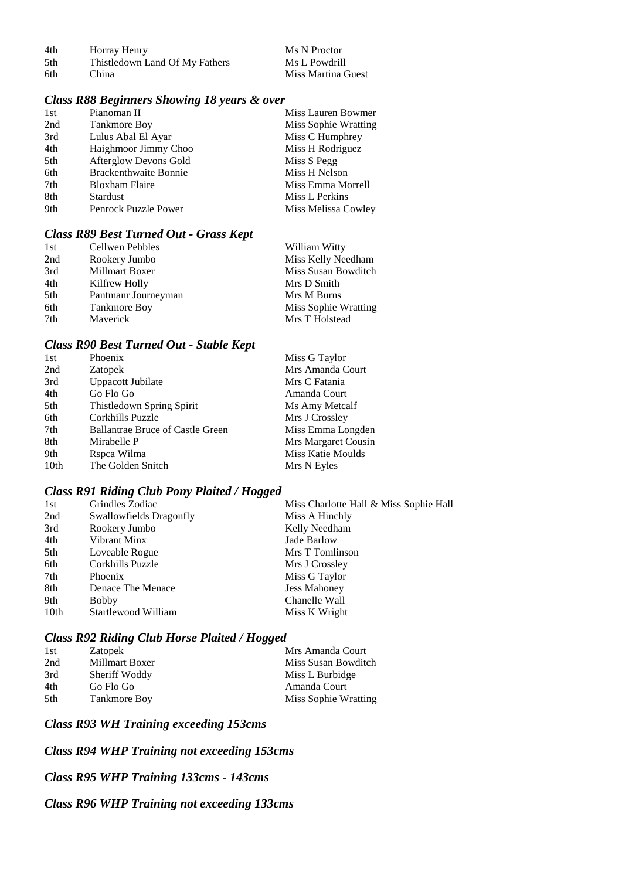| 4th  | Horray Henry                   | Ms N Proctor       |
|------|--------------------------------|--------------------|
| .5th | Thistledown Land Of My Fathers | Ms L Powdrill      |
| 6th  | China                          | Miss Martina Guest |

### *Class R88 Beginners Showing 18 years & over*

| 1st | Pianoman II                  | Miss Lauren Bowmer   |
|-----|------------------------------|----------------------|
| 2nd | <b>Tankmore Boy</b>          | Miss Sophie Wratting |
| 3rd | Lulus Abal El Ayar           | Miss C Humphrey      |
| 4th | Haighmoor Jimmy Choo         | Miss H Rodriguez     |
| 5th | Afterglow Devons Gold        | Miss S Pegg          |
| 6th | <b>Brackenthwaite Bonnie</b> | Miss H Nelson        |
| 7th | <b>Bloxham Flaire</b>        | Miss Emma Morrell    |
| 8th | <b>Stardust</b>              | Miss L Perkins       |
| 9th | Penrock Puzzle Power         | Miss Melissa Cowley  |

#### *Class R89 Best Turned Out - Grass Kept*

| 1st | Cellwen Pebbles     | William Witty        |
|-----|---------------------|----------------------|
| 2nd | Rookery Jumbo       | Miss Kelly Needham   |
| 3rd | Millmart Boxer      | Miss Susan Bowditch  |
| 4th | Kilfrew Holly       | Mrs D Smith          |
| 5th | Pantmanr Journeyman | Mrs M Burns          |
| 6th | <b>Tankmore Boy</b> | Miss Sophie Wratting |
| 7th | Maverick            | Mrs T Holstead       |

### *Class R90 Best Turned Out - Stable Kept*

| 1st  | Phoenix                                 | Miss G Taylor       |
|------|-----------------------------------------|---------------------|
| 2nd  | Zatopek                                 | Mrs Amanda Court    |
| 3rd  | Uppacott Jubilate                       | Mrs C Fatania       |
| 4th  | Go Flo Go                               | Amanda Court        |
| 5th  | Thistledown Spring Spirit               | Ms Amy Metcalf      |
| 6th  | Corkhills Puzzle                        | Mrs J Crossley      |
| 7th  | <b>Ballantrae Bruce of Castle Green</b> | Miss Emma Longden   |
| 8th  | Mirabelle P                             | Mrs Margaret Cousin |
| 9th  | Rspca Wilma                             | Miss Katie Moulds   |
| 10th | The Golden Snitch                       | Mrs N Eyles         |

### *Class R91 Riding Club Pony Plaited / Hogged*

| 1st  | Grindles Zodiac         | Miss Charlotte Hall & Miss Sophie Hall |
|------|-------------------------|----------------------------------------|
| 2nd  | Swallowfields Dragonfly | Miss A Hinchly                         |
| 3rd  | Rookery Jumbo           | Kelly Needham                          |
| 4th  | Vibrant Minx            | Jade Barlow                            |
| 5th  | Loveable Rogue          | Mrs T Tomlinson                        |
| 6th  | Corkhills Puzzle        | Mrs J Crossley                         |
| 7th  | Phoenix                 | Miss G Taylor                          |
| 8th  | Denace The Menace       | <b>Jess Mahoney</b>                    |
| 9th  | <b>Bobby</b>            | Chanelle Wall                          |
| 10th | Startlewood William     | Miss K Wright                          |
|      |                         |                                        |

### *Class R92 Riding Club Horse Plaited / Hogged*

| 1st | Zatopek               | Mrs Amanda Court     |
|-----|-----------------------|----------------------|
| 2nd | <b>Millmart Boxer</b> | Miss Susan Bowditch  |
| 3rd | Sheriff Woddy         | Miss L Burbidge      |
| 4th | Go Flo Go             | Amanda Court         |
| 5th | Tankmore Boy          | Miss Sophie Wratting |

### *Class R93 WH Training exceeding 153cms*

### *Class R94 WHP Training not exceeding 153cms*

#### *Class R95 WHP Training 133cms - 143cms*

#### *Class R96 WHP Training not exceeding 133cms*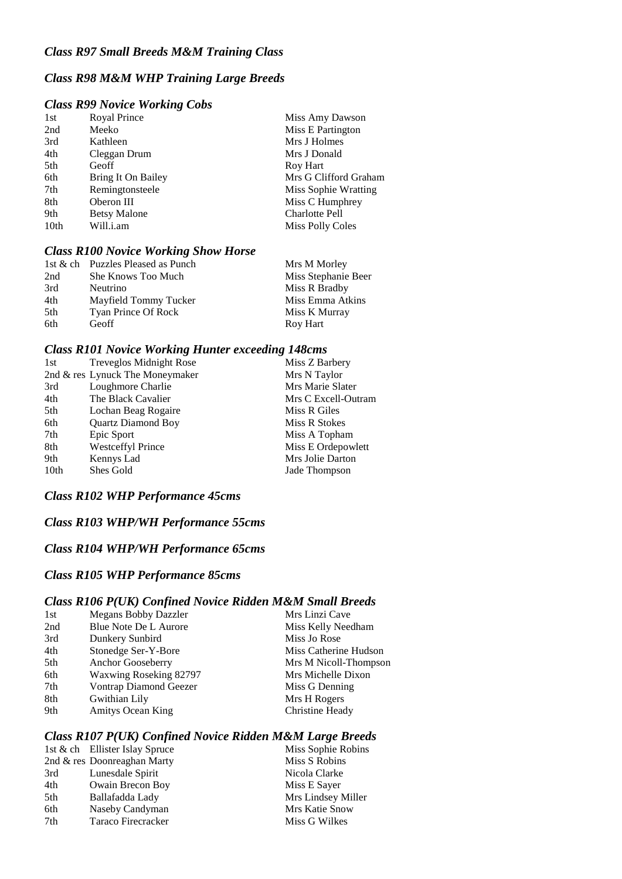### *Class R98 M&M WHP Training Large Breeds*

#### *Class R99 Novice Working Cobs*

| 1st              | Royal Prince        | Miss Amy Dawson         |
|------------------|---------------------|-------------------------|
| 2nd              | Meeko               | Miss E Partington       |
| 3rd              | Kathleen            | Mrs J Holmes            |
| 4th              | Cleggan Drum        | Mrs J Donald            |
| 5th              | Geoff               | Roy Hart                |
| 6th              | Bring It On Bailey  | Mrs G Clifford Graham   |
| 7th              | Remingtonsteele     | Miss Sophie Wratting    |
| 8th              | Oberon III          | Miss C Humphrey         |
| 9th              | <b>Betsy Malone</b> | <b>Charlotte Pell</b>   |
| 10 <sub>th</sub> | Will.i.am           | <b>Miss Polly Coles</b> |
|                  |                     |                         |

#### *Class R100 Novice Working Show Horse*

|     | 1st & ch Puzzles Pleased as Punch | Mrs M Morley        |
|-----|-----------------------------------|---------------------|
| 2nd | She Knows Too Much                | Miss Stephanie Beer |
| 3rd | Neutrino                          | Miss R Bradby       |
| 4th | Mayfield Tommy Tucker             | Miss Emma Atkins    |
| 5th | Tyan Prince Of Rock               | Miss K Murray       |
| 6th | Geoff                             | Roy Hart            |

#### *Class R101 Novice Working Hunter exceeding 148cms*

| 1st  | <b>Treveglos Midnight Rose</b>  | Miss Z Barbery      |
|------|---------------------------------|---------------------|
|      | 2nd & res Lynuck The Moneymaker | Mrs N Taylor        |
| 3rd  | Loughmore Charlie               | Mrs Marie Slater    |
| 4th  | The Black Cavalier              | Mrs C Excell-Outram |
| 5th  | Lochan Beag Rogaire             | Miss R Giles        |
| 6th  | <b>Quartz Diamond Boy</b>       | Miss R Stokes       |
| 7th  | Epic Sport                      | Miss A Topham       |
| 8th  | <b>Westceffyl Prince</b>        | Miss E Ordepowlett  |
| 9th  | Kennys Lad                      | Mrs Jolie Darton    |
| 10th | Shes Gold                       | Jade Thompson       |
|      |                                 |                     |

#### *Class R102 WHP Performance 45cms*

#### *Class R103 WHP/WH Performance 55cms*

#### *Class R104 WHP/WH Performance 65cms*

#### *Class R105 WHP Performance 85cms*

### *Class R106 P(UK) Confined Novice Ridden M&M Small Breeds*

| <b>Megans Bobby Dazzler</b>   | Mrs Linzi Cave        |
|-------------------------------|-----------------------|
| Blue Note De L Aurore         | Miss Kelly Needham    |
| Dunkery Sunbird               | Miss Jo Rose          |
| Stonedge Ser-Y-Bore           | Miss Catherine Hudson |
| Anchor Gooseberry             | Mrs M Nicoll-Thompson |
| Waxwing Roseking 82797        | Mrs Michelle Dixon    |
| <b>Vontrap Diamond Geezer</b> | Miss G Denning        |
| Gwithian Lily                 | Mrs H Rogers          |
| <b>Amitys Ocean King</b>      | Christine Heady       |
|                               |                       |

#### *Class R107 P(UK) Confined Novice Ridden M&M Large Breeds*

|     | 1st & ch Ellister Islay Spruce | Miss Sophie Robins |
|-----|--------------------------------|--------------------|
|     | 2nd & res Doonreaghan Marty    | Miss S Robins      |
| 3rd | Lunesdale Spirit               | Nicola Clarke      |
| 4th | Owain Brecon Boy               | Miss E Sayer       |
| 5th | Ballafadda Lady                | Mrs Lindsey Miller |
| 6th | Naseby Candyman                | Mrs Katie Snow     |
| 7th | Taraco Firecracker             | Miss G Wilkes      |
|     |                                |                    |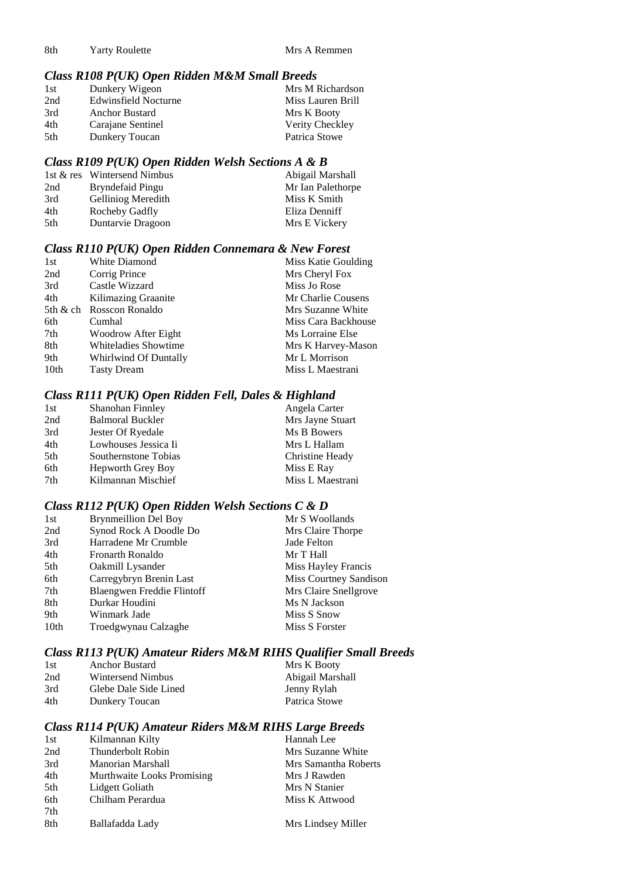### *Class R108 P(UK) Open Ridden M&M Small Breeds*

| 1st  | Dunkery Wigeon              | Mrs M Richardson  |
|------|-----------------------------|-------------------|
| 2nd  | <b>Edwinsfield Nocturne</b> | Miss Lauren Brill |
| 3rd  | Anchor Bustard              | Mrs K Booty       |
| 4th  | Carajane Sentinel           | Verity Checkley   |
| .5th | Dunkery Toucan              | Patrica Stowe     |

#### *Class R109 P(UK) Open Ridden Welsh Sections A & B*

|     | 1st & res Wintersend Nimbus | Abigail Marshall  |
|-----|-----------------------------|-------------------|
| 2nd | Bryndefaid Pingu            | Mr Ian Palethorpe |
| 3rd | Gelliniog Meredith          | Miss K Smith      |
| 4th | Rocheby Gadfly              | Eliza Denniff     |
| 5th | Duntarvie Dragoon           | Mrs E Vickery     |

#### *Class R110 P(UK) Open Ridden Connemara & New Forest*

| 1st              | White Diamond            | Miss Katie Goulding |
|------------------|--------------------------|---------------------|
| 2nd              | Corrig Prince            | Mrs Cheryl Fox      |
| 3rd              | Castle Wizzard           | Miss Jo Rose        |
| 4th              | Kilimazing Graanite      | Mr Charlie Cousens  |
|                  | 5th & ch Rosscon Ronaldo | Mrs Suzanne White   |
| 6th              | Cumhal                   | Miss Cara Backhouse |
| 7th              | Woodrow After Eight      | Ms Lorraine Else    |
| 8th              | Whiteladies Showtime     | Mrs K Harvey-Mason  |
| 9th              | Whirlwind Of Duntally    | Mr L Morrison       |
| 10 <sub>th</sub> | <b>Tasty Dream</b>       | Miss L Maestrani    |
|                  |                          |                     |

### *Class R111 P(UK) Open Ridden Fell, Dales & Highland*

| 1st | Shanohan Finnley        | Angela Carter    |
|-----|-------------------------|------------------|
| 2nd | <b>Balmoral Buckler</b> | Mrs Jayne Stuart |
| 3rd | Jester Of Ryedale       | Ms B Bowers      |
| 4th | Lowhouses Jessica Ii    | Mrs L Hallam     |
| 5th | Southernstone Tobias    | Christine Heady  |
| 6th | Hepworth Grey Boy       | Miss E Ray       |
| 7th | Kilmannan Mischief      | Miss L Maestrani |
|     |                         |                  |

#### *Class R112 P(UK) Open Ridden Welsh Sections C & D*

| 1st  | <b>Brynmeillion Del Boy</b> | Mr S Woollands         |
|------|-----------------------------|------------------------|
| 2nd  | Synod Rock A Doodle Do      | Mrs Claire Thorpe      |
| 3rd  | Harradene Mr Crumble        | Jade Felton            |
| 4th  | Fronarth Ronaldo            | Mr T Hall              |
| 5th  | Oakmill Lysander            | Miss Hayley Francis    |
| 6th  | Carregybryn Brenin Last     | Miss Courtney Sandison |
| 7th  | Blaengwen Freddie Flintoff  | Mrs Claire Snellgrove  |
| 8th  | Durkar Houdini              | Ms N Jackson           |
| 9th  | Winmark Jade                | Miss S Snow            |
| 10th | Troedgwynau Calzaghe        | Miss S Forster         |

### *Class R113 P(UK) Amateur Riders M&M RIHS Qualifier Small Breeds*

| 1st | <b>Anchor Bustard</b> | Mrs K Booty      |
|-----|-----------------------|------------------|
| 2nd | Wintersend Nimbus     | Abigail Marshall |
| 3rd | Glebe Dale Side Lined | Jenny Rylah      |
| 4th | Dunkery Toucan        | Patrica Stowe    |

### *Class R114 P(UK) Amateur Riders M&M RIHS Large Breeds*

| 1st | Kilmannan Kilty            | Hannah Lee           |
|-----|----------------------------|----------------------|
| 2nd | Thunderbolt Robin          | Mrs Suzanne White    |
| 3rd | Manorian Marshall          | Mrs Samantha Roberts |
| 4th | Murthwaite Looks Promising | Mrs J Rawden         |
| 5th | Lidgett Goliath            | Mrs N Stanier        |
| 6th | Chilham Perardua           | Miss K Attwood       |
| 7th |                            |                      |
| 8th | Ballafadda Lady            | Mrs Lindsey Miller   |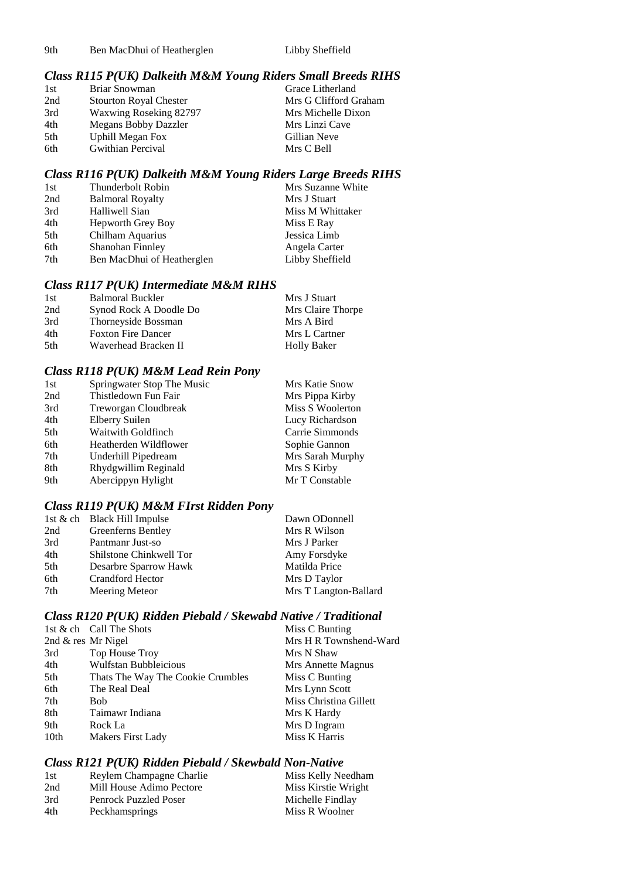9th Ben MacDhui of Heatherglen Libby Sheffield

### *Class R115 P(UK) Dalkeith M&M Young Riders Small Breeds RIHS*

| 1st | Briar Snowman                 | Grace Litherland      |
|-----|-------------------------------|-----------------------|
| 2nd | <b>Stourton Royal Chester</b> | Mrs G Clifford Graham |
| 3rd | Waxwing Roseking 82797        | Mrs Michelle Dixon    |
| 4th | Megans Bobby Dazzler          | Mrs Linzi Cave        |
| 5th | <b>Uphill Megan Fox</b>       | Gillian Neve          |
| 6th | Gwithian Percival             | Mrs C Bell            |
|     |                               |                       |

### *Class R116 P(UK) Dalkeith M&M Young Riders Large Breeds RIHS*

| Thunderbolt Robin          | Mrs Suzanne White |
|----------------------------|-------------------|
| <b>Balmoral Royalty</b>    | Mrs J Stuart      |
| Halliwell Sian             | Miss M Whittaker  |
| <b>Hepworth Grey Boy</b>   | Miss E Ray        |
| Chilham Aquarius           | Jessica Limb      |
| Shanohan Finnley           | Angela Carter     |
| Ben MacDhui of Heatherglen | Libby Sheffield   |
|                            |                   |

### *Class R117 P(UK) Intermediate M&M RIHS*

| 1st  | <b>Balmoral Buckler</b>   | Mrs J Stuart       |
|------|---------------------------|--------------------|
| 2nd  | Synod Rock A Doodle Do    | Mrs Claire Thorpe  |
| 3rd  | Thorneyside Bossman       | Mrs A Bird         |
| 4th  | <b>Foxton Fire Dancer</b> | Mrs L Cartner      |
| .5th | Waverhead Bracken II      | <b>Holly Baker</b> |

#### *Class R118 P(UK) M&M Lead Rein Pony*

| 1st | Springwater Stop The Music | Mrs Katie Snow   |
|-----|----------------------------|------------------|
| 2nd | Thistledown Fun Fair       | Mrs Pippa Kirby  |
| 3rd | Treworgan Cloudbreak       | Miss S Woolerton |
| 4th | <b>Elberry Suilen</b>      | Lucy Richardson  |
| 5th | <b>Waitwith Goldfinch</b>  | Carrie Simmonds  |
| 6th | Heatherden Wildflower      | Sophie Gannon    |
| 7th | Underhill Pipedream        | Mrs Sarah Murphy |
| 8th | Rhydgwillim Reginald       | Mrs S Kirby      |
| 9th | Abercippyn Hylight         | Mr T Constable   |

#### *Class R119 P(UK) M&M FIrst Ridden Pony*

|     | 1st & ch Black Hill Impulse | Dawn ODonnell         |
|-----|-----------------------------|-----------------------|
| 2nd | Greenferns Bentley          | Mrs R Wilson          |
| 3rd | Pantmanr Just-so            | Mrs J Parker          |
| 4th | Shilstone Chinkwell Tor     | Amy Forsdyke          |
| 5th | Desarbre Sparrow Hawk       | Matilda Price         |
| 6th | <b>Crandford Hector</b>     | Mrs D Taylor          |
| 7th | Meering Meteor              | Mrs T Langton-Ballard |

### *Class R120 P(UK) Ridden Piebald / Skewabd Native / Traditional*

|                      | 1st & ch Call The Shots           | Miss C Bunting         |
|----------------------|-----------------------------------|------------------------|
| 2nd $&$ res Mr Nigel |                                   | Mrs H R Townshend-Ward |
| 3rd                  | Top House Troy                    | Mrs N Shaw             |
| 4th                  | <b>Wulfstan Bubbleicious</b>      | Mrs Annette Magnus     |
| 5th                  | Thats The Way The Cookie Crumbles | Miss C Bunting         |
| 6th                  | The Real Deal                     | Mrs Lynn Scott         |
| 7th                  | <b>Bob</b>                        | Miss Christina Gillett |
| 8th                  | Taimawr Indiana                   | Mrs K Hardy            |
| 9th                  | Rock La                           | Mrs D Ingram           |
| 10th                 | Makers First Lady                 | Miss K Harris          |
|                      |                                   |                        |

### *Class R121 P(UK) Ridden Piebald / Skewbald Non-Native*

| 1st | Reylem Champagne Charlie     | Miss Kelly Needham  |
|-----|------------------------------|---------------------|
| 2nd | Mill House Adimo Pectore     | Miss Kirstie Wright |
| 3rd | <b>Penrock Puzzled Poser</b> | Michelle Findlay    |
| 4th | Peckhamsprings               | Miss R Woolner      |
|     |                              |                     |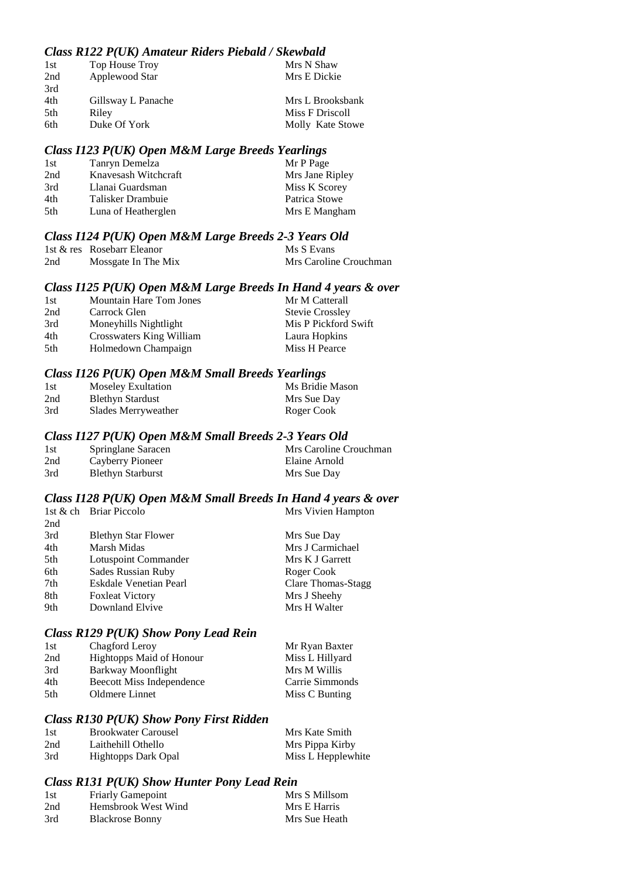#### *Class R122 P(UK) Amateur Riders Piebald / Skewbald*

| 1st | Top House Troy     | Mrs N Shaw       |
|-----|--------------------|------------------|
| 2nd | Applewood Star     | Mrs E Dickie     |
| 3rd |                    |                  |
| 4th | Gillsway L Panache | Mrs L Brooksbank |
| 5th | Riley              | Miss F Driscoll  |
| 6th | Duke Of York       | Molly Kate Stowe |

#### *Class I123 P(UK) Open M&M Large Breeds Yearlings*

| 1st | Tanryn Demelza       | Mr P Page       |
|-----|----------------------|-----------------|
| 2nd | Knavesash Witchcraft | Mrs Jane Ripley |
| 3rd | Llanai Guardsman     | Miss K Scorey   |
| 4th | Talisker Drambuie    | Patrica Stowe   |
| 5th | Luna of Heatherglen  | Mrs E Mangham   |

#### *Class I124 P(UK) Open M&M Large Breeds 2-3 Years Old*

|     | 1st & res Rosebarr Eleanor | Ms S Evans             |
|-----|----------------------------|------------------------|
| 2nd | Mossgate In The Mix        | Mrs Caroline Crouchman |

#### *Class I125 P(UK) Open M&M Large Breeds In Hand 4 years & over*

| 1st | <b>Mountain Hare Tom Jones</b> | Mr M Catterall         |
|-----|--------------------------------|------------------------|
| 2nd | Carrock Glen                   | <b>Stevie Crossley</b> |
| 3rd | Moneyhills Nightlight          | Mis P Pickford Swift   |
| 4th | Crosswaters King William       | Laura Hopkins          |
| 5th | Holmedown Champaign            | Miss H Pearce          |

#### *Class I126 P(UK) Open M&M Small Breeds Yearlings*

| 1st | <b>Moseley Exultation</b> | Ms Bridie Mason |
|-----|---------------------------|-----------------|
| 2nd | <b>Blethyn Stardust</b>   | Mrs Sue Day     |
| 3rd | Slades Merryweather       | Roger Cook      |

#### *Class I127 P(UK) Open M&M Small Breeds 2-3 Years Old*

| 1st | Springlane Saracen       | Mrs Caroline Crouchman |
|-----|--------------------------|------------------------|
| 2nd | Cayberry Pioneer         | Elaine Arnold          |
| 3rd | <b>Blethyn Starburst</b> | Mrs Sue Day            |

### *Class I128 P(UK) Open M&M Small Breeds In Hand 4 years & over*

|     | 1st & ch Briar Piccolo     | Mrs Vivien Hampton |
|-----|----------------------------|--------------------|
| 2nd |                            |                    |
| 3rd | <b>Blethyn Star Flower</b> | Mrs Sue Day        |
| 4th | Marsh Midas                | Mrs J Carmichael   |
| 5th | Lotuspoint Commander       | Mrs K J Garrett    |
| 6th | Sades Russian Ruby         | Roger Cook         |
| 7th | Eskdale Venetian Pearl     | Clare Thomas-Stagg |
| 8th | <b>Foxleat Victory</b>     | Mrs J Sheehy       |
| 9th | Downland Elvive            | Mrs H Walter       |

#### *Class R129 P(UK) Show Pony Lead Rein*

| Chagford Leroy                   | Mr Ryan Baxter  |
|----------------------------------|-----------------|
| Hightopps Maid of Honour         | Miss L Hillyard |
| Barkway Moonflight               | Mrs M Willis    |
| <b>Beecott Miss Independence</b> | Carrie Simmonds |
| Oldmere Linnet                   | Miss C Bunting  |
|                                  |                 |

#### *Class R130 P(UK) Show Pony First Ridden*

| 1st | <b>Brookwater Carousel</b> | Mrs Kate Smith     |
|-----|----------------------------|--------------------|
| 2nd | Laithehill Othello         | Mrs Pippa Kirby    |
| 3rd | Hightopps Dark Opal        | Miss L Hepplewhite |

#### *Class R131 P(UK) Show Hunter Pony Lead Rein*

| 1st | <b>Friarly Gamepoint</b> | Mrs S Millsom |
|-----|--------------------------|---------------|
| 2nd | Hemsbrook West Wind      | Mrs E Harris  |
| 3rd | <b>Blackrose Bonny</b>   | Mrs Sue Heath |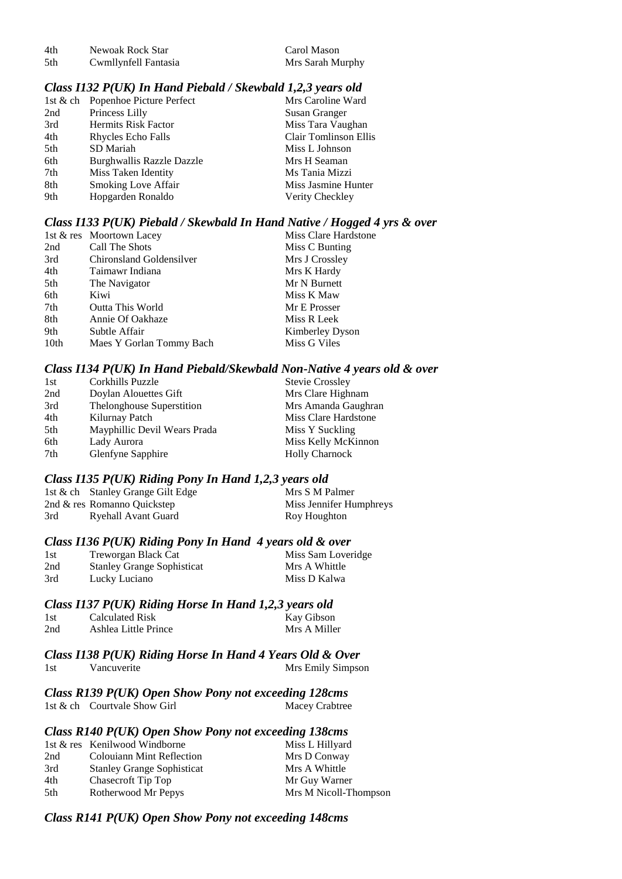| 4th | Newoak Rock Star     | Carol Mason      |
|-----|----------------------|------------------|
| 5th | Cwmllynfell Fantasia | Mrs Sarah Murphy |

#### *Class I132 P(UK) In Hand Piebald / Skewbald 1,2,3 years old*

|     | 1st & ch Popenhoe Picture Perfect | Mrs Caroline Ward     |
|-----|-----------------------------------|-----------------------|
| 2nd | Princess Lilly                    | Susan Granger         |
| 3rd | <b>Hermits Risk Factor</b>        | Miss Tara Vaughan     |
| 4th | Rhycles Echo Falls                | Clair Tomlinson Ellis |
| 5th | SD Mariah                         | Miss L Johnson        |
| 6th | Burghwallis Razzle Dazzle         | Mrs H Seaman          |
| 7th | Miss Taken Identity               | Ms Tania Mizzi        |
| 8th | <b>Smoking Love Affair</b>        | Miss Jasmine Hunter   |
| 9th | Hopgarden Ronaldo                 | Verity Checkley       |

#### *Class I133 P(UK) Piebald / Skewbald In Hand Native / Hogged 4 yrs & over*

|      | 1st & res Moortown Lacey | Miss Clare Hardstone |
|------|--------------------------|----------------------|
| 2nd  | Call The Shots           | Miss C Bunting       |
| 3rd  | Chironsland Goldensilver | Mrs J Crossley       |
| 4th  | Taimawr Indiana          | Mrs K Hardy          |
| 5th  | The Navigator            | Mr N Burnett         |
| 6th  | Kiwi                     | Miss K Maw           |
| 7th  | <b>Outta This World</b>  | Mr E Prosser         |
| 8th  | Annie Of Oakhaze         | Miss R Leek          |
| 9th  | Subtle Affair            | Kimberley Dyson      |
| 10th | Maes Y Gorlan Tommy Bach | Miss G Viles         |

#### *Class I134 P(UK) In Hand Piebald/Skewbald Non-Native 4 years old & over*

| 1st | Corkhills Puzzle             | <b>Stevie Crossley</b> |
|-----|------------------------------|------------------------|
| 2nd | Doylan Alouettes Gift        | Mrs Clare Highnam      |
| 3rd | Thelonghouse Superstition    | Mrs Amanda Gaughran    |
| 4th | Kilurnay Patch               | Miss Clare Hardstone   |
| 5th | Mayphillic Devil Wears Prada | Miss Y Suckling        |
| 6th | Lady Aurora                  | Miss Kelly McKinnon    |
| 7th | Glenfyne Sapphire            | <b>Holly Charnock</b>  |
|     |                              |                        |

#### *Class I135 P(UK) Riding Pony In Hand 1,2,3 years old*

|     | 1st & ch Stanley Grange Gilt Edge | Mrs S M Palmer          |
|-----|-----------------------------------|-------------------------|
|     | 2nd & res Romanno Quickstep       | Miss Jennifer Humphreys |
| 3rd | Ryehall Avant Guard               | Roy Houghton            |

#### *Class I136 P(UK) Riding Pony In Hand 4 years old & over*

| 1st | Treworgan Black Cat               | Miss Sam Loveridge |
|-----|-----------------------------------|--------------------|
| 2nd | <b>Stanley Grange Sophisticat</b> | Mrs A Whittle      |
| 3rd | Lucky Luciano                     | Miss D Kalwa       |

#### *Class I137 P(UK) Riding Horse In Hand 1,2,3 years old*

| -1 st | Calculated Risk      | Kay Gibson   |
|-------|----------------------|--------------|
| 2nd   | Ashlea Little Prince | Mrs A Miller |

#### *Class I138 P(UK) Riding Horse In Hand 4 Years Old & Over* 1st Vancuverite Mrs Emily Simpson

*Class R139 P(UK) Open Show Pony not exceeding 128cms* 1st & ch Courtvale Show Girl Macey Crabtree

#### *Class R140 P(UK) Open Show Pony not exceeding 138cms*

|     | 1st & res Kenilwood Windborne     | Miss L Hillyard       |
|-----|-----------------------------------|-----------------------|
| 2nd | Colouiann Mint Reflection         | Mrs D Conway          |
| 3rd | <b>Stanley Grange Sophisticat</b> | Mrs A Whittle         |
| 4th | Chasecroft Tip Top                | Mr Guy Warner         |
| 5th | Rotherwood Mr Pepys               | Mrs M Nicoll-Thompson |

#### *Class R141 P(UK) Open Show Pony not exceeding 148cms*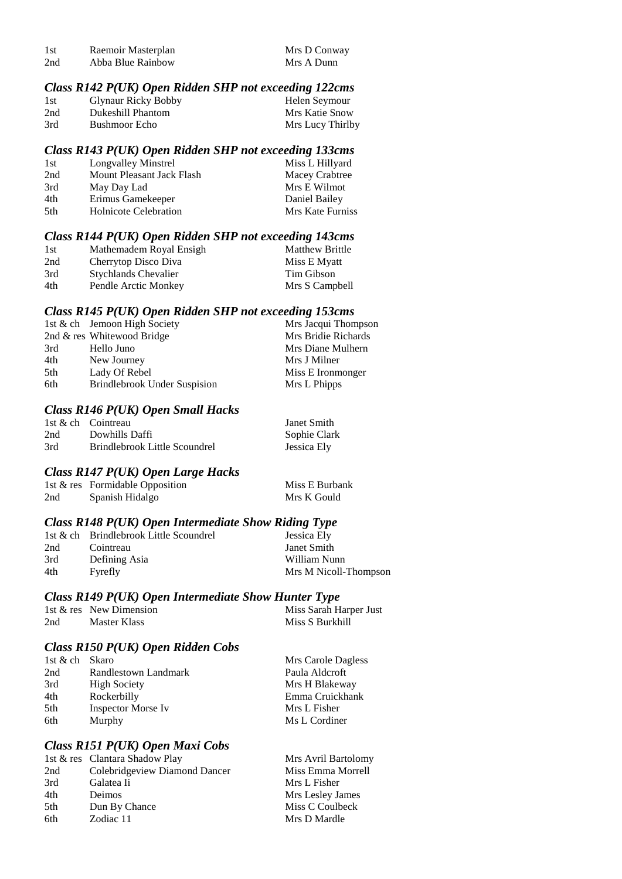| 1st | Raemoir Masterplan | Mrs D Conway |
|-----|--------------------|--------------|
| 2nd | Abba Blue Rainbow  | Mrs A Dunn   |

#### *Class R142 P(UK) Open Ridden SHP not exceeding 122cms*

| 1st | <b>Glynaur Ricky Bobby</b> | Helen Seymour    |
|-----|----------------------------|------------------|
| 2nd | Dukeshill Phantom          | Mrs Katie Snow   |
| 3rd | Bushmoor Echo              | Mrs Lucy Thirlby |

#### *Class R143 P(UK) Open Ridden SHP not exceeding 133cms*

| 1st | Longvalley Minstrel          | Miss L Hillyard  |
|-----|------------------------------|------------------|
| 2nd | Mount Pleasant Jack Flash    | Macey Crabtree   |
| 3rd | May Day Lad                  | Mrs E Wilmot     |
| 4th | Erimus Gamekeeper            | Daniel Bailey    |
| 5th | <b>Holnicote Celebration</b> | Mrs Kate Furniss |

#### *Class R144 P(UK) Open Ridden SHP not exceeding 143cms*

| 1st | Mathemadem Royal Ensigh     | <b>Matthew Brittle</b> |
|-----|-----------------------------|------------------------|
| 2nd | Cherrytop Disco Diva        | Miss E Myatt           |
| 3rd | <b>Stychlands Chevalier</b> | Tim Gibson             |
| 4th | Pendle Arctic Monkey        | Mrs S Campbell         |

#### *Class R145 P(UK) Open Ridden SHP not exceeding 153cms*

| 1st & ch Jemoon High Society        | Mrs Jacqui Thompson |
|-------------------------------------|---------------------|
| 2nd & res Whitewood Bridge          | Mrs Bridie Richards |
| Hello Juno                          | Mrs Diane Mulhern   |
| New Journey                         | Mrs J Milner        |
| Lady Of Rebel                       | Miss E Ironmonger   |
| <b>Brindlebrook Under Suspision</b> | Mrs L Phipps        |
|                                     |                     |

#### *Class R146 P(UK) Open Small Hacks*

|     | 1st & ch Cointreau            | Janet Smith  |
|-----|-------------------------------|--------------|
| 2nd | Dowhills Daffi                | Sophie Clark |
| 3rd | Brindlebrook Little Scoundrel | Jessica Ely  |

#### *Class R147 P(UK) Open Large Hacks*

|     | 1st & res Formidable Opposition | Miss E Burbank |
|-----|---------------------------------|----------------|
| 2nd | Spanish Hidalgo                 | Mrs K Gould    |

### *Class R148 P(UK) Open Intermediate Show Riding Type*

|     | 1st & ch Brindlebrook Little Scoundrel | Jessica Ely           |
|-----|----------------------------------------|-----------------------|
| 2nd | Cointreau                              | Janet Smith           |
| 3rd | Defining Asia                          | William Nunn          |
| 4th | Fyrefly                                | Mrs M Nicoll-Thompson |

#### *Class R149 P(UK) Open Intermediate Show Hunter Type*

|     | 1st & res New Dimension | Miss Sarah Harper Just |
|-----|-------------------------|------------------------|
| 2nd | Master Klass            | Miss S Burkhill        |

#### *Class R150 P(UK) Open Ridden Cobs*

| 1st & ch Skaro |                           | Mrs Carole Dagless |
|----------------|---------------------------|--------------------|
| 2nd            | Randlestown Landmark      | Paula Aldcroft     |
| 3rd            | <b>High Society</b>       | Mrs H Blakeway     |
| 4th            | Rockerbilly               | Emma Cruickhank    |
| 5th            | <b>Inspector Morse Iv</b> | Mrs L Fisher       |
| 6th            | Murphy                    | Ms L Cordiner      |

#### *Class R151 P(UK) Open Maxi Cobs*

|     | 1st & res Clantara Shadow Play | Mrs Avril Bartolomy |
|-----|--------------------------------|---------------------|
| 2nd | Colebridgeview Diamond Dancer  | Miss Emma Morrell   |
| 3rd | Galatea Ii                     | Mrs L Fisher        |
| 4th | Deimos                         | Mrs Lesley James    |
| 5th | Dun By Chance                  | Miss C Coulbeck     |
| 6th | Zodiac 11                      | Mrs D Mardle        |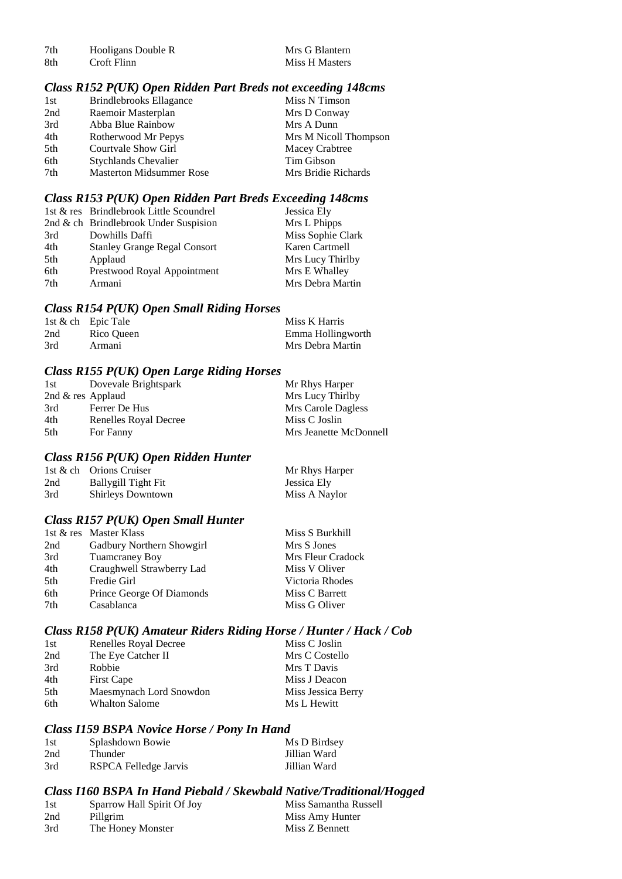| 7th | Hooligans Double R | Mrs G Blantern |
|-----|--------------------|----------------|
| 8th | Croft Flinn        | Miss H Masters |

#### *Class R152 P(UK) Open Ridden Part Breds not exceeding 148cms*

| 1st | Brindlebrooks Ellagance         | Miss N Timson         |
|-----|---------------------------------|-----------------------|
| 2nd | Raemoir Masterplan              | Mrs D Conway          |
| 3rd | Abba Blue Rainbow               | Mrs A Dunn            |
| 4th | Rotherwood Mr Pepys             | Mrs M Nicoll Thompson |
| 5th | Courtvale Show Girl             | Macey Crabtree        |
| 6th | <b>Stychlands Chevalier</b>     | Tim Gibson            |
| 7th | <b>Masterton Midsummer Rose</b> | Mrs Bridie Richards   |

#### *Class R153 P(UK) Open Ridden Part Breds Exceeding 148cms*

|     | 1st & res Brindlebrook Little Scoundrel | Jessica Ely       |
|-----|-----------------------------------------|-------------------|
|     | 2nd & ch Brindlebrook Under Suspision   | Mrs L Phipps      |
| 3rd | Dowhills Daffi                          | Miss Sophie Clark |
| 4th | <b>Stanley Grange Regal Consort</b>     | Karen Cartmell    |
| 5th | Applaud                                 | Mrs Lucy Thirlby  |
| 6th | Prestwood Royal Appointment             | Mrs E Whalley     |
| 7th | Armani                                  | Mrs Debra Martin  |

#### *Class R154 P(UK) Open Small Riding Horses*

|     | 1st & ch Epic Tale | Miss K Harris     |
|-----|--------------------|-------------------|
| 2nd | Rico Queen         | Emma Hollingworth |
| 3rd | Armani             | Mrs Debra Martin  |

#### *Class R155 P(UK) Open Large Riding Horses*

| 1st                 | Dovevale Brightspark  | Mr Rhys Harper         |
|---------------------|-----------------------|------------------------|
| 2nd $&$ res Applaud |                       | Mrs Lucy Thirlby       |
| 3rd                 | Ferrer De Hus         | Mrs Carole Dagless     |
| 4th                 | Renelles Royal Decree | Miss C Joslin          |
| 5th                 | For Fanny             | Mrs Jeanette McDonnell |

#### *Class R156 P(UK) Open Ridden Hunter*

|     | 1st & ch Orions Cruiser  | Mr Rhys Harper |
|-----|--------------------------|----------------|
| 2nd | Ballygill Tight Fit      | Jessica Ely    |
| 3rd | <b>Shirleys Downtown</b> | Miss A Naylor  |

#### *Class R157 P(UK) Open Small Hunter*

|     | 1st & res Master Klass    | Miss S Burkhill   |
|-----|---------------------------|-------------------|
| 2nd | Gadbury Northern Showgirl | Mrs S Jones       |
| 3rd | <b>Tuamcraney Boy</b>     | Mrs Fleur Cradock |
| 4th | Craughwell Strawberry Lad | Miss V Oliver     |
| 5th | Fredie Girl               | Victoria Rhodes   |
| 6th | Prince George Of Diamonds | Miss C Barrett    |
| 7th | Casablanca                | Miss G Oliver     |
|     |                           |                   |

#### *Class R158 P(UK) Amateur Riders Riding Horse / Hunter / Hack / Cob*

| 1st | Renelles Royal Decree   | Miss C Joslin      |
|-----|-------------------------|--------------------|
| 2nd | The Eye Catcher II      | Mrs C Costello     |
| 3rd | Robbie                  | Mrs T Davis        |
| 4th | <b>First Cape</b>       | Miss J Deacon      |
| 5th | Maesmynach Lord Snowdon | Miss Jessica Berry |
| 6th | <b>Whalton Salome</b>   | Ms L Hewitt        |

#### *Class I159 BSPA Novice Horse / Pony In Hand*

| 1st | Splashdown Bowie      | Ms D Birdsey |
|-----|-----------------------|--------------|
| 2nd | Thunder               | Jillian Ward |
| 3rd | RSPCA Felledge Jarvis | Jillian Ward |

#### *Class I160 BSPA In Hand Piebald / Skewbald Native/Traditional/Hogged*

| 1st | Sparrow Hall Spirit Of Joy | Miss Samantha Russell |
|-----|----------------------------|-----------------------|
| 2nd | Pillgrim                   | Miss Amy Hunter       |
| 3rd | The Honey Monster          | Miss Z Bennett        |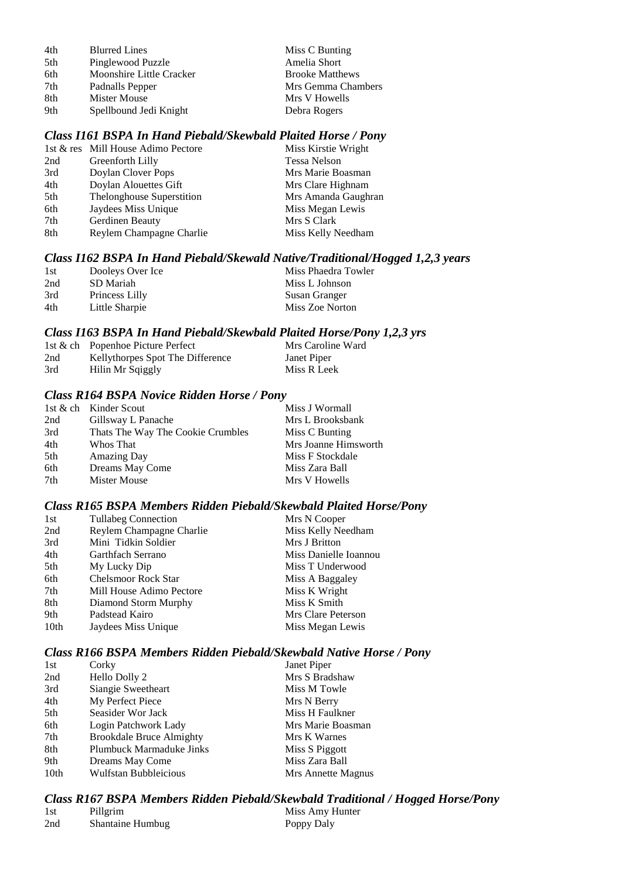| 4th | <b>Blurred Lines</b>     | Miss C Bunting         |
|-----|--------------------------|------------------------|
| 5th | Pinglewood Puzzle        | Amelia Short           |
| 6th | Moonshire Little Cracker | <b>Brooke Matthews</b> |
| 7th | Padnalls Pepper          | Mrs Gemma Chambers     |
| 8th | Mister Mouse             | Mrs V Howells          |
| 9th | Spellbound Jedi Knight   | Debra Rogers           |

#### *Class I161 BSPA In Hand Piebald/Skewbald Plaited Horse / Pony*

|     | 1st & res Mill House Adimo Pectore | Miss Kirstie Wright |
|-----|------------------------------------|---------------------|
| 2nd | Greenforth Lilly                   | <b>Tessa Nelson</b> |
| 3rd | Doylan Clover Pops                 | Mrs Marie Boasman   |
| 4th | Doylan Alouettes Gift              | Mrs Clare Highnam   |
| 5th | Thelonghouse Superstition          | Mrs Amanda Gaughran |
| 6th | Jaydees Miss Unique                | Miss Megan Lewis    |
| 7th | Gerdinen Beauty                    | Mrs S Clark         |
| 8th | Reylem Champagne Charlie           | Miss Kelly Needham  |
|     |                                    |                     |

#### *Class I162 BSPA In Hand Piebald/Skewald Native/Traditional/Hogged 1,2,3 years*

| 1st | Dooleys Over Ice | Miss Phaedra Towler |
|-----|------------------|---------------------|
| 2nd | SD Mariah        | Miss L Johnson      |
| 3rd | Princess Lilly   | Susan Granger       |
| 4th | Little Sharpie   | Miss Zoe Norton     |

#### *Class I163 BSPA In Hand Piebald/Skewbald Plaited Horse/Pony 1,2,3 yrs*

|     | 1st & ch Popenhoe Picture Perfect | Mrs Caroline Ward |
|-----|-----------------------------------|-------------------|
| 2nd | Kellythorpes Spot The Difference  | Janet Piper       |
| 3rd | Hilin Mr Sqiggly                  | Miss R Leek       |

#### *Class R164 BSPA Novice Ridden Horse / Pony*

|     | 1st & ch Kinder Scout             | Miss J Wormall       |
|-----|-----------------------------------|----------------------|
| 2nd | Gillsway L Panache                | Mrs L Brooksbank     |
| 3rd | Thats The Way The Cookie Crumbles | Miss C Bunting       |
| 4th | Whos That                         | Mrs Joanne Himsworth |
| 5th | <b>Amazing Day</b>                | Miss F Stockdale     |
| 6th | Dreams May Come                   | Miss Zara Ball       |
| 7th | Mister Mouse                      | Mrs V Howells        |

#### *Class R165 BSPA Members Ridden Piebald/Skewbald Plaited Horse/Pony*

| 1st  | <b>Tullabeg Connection</b> | Mrs N Cooper          |
|------|----------------------------|-----------------------|
| 2nd  | Reylem Champagne Charlie   | Miss Kelly Needham    |
| 3rd  | Mini Tidkin Soldier        | Mrs J Britton         |
| 4th  | Garthfach Serrano          | Miss Danielle Ioannou |
| 5th  | My Lucky Dip               | Miss T Underwood      |
| 6th  | <b>Chelsmoor Rock Star</b> | Miss A Baggaley       |
| 7th  | Mill House Adimo Pectore   | Miss K Wright         |
| 8th  | Diamond Storm Murphy       | Miss K Smith          |
| 9th  | Padstead Kairo             | Mrs Clare Peterson    |
| 10th | Jaydees Miss Unique        | Miss Megan Lewis      |

### *Class R166 BSPA Members Ridden Piebald/Skewbald Native Horse / Pony*

| Corky                           | Janet Piper        |
|---------------------------------|--------------------|
| Hello Dolly 2                   | Mrs S Bradshaw     |
| Siangie Sweetheart              | Miss M Towle       |
| My Perfect Piece                | Mrs N Berry        |
| Seasider Wor Jack               | Miss H Faulkner    |
| Login Patchwork Lady            | Mrs Marie Boasman  |
| <b>Brookdale Bruce Almighty</b> | Mrs K Warnes       |
| Plumbuck Marmaduke Jinks        | Miss S Piggott     |
| Dreams May Come                 | Miss Zara Ball     |
| <b>Wulfstan Bubbleicious</b>    | Mrs Annette Magnus |
|                                 |                    |

*Class R167 BSPA Members Ridden Piebald/Skewbald Traditional / Hogged Horse/Pony*

| 1st | Pillgrim                | Miss Amy Hunter |
|-----|-------------------------|-----------------|
| 2nd | <b>Shantaine Humbug</b> | Poppy Daly      |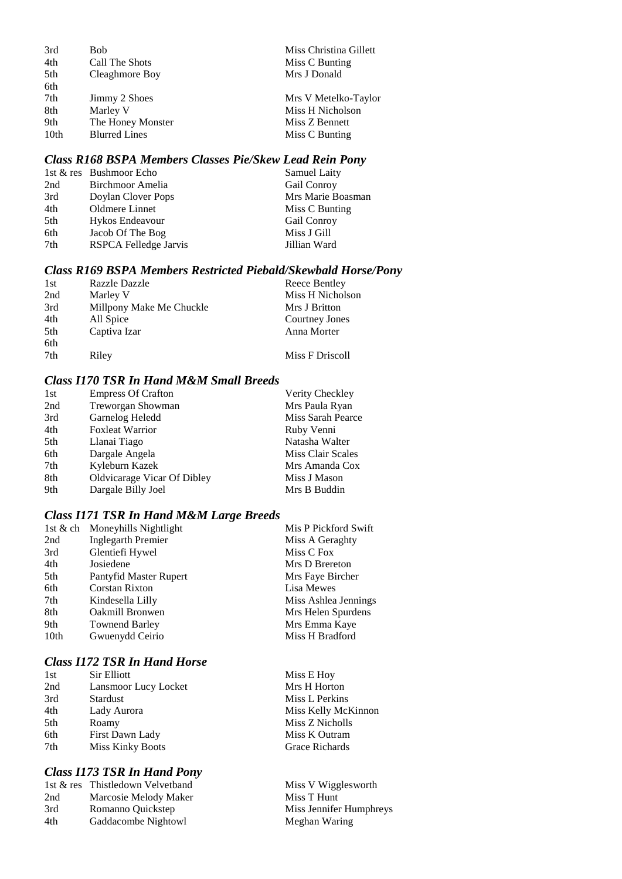| 3rd  | Bob                  | Miss Christina Gillett |
|------|----------------------|------------------------|
| 4th  | Call The Shots       | Miss C Bunting         |
| 5th  | Cleaghmore Boy       | Mrs J Donald           |
| 6th  |                      |                        |
| 7th  | Jimmy 2 Shoes        | Mrs V Metelko-Taylor   |
| 8th  | Marley V             | Miss H Nicholson       |
| 9th  | The Honey Monster    | Miss Z Bennett         |
| 10th | <b>Blurred Lines</b> | Miss C Bunting         |
|      |                      |                        |

#### *Class R168 BSPA Members Classes Pie/Skew Lead Rein Pony*

|     | 1st & res Bushmoor Echo | Samuel Laity      |
|-----|-------------------------|-------------------|
| 2nd | Birchmoor Amelia        | Gail Conroy       |
| 3rd | Doylan Clover Pops      | Mrs Marie Boasman |
| 4th | Oldmere Linnet          | Miss C Bunting    |
| 5th | Hykos Endeavour         | Gail Conroy       |
| 6th | Jacob Of The Bog        | Miss J Gill       |
| 7th | RSPCA Felledge Jarvis   | Jillian Ward      |
|     |                         |                   |

#### *Class R169 BSPA Members Restricted Piebald/Skewbald Horse/Pony*

| 1st | Razzle Dazzle            | Reece Bentley    |
|-----|--------------------------|------------------|
| 2nd | Marley V                 | Miss H Nicholson |
| 3rd | Millpony Make Me Chuckle | Mrs J Britton    |
| 4th | All Spice                | Courtney Jones   |
| 5th | Captiva Izar             | Anna Morter      |
| 6th |                          |                  |
| 7th | Riley                    | Miss F Driscoll  |

#### *Class I170 TSR In Hand M&M Small Breeds*

| 1st | <b>Empress Of Crafton</b>   | Verity Checkley   |
|-----|-----------------------------|-------------------|
| 2nd | Treworgan Showman           | Mrs Paula Ryan    |
| 3rd | Garnelog Heledd             | Miss Sarah Pearce |
| 4th | <b>Foxleat Warrior</b>      | Ruby Venni        |
| 5th | Llanai Tiago                | Natasha Walter    |
| 6th | Dargale Angela              | Miss Clair Scales |
| 7th | Kyleburn Kazek              | Mrs Amanda Cox    |
| 8th | Oldvicarage Vicar Of Dibley | Miss J Mason      |
| 9th | Dargale Billy Joel          | Mrs B Buddin      |

### *Class I171 TSR In Hand M&M Large Breeds*

| 1st & ch | Moneyhills Nightlight     | Mis P Pickford Swift |
|----------|---------------------------|----------------------|
| 2nd      | <b>Inglegarth Premier</b> | Miss A Geraghty      |
| 3rd      | Glentiefi Hywel           | Miss C Fox           |
| 4th      | Josiedene                 | Mrs D Brereton       |
| 5th      | Pantyfid Master Rupert    | Mrs Faye Bircher     |
| 6th      | <b>Corstan Rixton</b>     | Lisa Mewes           |
| 7th      | Kindesella Lilly          | Miss Ashlea Jennings |
| 8th      | Oakmill Bronwen           | Mrs Helen Spurdens   |
| 9th      | <b>Townend Barley</b>     | Mrs Emma Kaye        |
| 10th     | Gwuenydd Ceirio           | Miss H Bradford      |
|          |                           |                      |

### *Class I172 TSR In Hand Horse*

| 1st | Sir Elliott             |
|-----|-------------------------|
| 2nd | Lansmoor Lucy Locket    |
| 3rd | Stardust                |
| 4th | Lady Aurora             |
| 5th | Roamy                   |
| 6th | First Dawn Lady         |
| 7th | <b>Miss Kinky Boots</b> |

#### *Class I173 TSR In Hand Pony*

|     | 1st & res Thistledown Velvetband |
|-----|----------------------------------|
| 2nd | Marcosie Melody Maker            |
| 3rd | Romanno Quickstep                |
| 4th | Gaddacombe Nightowl              |

Miss E Hoy Mrs H Horton Miss L Perkins Miss Kelly McKinnon Miss Z Nicholls Miss K Outram Grace Richards

Miss V Wigglesworth Miss T Hunt Miss Jennifer Humphreys Meghan Waring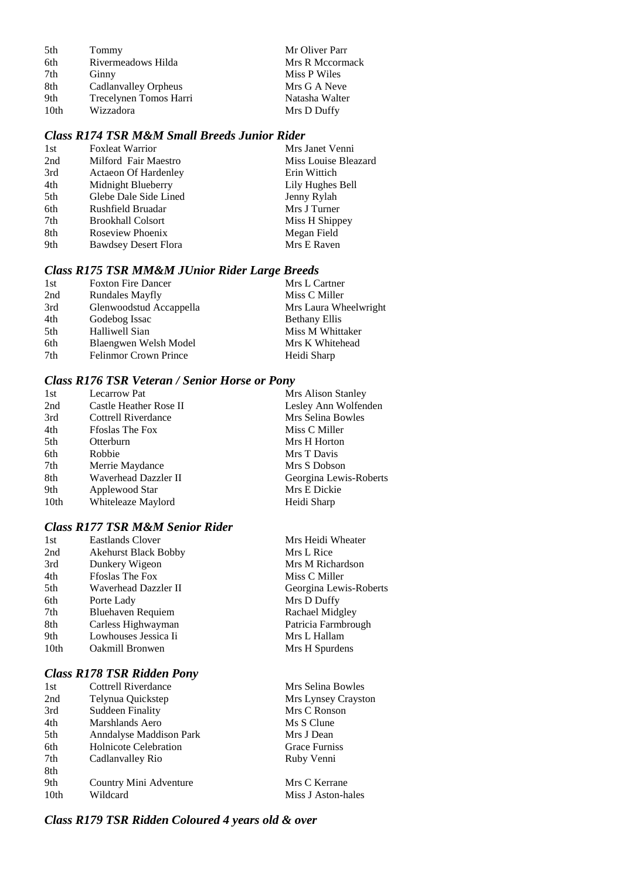| 5th  | Tommy                  | Mr Oliver Parr  |
|------|------------------------|-----------------|
| 6th  | Rivermeadows Hilda     | Mrs R Mccormack |
| 7th  | Ginny                  | Miss P Wiles    |
| 8th  | Cadlanvalley Orpheus   | Mrs G A Neve    |
| 9th  | Trecelynen Tomos Harri | Natasha Walter  |
| 10th | Wizzadora              | Mrs D Duffy     |

#### *Class R174 TSR M&M Small Breeds Junior Rider*

| 1st | <b>Foxleat Warrior</b>      | Mrs Janet Venni      |
|-----|-----------------------------|----------------------|
| 2nd | Milford Fair Maestro        | Miss Louise Bleazard |
| 3rd | <b>Actaeon Of Hardenley</b> | Erin Wittich         |
| 4th | Midnight Blueberry          | Lily Hughes Bell     |
| 5th | Glebe Dale Side Lined       | Jenny Rylah          |
| 6th | Rushfield Bruadar           | Mrs J Turner         |
| 7th | <b>Brookhall Colsort</b>    | Miss H Shippey       |
| 8th | Roseview Phoenix            | Megan Field          |
| 9th | <b>Bawdsey Desert Flora</b> | Mrs E Raven          |

#### *Class R175 TSR MM&M JUnior Rider Large Breeds*

| 1st | <b>Foxton Fire Dancer</b>    | Mrs L Cartner         |
|-----|------------------------------|-----------------------|
| 2nd | <b>Rundales Mayfly</b>       | Miss C Miller         |
| 3rd | Glenwoodstud Accappella      | Mrs Laura Wheelwright |
| 4th | Godebog Issac                | <b>Bethany Ellis</b>  |
| 5th | Halliwell Sian               | Miss M Whittaker      |
| 6th | Blaengwen Welsh Model        | Mrs K Whitehead       |
| 7th | <b>Felinmor Crown Prince</b> | Heidi Sharp           |

#### *Class R176 TSR Veteran / Senior Horse or Pony*

| 1st  | <b>Lecarrow Pat</b>    | Mrs Alison Stanley     |
|------|------------------------|------------------------|
| 2nd  | Castle Heather Rose II | Lesley Ann Wolfenden   |
| 3rd  | Cottrell Riverdance    | Mrs Selina Bowles      |
| 4th  | <b>Ffoslas The Fox</b> | Miss C Miller          |
| 5th  | Otterburn              | Mrs H Horton           |
| 6th  | Robbie                 | Mrs T Davis            |
| 7th  | Merrie Maydance        | Mrs S Dobson           |
| 8th  | Waverhead Dazzler II   | Georgina Lewis-Roberts |
| 9th  | Applewood Star         | Mrs E Dickie           |
| 10th | Whiteleaze Maylord     | Heidi Sharp            |
|      |                        |                        |

### *Class R177 TSR M&M Senior Rider*

| 1st              | <b>Eastlands Clover</b>     | Mrs Heidi Wheater      |
|------------------|-----------------------------|------------------------|
| 2nd              | <b>Akehurst Black Bobby</b> | Mrs L Rice             |
| 3rd              | Dunkery Wigeon              | Mrs M Richardson       |
| 4th              | <b>Froslas The Fox</b>      | Miss C Miller          |
| 5th              | Waverhead Dazzler II        | Georgina Lewis-Roberts |
| 6th              | Porte Lady                  | Mrs D Duffy            |
| 7th              | Bluehaven Requiem           | Rachael Midgley        |
| 8th              | Carless Highwayman          | Patricia Farmbrough    |
| 9th              | Lowhouses Jessica Ii        | Mrs L Hallam           |
| 10 <sub>th</sub> | <b>Oakmill Bronwen</b>      | Mrs H Spurdens         |
|                  |                             |                        |

### *Class R178 TSR Ridden Pony*

| l st | Cottrell Riverdance          |
|------|------------------------------|
| 2nd  | Telynua Quickstep            |
| 3rd  | <b>Suddeen Finality</b>      |
| 4th  | Marshlands Aero              |
| 5th  | Anndalyse Maddison Park      |
| 6th  | <b>Holnicote Celebration</b> |
| 7th  | Cadlanvalley Rio             |
| 8th  |                              |
| 9th  | Country Mini Adventure       |
| 10th | Wildcard                     |

Mrs Selina Bowles Mrs Lynsey Crayston Mrs C Ronson Ms S Clune Mrs J Dean Grace Furniss Ruby Venni

Mrs C Kerrane Miss J Aston-hales

### *Class R179 TSR Ridden Coloured 4 years old & over*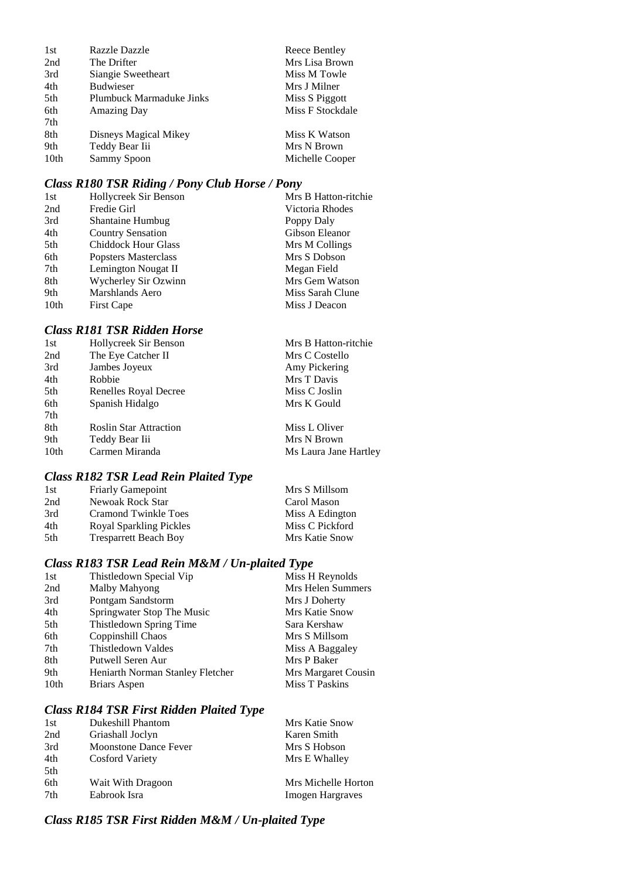| 1st              | Razzle Dazzle            | Reece Bentley    |
|------------------|--------------------------|------------------|
| 2nd              | The Drifter              | Mrs Lisa Brown   |
| 3rd              | Siangie Sweetheart       | Miss M Towle     |
| 4th              | <b>Budwieser</b>         | Mrs J Milner     |
| 5th              | Plumbuck Marmaduke Jinks | Miss S Piggott   |
| 6th              | <b>Amazing Day</b>       | Miss F Stockdale |
| 7th              |                          |                  |
| 8th              | Disneys Magical Mikey    | Miss K Watson    |
| 9th              | Teddy Bear Iii           | Mrs N Brown      |
| 10 <sub>th</sub> | Sammy Spoon              | Michelle Cooper  |

### *Class R180 TSR Riding / Pony Club Horse / Pony*

|                            | Mrs B Hatton-ritchie  |
|----------------------------|-----------------------|
| Fredie Girl                | Victoria Rhodes       |
| <b>Shantaine Humbug</b>    | Poppy Daly            |
| <b>Country Sensation</b>   | Gibson Eleanor        |
| <b>Chiddock Hour Glass</b> | Mrs M Collings        |
| Popsters Masterclass       | Mrs S Dobson          |
| Lemington Nougat II        | Megan Field           |
| Wycherley Sir Ozwinn       | Mrs Gem Watson        |
| Marshlands Aero            | Miss Sarah Clune      |
| <b>First Cape</b>          | Miss J Deacon         |
|                            | Hollycreek Sir Benson |

#### *Class R181 TSR Ridden Horse*

| 1st              | Hollycreek Sir Benson         | Mrs B Hatton-ritchie  |
|------------------|-------------------------------|-----------------------|
| 2nd              | The Eye Catcher II            | Mrs C Costello        |
| 3rd              | Jambes Joyeux                 | Amy Pickering         |
| 4th              | Robbie                        | Mrs T Davis           |
| 5th              | Renelles Royal Decree         | Miss C Joslin         |
| 6th              | Spanish Hidalgo               | Mrs K Gould           |
| 7th              |                               |                       |
| 8th              | <b>Roslin Star Attraction</b> | Miss L Oliver         |
| 9th              | Teddy Bear Iii                | Mrs N Brown           |
| 10 <sub>th</sub> | Carmen Miranda                | Ms Laura Jane Hartley |
|                  |                               |                       |

### *Class R182 TSR Lead Rein Plaited Type*

| Mrs S Millsom   |
|-----------------|
|                 |
| Carol Mason     |
| Miss A Edington |
| Miss C Pickford |
| Mrs Katie Snow  |
|                 |

#### *Class R183 TSR Lead Rein M&M / Un-plaited Type*

| 1st  | Thistledown Special Vip          | Miss H Reynolds     |
|------|----------------------------------|---------------------|
| 2nd  | Malby Mahyong                    | Mrs Helen Summers   |
| 3rd  | Pontgam Sandstorm                | Mrs J Doherty       |
| 4th  | Springwater Stop The Music       | Mrs Katie Snow      |
| 5th  | Thistledown Spring Time          | Sara Kershaw        |
| 6th  | Coppinshill Chaos                | Mrs S Millsom       |
| 7th  | Thistledown Valdes               | Miss A Baggaley     |
| 8th  | Putwell Seren Aur                | Mrs P Baker         |
| 9th  | Heniarth Norman Stanley Fletcher | Mrs Margaret Cousin |
| 10th | Briars Aspen                     | Miss T Paskins      |
|      |                                  |                     |

### *Class R184 TSR First Ridden Plaited Type*

| 1st | Dukeshill Phantom            | Mrs Katie Snow          |
|-----|------------------------------|-------------------------|
| 2nd | Griashall Joclyn             | Karen Smith             |
| 3rd | <b>Moonstone Dance Fever</b> | Mrs S Hobson            |
| 4th | <b>Cosford Variety</b>       | Mrs E Whalley           |
| 5th |                              |                         |
| 6th | Wait With Dragoon            | Mrs Michelle Horton     |
| 7th | Eabrook Isra                 | <b>Imogen Hargraves</b> |
|     |                              |                         |

### *Class R185 TSR First Ridden M&M / Un-plaited Type*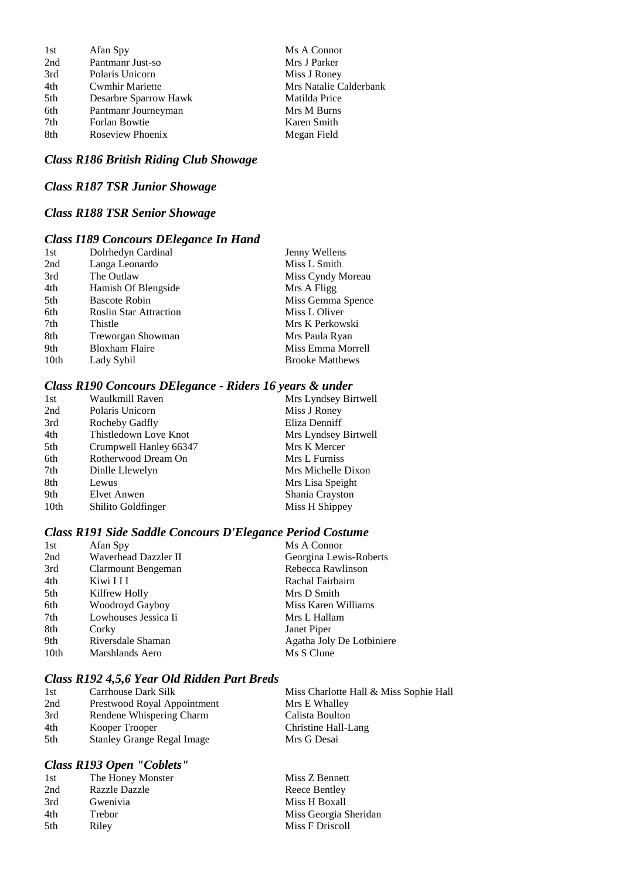| 1st | Afan Spy               | Ms A Connor            |
|-----|------------------------|------------------------|
| 2nd | Pantmanr Just-so       | Mrs J Parker           |
| 3rd | Polaris Unicorn        | Miss J Roney           |
| 4th | <b>Cwmhir Mariette</b> | Mrs Natalie Calderbank |
| 5th | Desarbre Sparrow Hawk  | Matilda Price          |
| 6th | Pantmanr Journeyman    | Mrs M Burns            |
| 7th | Forlan Bowtie          | Karen Smith            |
| 8th | Roseview Phoenix       | Megan Field            |
|     |                        |                        |

### *Class R186 British Riding Club Showage*

*Class R187 TSR Junior Showage*

#### *Class R188 TSR Senior Showage*

### *Class I189 Concours DElegance In Hand*

| 1st              | Dolrhedyn Cardinal            | Jenny Wellens          |
|------------------|-------------------------------|------------------------|
| 2nd              | Langa Leonardo                | Miss L Smith           |
| 3rd              | The Outlaw                    | Miss Cyndy Moreau      |
| 4th              | Hamish Of Blengside           | Mrs A Fligg            |
| 5th              | <b>Bascote Robin</b>          | Miss Gemma Spence      |
| 6th              | <b>Roslin Star Attraction</b> | Miss L Oliver          |
| 7th              | Thistle                       | Mrs K Perkowski        |
| 8th              | Treworgan Showman             | Mrs Paula Ryan         |
| 9th              | <b>Bloxham Flaire</b>         | Miss Emma Morrell      |
| 10 <sub>th</sub> | Lady Sybil                    | <b>Brooke Matthews</b> |

#### *Class R190 Concours DElegance - Riders 16 years & under*

| 1st  | Waulkmill Raven        | Mrs Lyndsey Birtwell |
|------|------------------------|----------------------|
| 2nd  | Polaris Unicorn        | Miss J Roney         |
| 3rd  | Rocheby Gadfly         | Eliza Denniff        |
| 4th  | Thistledown Love Knot  | Mrs Lyndsey Birtwell |
| 5th  | Crumpwell Hanley 66347 | Mrs K Mercer         |
| 6th  | Rotherwood Dream On    | Mrs L Furniss        |
| 7th  | Dinlle Llewelyn        | Mrs Michelle Dixon   |
| 8th  | Lewus                  | Mrs Lisa Speight     |
| 9th  | Elvet Anwen            | Shania Crayston      |
| 10th | Shilito Goldfinger     | Miss H Shippey       |
|      |                        |                      |

### *Class R191 Side Saddle Concours D'Elegance Period Costume*

| 1st              | Afan Spy             | Ms A Connor               |
|------------------|----------------------|---------------------------|
| 2nd              | Waverhead Dazzler II | Georgina Lewis-Roberts    |
| 3rd              | Clarmount Bengeman   | Rebecca Rawlinson         |
| 4th              | Kiwi I I I           | Rachal Fairbairn          |
| 5th              | Kilfrew Holly        | Mrs D Smith               |
| 6th              | Woodroyd Gayboy      | Miss Karen Williams       |
| 7th              | Lowhouses Jessica Ii | Mrs L Hallam              |
| 8th              | Corky                | Janet Piper               |
| 9th              | Riversdale Shaman    | Agatha Joly De Lotbiniere |
| 10 <sub>th</sub> | Marshlands Aero      | Ms S Clune                |

#### *Class R192 4,5,6 Year Old Ridden Part Breds*

| 1st | Carrhouse Dark Silk               | Miss Charlotte Hall & Miss Sophie Hall |
|-----|-----------------------------------|----------------------------------------|
| 2nd | Prestwood Royal Appointment       | Mrs E Whalley                          |
| 3rd | Rendene Whispering Charm          | Calista Boulton                        |
| 4th | Kooper Trooper                    | Christine Hall-Lang                    |
| 5th | <b>Stanley Grange Regal Image</b> | Mrs G Desai                            |

#### *Class R193 Open "Coblets"*

| 1st | The Honey Monster    | Miss Z Bennett        |
|-----|----------------------|-----------------------|
| 2nd | <b>Razzle Dazzle</b> | Reece Bentley         |
| 3rd | Gwenivia             | Miss H Boxall         |
| 4th | Trebor               | Miss Georgia Sheridan |
| 5th | Rilev                | Miss F Driscoll       |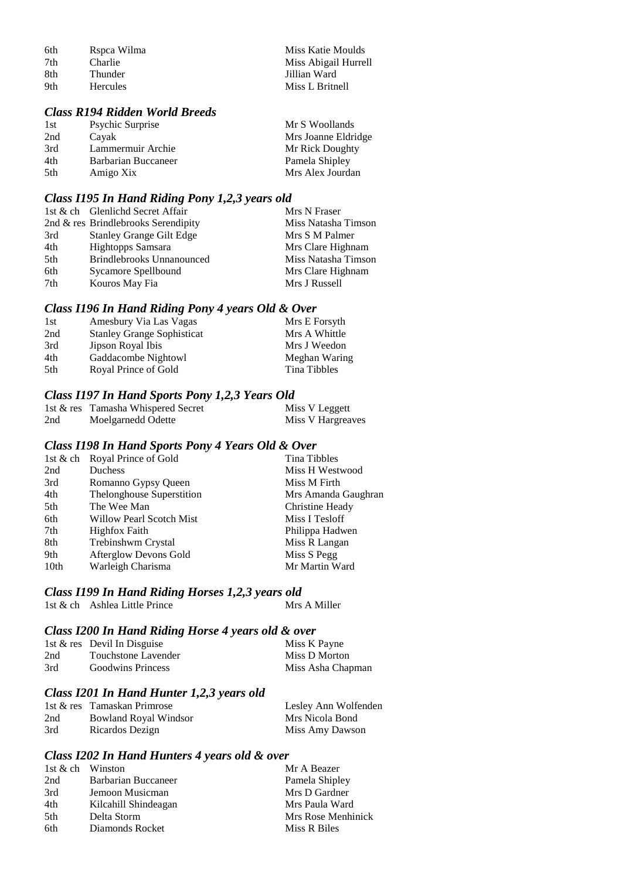| 6th | Rspca Wilma     | Miss Katie Moulds    |
|-----|-----------------|----------------------|
| 7th | <b>Charlie</b>  | Miss Abigail Hurrell |
| 8th | Thunder         | Jillian Ward         |
| 9th | <b>Hercules</b> | Miss L Britnell      |

### *Class R194 Ridden World Breeds*

| 1st | <b>Psychic Surprise</b> | Mr S Woollands      |
|-----|-------------------------|---------------------|
| 2nd | Cavak                   | Mrs Joanne Eldridge |
| 3rd | Lammermuir Archie       | Mr Rick Doughty     |
| 4th | Barbarian Buccaneer     | Pamela Shipley      |
| 5th | Amigo Xix               | Mrs Alex Jourdan    |

### *Class I195 In Hand Riding Pony 1,2,3 years old*

|     | 1st & ch Glenlichd Secret Affair    | Mrs N Fraser        |
|-----|-------------------------------------|---------------------|
|     | 2nd & res Brindlebrooks Serendipity | Miss Natasha Timson |
| 3rd | <b>Stanley Grange Gilt Edge</b>     | Mrs S M Palmer      |
| 4th | Hightopps Samsara                   | Mrs Clare Highnam   |
| 5th | <b>Brindlebrooks Unnanounced</b>    | Miss Natasha Timson |
| 6th | Sycamore Spellbound                 | Mrs Clare Highnam   |
| 7th | Kouros May Fia                      | Mrs J Russell       |
|     |                                     |                     |

### *Class I196 In Hand Riding Pony 4 years Old & Over*

| 1st  | Amesbury Via Las Vagas            | Mrs E Forsyth |
|------|-----------------------------------|---------------|
| 2nd  | <b>Stanley Grange Sophisticat</b> | Mrs A Whittle |
| 3rd  | Jipson Royal Ibis                 | Mrs J Weedon  |
| 4th. | Gaddacombe Nightowl               | Meghan Waring |
| 5th  | Royal Prince of Gold              | Tina Tibbles  |

### *Class I197 In Hand Sports Pony 1,2,3 Years Old*

|     | 1st & res Tamasha Whispered Secret | Miss V Leggett    |
|-----|------------------------------------|-------------------|
| 2nd | Moelgarnedd Odette                 | Miss V Hargreaves |

### *Class I198 In Hand Sports Pony 4 Years Old & Over*

|                  | 1st & ch Royal Prince of Gold   | Tina Tibbles        |
|------------------|---------------------------------|---------------------|
| 2nd              | Duchess                         | Miss H Westwood     |
| 3rd              | Romanno Gypsy Queen             | Miss M Firth        |
| 4th              | Thelonghouse Superstition       | Mrs Amanda Gaughran |
| 5th              | The Wee Man                     | Christine Heady     |
| 6th              | <b>Willow Pearl Scotch Mist</b> | Miss I Tesloff      |
| 7th              | <b>Highfox Faith</b>            | Philippa Hadwen     |
| 8th              | Trebinshwm Crystal              | Miss R Langan       |
| 9th              | Afterglow Devons Gold           | Miss S Pegg         |
| 10 <sub>th</sub> | Warleigh Charisma               | Mr Martin Ward      |

### *Class I199 In Hand Riding Horses 1,2,3 years old*

| 1st & ch Ashlea Little Prince |  | Mrs A Miller |
|-------------------------------|--|--------------|
|                               |  |              |

### *Class I200 In Hand Riding Horse 4 years old & over*

|     | 1st $&$ res Devil In Disguise | Miss K Payne      |
|-----|-------------------------------|-------------------|
| 2nd | Touchstone Lavender           | Miss D Morton     |
| 3rd | <b>Goodwins Princess</b>      | Miss Asha Chapman |

### *Class I201 In Hand Hunter 1,2,3 years old*

|     | 1st & res Tamaskan Primrose | Lesley Ann Wolfenden |
|-----|-----------------------------|----------------------|
| 2nd | Bowland Royal Windsor       | Mrs Nicola Bond      |
| 3rd | Ricardos Dezign             | Miss Amy Dawson      |

### *Class I202 In Hand Hunters 4 years old & over*

| 1st & ch Winston |                      | Mr A Beazer        |
|------------------|----------------------|--------------------|
| 2nd              | Barbarian Buccaneer  | Pamela Shipley     |
| 3rd              | Jemoon Musicman      | Mrs D Gardner      |
| 4th              | Kilcahill Shindeagan | Mrs Paula Ward     |
| 5th              | Delta Storm          | Mrs Rose Menhinick |
| 6th              | Diamonds Rocket      | Miss R Biles       |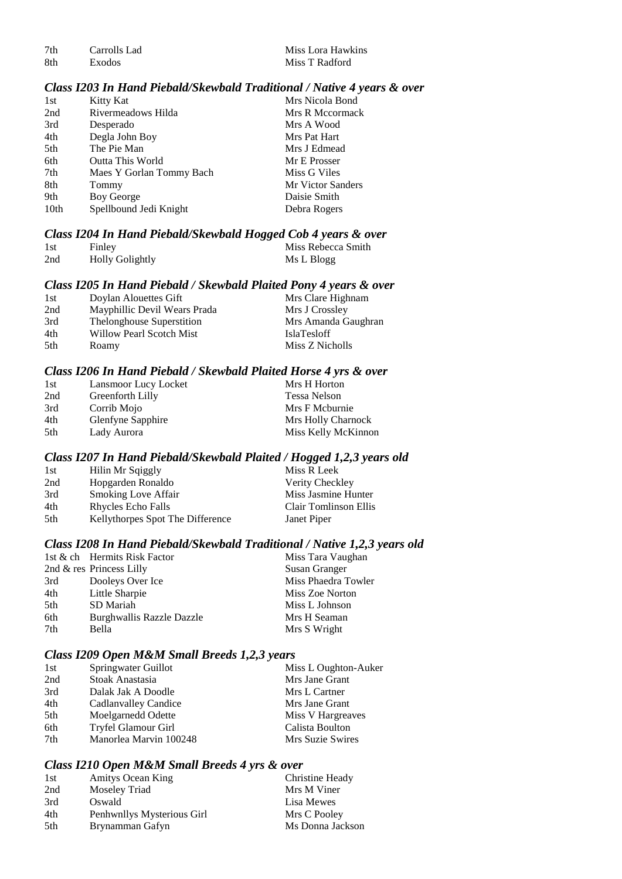7th Carrolls Lad Miss Lora Hawkins<br>8th Exodos Miss T Radford

#### *Class I203 In Hand Piebald/Skewbald Traditional / Native 4 years & over*

| 1st              | Kitty Kat                | Mrs Nicola Bond          |
|------------------|--------------------------|--------------------------|
| 2nd              | Rivermeadows Hilda       | Mrs R Mccormack          |
| 3rd              | Desperado                | Mrs A Wood               |
| 4th              | Degla John Boy           | Mrs Pat Hart             |
| 5th              | The Pie Man              | Mrs J Edmead             |
| 6th              | <b>Outta This World</b>  | Mr E Prosser             |
| 7th              | Maes Y Gorlan Tommy Bach | Miss G Viles             |
| 8th              | Tommy                    | <b>Mr Victor Sanders</b> |
| 9th              | Boy George               | Daisie Smith             |
| 10 <sub>th</sub> | Spellbound Jedi Knight   | Debra Rogers             |
|                  |                          |                          |

#### *Class I204 In Hand Piebald/Skewbald Hogged Cob 4 years & over*

| 1st | Finley                 | Miss Rebecca Smith |
|-----|------------------------|--------------------|
| 2nd | <b>Holly Golightly</b> | Ms L Blogg         |

#### *Class I205 In Hand Piebald / Skewbald Plaited Pony 4 years & over*

| 1st | Doylan Alouettes Gift        | Mrs Clare Highnam   |
|-----|------------------------------|---------------------|
| 2nd | Mayphillic Devil Wears Prada | Mrs J Crossley      |
| 3rd | Thelonghouse Superstition    | Mrs Amanda Gaughran |
| 4th | Willow Pearl Scotch Mist     | <b>IslaTesloff</b>  |
| 5th | Roamy                        | Miss Z Nicholls     |

#### *Class I206 In Hand Piebald / Skewbald Plaited Horse 4 yrs & over*

| 1st | Lansmoor Lucy Locket     | Mrs H Horton        |
|-----|--------------------------|---------------------|
| 2nd | Greenforth Lilly         | Tessa Nelson        |
| 3rd | Corrib Mojo              | Mrs F Mcburnie      |
| 4th | <b>Glenfyne Sapphire</b> | Mrs Holly Charnock  |
| 5th | Lady Aurora              | Miss Kelly McKinnon |

#### *Class I207 In Hand Piebald/Skewbald Plaited / Hogged 1,2,3 years old*

| 1st  | Hilin Mr Sqiggly                 | Miss R Leek           |
|------|----------------------------------|-----------------------|
| 2nd  | Hopgarden Ronaldo                | Verity Checkley       |
| 3rd  | <b>Smoking Love Affair</b>       | Miss Jasmine Hunter   |
| 4th  | Rhycles Echo Falls               | Clair Tomlinson Ellis |
| .5th | Kellythorpes Spot The Difference | Janet Piper           |

#### *Class I208 In Hand Piebald/Skewbald Traditional / Native 1,2,3 years old*

|     | 1st & ch Hermits Risk Factor | Miss Tara Vaughan    |
|-----|------------------------------|----------------------|
|     | 2nd $\&$ res Princess Lilly  | <b>Susan Granger</b> |
| 3rd | Dooleys Over Ice             | Miss Phaedra Towler  |
| 4th | Little Sharpie               | Miss Zoe Norton      |
| 5th | SD Mariah                    | Miss L Johnson       |
| 6th | Burghwallis Razzle Dazzle    | Mrs H Seaman         |
| 7th | Bella                        | Mrs S Wright         |

#### *Class I209 Open M&M Small Breeds 1,2,3 years*

| 1st | Springwater Guillot    | Miss L Oughton-Auker |
|-----|------------------------|----------------------|
| 2nd | Stoak Anastasia        | Mrs Jane Grant       |
| 3rd | Dalak Jak A Doodle     | Mrs L Cartner        |
| 4th | Cadlanvalley Candice   | Mrs Jane Grant       |
| 5th | Moelgarnedd Odette     | Miss V Hargreaves    |
| 6th | Tryfel Glamour Girl    | Calista Boulton      |
| 7th | Manorlea Marvin 100248 | Mrs Suzie Swires     |

#### *Class I210 Open M&M Small Breeds 4 yrs & over*

| 1st | <b>Amitys Ocean King</b>   | Christine Heady  |
|-----|----------------------------|------------------|
| 2nd | Moseley Triad              | Mrs M Viner      |
| 3rd | Oswald                     | Lisa Mewes       |
| 4th | Penhwnllys Mysterious Girl | Mrs C Pooley     |
| 5th | Brynamman Gafyn            | Ms Donna Jackson |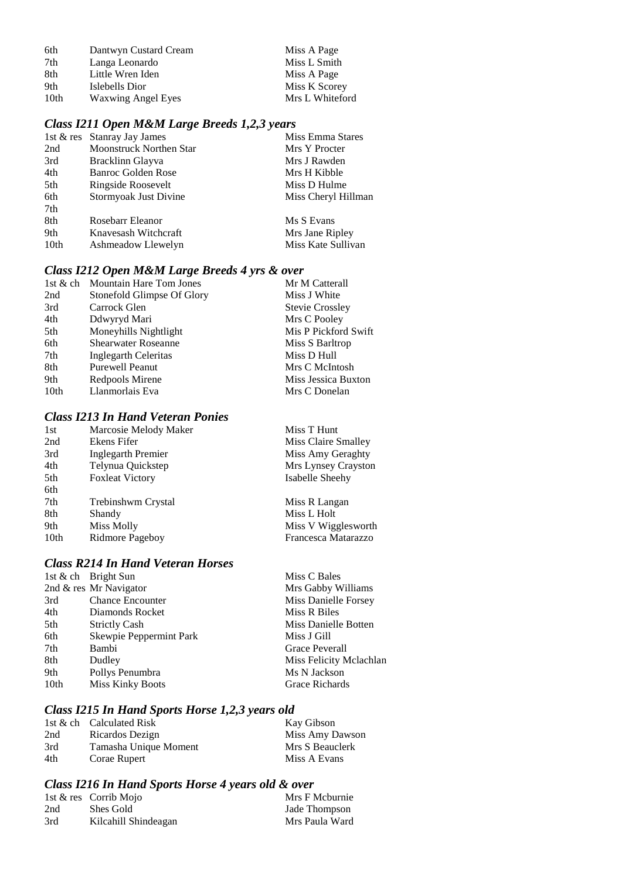| 6th  | Dantwyn Custard Cream     | Miss A Page     |
|------|---------------------------|-----------------|
| 7th  | Langa Leonardo            | Miss L Smith    |
| 8th  | Little Wren Iden          | Miss A Page     |
| 9th  | Islebells Dior            | Miss K Scorey   |
| 10th | <b>Waxwing Angel Eyes</b> | Mrs L Whiteford |

### *Class I211 Open M&M Large Breeds 1,2,3 years*

|                  | 1st & res Stanray Jay James    | Miss Emma Stares    |
|------------------|--------------------------------|---------------------|
| 2nd              | <b>Moonstruck Northen Star</b> | Mrs Y Procter       |
| 3rd              | Bracklinn Glayva               | Mrs J Rawden        |
| 4th              | <b>Banroc Golden Rose</b>      | Mrs H Kibble        |
| 5th              | Ringside Roosevelt             | Miss D Hulme        |
| 6th              | Stormyoak Just Divine          | Miss Cheryl Hillman |
| 7th              |                                |                     |
| 8th              | Rosebarr Eleanor               | Ms S Evans          |
| 9th              | Knavesash Witchcraft           | Mrs Jane Ripley     |
| 10 <sub>th</sub> | Ashmeadow Llewelyn             | Miss Kate Sullivan  |

### *Class I212 Open M&M Large Breeds 4 yrs & over*

| <b>Mountain Hare Tom Jones</b> | Mr M Catterall         |
|--------------------------------|------------------------|
| Stonefold Glimpse Of Glory     | Miss J White           |
| Carrock Glen                   | <b>Stevie Crossley</b> |
| Ddwyryd Mari                   | Mrs C Pooley           |
| Moneyhills Nightlight          | Mis P Pickford Swift   |
| <b>Shearwater Roseanne</b>     | Miss S Barltrop        |
| Inglegarth Celeritas           | Miss D Hull            |
| <b>Purewell Peanut</b>         | Mrs C McIntosh         |
| Redpools Mirene                | Miss Jessica Buxton    |
| Llanmorlais Eva                | Mrs C Donelan          |
|                                |                        |

#### *Class I213 In Hand Veteran Ponies*

| 1st  | Marcosie Melody Maker  | Miss T Hunt         |
|------|------------------------|---------------------|
| 2nd  | Ekens Fifer            | Miss Claire Smalley |
| 3rd  | Inglegarth Premier     | Miss Amy Geraghty   |
| 4th  | Telynua Quickstep      | Mrs Lynsey Crayston |
| 5th  | <b>Foxleat Victory</b> | Isabelle Sheehy     |
| 6th  |                        |                     |
| 7th  | Trebinshwm Crystal     | Miss R Langan       |
| 8th  | Shandy                 | Miss L Holt         |
| 9th  | Miss Molly             | Miss V Wigglesworth |
| 10th | Ridmore Pageboy        | Francesca Matarazzo |
|      |                        |                     |

### *Class R214 In Hand Veteran Horses*

|                  | 1st & ch Bright Sun     | Miss C Bales            |
|------------------|-------------------------|-------------------------|
|                  | 2nd & res Mr Navigator  | Mrs Gabby Williams      |
| 3rd              | <b>Chance Encounter</b> | Miss Danielle Forsey    |
| 4th              | Diamonds Rocket         | Miss R Biles            |
| 5th              | <b>Strictly Cash</b>    | Miss Danielle Botten    |
| 6th              | Skewpie Peppermint Park | Miss J Gill             |
| 7th              | Bambi                   | Grace Peverall          |
| 8th              | Dudley                  | Miss Felicity Mclachlan |
| 9th              | Pollys Penumbra         | Ms N Jackson            |
| 10 <sub>th</sub> | <b>Miss Kinky Boots</b> | Grace Richards          |
|                  |                         |                         |

### *Class I215 In Hand Sports Horse 1,2,3 years old*

|     | 1st & ch Calculated Risk | Kay Gibson      |
|-----|--------------------------|-----------------|
| 2nd | Ricardos Dezign          | Miss Amy Dawson |
| 3rd | Tamasha Unique Moment    | Mrs S Beauclerk |
| 4th | Corae Rupert             | Miss A Evans    |

### *Class I216 In Hand Sports Horse 4 years old & over*

|     | 1st $\&$ res Corrib Mojo | Mrs F Mcburnie |
|-----|--------------------------|----------------|
| 2nd | Shes Gold                | Jade Thompson  |
| 3rd | Kilcahill Shindeagan     | Mrs Paula Ward |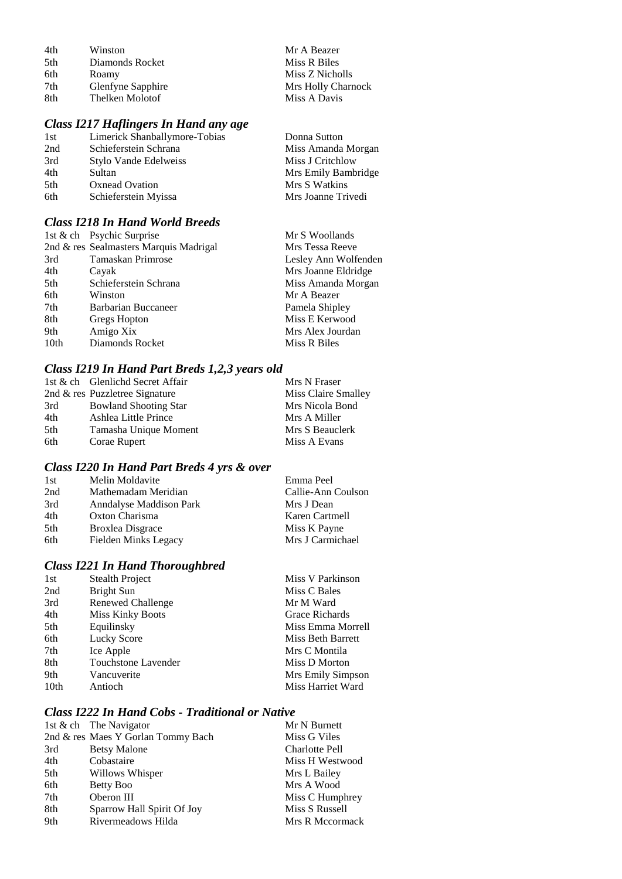| 4th | Winston           | Mr A Beazer        |
|-----|-------------------|--------------------|
| 5th | Diamonds Rocket   | Miss R Biles       |
| 6th | Roamy             | Miss Z Nicholls    |
| 7th | Glenfyne Sapphire | Mrs Holly Charnock |
| 8th | Thelken Molotof   | Miss A Davis       |

### *Class I217 Haflingers In Hand any age*

| 1st | Limerick Shanballymore-Tobias | Donna Sutton        |
|-----|-------------------------------|---------------------|
| 2nd | Schieferstein Schrana         | Miss Amanda Morgan  |
| 3rd | Stylo Vande Edelweiss         | Miss J Critchlow    |
| 4th | Sultan                        | Mrs Emily Bambridge |
| 5th | Oxnead Ovation                | Mrs S Watkins       |
| 6th | Schieferstein Myissa          | Mrs Joanne Trivedi  |
|     |                               |                     |

### *Class I218 In Hand World Breeds*

| 1st & ch Psychic Surprise              | Mr S Woollands       |
|----------------------------------------|----------------------|
| 2nd & res Sealmasters Marquis Madrigal | Mrs Tessa Reeve      |
| <b>Tamaskan Primrose</b>               | Lesley Ann Wolfenden |
| Cayak                                  | Mrs Joanne Eldridge  |
| Schieferstein Schrana                  | Miss Amanda Morgan   |
| Winston                                | Mr A Beazer          |
| Barbarian Buccaneer                    | Pamela Shipley       |
| Gregs Hopton                           | Miss E Kerwood       |
| Amigo Xix                              | Mrs Alex Jourdan     |
| Diamonds Rocket                        | Miss R Biles         |
|                                        |                      |

### *Class I219 In Hand Part Breds 1,2,3 years old*

|     | 1st & ch Glenlichd Secret Affair | Mrs N Fraser        |
|-----|----------------------------------|---------------------|
|     | 2nd & res Puzzletree Signature   | Miss Claire Smalley |
| 3rd | <b>Bowland Shooting Star</b>     | Mrs Nicola Bond     |
| 4th | Ashlea Little Prince             | Mrs A Miller        |
| 5th | Tamasha Unique Moment            | Mrs S Beauclerk     |
| 6th | Corae Rupert                     | Miss A Evans        |

### *Class I220 In Hand Part Breds 4 yrs & over*

| 1st | Melin Moldavite         | Emma Peel          |
|-----|-------------------------|--------------------|
| 2nd | Mathemadam Meridian     | Callie-Ann Coulson |
| 3rd | Anndalyse Maddison Park | Mrs J Dean         |
| 4th | Oxton Charisma          | Karen Cartmell     |
| 5th | <b>Broxlea Disgrace</b> | Miss K Payne       |
| 6th | Fielden Minks Legacy    | Mrs J Carmichael   |

### *Class I221 In Hand Thoroughbred*

| Miss C Bales      |
|-------------------|
|                   |
| Mr M Ward         |
| Grace Richards    |
| Miss Emma Morrell |
| Miss Beth Barrett |
| Mrs C Montila     |
| Miss D Morton     |
| Mrs Emily Simpson |
| Miss Harriet Ward |
|                   |

### *Class I222 In Hand Cobs - Traditional or Native*

|     | 1st & ch The Navigator             | Mr N Burnett          |
|-----|------------------------------------|-----------------------|
|     | 2nd & res Maes Y Gorlan Tommy Bach | Miss G Viles          |
| 3rd | <b>Betsy Malone</b>                | <b>Charlotte Pell</b> |
| 4th | Cobastaire                         | Miss H Westwood       |
| 5th | Willows Whisper                    | Mrs L Bailey          |
| 6th | Betty Boo                          | Mrs A Wood            |
| 7th | Oberon III                         | Miss C Humphrey       |
| 8th | Sparrow Hall Spirit Of Joy         | Miss S Russell        |
| 9th | Rivermeadows Hilda                 | Mrs R Mccormack       |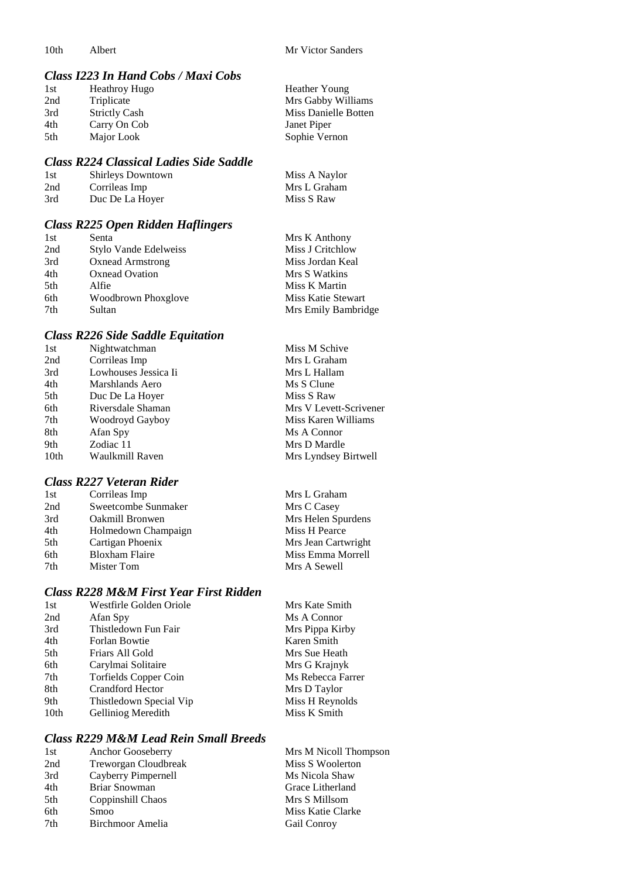#### *Class I223 In Hand Cobs / Maxi Cobs*

| 1st | <b>Heathroy Hugo</b> | Heather Young        |
|-----|----------------------|----------------------|
| 2nd | Triplicate           | Mrs Gabby Williams   |
| 3rd | <b>Strictly Cash</b> | Miss Danielle Botten |
| 4th | Carry On Cob         | Janet Piper          |
| 5th | Major Look           | Sophie Vernon        |

#### *Class R224 Classical Ladies Side Saddle*

| -1 st | <b>Shirleys Downtown</b> | Miss A Naylor |
|-------|--------------------------|---------------|
| 2nd   | Corrileas Imp            | Mrs L Graham  |
| 3rd   | Duc De La Hoyer          | Miss S Raw    |

### *Class R225 Open Ridden Haflingers*

| 1st             | Senta                   | Mrs K Anthony       |
|-----------------|-------------------------|---------------------|
| 2nd             | Stylo Vande Edelweiss   | Miss J Critchlow    |
| 3rd             | <b>Oxnead Armstrong</b> | Miss Jordan Keal    |
| 4th             | <b>Oxnead Ovation</b>   | Mrs S Watkins       |
| 5 <sup>th</sup> | Alfie                   | Miss K Martin       |
| 6th             | Woodbrown Phoxglove     | Miss Katie Stewart  |
| 7th             | Sultan                  | Mrs Emily Bambridge |

#### *Class R226 Side Saddle Equitation*

| 1st  | Nightwatchman        | Miss M Schive          |
|------|----------------------|------------------------|
| 2nd  | Corrileas Imp        | Mrs L Graham           |
| 3rd  | Lowhouses Jessica Ii | Mrs L Hallam           |
| 4th  | Marshlands Aero      | Ms S Clune             |
| 5th  | Duc De La Hoyer      | Miss S Raw             |
| 6th  | Riversdale Shaman    | Mrs V Levett-Scrivener |
| 7th  | Woodroyd Gayboy      | Miss Karen Williams    |
| 8th  | Afan Spy             | Ms A Connor            |
| 9th  | Zodiac 11            | Mrs D Mardle           |
| 10th | Waulkmill Raven      | Mrs Lyndsey Birtwell   |
|      |                      |                        |

### *Class R227 Veteran Rider*

| 1st | Corrileas Imp          | Mrs L Graham        |
|-----|------------------------|---------------------|
| 2nd | Sweetcombe Sunmaker    | Mrs C Casey         |
| 3rd | <b>Oakmill Bronwen</b> | Mrs Helen Spurdens  |
| 4th | Holmedown Champaign    | Miss H Pearce       |
| 5th | Cartigan Phoenix       | Mrs Jean Cartwright |
| 6th | <b>Bloxham Flaire</b>  | Miss Emma Morrell   |
| 7th | Mister Tom             | Mrs A Sewell        |

### *Class R228 M&M First Year First Ridden*

| 1st  | Westfirle Golden Oriole | Mrs Kate Smith    |
|------|-------------------------|-------------------|
| 2nd  | Afan Spy                | Ms A Connor       |
| 3rd  | Thistledown Fun Fair    | Mrs Pippa Kirby   |
| 4th  | Forlan Bowtie           | Karen Smith       |
| 5th  | Friars All Gold         | Mrs Sue Heath     |
| 6th  | Carylmai Solitaire      | Mrs G Krajnyk     |
| 7th  | Torfields Copper Coin   | Ms Rebecca Farrer |
| 8th  | <b>Crandford Hector</b> | Mrs D Taylor      |
| 9th  | Thistledown Special Vip | Miss H Reynolds   |
| 10th | Gelliniog Meredith      | Miss K Smith      |

### *Class R229 M&M Lead Rein Small Breeds*

| 1st | Anchor Gooseberry    | Mrs M Nicoll Thompson |
|-----|----------------------|-----------------------|
| 2nd | Treworgan Cloudbreak | Miss S Woolerton      |
| 3rd | Cayberry Pimpernell  | Ms Nicola Shaw        |
| 4th | Briar Snowman        | Grace Litherland      |
| 5th | Coppinshill Chaos    | Mrs S Millsom         |
| 6th | Smoo                 | Miss Katie Clarke     |
| 7th | Birchmoor Amelia     | Gail Conroy           |
|     |                      |                       |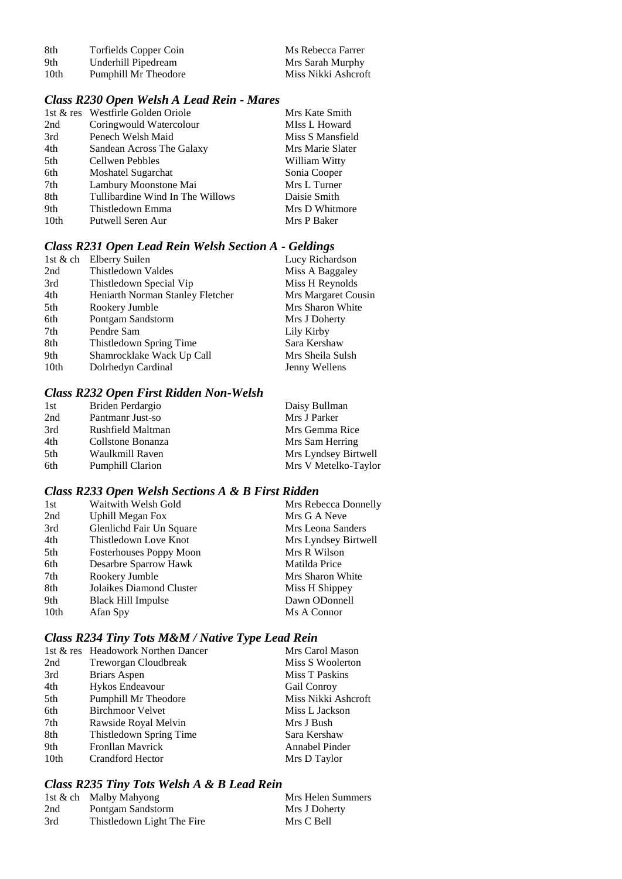| -8th | Torfields Copper Coin | Ms Rebecca Farrer   |
|------|-----------------------|---------------------|
| 9th  | Underhill Pipedream   | Mrs Sarah Murphy    |
| 10th | Pumphill Mr Theodore  | Miss Nikki Ashcroft |

### *Class R230 Open Welsh A Lead Rein - Mares*

|                  | 1st & res Westfirle Golden Oriole | Mrs Kate Smith   |
|------------------|-----------------------------------|------------------|
| 2nd              | Coringwould Watercolour           | MIss L Howard    |
| 3rd              | Penech Welsh Maid                 | Miss S Mansfield |
| 4th              | Sandean Across The Galaxy         | Mrs Marie Slater |
| 5th              | Cellwen Pebbles                   | William Witty    |
| 6th              | Moshatel Sugarchat                | Sonia Cooper     |
| 7th              | Lambury Moonstone Mai             | Mrs L Turner     |
| 8th              | Tullibardine Wind In The Willows  | Daisie Smith     |
| 9th              | Thistledown Emma                  | Mrs D Whitmore   |
| 10 <sub>th</sub> | Putwell Seren Aur                 | Mrs P Baker      |

### *Class R231 Open Lead Rein Welsh Section A - Geldings*

| 1st & ch         | Elberry Suilen                   | Lucy Richardson     |
|------------------|----------------------------------|---------------------|
| 2nd              | Thistledown Valdes               | Miss A Baggaley     |
| 3rd              | Thistledown Special Vip          | Miss H Reynolds     |
| 4th              | Heniarth Norman Stanley Fletcher | Mrs Margaret Cousin |
| 5th              | Rookery Jumble                   | Mrs Sharon White    |
| 6th              | Pontgam Sandstorm                | Mrs J Doherty       |
| 7th              | Pendre Sam                       | Lily Kirby          |
| 8th              | Thistledown Spring Time          | Sara Kershaw        |
| 9th              | Shamrocklake Wack Up Call        | Mrs Sheila Sulsh    |
| 10 <sub>th</sub> | Dolrhedyn Cardinal               | Jenny Wellens       |

### *Class R232 Open First Ridden Non-Welsh*

| 1st | Briden Perdargio        | Daisy Bullman        |
|-----|-------------------------|----------------------|
| 2nd | Pantmanr Just-so        | Mrs J Parker         |
| 3rd | Rushfield Maltman       | Mrs Gemma Rice       |
| 4th | Collstone Bonanza       | Mrs Sam Herring      |
| 5th | Waulkmill Raven         | Mrs Lyndsey Birtwell |
| 6th | <b>Pumphill Clarion</b> | Mrs V Metelko-Taylor |

#### *Class R233 Open Welsh Sections A & B First Ridden*

| Waitwith Welsh Gold            | Mrs Rebecca Donnelly |
|--------------------------------|----------------------|
| <b>Uphill Megan Fox</b>        | Mrs G A Neve         |
| Glenlichd Fair Un Square       | Mrs Leona Sanders    |
| Thistledown Love Knot          | Mrs Lyndsey Birtwell |
| <b>Fosterhouses Poppy Moon</b> | Mrs R Wilson         |
| Desarbre Sparrow Hawk          | Matilda Price        |
| Rookery Jumble                 | Mrs Sharon White     |
| Jolaikes Diamond Cluster       | Miss H Shippey       |
| <b>Black Hill Impulse</b>      | Dawn ODonnell        |
| Afan Spy                       | Ms A Connor          |
|                                |                      |

### *Class R234 Tiny Tots M&M / Native Type Lead Rein*

| 1st & res Headowork Northen Dancer | Mrs Carol Mason     |
|------------------------------------|---------------------|
| Treworgan Cloudbreak               | Miss S Woolerton    |
| Briars Aspen                       | Miss T Paskins      |
| Hykos Endeavour                    | Gail Conroy         |
| Pumphill Mr Theodore               | Miss Nikki Ashcroft |
| <b>Birchmoor Velvet</b>            | Miss L Jackson      |
| Rawside Royal Melvin               | Mrs J Bush          |
| Thistledown Spring Time            | Sara Kershaw        |
| <b>Fronllan Mayrick</b>            | Annabel Pinder      |
| Crandford Hector                   | Mrs D Taylor        |
|                                    |                     |

### *Class R235 Tiny Tots Welsh A & B Lead Rein*

|     | 1st & ch Malby Mahyong     | Mrs Helen Summers |
|-----|----------------------------|-------------------|
| 2nd | Pontgam Sandstorm          | Mrs J Doherty     |
| 3rd | Thistledown Light The Fire | Mrs C Bell        |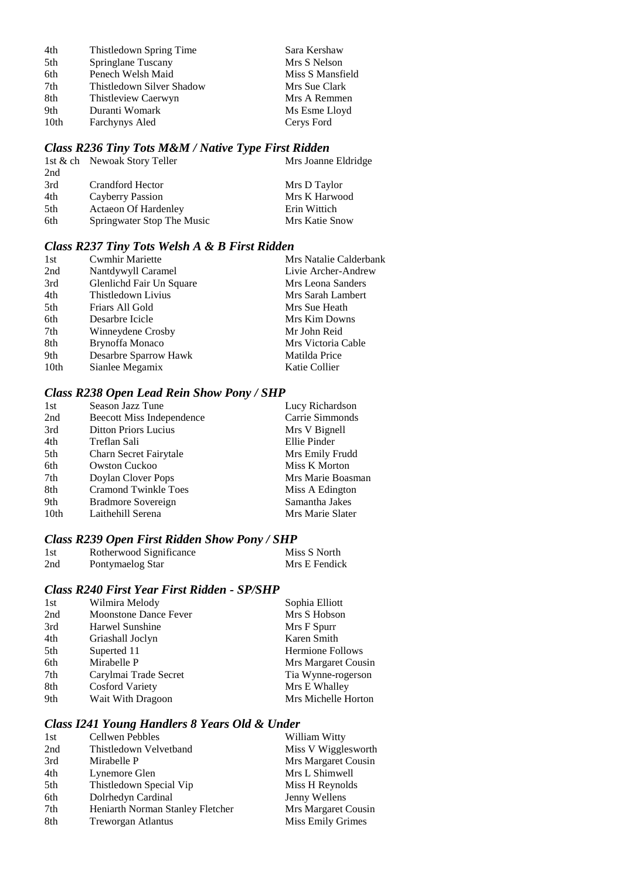| Thistledown Spring Time   | Sara Kershaw     |
|---------------------------|------------------|
| Springlane Tuscany        | Mrs S Nelson     |
| Penech Welsh Maid         | Miss S Mansfield |
| Thistledown Silver Shadow | Mrs Sue Clark    |
| Thistleview Caerwyn       | Mrs A Remmen     |
| Duranti Womark            | Ms Esme Lloyd    |
| Farchynys Aled            | Cerys Ford       |
|                           |                  |

### *Class R236 Tiny Tots M&M / Native Type First Ridden*

| Mrs Joanne Eldridge |
|---------------------|
|                     |
|                     |
| Mrs K Harwood       |
|                     |
| Mrs Katie Snow      |
|                     |

### *Class R237 Tiny Tots Welsh A & B First Ridden*

| <b>Cwmhir Mariette</b>   | Mrs Natalie Calderbank |
|--------------------------|------------------------|
| Nantdywyll Caramel       | Livie Archer-Andrew    |
| Glenlichd Fair Un Square | Mrs Leona Sanders      |
| Thistledown Livius       | Mrs Sarah Lambert      |
| Friars All Gold          | Mrs Sue Heath          |
| Desarbre Icicle          | Mrs Kim Downs          |
| Winneydene Crosby        | Mr John Reid           |
| Brynoffa Monaco          | Mrs Victoria Cable     |
| Desarbre Sparrow Hawk    | Matilda Price          |
| Sianlee Megamix          | Katie Collier          |
|                          |                        |

#### *Class R238 Open Lead Rein Show Pony / SHP*

| 1st              | Season Jazz Tune            | Lucy Richardson   |
|------------------|-----------------------------|-------------------|
| 2nd              | Beecott Miss Independence   | Carrie Simmonds   |
| 3rd              | <b>Ditton Priors Lucius</b> | Mrs V Bignell     |
| 4th              | Treflan Sali                | Ellie Pinder      |
| 5th              | Charn Secret Fairytale      | Mrs Emily Frudd   |
| 6th              | <b>Owston Cuckoo</b>        | Miss K Morton     |
| 7th              | Doylan Clover Pops          | Mrs Marie Boasman |
| 8th              | <b>Cramond Twinkle Toes</b> | Miss A Edington   |
| 9th              | Bradmore Sovereign          | Samantha Jakes    |
| 10 <sub>th</sub> | Laithehill Serena           | Mrs Marie Slater  |

### *Class R239 Open First Ridden Show Pony / SHP*

| 1st | Rotherwood Significance | Miss S North  |
|-----|-------------------------|---------------|
| 2nd | Pontymaelog Star        | Mrs E Fendick |

#### *Class R240 First Year First Ridden - SP/SHP*

| Mrs S Hobson            |
|-------------------------|
|                         |
| Mrs F Spurr             |
| Karen Smith             |
| <b>Hermione Follows</b> |
| Mrs Margaret Cousin     |
| Tia Wynne-rogerson      |
| Mrs E Whalley           |
| Mrs Michelle Horton     |
|                         |

#### *Class I241 Young Handlers 8 Years Old & Under*

| 1st | Cellwen Pebbles                  | William Witty       |
|-----|----------------------------------|---------------------|
| 2nd | Thistledown Velvetband           | Miss V Wigglesworth |
| 3rd | Mirabelle P                      | Mrs Margaret Cousin |
| 4th | Lynemore Glen                    | Mrs L Shimwell      |
| 5th | Thistledown Special Vip          | Miss H Reynolds     |
| 6th | Dolrhedyn Cardinal               | Jenny Wellens       |
| 7th | Heniarth Norman Stanley Fletcher | Mrs Margaret Cousin |
| 8th | <b>Treworgan Atlantus</b>        | Miss Emily Grimes   |
|     |                                  |                     |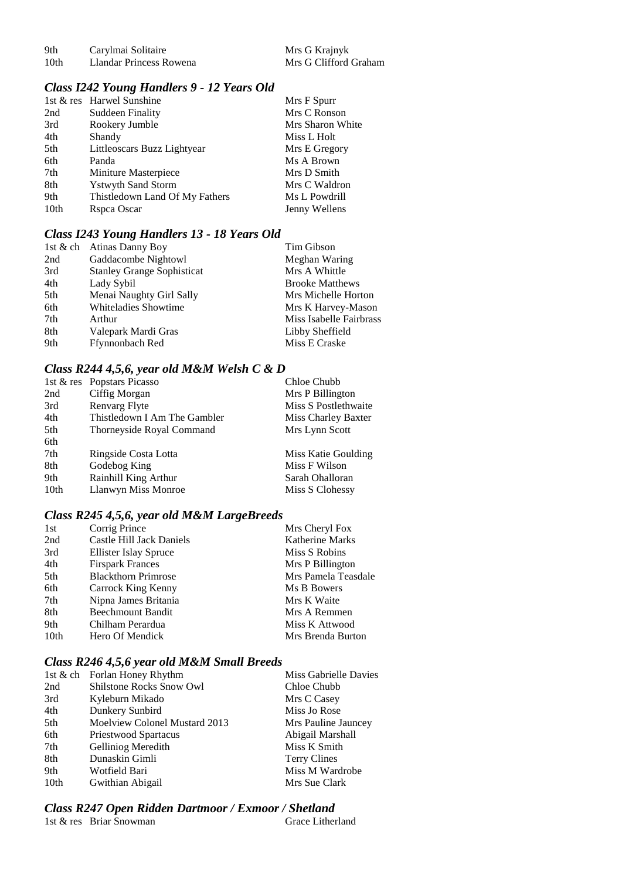| 9th  | Carylmai Solitaire      |  |
|------|-------------------------|--|
| 10th | Llandar Princess Rowena |  |

Mrs G Krajnyk Mrs G Clifford Graham

#### *Class I242 Young Handlers 9 - 12 Years Old*

|                  | 1st & res Harwel Sunshine      | Mrs F Spurr      |
|------------------|--------------------------------|------------------|
| 2nd              | <b>Suddeen Finality</b>        | Mrs C Ronson     |
| 3rd              | Rookery Jumble                 | Mrs Sharon White |
| 4th              | Shandy                         | Miss L Holt      |
| 5th              | Littleoscars Buzz Lightyear    | Mrs E Gregory    |
| 6th              | Panda                          | Ms A Brown       |
| 7th              | Miniture Masterpiece           | Mrs D Smith      |
| 8th              | <b>Ystwyth Sand Storm</b>      | Mrs C Waldron    |
| 9th              | Thistledown Land Of My Fathers | Ms L Powdrill    |
| 10 <sub>th</sub> | Rspca Oscar                    | Jenny Wellens    |

#### *Class I243 Young Handlers 13 - 18 Years Old*

|     | 1st & ch Atinas Danny Boy         | Tim Gibson              |
|-----|-----------------------------------|-------------------------|
| 2nd | Gaddacombe Nightowl               | Meghan Waring           |
| 3rd | <b>Stanley Grange Sophisticat</b> | Mrs A Whittle           |
| 4th | Lady Sybil                        | <b>Brooke Matthews</b>  |
| 5th | Menai Naughty Girl Sally          | Mrs Michelle Horton     |
| 6th | Whiteladies Showtime              | Mrs K Harvey-Mason      |
| 7th | Arthur                            | Miss Isabelle Fairbrass |
| 8th | Valepark Mardi Gras               | Libby Sheffield         |
| 9th | Ffynnonbach Red                   | Miss E Craske           |

### *Class R244 4,5,6, year old M&M Welsh C & D*

|                  | 1st & res Popstars Picasso   | Chloe Chubb          |
|------------------|------------------------------|----------------------|
| 2nd              | Ciffig Morgan                | Mrs P Billington     |
| 3rd              | Renvarg Flyte                | Miss S Postlethwaite |
| 4th              | Thistledown I Am The Gambler | Miss Charley Baxter  |
| 5th              | Thorneyside Royal Command    | Mrs Lynn Scott       |
| 6th              |                              |                      |
| 7th              | Ringside Costa Lotta         | Miss Katie Goulding  |
| 8th              | Godebog King                 | Miss F Wilson        |
| 9th              | Rainhill King Arthur         | Sarah Ohalloran      |
| 10 <sub>th</sub> | Llanwyn Miss Monroe          | Miss S Clohessy      |

#### *Class R245 4,5,6, year old M&M LargeBreeds*

| 1st              | Corrig Prince              | Mrs Cheryl Fox         |
|------------------|----------------------------|------------------------|
| 2nd              | Castle Hill Jack Daniels   | <b>Katherine Marks</b> |
| 3rd              | Ellister Islay Spruce      | Miss S Robins          |
| 4th              | <b>Firspark Frances</b>    | Mrs P Billington       |
| 5th              | <b>Blackthorn Primrose</b> | Mrs Pamela Teasdale    |
| 6th              | Carrock King Kenny         | Ms B Bowers            |
| 7th              | Nipna James Britania       | Mrs K Waite            |
| 8th              | <b>Beechmount Bandit</b>   | Mrs A Remmen           |
| 9th              | Chilham Perardua           | Miss K Attwood         |
| 10 <sub>th</sub> | Hero Of Mendick            | Mrs Brenda Burton      |

#### *Class R246 4,5,6 year old M&M Small Breeds*

|                  | 1st & ch Forlan Honey Rhythm    | Miss Gabrielle Davies |
|------------------|---------------------------------|-----------------------|
| 2nd              | <b>Shilstone Rocks Snow Owl</b> | Chloe Chubb           |
| 3rd              | Kyleburn Mikado                 | Mrs C Casey           |
| 4th              | Dunkery Sunbird                 | Miss Jo Rose          |
| 5th              | Moelview Colonel Mustard 2013   | Mrs Pauline Jauncey   |
| 6th              | Priestwood Spartacus            | Abigail Marshall      |
| 7th              | Gelliniog Meredith              | Miss K Smith          |
| 8th              | Dunaskin Gimli                  | <b>Terry Clines</b>   |
| 9th              | Wotfield Bari                   | Miss M Wardrobe       |
| 10 <sub>th</sub> | Gwithian Abigail                | Mrs Sue Clark         |
|                  |                                 |                       |

# *Class R247 Open Ridden Dartmoor / Exmoor / Shetland*

1st  $&$  res Briar Snowman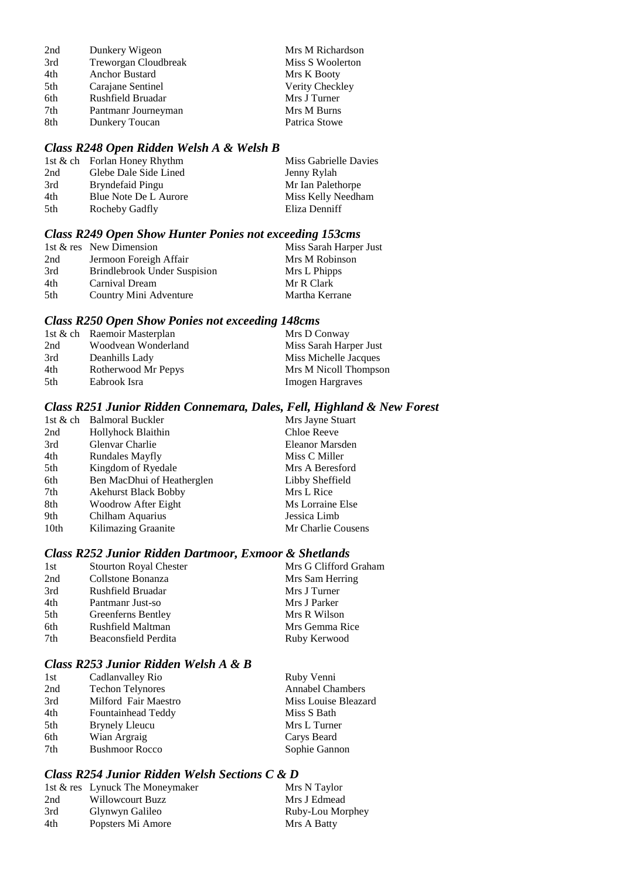| 2nd | Dunkery Wigeon       | Mrs M Richardson |
|-----|----------------------|------------------|
| 3rd | Treworgan Cloudbreak | Miss S Woolerton |
| 4th | Anchor Bustard       | Mrs K Booty      |
| 5th | Carajane Sentinel    | Verity Checkley  |
| 6th | Rushfield Bruadar    | Mrs J Turner     |
| 7th | Pantmanr Journeyman  | Mrs M Burns      |
| 8th | Dunkery Toucan       | Patrica Stowe    |

#### *Class R248 Open Ridden Welsh A & Welsh B*

|     | 1st & ch Forlan Honey Rhythm | Miss Gabrielle Davies |
|-----|------------------------------|-----------------------|
| 2nd | Glebe Dale Side Lined        | Jenny Rylah           |
| 3rd | Bryndefaid Pingu             | Mr Ian Palethorpe     |
| 4th | Blue Note De L Aurore        | Miss Kelly Needham    |
| 5th | Rocheby Gadfly               | Eliza Denniff         |

#### *Class R249 Open Show Hunter Ponies not exceeding 153cms*

|     | 1st & res New Dimension             | Miss Sarah Harper Just |
|-----|-------------------------------------|------------------------|
| 2nd | Jermoon Foreigh Affair              | Mrs M Robinson         |
| 3rd | <b>Brindlebrook Under Suspision</b> | Mrs L Phipps           |
| 4th | Carnival Dream                      | Mr R Clark             |
| 5th | Country Mini Adventure              | Martha Kerrane         |

#### *Class R250 Open Show Ponies not exceeding 148cms*

|      | 1st & ch Raemoir Masterplan | Mrs D Conway            |
|------|-----------------------------|-------------------------|
| 2nd  | Woodvean Wonderland         | Miss Sarah Harper Just  |
| 3rd  | Deanhills Lady              | Miss Michelle Jacques   |
| 4th  | Rotherwood Mr Pepys         | Mrs M Nicoll Thompson   |
| .5th | Eabrook Isra                | <b>Imogen Hargraves</b> |

#### *Class R251 Junior Ridden Connemara, Dales, Fell, Highland & New Forest*

|      | 1st & ch Balmoral Buckler   | Mrs Jayne Stuart   |
|------|-----------------------------|--------------------|
| 2nd  | Hollyhock Blaithin          | Chloe Reeve        |
| 3rd  | Glenvar Charlie             | Eleanor Marsden    |
| 4th  | <b>Rundales Mayfly</b>      | Miss C Miller      |
| 5th  | Kingdom of Ryedale          | Mrs A Beresford    |
| 6th  | Ben MacDhui of Heatherglen  | Libby Sheffield    |
| 7th  | <b>Akehurst Black Bobby</b> | Mrs L Rice         |
| 8th  | Woodrow After Eight         | Ms Lorraine Else   |
| 9th  | Chilham Aquarius            | Jessica Limb       |
| 10th | Kilimazing Graanite         | Mr Charlie Cousens |
|      |                             |                    |

#### *Class R252 Junior Ridden Dartmoor, Exmoor & Shetlands*

| 1st | <b>Stourton Royal Chester</b> | Mrs G Clifford Graham |
|-----|-------------------------------|-----------------------|
| 2nd | Collstone Bonanza             | Mrs Sam Herring       |
| 3rd | Rushfield Bruadar             | Mrs J Turner          |
| 4th | Pantmanr Just-so              | Mrs J Parker          |
| 5th | Greenferns Bentley            | Mrs R Wilson          |
| 6th | Rushfield Maltman             | Mrs Gemma Rice        |
| 7th | Beaconsfield Perdita          | Ruby Kerwood          |
|     |                               |                       |

#### *Class R253 Junior Ridden Welsh A & B*

| Cadlanvalley Rio        | Ruby Venni              |
|-------------------------|-------------------------|
| <b>Techon Telynores</b> | <b>Annabel Chambers</b> |
| Milford Fair Maestro    | Miss Louise Bleazard    |
| Fountainhead Teddy      | Miss S Bath             |
| <b>Brynely Lleucu</b>   | Mrs L Turner            |
| Wian Argraig            | Carys Beard             |
| <b>Bushmoor Rocco</b>   | Sophie Gannon           |
|                         |                         |

#### *Class R254 Junior Ridden Welsh Sections C & D*

|     | 1st & res Lynuck The Moneymaker | Mrs N Taylor     |
|-----|---------------------------------|------------------|
| 2nd | Willowcourt Buzz                | Mrs J Edmead     |
| 3rd | Glynwyn Galileo                 | Ruby-Lou Morphey |
| 4th | Popsters Mi Amore               | Mrs A Batty      |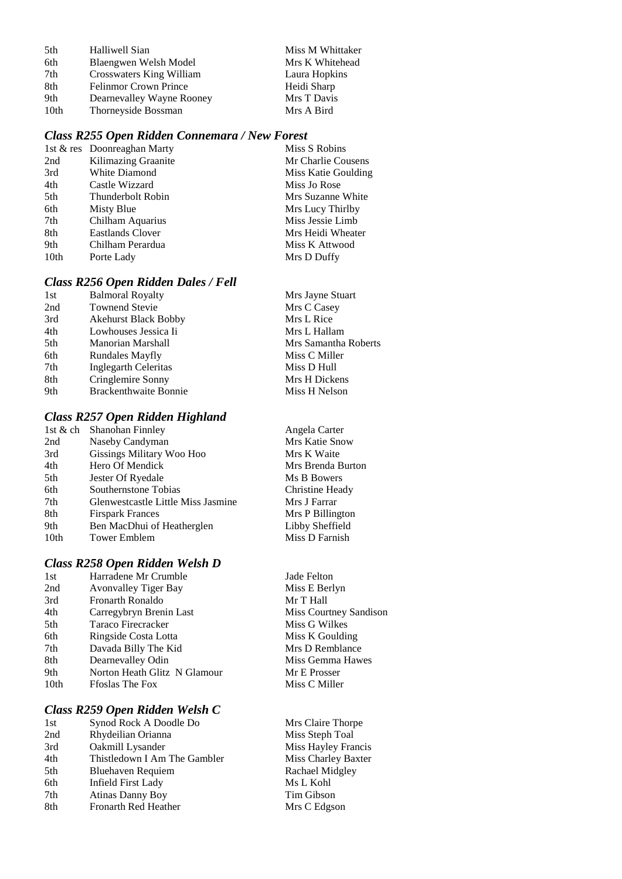| 5th  | Halliwell Sian               | Miss M Whittaker |
|------|------------------------------|------------------|
| 6th  | Blaengwen Welsh Model        | Mrs K Whitehead  |
| 7th  | Crosswaters King William     | Laura Hopkins    |
| 8th  | <b>Felinmor Crown Prince</b> | Heidi Sharp      |
| 9th  | Dearnevalley Wayne Rooney    | Mrs T Davis      |
| 10th | Thorneyside Bossman          | Mrs A Bird       |

#### *Class R255 Open Ridden Connemara / New Forest*

|      | 1st & res Doonreaghan Marty | Miss S Robins       |
|------|-----------------------------|---------------------|
| 2nd  | Kilimazing Graanite         | Mr Charlie Cousens  |
| 3rd  | White Diamond               | Miss Katie Goulding |
| 4th  | Castle Wizzard              | Miss Jo Rose        |
| 5th  | Thunderbolt Robin           | Mrs Suzanne White   |
| 6th  | Misty Blue                  | Mrs Lucy Thirlby    |
| 7th  | Chilham Aquarius            | Miss Jessie Limb    |
| 8th  | Eastlands Clover            | Mrs Heidi Wheater   |
| 9th  | Chilham Perardua            | Miss K Attwood      |
| 10th | Porte Lady                  | Mrs D Duffy         |
|      |                             |                     |

#### *Class R256 Open Ridden Dales / Fell*

| 1st | <b>Balmoral Royalty</b>      | Mrs Jayne Stuart     |
|-----|------------------------------|----------------------|
| 2nd | <b>Townend Stevie</b>        | Mrs C Casey          |
| 3rd | <b>Akehurst Black Bobby</b>  | Mrs L Rice           |
| 4th | Lowhouses Jessica Ii         | Mrs L Hallam         |
| 5th | Manorian Marshall            | Mrs Samantha Roberts |
| 6th | <b>Rundales Mayfly</b>       | Miss C Miller        |
| 7th | Inglegarth Celeritas         | Miss D Hull          |
| 8th | Cringlemire Sonny            | Mrs H Dickens        |
| 9th | <b>Brackenthwaite Bonnie</b> | Miss H Nelson        |
|     |                              |                      |

#### *Class R257 Open Ridden Highland*

| 1st & ch         | Shanohan Finnley                   |
|------------------|------------------------------------|
| 2nd              | Naseby Candyman                    |
| 3rd              | Gissings Military Woo Hoo          |
| 4th              | Hero Of Mendick                    |
| 5th              | Jester Of Ryedale                  |
| 6th              | Southernstone Tobias               |
| 7th              | Glenwestcastle Little Miss Jasmine |
| 8th              | <b>Firspark Frances</b>            |
| 9th              | Ben MacDhui of Heatherglen         |
| 10 <sub>th</sub> | <b>Tower Emblem</b>                |
|                  |                                    |

#### *Class R258 Open Ridden Welsh D*

| 1st              | Harradene Mr Crumble        |
|------------------|-----------------------------|
| 2nd              | <b>Avonvalley Tiger Bay</b> |
| 3rd              | Fronarth Ronaldo            |
| 4th              | Carregybryn Brenin Last     |
| 5th              | Taraco Firecracker          |
| 6th              | Ringside Costa Lotta        |
| 7th              | Davada Billy The Kid        |
| 8th              | Dearnevalley Odin           |
| 9th              | Norton Heath Glitz N Glamo  |
| 10 <sub>th</sub> | <b>Ffoslas The Fox</b>      |

#### *Class R259 Open Ridden Welsh C*

| 1st | Synod Rock A Doodle Do       |
|-----|------------------------------|
| 2nd | Rhydeilian Orianna           |
| 3rd | Oakmill Lysander             |
| 4th | Thistledown I Am The Gambler |
| 5th | <b>Bluehaven Requiem</b>     |
| 6th | <b>Infield First Lady</b>    |
| 7th | <b>Atinas Danny Boy</b>      |
| 8th | Fronarth Red Heather         |

Mrs K Waite Mrs Brenda Burton **Ms B Bowers** Christine Heady Mrs J Farrar Mrs P Billington Libby Sheffield Miss D Farnish

Angela Carter Mrs Katie Snow

Jade Felton Miss E Berlyn Mr T Hall Miss Courtney Sandison Miss G Wilkes Miss K Goulding Mrs D Remblance Miss Gemma Hawes eur Mr E Prosser Miss C Miller

> Mrs Claire Thorpe Miss Steph Toal Miss Hayley Francis Miss Charley Baxter Rachael Midgley Ms L Kohl Tim Gibson Mrs C Edgson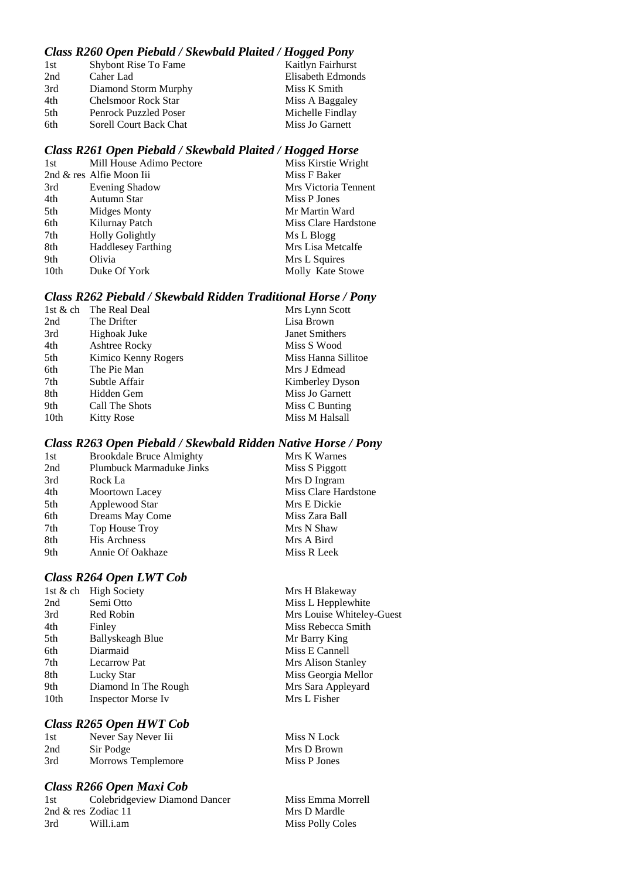#### *Class R260 Open Piebald / Skewbald Plaited / Hogged Pony*

| Kaitlyn Fairhurst |
|-------------------|
| Elisabeth Edmonds |
| Miss K Smith      |
| Miss A Baggaley   |
| Michelle Findlay  |
| Miss Jo Garnett   |
|                   |

#### *Class R261 Open Piebald / Skewbald Plaited / Hogged Horse*

| 1st              | Mill House Adimo Pectore  | Miss Kirstie Wright  |
|------------------|---------------------------|----------------------|
|                  | 2nd & res Alfie Moon Iii  | Miss F Baker         |
| 3rd              | Evening Shadow            | Mrs Victoria Tennent |
| 4th              | Autumn Star               | Miss P Jones         |
| 5th              | Midges Monty              | Mr Martin Ward       |
| 6th              | Kilurnay Patch            | Miss Clare Hardstone |
| 7th              | <b>Holly Golightly</b>    | Ms L Blogg           |
| 8th              | <b>Haddlesey Farthing</b> | Mrs Lisa Metcalfe    |
| 9th              | Olivia                    | Mrs L Squires        |
| 10 <sub>th</sub> | Duke Of York              | Molly Kate Stowe     |
|                  |                           |                      |

#### *Class R262 Piebald / Skewbald Ridden Traditional Horse / Pony*

| 1st & ch | The Real Deal        | Mrs Lynn Scott      |
|----------|----------------------|---------------------|
| 2nd      | The Drifter          | Lisa Brown          |
| 3rd      | Highoak Juke         | Janet Smithers      |
| 4th      | <b>Ashtree Rocky</b> | Miss S Wood         |
| 5th      | Kimico Kenny Rogers  | Miss Hanna Sillitoe |
| 6th      | The Pie Man          | Mrs J Edmead        |
| 7th      | Subtle Affair        | Kimberley Dyson     |
| 8th      | Hidden Gem           | Miss Jo Garnett     |
| 9th      | Call The Shots       | Miss C Bunting      |
| 10th     | <b>Kitty Rose</b>    | Miss M Halsall      |
|          |                      |                     |

#### *Class R263 Open Piebald / Skewbald Ridden Native Horse / Pony*

| <b>Brookdale Bruce Almighty</b> | Mrs K Warnes         |
|---------------------------------|----------------------|
| <b>Plumbuck Marmaduke Jinks</b> | Miss S Piggott       |
| Rock La                         | Mrs D Ingram         |
| Moortown Lacey                  | Miss Clare Hardstone |
| Applewood Star                  | Mrs E Dickie         |
| Dreams May Come                 | Miss Zara Ball       |
| Top House Troy                  | Mrs N Shaw           |
| <b>His Archness</b>             | Mrs A Bird           |
| Annie Of Oakhaze                | Miss R Leek          |
|                                 |                      |

#### *Class R264 Open LWT Cob*

|                  | 1st & ch High Society     | Mrs H Blake  |
|------------------|---------------------------|--------------|
| 2nd              | Semi Otto                 | Miss L Hepp  |
| 3rd              | Red Robin                 | Mrs Louise V |
| 4th              | Finley                    | Miss Rebecc  |
| 5th              | <b>Ballyskeagh Blue</b>   | Mr Barry Kii |
| 6th              | Diarmaid                  | Miss E Cann  |
| 7th              | <b>Lecarrow Pat</b>       | Mrs Alison S |
| 8th              | Lucky Star                | Miss Georgia |
| 9th              | Diamond In The Rough      | Mrs Sara Ap  |
| 10 <sub>th</sub> | <b>Inspector Morse Iv</b> | Mrs L Fisher |
|                  |                           |              |

#### *Class R265 Open HWT Cob*

| 1st | Never Say Never Iii |
|-----|---------------------|
| 2nd | Sir Podge           |
| 3rd | Morrows Templemore  |

#### *Class R266 Open Maxi Cob*

| 1st | Colebridgeview Diamond Dancer |
|-----|-------------------------------|
|     | 2nd & res Zodiac 11           |
| 3rd | Will.i.am                     |

Blakeway Hepplewhite buise Whiteley-Guest ebecca Smith rry King Cannell lison Stanley deorgia Mellor ra Appleyard

Miss N Lock Mrs D Brown Miss P Jones

Miss Emma Morrell Mrs D Mardle Miss Polly Coles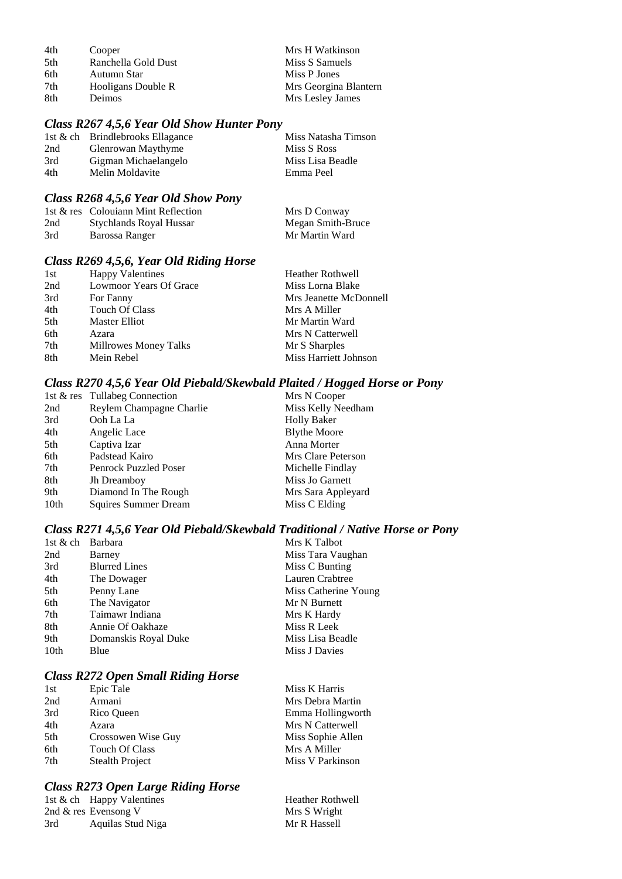| 4th | Cooper              | Mrs H Watkinson       |
|-----|---------------------|-----------------------|
| 5th | Ranchella Gold Dust | Miss S Samuels        |
| 6th | Autumn Star         | Miss P Jones          |
| 7th | Hooligans Double R  | Mrs Georgina Blantern |
| 8th | Deimos              | Mrs Lesley James      |

### *Class R267 4,5,6 Year Old Show Hunter Pony*

|     | 1st & ch Brindlebrooks Ellagance | Miss Natasha Timson |
|-----|----------------------------------|---------------------|
| 2nd | Glenrowan Maythyme               | Miss S Ross         |
| 3rd | Gigman Michaelangelo             | Miss Lisa Beadle    |
| 4th | Melin Moldavite                  | Emma Peel           |

#### *Class R268 4,5,6 Year Old Show Pony*

|     | 1st & res Colouiann Mint Reflection | Mrs D Conway      |
|-----|-------------------------------------|-------------------|
| 2nd | Stychlands Royal Hussar             | Megan Smith-Bruce |
| 3rd | Barossa Ranger                      | Mr Martin Ward    |

### *Class R269 4,5,6, Year Old Riding Horse*

| 1st | <b>Happy Valentines</b> | <b>Heather Rothwell</b> |
|-----|-------------------------|-------------------------|
| 2nd | Lowmoor Years Of Grace  | Miss Lorna Blake        |
| 3rd | For Fanny               | Mrs Jeanette McDonnell  |
| 4th | Touch Of Class          | Mrs A Miller            |
| 5th | Master Elliot           | Mr Martin Ward          |
| 6th | Azara                   | Mrs N Catterwell        |
| 7th | Millrowes Money Talks   | Mr S Sharples           |
| 8th | Mein Rebel              | Miss Harriett Johnson   |

## *Class R270 4,5,6 Year Old Piebald/Skewbald Plaited / Hogged Horse or Pony*

| 1st & res Tullabeg Connection | Mrs N Cooper        |
|-------------------------------|---------------------|
| Reylem Champagne Charlie      | Miss Kelly Needham  |
| Ooh La La                     | <b>Holly Baker</b>  |
| Angelic Lace                  | <b>Blythe Moore</b> |
| Captiva Izar                  | Anna Morter         |
| Padstead Kairo                | Mrs Clare Peterson  |
| Penrock Puzzled Poser         | Michelle Findlay    |
| Jh Dreamboy                   | Miss Jo Garnett     |
| Diamond In The Rough          | Mrs Sara Appleyard  |
| Squires Summer Dream          | Miss C Elding       |
|                               |                     |

## *Class R271 4,5,6 Year Old Piebald/Skewbald Traditional / Native Horse or Pony*

| 1st $&$ ch | <b>Barbara</b>       | Mrs K Talbot         |
|------------|----------------------|----------------------|
| 2nd        | Barney               | Miss Tara Vaughan    |
| 3rd        | <b>Blurred Lines</b> | Miss C Bunting       |
| 4th        | The Dowager          | Lauren Crabtree      |
| 5th        | Penny Lane           | Miss Catherine Young |
| 6th        | The Navigator        | Mr N Burnett         |
| 7th        | Taimawr Indiana      | Mrs K Hardy          |
| 8th        | Annie Of Oakhaze     | Miss R Leek          |
| 9th        | Domanskis Royal Duke | Miss Lisa Beadle     |
| 10th       | Blue                 | Miss J Davies        |
|            |                      |                      |

## *Class R272 Open Small Riding Horse*

| Epic Tale          | Miss K Harris     |
|--------------------|-------------------|
| Armani             | Mrs Debra Martin  |
| Rico Queen         | Emma Hollingworth |
| Azara              | Mrs N Catterwell  |
| Crossowen Wise Guy | Miss Sophie Allen |
| Touch Of Class     | Mrs A Miller      |
| Stealth Project    | Miss V Parkinson  |
|                    |                   |

### *Class R273 Open Large Riding Horse*

|     | 1st $\&$ ch Happy Valentines | Heather Rothwell |
|-----|------------------------------|------------------|
|     | 2nd $\&$ res Evensong V      | Mrs S Wright     |
| 3rd | Aquilas Stud Niga            | Mr R Hassell     |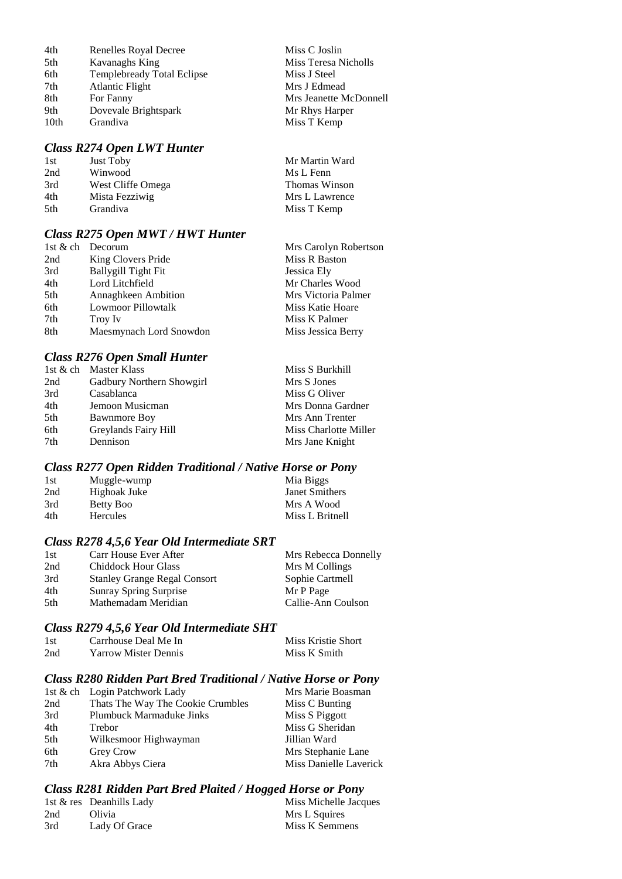| 4th              | Renelles Royal Decree             |
|------------------|-----------------------------------|
| 5th              | Kavanaghs King                    |
| 6th              | <b>Templebready Total Eclipse</b> |
| 7th              | <b>Atlantic Flight</b>            |
| 8th              | For Fanny                         |
| 9th              | Dovevale Brightspark              |
| 10 <sub>th</sub> | Grandiva                          |

### *Class R274 Open LWT Hunter*

| 1st  | Just Toby         | Mr Martin Ward       |
|------|-------------------|----------------------|
| 2nd  | Winwood           | Ms L Fenn            |
| 3rd  | West Cliffe Omega | <b>Thomas Winson</b> |
| 4th  | Mista Fezziwig    | Mrs L Lawrence       |
| .5th | <b>Grandiva</b>   | Miss T Kemp          |

Miss C Joslin Miss Teresa Nicholls

Miss J Steel Mrs J Edmead

Mr Rhys Harper Miss T Kemp

Mrs Jeanette McDonnell

### *Class R275 Open MWT / HWT Hunter*

|     | 1st & ch Decorum           | Mrs Carolyn Robertson |
|-----|----------------------------|-----------------------|
| 2nd | King Clovers Pride         | Miss R Baston         |
| 3rd | <b>Ballygill Tight Fit</b> | Jessica Ely           |
| 4th | Lord Litchfield            | Mr Charles Wood       |
| 5th | <b>Annaghkeen Ambition</b> | Mrs Victoria Palmer   |
| 6th | <b>Lowmoor Pillowtalk</b>  | Miss Katie Hoare      |
| 7th | Troy Iv                    | Miss K Palmer         |
| 8th | Maesmynach Lord Snowdon    | Miss Jessica Berry    |

### *Class R276 Open Small Hunter*

|     | 1st & ch Master Klass     | Miss S Burkhill       |
|-----|---------------------------|-----------------------|
| 2nd | Gadbury Northern Showgirl | Mrs S Jones           |
| 3rd | Casablanca                | Miss G Oliver         |
| 4th | Jemoon Musicman           | Mrs Donna Gardner     |
| 5th | <b>Bawnmore Boy</b>       | Mrs Ann Trenter       |
| 6th | Greylands Fairy Hill      | Miss Charlotte Miller |
| 7th | Dennison                  | Mrs Jane Knight       |

### *Class R277 Open Ridden Traditional / Native Horse or Pony*

| 1st | Muggle-wump     | Mia Biggs       |
|-----|-----------------|-----------------|
| 2nd | Highoak Juke    | Janet Smithers  |
| 3rd | Betty Boo       | Mrs A Wood      |
| 4th | <b>Hercules</b> | Miss L Britnell |

#### *Class R278 4,5,6 Year Old Intermediate SRT*

| 1st | Carr House Ever After               | Mrs Rebecca Donnelly |
|-----|-------------------------------------|----------------------|
| 2nd | <b>Chiddock Hour Glass</b>          | Mrs M Collings       |
| 3rd | <b>Stanley Grange Regal Consort</b> | Sophie Cartmell      |
| 4th | <b>Sunray Spring Surprise</b>       | Mr P Page            |
| 5th | Mathemadam Meridian                 | Callie-Ann Coulson   |

### *Class R279 4,5,6 Year Old Intermediate SHT*

| 1st | Carrhouse Deal Me In        | Miss Kristie Short |
|-----|-----------------------------|--------------------|
| 2nd | <b>Yarrow Mister Dennis</b> | Miss K Smith       |

#### *Class R280 Ridden Part Bred Traditional / Native Horse or Pony*

|     | 1st & ch Login Patchwork Lady     | Mrs Marie Boasman      |
|-----|-----------------------------------|------------------------|
| 2nd | Thats The Way The Cookie Crumbles | Miss C Bunting         |
| 3rd | <b>Plumbuck Marmaduke Jinks</b>   | Miss S Piggott         |
| 4th | Trebor                            | Miss G Sheridan        |
| 5th | Wilkesmoor Highwayman             | Jillian Ward           |
| 6th | <b>Grey Crow</b>                  | Mrs Stephanie Lane     |
| 7th | Akra Abbys Ciera                  | Miss Danielle Laverick |

#### *Class R281 Ridden Part Bred Plaited / Hogged Horse or Pony*

|     | 1st & res Deanhills Lady | Miss Michelle Jacques |
|-----|--------------------------|-----------------------|
| 2nd | Olivia                   | Mrs L Squires         |
| 3rd | Lady Of Grace            | Miss K Semmens        |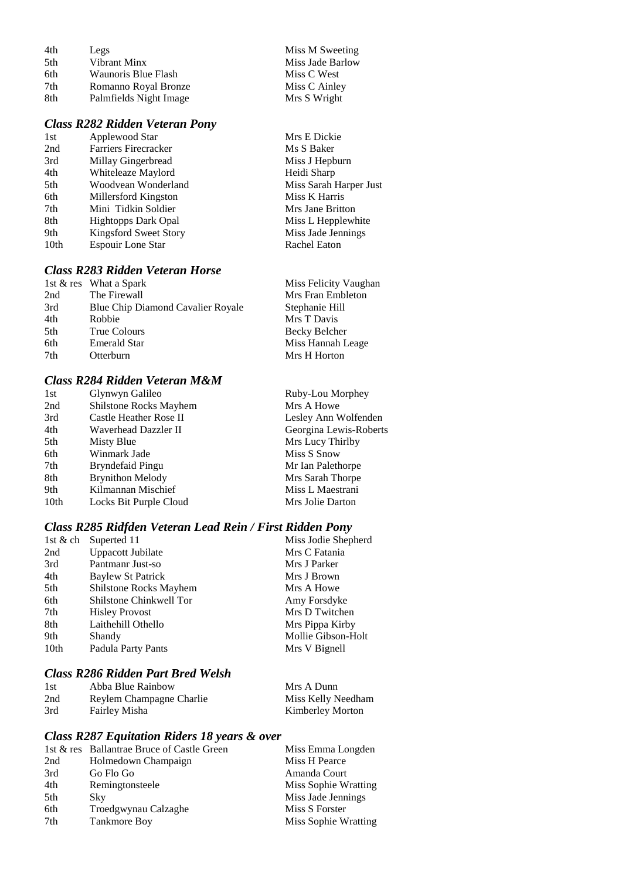| 4th | Legs                   | Miss M Sweeting  |
|-----|------------------------|------------------|
| 5th | Vibrant Minx           | Miss Jade Barlow |
| 6th | Waunoris Blue Flash    | Miss C West      |
| 7th | Romanno Royal Bronze   | Miss C Ainley    |
| 8th | Palmfields Night Image | Mrs S Wright     |

### *Class R282 Ridden Veteran Pony*

| 1st  | Applewood Star              |
|------|-----------------------------|
| 2nd  | <b>Farriers Firecracker</b> |
| 3rd  | Millay Gingerbread          |
| 4th  | Whiteleaze Maylord          |
| 5th  | Woodvean Wonderland         |
| 6th  | Millersford Kingston        |
| 7th  | Mini Tidkin Soldier         |
| 8th  | Hightopps Dark Opal         |
| 9th  | Kingsford Sweet Story       |
| 10th | Espouir Lone Star           |
|      |                             |

## *Class R283 Ridden Veteran Horse*

|     | 1st $&$ res What a Spark          | Miss Felicity Vaughan |
|-----|-----------------------------------|-----------------------|
| 2nd | The Firewall                      | Mrs Fran Embleton     |
| 3rd | Blue Chip Diamond Cavalier Royale | Stephanie Hill        |
| 4th | Robbie                            | Mrs T Davis           |
| 5th | True Colours                      | Becky Belcher         |
| 6th | <b>Emerald Star</b>               | Miss Hannah Leage     |
| 7th | Otterburn                         | Mrs H Horton          |

Mrs E Dickie Ms S Baker Miss J Hepburn Heidi Sharp

Miss K Harris Mrs Jane Britton Miss L Hepplewhite Miss Jade Jennings Rachel Eaton

Miss Sarah Harper Just

### *Class R284 Ridden Veteran M&M*

| 1st  | Glynwyn Galileo         | Ruby-Lou Morphey       |
|------|-------------------------|------------------------|
| 2nd  | Shilstone Rocks Mayhem  | Mrs A Howe             |
| 3rd  | Castle Heather Rose II  | Lesley Ann Wolfenden   |
| 4th  | Waverhead Dazzler II    | Georgina Lewis-Roberts |
| 5th  | Misty Blue              | Mrs Lucy Thirlby       |
| 6th  | Winmark Jade            | Miss S Snow            |
| 7th  | Bryndefaid Pingu        | Mr Ian Palethorpe      |
| 8th  | <b>Brynithon Melody</b> | Mrs Sarah Thorpe       |
| 9th  | Kilmannan Mischief      | Miss L Maestrani       |
| 10th | Locks Bit Purple Cloud  | Mrs Jolie Darton       |
|      |                         |                        |

### *Class R285 Ridfden Veteran Lead Rein / First Ridden Pony*

| 1st & ch         | Superted 11             | Miss Jodie Shepherd |
|------------------|-------------------------|---------------------|
| 2nd              | Uppacott Jubilate       | Mrs C Fatania       |
| 3rd              | Pantmanr Just-so        | Mrs J Parker        |
| 4th              | Baylew St Patrick       | Mrs J Brown         |
| 5th              | Shilstone Rocks Mayhem  | Mrs A Howe          |
| 6th              | Shilstone Chinkwell Tor | Amy Forsdyke        |
| 7th              | <b>Hisley Provost</b>   | Mrs D Twitchen      |
| 8th              | Laithehill Othello      | Mrs Pippa Kirby     |
| 9th              | Shandy                  | Mollie Gibson-Holt  |
| 10 <sub>th</sub> | Padula Party Pants      | Mrs V Bignell       |

## *Class R286 Ridden Part Bred Welsh*

| 1st | Abba Blue Rainbow        | Mrs A Dunn              |
|-----|--------------------------|-------------------------|
| 2nd | Reylem Champagne Charlie | Miss Kelly Needham      |
| 3rd | Fairley Misha            | <b>Kimberley Morton</b> |

### *Class R287 Equitation Riders 18 years & over*

|     | 1st & res Ballantrae Bruce of Castle Green | Miss Emma Longden    |
|-----|--------------------------------------------|----------------------|
| 2nd | Holmedown Champaign                        | Miss H Pearce        |
| 3rd | Go Flo Go                                  | Amanda Court         |
| 4th | Remingtonsteele                            | Miss Sophie Wratting |
| 5th | <b>Sky</b>                                 | Miss Jade Jennings   |
| 6th | Troedgwynau Calzaghe                       | Miss S Forster       |
| 7th | <b>Tankmore Boy</b>                        | Miss Sophie Wratting |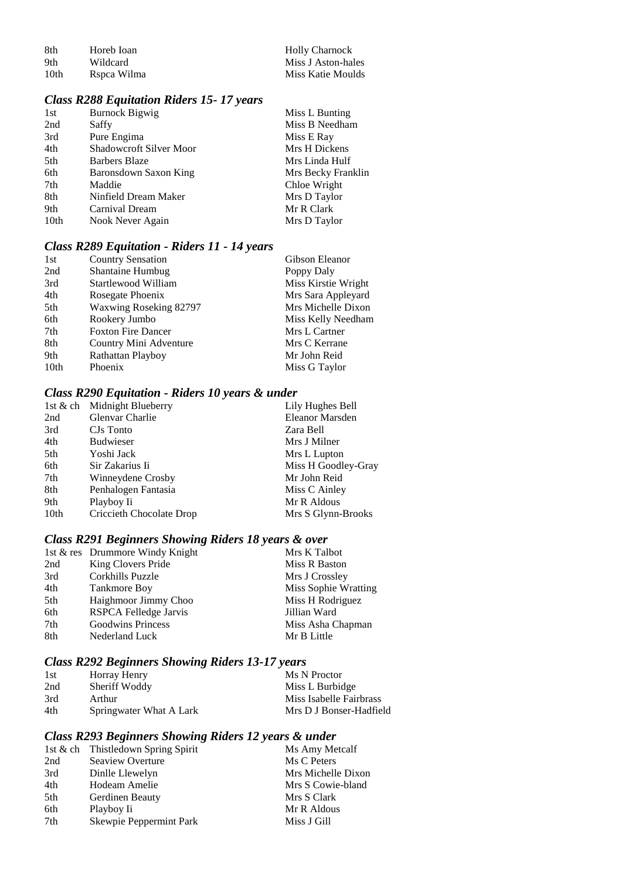| -8th | Horeb Ioan  | <b>Holly Charnock</b> |
|------|-------------|-----------------------|
| -9th | Wildcard    | Miss J Aston-hales    |
| 10th | Rspea Wilma | Miss Katie Moulds     |

# *Class R288 Equitation Riders 15- 17 years*

| 1st              | <b>Burnock Bigwig</b>   | Miss L Bunting     |
|------------------|-------------------------|--------------------|
| 2nd              | Saffy                   | Miss B Needham     |
| 3rd              | Pure Engima             | Miss E Ray         |
| 4th              | Shadowcroft Silver Moor | Mrs H Dickens      |
| 5th              | Barbers Blaze           | Mrs Linda Hulf     |
| 6th              | Baronsdown Saxon King   | Mrs Becky Franklin |
| 7th              | Maddie                  | Chloe Wright       |
| 8th              | Ninfield Dream Maker    | Mrs D Taylor       |
| 9th              | Carnival Dream          | Mr R Clark         |
| 10 <sub>th</sub> | Nook Never Again        | Mrs D Taylor       |
|                  |                         |                    |

## *Class R289 Equitation - Riders 11 - 14 years*

| 1st  | <b>Country Sensation</b>  | Gibson Eleanor      |
|------|---------------------------|---------------------|
| 2nd  | <b>Shantaine Humbug</b>   | Poppy Daly          |
| 3rd  | Startlewood William       | Miss Kirstie Wright |
| 4th  | Rosegate Phoenix          | Mrs Sara Appleyard  |
| 5th  | Waxwing Roseking 82797    | Mrs Michelle Dixon  |
| 6th  | Rookery Jumbo             | Miss Kelly Needham  |
| 7th  | <b>Foxton Fire Dancer</b> | Mrs L Cartner       |
| 8th  | Country Mini Adventure    | Mrs C Kerrane       |
| 9th  | Rathattan Playboy         | Mr John Reid        |
| 10th | Phoenix                   | Miss G Taylor       |

## *Class R290 Equitation - Riders 10 years & under*

|      | 1st & ch Midnight Blueberry | Lily Hughes Bell    |
|------|-----------------------------|---------------------|
| 2nd  | Glenvar Charlie             | Eleanor Marsden     |
| 3rd  | CJs Tonto                   | Zara Bell           |
| 4th  | <b>Budwieser</b>            | Mrs J Milner        |
| 5th  | Yoshi Jack                  | Mrs L Lupton        |
| 6th  | Sir Zakarius Ii             | Miss H Goodley-Gray |
| 7th  | Winneydene Crosby           | Mr John Reid        |
| 8th  | Penhalogen Fantasia         | Miss C Ainley       |
| 9th  | Playboy Ii                  | Mr R Aldous         |
| 10th | Criccieth Chocolate Drop    | Mrs S Glynn-Brooks  |

# *Class R291 Beginners Showing Riders 18 years & over*

|     | 1st & res Drummore Windy Knight | Mrs K Talbot         |
|-----|---------------------------------|----------------------|
| 2nd | King Clovers Pride              | Miss R Baston        |
| 3rd | Corkhills Puzzle                | Mrs J Crossley       |
| 4th | Tankmore Boy                    | Miss Sophie Wratting |
| 5th | Haighmoor Jimmy Choo            | Miss H Rodriguez     |
| 6th | RSPCA Felledge Jarvis           | Jillian Ward         |
| 7th | Goodwins Princess               | Miss Asha Chapman    |
| 8th | Nederland Luck                  | Mr B Little          |

# *Class R292 Beginners Showing Riders 13-17 years*

| 1st | Horray Henry            | Ms N Proctor            |
|-----|-------------------------|-------------------------|
| 2nd | Sheriff Woddy           | Miss L Burbidge         |
| 3rd | Arthur                  | Miss Isabelle Fairbrass |
| 4th | Springwater What A Lark | Mrs D J Bonser-Hadfield |

## *Class R293 Beginners Showing Riders 12 years & under*

|     | 1st & ch Thistledown Spring Spirit | Ms Amy Metcalf     |
|-----|------------------------------------|--------------------|
| 2nd | Seaview Overture                   | Ms C Peters        |
| 3rd | Dinlle Llewelyn                    | Mrs Michelle Dixon |
| 4th | Hodeam Amelie                      | Mrs S Cowie-bland  |
| 5th | Gerdinen Beauty                    | Mrs S Clark        |
| 6th | Playboy Ii                         | Mr R Aldous        |
| 7th | Skewpie Peppermint Park            | Miss J Gill        |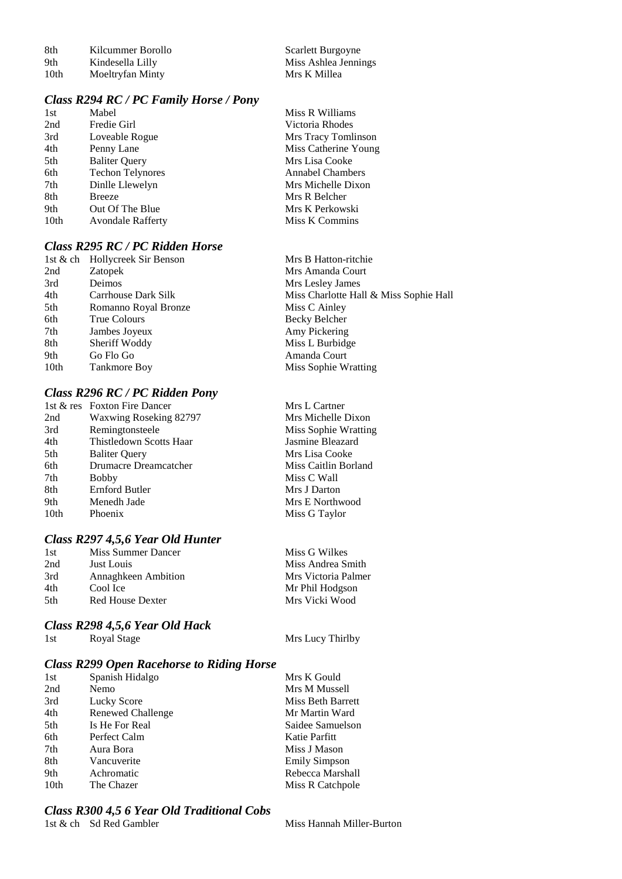| -8th             | Kilcummer Borollo |
|------------------|-------------------|
| 9th              | Kindesella Lilly  |
| 10 <sub>th</sub> | Moeltryfan Minty  |

Scarlett Burgoyne Miss Ashlea Jennings<br>Mrs K Millea

## *Class R294 RC / PC Family Horse / Pony*

| 1st  | Mabel                    | Miss R Williams         |
|------|--------------------------|-------------------------|
| 2nd  | Fredie Girl              | Victoria Rhodes         |
| 3rd  | Loveable Rogue           | Mrs Tracy Tomlinson     |
| 4th  | Penny Lane               | Miss Catherine Young    |
| 5th  | <b>Baliter Query</b>     | Mrs Lisa Cooke          |
| 6th  | <b>Techon Telynores</b>  | <b>Annabel Chambers</b> |
| 7th  | Dinlle Llewelyn          | Mrs Michelle Dixon      |
| 8th  | <b>Breeze</b>            | Mrs R Belcher           |
| 9th  | Out Of The Blue          | Mrs K Perkowski         |
| 10th | <b>Avondale Rafferty</b> | Miss K Commins          |
|      |                          |                         |

## *Class R295 RC / PC Ridden Horse*

|                  | 1st & ch Hollycreek Sir Benson | Mrs B Hatton-ritchie                   |
|------------------|--------------------------------|----------------------------------------|
| 2nd              | Zatopek                        | Mrs Amanda Court                       |
| 3rd              | <b>Deimos</b>                  | Mrs Lesley James                       |
| 4th              | Carrhouse Dark Silk            | Miss Charlotte Hall & Miss Sophie Hall |
| 5th              | Romanno Royal Bronze           | Miss C Ainley                          |
| 6th              | True Colours                   | Becky Belcher                          |
| 7th              | Jambes Joyeux                  | Amy Pickering                          |
| 8th              | Sheriff Woddy                  | Miss L Burbidge                        |
| 9th              | Go Flo Go                      | Amanda Court                           |
| 10 <sub>th</sub> | Tankmore Boy                   | Miss Sophie Wratting                   |
|                  |                                |                                        |

### *Class R296 RC / PC Ridden Pony*

|      | 1st & res Foxton Fire Dancer | Mrs L Cartner        |
|------|------------------------------|----------------------|
| 2nd  | Waxwing Roseking 82797       | Mrs Michelle Dixon   |
| 3rd  | Remingtonsteele              | Miss Sophie Wratting |
| 4th  | Thistledown Scotts Haar      | Jasmine Bleazard     |
| 5th  | <b>Baliter Query</b>         | Mrs Lisa Cooke       |
| 6th  | Drumacre Dreamcatcher        | Miss Caitlin Borland |
| 7th  | <b>Bobby</b>                 | Miss C Wall          |
| 8th  | Ernford Butler               | Mrs J Darton         |
| 9th  | Menedh Jade                  | Mrs E Northwood      |
| 10th | Phoenix                      | Miss G Taylor        |
|      |                              |                      |

# *Class R297 4,5,6 Year Old Hunter*

| 1st  | Miss Summer Dancer         | Miss G Wilkes       |
|------|----------------------------|---------------------|
| 2nd  | Just Louis                 | Miss Andrea Smith   |
| 3rd  | <b>Annaghkeen Ambition</b> | Mrs Victoria Palmer |
| 4th  | Cool Ice                   | Mr Phil Hodgson     |
| .5th | Red House Dexter           | Mrs Vicki Wood      |
|      |                            |                     |

#### *Class R298 4,5,6 Year Old Hack*

1st Royal Stage Mrs Lucy Thirlby

### *Class R299 Open Racehorse to Riding Horse*

| 1st              | Spanish Hidalgo   | Mrs K Gould          |
|------------------|-------------------|----------------------|
| 2nd              | Nemo              | Mrs M Mussell        |
| 3rd              | Lucky Score       | Miss Beth Barrett    |
| 4th              | Renewed Challenge | Mr Martin Ward       |
| 5th              | Is He For Real    | Saidee Samuelson     |
| 6th              | Perfect Calm      | Katie Parfitt        |
| 7th              | Aura Bora         | Miss J Mason         |
| 8th              | Vancuverite       | <b>Emily Simpson</b> |
| 9th              | Achromatic        | Rebecca Marshall     |
| 10 <sub>th</sub> | The Chazer        | Miss R Catchpole     |
|                  |                   |                      |

#### *Class R300 4,5 6 Year Old Traditional Cobs*

1st & ch Sd Red Gambler Miss Hannah Miller-Burton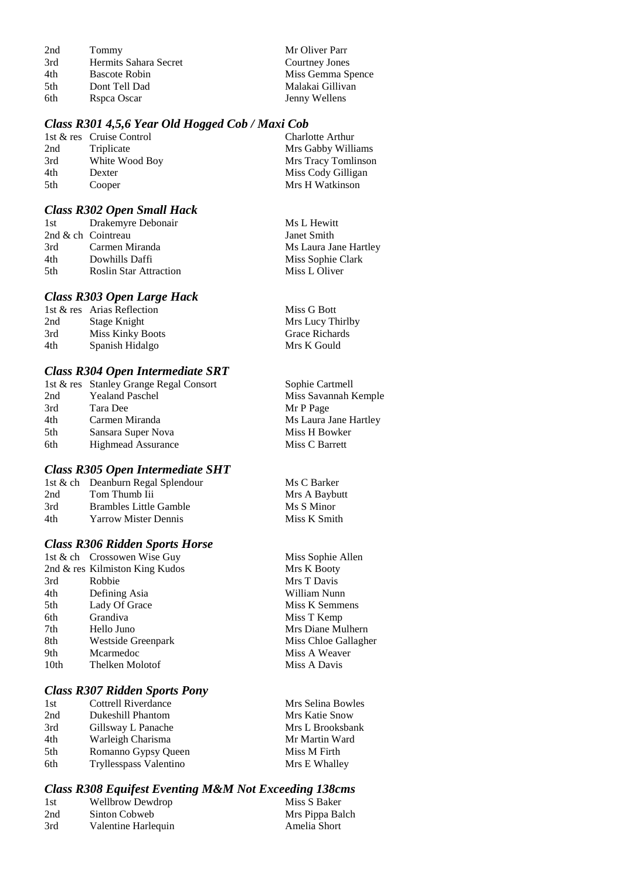2nd Tommy Mr Oliver Parr<br>
3rd Hermits Sahara Secret Courtney Jones 3rd Hermits Sahara Secret<br>4th Bascote Robin 4th Bascote Robin Miss Gemma Spence<br>
5th Dont Tell Dad Malakai Gillivan 6th Rspca Oscar Jenny Wellens

Malakai Gillivan

### *Class R301 4,5,6 Year Old Hogged Cob / Maxi Cob*

|     | 1st & res Cruise Control | <b>Charlotte Arthur</b> |
|-----|--------------------------|-------------------------|
| 2nd | Triplicate               | Mrs Gabby Williams      |
| 3rd | White Wood Boy           | Mrs Tracy Tomlinson     |
| 4th | Dexter                   | Miss Cody Gilligan      |
| 5th | Cooper                   | Mrs H Watkinson         |

#### *Class R302 Open Small Hack*

| 1st | Drakemyre Debonair            | Ms L Hewitt           |
|-----|-------------------------------|-----------------------|
|     | 2nd & ch Cointreau            | Janet Smith           |
| 3rd | Carmen Miranda                | Ms Laura Jane Hartley |
| 4th | Dowhills Daffi                | Miss Sophie Clark     |
| 5th | <b>Roslin Star Attraction</b> | Miss L Oliver         |
|     |                               |                       |

#### *Class R303 Open Large Hack*

|                         | Miss G Bott                |
|-------------------------|----------------------------|
| Stage Knight            | Mrs Lucy Thirlby           |
| <b>Miss Kinky Boots</b> | Grace Richards             |
| Spanish Hidalgo         | Mrs K Gould                |
|                         | 1st & res Arias Reflection |

### *Class R304 Open Intermediate SRT*

|     | 1st & res Stanley Grange Regal Consort | Sophie Cartmell       |
|-----|----------------------------------------|-----------------------|
| 2nd | <b>Yealand Paschel</b>                 | Miss Savannah Kemple  |
| 3rd | Tara Dee                               | Mr P Page             |
| 4th | Carmen Miranda                         | Ms Laura Jane Hartley |
| 5th | Sansara Super Nova                     | Miss H Bowker         |
| 6th | <b>Highmead Assurance</b>              | Miss C Barrett        |
|     |                                        |                       |

### *Class R305 Open Intermediate SHT*

|                             | Ms C Barker                       |
|-----------------------------|-----------------------------------|
| Tom Thumb Iii               | Mrs A Baybutt                     |
| Brambles Little Gamble      | Ms S Minor                        |
| <b>Yarrow Mister Dennis</b> | Miss K Smith                      |
|                             | 1st & ch Deanburn Regal Splendour |

### *Class R306 Ridden Sports Horse*

|      | 1st & ch Crossowen Wise Guy       | Miss Sophie Allen    |
|------|-----------------------------------|----------------------|
|      | 2nd $\&$ res Kilmiston King Kudos | Mrs K Booty          |
| 3rd  | Robbie                            | Mrs T Davis          |
| 4th  | Defining Asia                     | William Nunn         |
| 5th  | Lady Of Grace                     | Miss K Semmens       |
| 6th  | Grandiva                          | Miss T Kemp          |
| 7th  | Hello Juno                        | Mrs Diane Mulhern    |
| 8th  | Westside Greenpark                | Miss Chloe Gallagher |
| 9th  | Mcarmedoc                         | Miss A Weaver        |
| 10th | Thelken Molotof                   | Miss A Davis         |
|      |                                   |                      |

#### *Class R307 Ridden Sports Pony*

| 1st | <b>Cottrell Riverdance</b> | Mrs Selina Bowles |
|-----|----------------------------|-------------------|
| 2nd | Dukeshill Phantom          | Mrs Katie Snow    |
| 3rd | Gillsway L Panache         | Mrs L Brooksbank  |
| 4th | Warleigh Charisma          | Mr Martin Ward    |
| 5th | Romanno Gypsy Queen        | Miss M Firth      |
| 6th | Tryllesspass Valentino     | Mrs E Whalley     |

#### *Class R308 Equifest Eventing M&M Not Exceeding 138cms*

| 1st | <b>Wellbrow Dewdrop</b> | Miss S Baker    |
|-----|-------------------------|-----------------|
| 2nd | Sinton Cobweb           | Mrs Pippa Balch |
| 3rd | Valentine Harlequin     | Amelia Short    |
|     |                         |                 |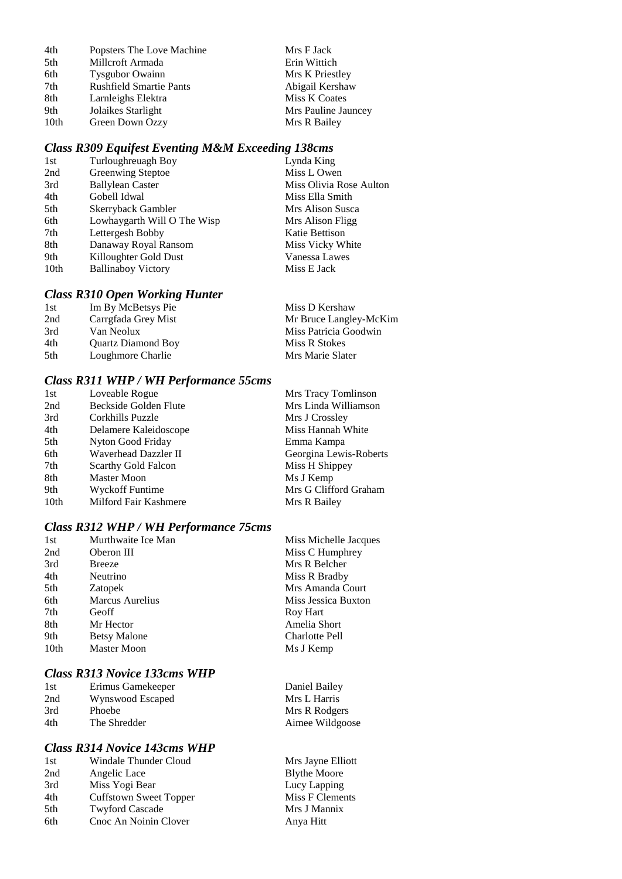| 4th             | Popsters The Love Machine      | Mrs F Jack          |
|-----------------|--------------------------------|---------------------|
| 5th             | Millcroft Armada               | Erin Wittich        |
| 6th             | <b>Tysgubor Owainn</b>         | Mrs K Priestley     |
| 7 <sub>th</sub> | <b>Rushfield Smartie Pants</b> | Abigail Kershaw     |
| 8th             | Larnleighs Elektra             | Miss K Coates       |
| 9th             | Jolaikes Starlight             | Mrs Pauline Jauncey |
| 10th            | Green Down Ozzy                | Mrs R Bailey        |

# *Class R309 Equifest Eventing M&M Exceeding 138cms*

| Lynda King              |
|-------------------------|
| Miss L Owen             |
| Miss Olivia Rose Aulton |
| Miss Ella Smith         |
| Mrs Alison Susca        |
| Mrs Alison Fligg        |
| Katie Bettison          |
| Miss Vicky White        |
| Vanessa Lawes           |
| Miss E Jack             |
|                         |

## *Class R310 Open Working Hunter*

| 1st | Im By McBetsys Pie        | Miss D Kershaw         |
|-----|---------------------------|------------------------|
| 2nd | Carrgfada Grey Mist       | Mr Bruce Langley-McKim |
| 3rd | Van Neolux                | Miss Patricia Goodwin  |
| 4th | <b>Ouartz Diamond Boy</b> | Miss R Stokes          |
| 5th | Loughmore Charlie         | Mrs Marie Slater       |

## *Class R311 WHP / WH Performance 55cms*

| 1st              | Loveable Rogue         | Mrs Tracy Tomlinson    |
|------------------|------------------------|------------------------|
| 2nd              | Beckside Golden Flute  | Mrs Linda Williamson   |
| 3rd              | Corkhills Puzzle       | Mrs J Crossley         |
| 4th              | Delamere Kaleidoscope  | Miss Hannah White      |
| 5th              | Nyton Good Friday      | Emma Kampa             |
| 6th              | Waverhead Dazzler II   | Georgina Lewis-Roberts |
| 7th              | Scarthy Gold Falcon    | Miss H Shippey         |
| 8th              | <b>Master Moon</b>     | Ms J Kemp              |
| 9th              | <b>Wyckoff Funtime</b> | Mrs G Clifford Graham  |
| 10 <sub>th</sub> | Milford Fair Kashmere  | Mrs R Bailey           |

## *Class R312 WHP / WH Performance 75cms*

| 1st  | Murthwaite Ice Man            | Miss Michelle Jacques |
|------|-------------------------------|-----------------------|
| 2nd  | Miss C Humphrey<br>Oberon III |                       |
| 3rd  | <b>Breeze</b>                 | Mrs R Belcher         |
| 4th  | Neutrino                      | Miss R Bradby         |
| 5th  | <b>Zatopek</b>                | Mrs Amanda Court      |
| 6th  | <b>Marcus Aurelius</b>        | Miss Jessica Buxton   |
| 7th  | Geoff                         | Roy Hart              |
| 8th  | Mr Hector                     | Amelia Short          |
| 9th  | <b>Betsy Malone</b>           | Charlotte Pell        |
| 10th | <b>Master Moon</b>            | Ms J Kemp             |
|      |                               |                       |

## *Class R313 Novice 133cms WHP*

| 1st | Erimus Gamekeeper | Daniel Bailey   |
|-----|-------------------|-----------------|
| 2nd | Wynswood Escaped  | Mrs L Harris    |
| 3rd | <b>Phoebe</b>     | Mrs R Rodgers   |
| 4th | The Shredder      | Aimee Wildgoose |

Mrs Jayne Elliott Blythe Moore Lucy Lapping  $Miss F Clements$ Mrs J Mannix Anya Hitt

### *Class R314 Novice 143cms WHP*

| 1st | Windale Thunder Cloud  |
|-----|------------------------|
| 2nd | Angelic Lace           |
| 3rd | Miss Yogi Bear         |
| 4th | Cuffstown Sweet Topper |
| 5th | <b>Twyford Cascade</b> |
| 6th | Cnoc An Noinin Clover  |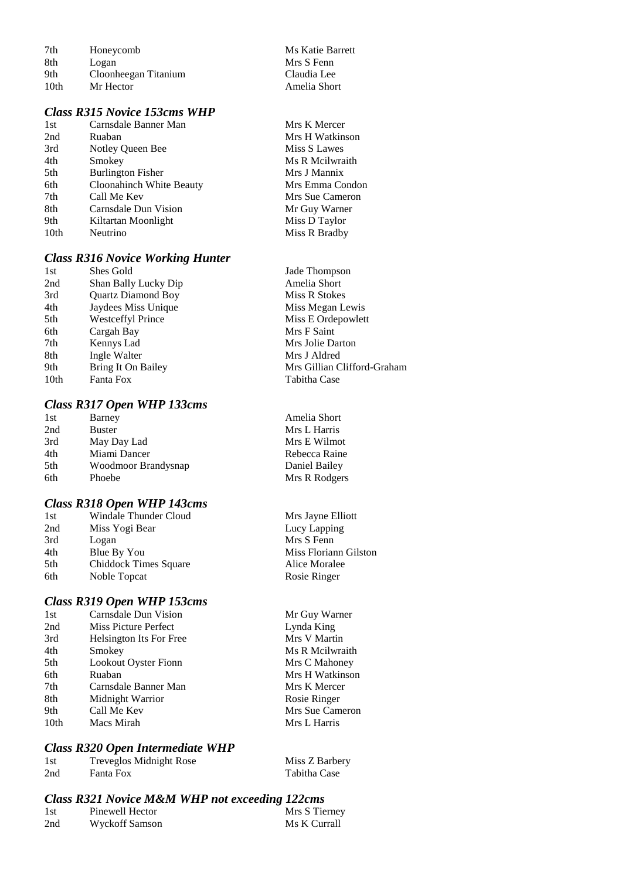| 7th              | Honeycomb            |
|------------------|----------------------|
| 8th              | Logan                |
| 9th              | Cloonheegan Titanium |
| 10 <sub>th</sub> | Mr Hector            |

#### *Class R315 Novice 153cms WHP*

| 1st  | Carnsdale Banner Man     |
|------|--------------------------|
| 2nd  | Ruaban                   |
| 3rd  | Notley Queen Bee         |
| 4th  | Smokey                   |
| 5th  | <b>Burlington Fisher</b> |
| 6th  | Cloonahinch White Beauty |
| 7th  | Call Me Kev              |
| 8th  | Carnsdale Dun Vision     |
| 9th  | Kiltartan Moonlight      |
| 10th | Neutrino                 |

### *Class R316 Novice Working Hunter*

| Shes Gold                 |
|---------------------------|
| Shan Bally Lucky Dip      |
| <b>Quartz Diamond Boy</b> |
| Jaydees Miss Unique       |
| <b>Westceffyl Prince</b>  |
| Cargah Bay                |
| Kennys Lad                |
| Ingle Walter              |
| Bring It On Bailey        |
| Fanta Fox                 |
|                           |

### *Class R317 Open WHP 133cms*

| 1st | Barney              |
|-----|---------------------|
| 2nd | Buster              |
| 3rd | May Day Lad         |
| 4th | Miami Dancer        |
| 5th | Woodmoor Brandysnap |
| 6th | Phoebe              |
|     |                     |

#### *Class R318 Open WHP 143cms*

| 1st | Windale Thunder Cloud |
|-----|-----------------------|
| 2nd | Miss Yogi Bear        |
| 3rd | Logan                 |
| 4th | Blue By You           |
| 5th | Chiddock Times Square |
| 6th | Noble Topcat          |
|     |                       |

### *Class R319 Open WHP 153cms*

| 1st              | Carnsdale Dun Vision        | Mr Guy Warner   |
|------------------|-----------------------------|-----------------|
| 2nd              | Miss Picture Perfect        | Lynda King      |
| 3rd              | Helsington Its For Free     | Mrs V Martin    |
| 4th              | Smokey                      | Ms R Meilwraith |
| 5th              | <b>Lookout Oyster Fionn</b> | Mrs C Mahoney   |
| 6th              | Ruaban                      | Mrs H Watkinson |
| 7th              | Carnsdale Banner Man        | Mrs K Mercer    |
| 8th              | Midnight Warrior            | Rosie Ringer    |
| 9th              | Call Me Kev                 | Mrs Sue Cameron |
| 10 <sub>th</sub> | Macs Mirah                  | Mrs L Harris    |
|                  |                             |                 |

#### *Class R320 Open Intermediate WHP*

| 1st | Treveglos Midnight Rose | Miss Z Barbery |
|-----|-------------------------|----------------|
| 2nd | Fanta Fox               | Tabitha Case   |

#### *Class R321 Novice M&M WHP not exceeding 122cms*

| 1st | Pinewell Hector | Mrs S Tierney |
|-----|-----------------|---------------|
| 2nd | Wyckoff Samson  | Ms K Currall  |

Jade Thompson Amelia Short Miss R Stokes Miss Megan Lewis Miss E Ordepowlett Mrs F Saint Mrs Jolie Darton Mrs J Aldred Mrs Gillian Clifford-Graham Tabitha Case

**Ms Katie Barrett** Mrs S Fenn Claudia Lee Amelia Short

Mrs K Mercer Mrs H Watkinson Miss S Lawes Ms R Mcilwraith Mrs J Mannix Mrs Emma Condon Mrs Sue Cameron Mr Guy Warner Miss D Taylor Miss R Bradby

Amelia Short Mrs L Harris Mrs E Wilmot Rebecca Raine Daniel Bailey Mrs R Rodgers

Mrs Jayne Elliott Lucy Lapping Mrs S Fenn Miss Floriann Gilston Alice Moralee Rosie Ringer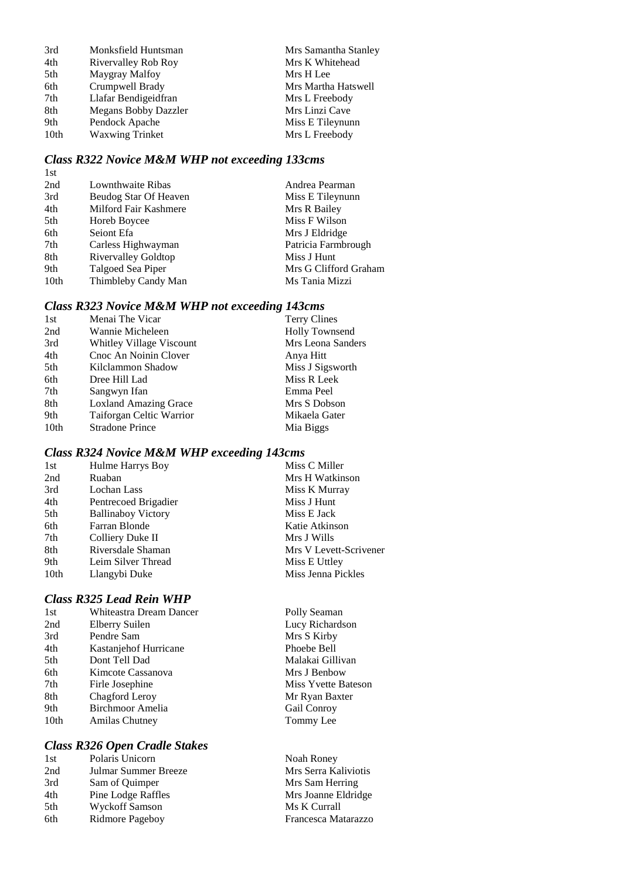| 3rd  | Monksfield Huntsman    | Mrs Samantha Stanley |
|------|------------------------|----------------------|
| 4th  | Rivervalley Rob Roy    | Mrs K Whitehead      |
| 5th  | Maygray Malfoy         | Mrs H Lee            |
| 6th  | Crumpwell Brady        | Mrs Martha Hatswell  |
| 7th  | Llafar Bendigeidfran   | Mrs L Freebody       |
| 8th  | Megans Bobby Dazzler   | Mrs Linzi Cave       |
| 9th  | Pendock Apache         | Miss E Tileynunn     |
| 10th | <b>Waxwing Trinket</b> | Mrs L Freebody       |
|      |                        |                      |

## *Class R322 Novice M&M WHP not exceeding 133cms*

| Lownthwaite Ribas          | Andrea Pearman        |
|----------------------------|-----------------------|
| Beudog Star Of Heaven      | Miss E Tileynunn      |
| Milford Fair Kashmere      | Mrs R Bailey          |
| Horeb Boycee               | Miss F Wilson         |
| Seiont Efa                 | Mrs J Eldridge        |
| Carless Highwayman         | Patricia Farmbrough   |
| <b>Rivervalley Goldtop</b> | Miss J Hunt           |
| Talgoed Sea Piper          | Mrs G Clifford Graham |
| Thimbleby Candy Man        | Ms Tania Mizzi        |
|                            |                       |

# *Class R323 Novice M&M WHP not exceeding 143cms*

| 1st              | Menai The Vicar              | <b>Terry Clines</b>   |
|------------------|------------------------------|-----------------------|
| 2nd              | Wannie Micheleen             | <b>Holly Townsend</b> |
| 3rd              | Whitley Village Viscount     | Mrs Leona Sanders     |
| 4th              | Cnoc An Noinin Clover        | Anya Hitt             |
| 5th              | Kilclammon Shadow            | Miss J Sigsworth      |
| 6th              | Dree Hill Lad                | Miss R Leek           |
| 7th              | Sangwyn Ifan                 | Emma Peel             |
| 8th              | <b>Loxland Amazing Grace</b> | Mrs S Dobson          |
| 9th              | Taiforgan Celtic Warrior     | Mikaela Gater         |
| 10 <sub>th</sub> | <b>Stradone Prince</b>       | Mia Biggs             |

# *Class R324 Novice M&M WHP exceeding 143cms*

| 1st  | Hulme Harrys Boy          | Miss C Miller          |
|------|---------------------------|------------------------|
| 2nd  | Ruaban                    | Mrs H Watkinson        |
| 3rd  | Lochan Lass               | Miss K Murray          |
| 4th  | Pentrecoed Brigadier      | Miss J Hunt            |
| 5th  | <b>Ballinaboy Victory</b> | Miss E Jack            |
| 6th  | Farran Blonde             | Katie Atkinson         |
| 7th  | Colliery Duke II          | Mrs J Wills            |
| 8th  | Riversdale Shaman         | Mrs V Levett-Scrivener |
| 9th  | Leim Silver Thread        | Miss E Uttley          |
| 10th | Llangybi Duke             | Miss Jenna Pickles     |
|      |                           |                        |

### *Class R325 Lead Rein WHP*

| 1st              | Whiteastra Dream Dancer |
|------------------|-------------------------|
| 2nd              | Elberry Suilen          |
| 3rd              | Pendre Sam              |
| 4th              | Kastanjehof Hurricane   |
| 5th              | Dont Tell Dad           |
| 6th              | Kimcote Cassanova       |
| 7th              | Firle Josephine         |
| 8th              | Chagford Leroy          |
| 9th              | Birchmoor Amelia        |
| 10 <sub>th</sub> | <b>Amilas Chutney</b>   |
|                  |                         |

## *Class R326 Open Cradle Stakes*

| 1st | Polaris Unicorn      |
|-----|----------------------|
| 2nd | Julmar Summer Breeze |
| 3rd | Sam of Quimper       |
| 4th | Pine Lodge Raffles   |
| 5th | Wyckoff Samson       |
| 6th | Ridmore Pageboy      |

Polly Seaman Lucy Richardson Mrs S Kirby Phoebe Bell Malakai Gillivan Mrs J Benbow Miss Yvette Bateson Mr Ryan Baxter Gail Conroy Tommy Lee

Noah Roney Mrs Serra Kaliviotis Mrs Sam Herring Mrs Joanne Eldridge Ms K Currall 6th Ridmore Pageboy Francesca Matarazzo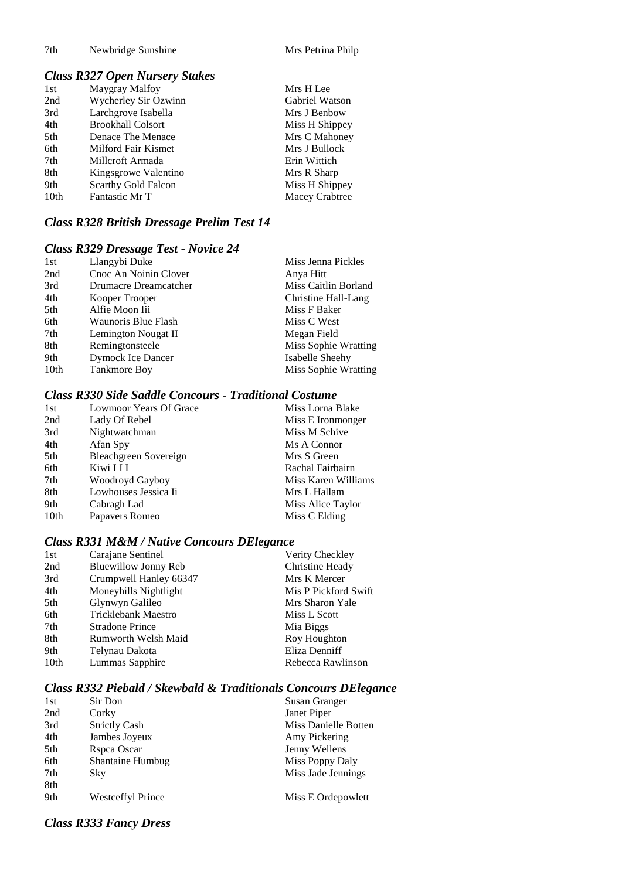#### 7th Newbridge Sunshine Mrs Petrina Philp

## *Class R327 Open Nursery Stakes*

| 1st              | Maygray Malfoy           | Mrs H Lee      |
|------------------|--------------------------|----------------|
| 2nd              | Wycherley Sir Ozwinn     | Gabriel Watson |
| 3rd              | Larchgrove Isabella      | Mrs J Benbow   |
| 4th              | <b>Brookhall Colsort</b> | Miss H Shippey |
| 5th              | Denace The Menace        | Mrs C Mahoney  |
| 6th              | Milford Fair Kismet      | Mrs J Bullock  |
| 7th              | Millcroft Armada         | Erin Wittich   |
| 8th              | Kingsgrowe Valentino     | Mrs R Sharp    |
| 9th              | Scarthy Gold Falcon      | Miss H Shippey |
| 10 <sub>th</sub> | Fantastic Mr T           | Macey Crabtree |

# *Class R328 British Dressage Prelim Test 14*

### *Class R329 Dressage Test - Novice 24*

| 1st              | Llangybi Duke         | Miss Jenna Pickles   |
|------------------|-----------------------|----------------------|
| 2nd              | Cnoc An Noinin Clover | Anya Hitt            |
| 3rd              | Drumacre Dreamcatcher | Miss Caitlin Borland |
| 4th              | Kooper Trooper        | Christine Hall-Lang  |
| 5th              | Alfie Moon Iii        | Miss F Baker         |
| 6th              | Waunoris Blue Flash   | Miss C West          |
| 7th              | Lemington Nougat II   | Megan Field          |
| 8th              | Remingtonsteele       | Miss Sophie Wratting |
| 9th              | Dymock Ice Dancer     | Isabelle Sheehy      |
| 10 <sub>th</sub> | Tankmore Boy          | Miss Sophie Wratting |

## *Class R330 Side Saddle Concours - Traditional Costume*

| 1st              | Lowmoor Years Of Grace | Miss Lorna Blake    |
|------------------|------------------------|---------------------|
| 2nd              | Lady Of Rebel          | Miss E Ironmonger   |
| 3rd              | Nightwatchman          | Miss M Schive       |
| 4th              | Afan Spy               | Ms A Connor         |
| 5th              | Bleachgreen Sovereign  | Mrs S Green         |
| 6th              | Kiwi I I I             | Rachal Fairbairn    |
| 7th              | Woodroyd Gayboy        | Miss Karen Williams |
| 8th              | Lowhouses Jessica Ii   | Mrs L Hallam        |
| 9th              | Cabragh Lad            | Miss Alice Taylor   |
| 10 <sub>th</sub> | Papavers Romeo         | Miss C Elding       |

## *Class R331 M&M / Native Concours DElegance*

| 1st              | Carajane Sentinel           | Verity Checkley      |
|------------------|-----------------------------|----------------------|
| 2nd              | <b>Bluewillow Jonny Reb</b> | Christine Heady      |
| 3rd              | Crumpwell Hanley 66347      | Mrs K Mercer         |
| 4th              | Moneyhills Nightlight       | Mis P Pickford Swift |
| 5th              | Glynwyn Galileo             | Mrs Sharon Yale      |
| 6th              | <b>Tricklebank Maestro</b>  | Miss L Scott         |
| 7th              | <b>Stradone Prince</b>      | Mia Biggs            |
| 8th              | Rumworth Welsh Maid         | Roy Houghton         |
| 9th              | Telynau Dakota              | Eliza Denniff        |
| 10 <sub>th</sub> | Lummas Sapphire             | Rebecca Rawlinson    |

## *Class R332 Piebald / Skewbald & Traditionals Concours DElegance*

| 1st | Sir Don              | Susan Granger        |
|-----|----------------------|----------------------|
| 2nd | Corky                | Janet Piper          |
| 3rd | <b>Strictly Cash</b> | Miss Danielle Botten |
| 4th | Jambes Joyeux        | Amy Pickering        |
| 5th | Rspca Oscar          | Jenny Wellens        |
| 6th | Shantaine Humbug     | Miss Poppy Daly      |
| 7th | Sky                  | Miss Jade Jennings   |
| 8th |                      |                      |
| 9th | Westceffyl Prince    | Miss E Ordepowlett   |
|     |                      |                      |

## *Class R333 Fancy Dress*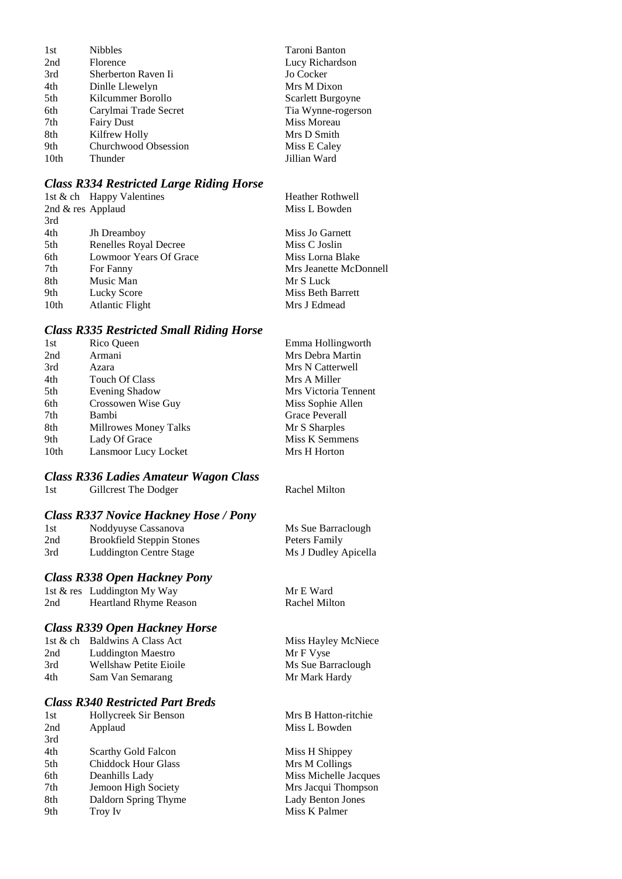| <b>Nibbles</b>        | Taroni Banton      |
|-----------------------|--------------------|
| Florence              | Lucy Richardson    |
| Sherberton Raven Ii   | Jo Cocker          |
| Dinlle Llewelyn       | Mrs M Dixon        |
| Kilcummer Borollo     | Scarlett Burgoyne  |
| Carylmai Trade Secret | Tia Wynne-rogerson |
| <b>Fairy Dust</b>     | Miss Moreau        |
| Kilfrew Holly         | Mrs D Smith        |
| Churchwood Obsession  | Miss E Caley       |
| Thunder               | Jillian Ward       |
|                       |                    |

# *Class R334 Restricted Large Riding Horse*

|      | 1st & ch Happy Valentines     | <b>Heather Rothwell</b> |
|------|-------------------------------|-------------------------|
|      | 2nd & res Applaud             | Miss L Bowden           |
| 3rd  |                               |                         |
| 4th  | <b>Jh</b> Dreamboy            | Miss Jo Garnett         |
| 5th  | Renelles Royal Decree         | Miss C Joslin           |
| 6th  | <b>Lowmoor Years Of Grace</b> | Miss Lorna Blake        |
| 7th  | For Fanny                     | Mrs Jeanette McDonnell  |
| 8th  | Music Man                     | Mr S Luck               |
| 9th  | Lucky Score                   | Miss Beth Barrett       |
| 10th | <b>Atlantic Flight</b>        | Mrs J Edmead            |
|      |                               |                         |

# *Class R335 Restricted Small Riding Horse*

| 1st              | Rico Queen            | Emma Hollingworth    |
|------------------|-----------------------|----------------------|
| 2nd              | Armani                | Mrs Debra Martin     |
| 3rd              | Azara                 | Mrs N Catterwell     |
| 4th              | <b>Touch Of Class</b> | Mrs A Miller         |
| 5th              | <b>Evening Shadow</b> | Mrs Victoria Tennent |
| 6th              | Crossowen Wise Guy    | Miss Sophie Allen    |
| 7th              | Bambi                 | Grace Peverall       |
| 8th              | Millrowes Money Talks | Mr S Sharples        |
| 9th              | Lady Of Grace         | Miss K Semmens       |
| 10 <sub>th</sub> | Lansmoor Lucy Locket  | Mrs H Horton         |
|                  |                       |                      |

# *Class R336 Ladies Amateur Wagon Class*

|     | <b>Class R337 Novice Hackney Hose / Pony</b> |                      |
|-----|----------------------------------------------|----------------------|
| 1st | Noddyuyse Cassanova                          | Ms Sue Barraclough   |
| 2nd | <b>Brookfield Steppin Stones</b>             | Peters Family        |
| 3rd | Luddington Centre Stage                      | Ms J Dudley Apicella |
|     | <b>Class R338 Open Hackney Pony</b>          |                      |
|     | 1st & res Luddington My Way                  | Mr E Ward            |
| 2nd | <b>Heartland Rhyme Reason</b>                | Rachel Milton        |
|     | <b>Class R339 Open Hackney Horse</b>         |                      |
|     | 1st & ch Baldwins A Class Act                | Miss Hayley McNiec   |
| 2nd | <b>Luddington Maestro</b>                    | Mr F Vyse            |
| 3rd | Wellshaw Petite Eioile                       | Ms Sue Barraclough   |
| 4th | Sam Van Semarang                             | Mr Mark Hardy        |
|     |                                              |                      |

# *Class R340 Restricted Part Breds*

| 1st | Hollycreek Sir Benson      | Mrs  |
|-----|----------------------------|------|
| 2nd | Applaud                    | Miss |
| 3rd |                            |      |
| 4th | Scarthy Gold Falcon        | Miss |
| 5th | <b>Chiddock Hour Glass</b> | Mrs  |
| 6th | Deanhills Lady             | Miss |
| 7th | Jemoon High Society        | Mrs  |
| 8th | Daldorn Spring Thyme       | Lady |
| 9th | Troy Iv                    | Miss |

1st Gillcrest The Dodger Rachel Milton

| Ms Sue Barraclough   |
|----------------------|
| Peters Family        |
| Ms J Dudley Apicella |

ley McNiece 3arraclough

B Hatton-ritchie s L Bowden

H Shippey  $M$  Collings s Michelle Jacques Jacqui Thompson y Benton Jones  $\overline{\text{s}}$  K Palmer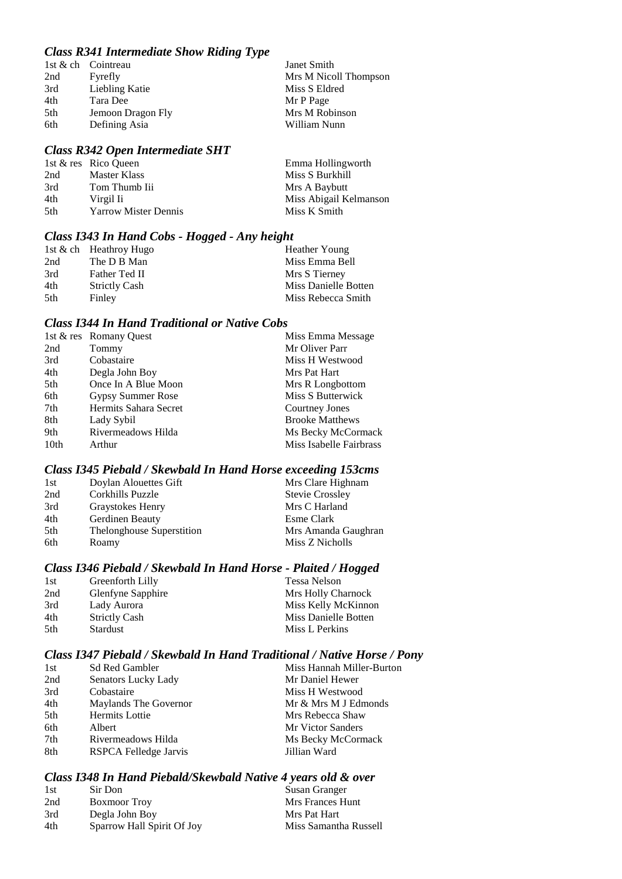## *Class R341 Intermediate Show Riding Type*

|     |                    | $\cdots$ |                       |
|-----|--------------------|----------|-----------------------|
|     | 1st & ch Cointreau |          | Janet Smith           |
| 2nd | Fyrefly            |          | Mrs M Nicoll Thompson |
| 3rd | Liebling Katie     |          | Miss S Eldred         |
| 4th | Tara Dee           |          | Mr P Page             |
| 5th | Jemoon Dragon Fly  |          | Mrs M Robinson        |
| 6th | Defining Asia      |          | William Nunn          |
|     |                    |          |                       |

### *Class R342 Open Intermediate SHT*

|      | 1st & res Rico Queen        | Emma Hollingworth      |
|------|-----------------------------|------------------------|
| 2nd  | Master Klass                | Miss S Burkhill        |
| 3rd  | Tom Thumb Iii               | Mrs A Baybutt          |
| 4th  | Virgil Ii                   | Miss Abigail Kelmanson |
| .5th | <b>Yarrow Mister Dennis</b> | Miss K Smith           |

## *Class I343 In Hand Cobs - Hogged - Any height*

| 1st & ch Heathroy Hugo | Heather Young        |
|------------------------|----------------------|
| The D B Man            | Miss Emma Bell       |
| Father Ted II          | Mrs S Tierney        |
| <b>Strictly Cash</b>   | Miss Danielle Botten |
| Finley                 | Miss Rebecca Smith   |
|                        |                      |

### *Class I344 In Hand Traditional or Native Cobs*

|                  | 1st & res Romany Quest | Miss Emma Message       |
|------------------|------------------------|-------------------------|
| 2nd              | Tommy                  | Mr Oliver Parr          |
| 3rd              | Cobastaire             | Miss H Westwood         |
| 4th              | Degla John Boy         | Mrs Pat Hart            |
| 5th              | Once In A Blue Moon    | Mrs R Longbottom        |
| 6th              | Gypsy Summer Rose      | Miss S Butterwick       |
| 7th              | Hermits Sahara Secret  | Courtney Jones          |
| 8th              | Lady Sybil             | <b>Brooke Matthews</b>  |
| 9th              | Rivermeadows Hilda     | Ms Becky McCormack      |
| 10 <sub>th</sub> | Arthur                 | Miss Isabelle Fairbrass |

### *Class I345 Piebald / Skewbald In Hand Horse exceeding 153cms*

| 1st | Doylan Alouettes Gift     | Mrs Clare Highnam      |
|-----|---------------------------|------------------------|
| 2nd | Corkhills Puzzle          | <b>Stevie Crossley</b> |
| 3rd | Graystokes Henry          | Mrs C Harland          |
| 4th | Gerdinen Beauty           | Esme Clark             |
| 5th | Thelonghouse Superstition | Mrs Amanda Gaughran    |
| 6th | Roamy                     | Miss Z Nicholls        |

## *Class I346 Piebald / Skewbald In Hand Horse - Plaited / Hogged*

| 1st  | Greenforth Lilly     | Tessa Nelson         |
|------|----------------------|----------------------|
| 2nd  | Glenfyne Sapphire    | Mrs Holly Charnock   |
| 3rd  | Lady Aurora          | Miss Kelly McKinnon  |
| 4th  | <b>Strictly Cash</b> | Miss Danielle Botten |
| .5th | Stardust             | Miss L Perkins       |

### *Class I347 Piebald / Skewbald In Hand Traditional / Native Horse / Pony*

| 1st | <b>Sd Red Gambler</b> | Miss Hannah Miller-Burton |
|-----|-----------------------|---------------------------|
| 2nd | Senators Lucky Lady   | Mr Daniel Hewer           |
| 3rd | Cobastaire            | Miss H Westwood           |
| 4th | Maylands The Governor | Mr & Mrs M J Edmonds      |
| 5th | Hermits Lottie        | Mrs Rebecca Shaw          |
| 6th | Albert                | Mr Victor Sanders         |
| 7th | Rivermeadows Hilda    | Ms Becky McCormack        |
| 8th | RSPCA Felledge Jarvis | Jillian Ward              |

# *Class I348 In Hand Piebald/Skewbald Native 4 years old & over*

| 1st | Sir Don                    | Susan Granger         |
|-----|----------------------------|-----------------------|
| 2nd | <b>Boxmoor</b> Troy        | Mrs Frances Hunt      |
| 3rd | Degla John Boy             | Mrs Pat Hart          |
| 4th | Sparrow Hall Spirit Of Joy | Miss Samantha Russell |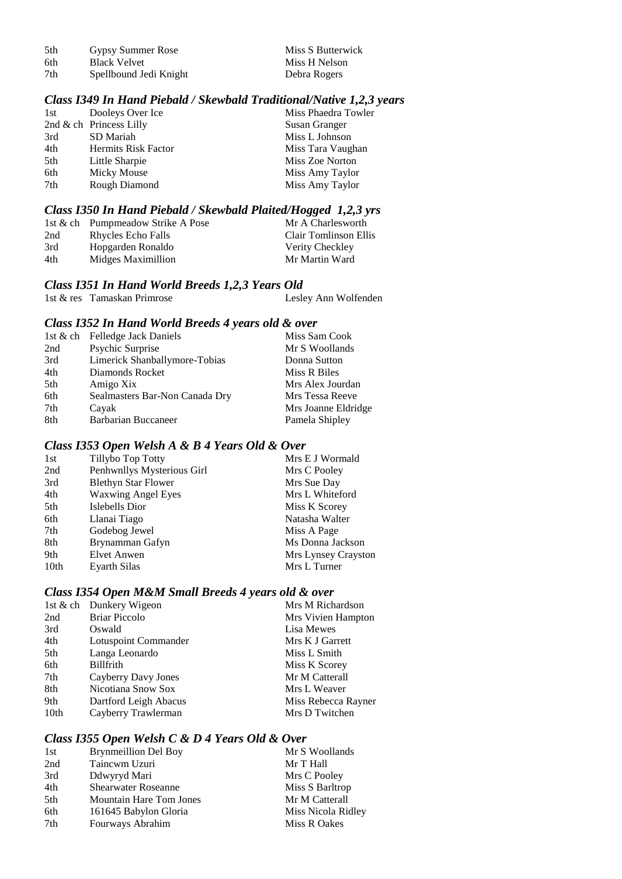| 5th | Gypsy Summer Rose      | Miss S Butterwick |
|-----|------------------------|-------------------|
| 6th | <b>Black Velvet</b>    | Miss H Nelson     |
| 7th | Spellbound Jedi Knight | Debra Rogers      |

# *Class I349 In Hand Piebald / Skewbald Traditional/Native 1,2,3 years*

| 1st | Dooleys Over Ice           | Miss Phaedra Towler |
|-----|----------------------------|---------------------|
|     | 2nd $\&$ ch Princess Lilly | Susan Granger       |
| 3rd | SD Mariah                  | Miss L Johnson      |
| 4th | <b>Hermits Risk Factor</b> | Miss Tara Vaughan   |
| 5th | Little Sharpie             | Miss Zoe Norton     |
| 6th | Micky Mouse                | Miss Amy Taylor     |
| 7th | Rough Diamond              | Miss Amy Taylor     |

### *Class I350 In Hand Piebald / Skewbald Plaited/Hogged 1,2,3 yrs*

|     | 1st & ch Pumpmeadow Strike A Pose | Mr A Charlesworth     |
|-----|-----------------------------------|-----------------------|
| 2nd | Rhycles Echo Falls                | Clair Tomlinson Ellis |
| 3rd | Hopgarden Ronaldo                 | Verity Checkley       |
| 4th | Midges Maximillion                | Mr Martin Ward        |

### *Class I351 In Hand World Breeds 1,2,3 Years Old*

| 1st & res Tamaskan Primrose | Lesley Ann Wolfenden |
|-----------------------------|----------------------|

### *Class I352 In Hand World Breeds 4 years old & over*

|     | 1st & ch Felledge Jack Daniels | Miss Sam Cook       |
|-----|--------------------------------|---------------------|
| 2nd | Psychic Surprise               | Mr S Woollands      |
| 3rd | Limerick Shanballymore-Tobias  | Donna Sutton        |
| 4th | Diamonds Rocket                | Miss R Biles        |
| 5th | Amigo Xix                      | Mrs Alex Jourdan    |
| 6th | Sealmasters Bar-Non Canada Dry | Mrs Tessa Reeve     |
| 7th | Cayak                          | Mrs Joanne Eldridge |
| 8th | Barbarian Buccaneer            | Pamela Shipley      |

### *Class I353 Open Welsh A & B 4 Years Old & Over*

| 1st              | Tillybo Top Totty          | Mrs E J Wormald     |
|------------------|----------------------------|---------------------|
| 2nd              | Penhwnllys Mysterious Girl | Mrs C Pooley        |
| 3rd              | <b>Blethyn Star Flower</b> | Mrs Sue Day         |
| 4th              | <b>Waxwing Angel Eyes</b>  | Mrs L Whiteford     |
| 5th              | Islebells Dior             | Miss K Scorey       |
| 6th              | Llanai Tiago               | Natasha Walter      |
| 7th              | Godebog Jewel              | Miss A Page         |
| 8th              | Brynamman Gafyn            | Ms Donna Jackson    |
| 9th              | Elvet Anwen                | Mrs Lynsey Crayston |
| 10 <sub>th</sub> | Evarth Silas               | Mrs L Turner        |

## *Class I354 Open M&M Small Breeds 4 years old & over*

|                  | 1st & ch Dunkery Wigeon | Mrs M Richardson    |
|------------------|-------------------------|---------------------|
| 2nd              | <b>Briar Piccolo</b>    | Mrs Vivien Hampton  |
| 3rd              | Oswald                  | Lisa Mewes          |
| 4th              | Lotuspoint Commander    | Mrs K J Garrett     |
| 5th              | Langa Leonardo          | Miss L Smith        |
| 6th              | <b>Billfrith</b>        | Miss K Scorey       |
| 7th              | Cayberry Davy Jones     | Mr M Catterall      |
| 8th              | Nicotiana Snow Sox      | Mrs L Weaver        |
| 9th              | Dartford Leigh Abacus   | Miss Rebecca Rayner |
| 10 <sub>th</sub> | Cayberry Trawlerman     | Mrs D Twitchen      |

## *Class I355 Open Welsh C & D 4 Years Old & Over*

| 1st | <b>Brynmeillion Del Boy</b>    | Mr S Woollands     |
|-----|--------------------------------|--------------------|
| 2nd | Taincwm Uzuri                  | Mr T Hall          |
| 3rd | Ddwyryd Mari                   | Mrs C Pooley       |
| 4th | <b>Shearwater Roseanne</b>     | Miss S Barltrop    |
| 5th | <b>Mountain Hare Tom Jones</b> | Mr M Catterall     |
| 6th | 161645 Babylon Gloria          | Miss Nicola Ridley |
| 7th | Fourways Abrahim               | Miss R Oakes       |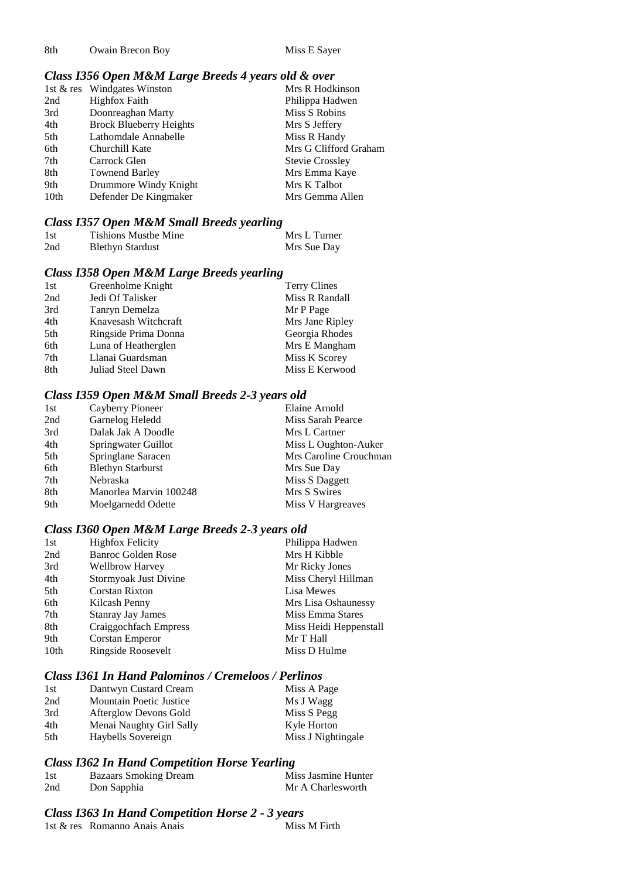8th Owain Brecon Boy Miss E Sayer

## *Class I356 Open M&M Large Breeds 4 years old & over*

|      | 1st & res Windgates Winston    | Mrs R Hodkinson        |
|------|--------------------------------|------------------------|
| 2nd  | <b>Highfox Faith</b>           | Philippa Hadwen        |
| 3rd  | Doonreaghan Marty              | Miss S Robins          |
| 4th  | <b>Brock Blueberry Heights</b> | Mrs S Jeffery          |
| 5th  | Lathomdale Annabelle           | Miss R Handy           |
| 6th  | Churchill Kate                 | Mrs G Clifford Graham  |
| 7th  | Carrock Glen                   | <b>Stevie Crossley</b> |
| 8th  | <b>Townend Barley</b>          | Mrs Emma Kaye          |
| 9th  | Drummore Windy Knight          | Mrs K Talbot           |
| 10th | Defender De Kingmaker          | Mrs Gemma Allen        |

#### *Class I357 Open M&M Small Breeds yearling*

| 1st | <b>Tishions Mustbe Mine</b> | Mrs L Turner |
|-----|-----------------------------|--------------|
| 2nd | <b>Blethyn Stardust</b>     | Mrs Sue Day  |

### *Class I358 Open M&M Large Breeds yearling*

| 1st | Greenholme Knight    | Terry Clines    |
|-----|----------------------|-----------------|
| 2nd | Jedi Of Talisker     | Miss R Randall  |
| 3rd | Tanryn Demelza       | Mr P Page       |
| 4th | Knavesash Witchcraft | Mrs Jane Ripley |
| 5th | Ringside Prima Donna | Georgia Rhodes  |
| 6th | Luna of Heatherglen  | Mrs E Mangham   |
| 7th | Llanai Guardsman     | Miss K Scorey   |
| 8th | Juliad Steel Dawn    | Miss E Kerwood  |

### *Class I359 Open M&M Small Breeds 2-3 years old*

| 1st | Cayberry Pioneer         | Elaine Arnold          |
|-----|--------------------------|------------------------|
| 2nd | Garnelog Heledd          | Miss Sarah Pearce      |
| 3rd | Dalak Jak A Doodle       | Mrs L Cartner          |
| 4th | Springwater Guillot      | Miss L Oughton-Auker   |
| 5th | Springlane Saracen       | Mrs Caroline Crouchman |
| 6th | <b>Blethyn Starburst</b> | Mrs Sue Day            |
| 7th | Nebraska                 | Miss S Daggett         |
| 8th | Manorlea Marvin 100248   | Mrs S Swires           |
| 9th | Moelgarnedd Odette       | Miss V Hargreaves      |

### *Class I360 Open M&M Large Breeds 2-3 years old*

| <b>Highfox Felicity</b>   | Philippa Hadwen        |
|---------------------------|------------------------|
| <b>Banroc Golden Rose</b> | Mrs H Kibble           |
| <b>Wellbrow Harvey</b>    | Mr Ricky Jones         |
| Stormyoak Just Divine     | Miss Cheryl Hillman    |
| Corstan Rixton            | Lisa Mewes             |
| Kilcash Penny             | Mrs Lisa Oshaunessy    |
| <b>Stanray Jay James</b>  | Miss Emma Stares       |
| Craiggochfach Empress     | Miss Heidi Heppenstall |
| Corstan Emperor           | Mr T Hall              |
| Ringside Roosevelt        | Miss D Hulme           |
|                           |                        |

#### *Class I361 In Hand Palominos / Cremeloos / Perlinos*

| 1st | Dantwyn Custard Cream          | Miss A Page        |
|-----|--------------------------------|--------------------|
| 2nd | <b>Mountain Poetic Justice</b> | Ms J Wagg          |
| 3rd | Afterglow Devons Gold          | Miss S Pegg        |
| 4th | Menai Naughty Girl Sally       | Kyle Horton        |
| 5th | Haybells Sovereign             | Miss J Nightingale |

### *Class I362 In Hand Competition Horse Yearling*

| 1st | <b>Bazaars Smoking Dream</b> | Miss Jasmine Hunter |
|-----|------------------------------|---------------------|
| 2nd | Don Sapphia                  | Mr A Charlesworth   |

### *Class I363 In Hand Competition Horse 2 - 3 years*

| 1st & res Romanno Anais Anais | Miss M Firth |
|-------------------------------|--------------|
|                               |              |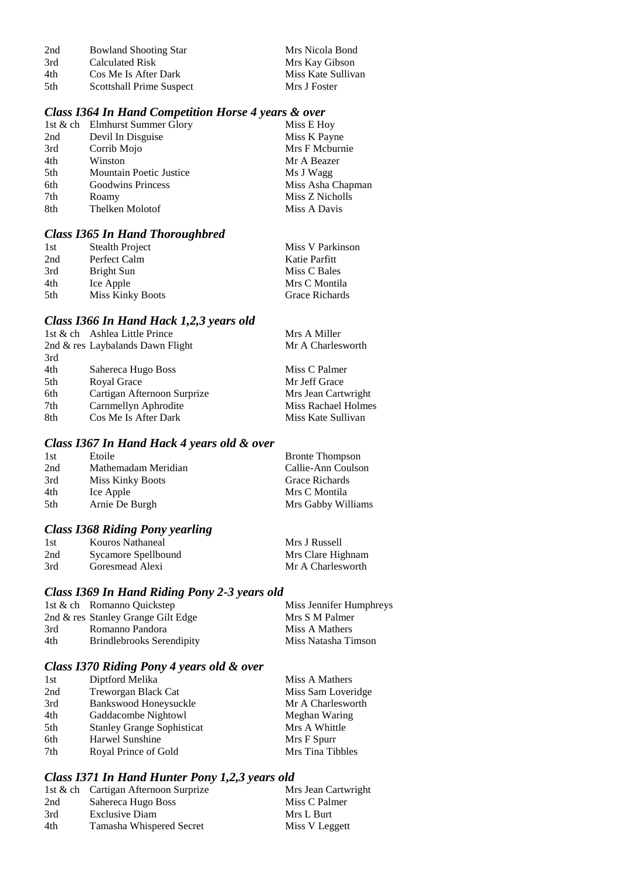| 2nd  | <b>Bowland Shooting Star</b> | Mrs Nicola Bond    |
|------|------------------------------|--------------------|
| 3rd  | Calculated Risk              | Mrs Kay Gibson     |
| 4th  | Cos Me Is After Dark         | Miss Kate Sullivan |
| .5th | Scottshall Prime Suspect     | Mrs J Foster       |

## *Class I364 In Hand Competition Horse 4 years & over*

|     | 1st & ch Elmhurst Summer Glory | Miss E Hoy        |
|-----|--------------------------------|-------------------|
| 2nd | Devil In Disguise              | Miss K Payne      |
| 3rd | Corrib Mojo                    | Mrs F Mcburnie    |
| 4th | Winston                        | Mr A Beazer       |
| 5th | <b>Mountain Poetic Justice</b> | Ms J Wagg         |
| 6th | <b>Goodwins Princess</b>       | Miss Asha Chapman |
| 7th | Roamy                          | Miss Z Nicholls   |
| 8th | Thelken Molotof                | Miss A Davis      |
|     |                                |                   |

## *Class I365 In Hand Thoroughbred*

| 1st | Stealth Project  | Miss V Parkinson |
|-----|------------------|------------------|
| 2nd | Perfect Calm     | Katie Parfitt    |
| 3rd | Bright Sun       | Miss C Bales     |
| 4th | Ice Apple        | Mrs C Montila    |
| 5th | Miss Kinky Boots | Grace Richards   |
|     |                  |                  |

## *Class I366 In Hand Hack 1,2,3 years old*

|     | 1st & ch Ashlea Little Prince    | Mrs A Miller               |
|-----|----------------------------------|----------------------------|
|     | 2nd & res Laybalands Dawn Flight | Mr A Charlesworth          |
| 3rd |                                  |                            |
| 4th | Sahereca Hugo Boss               | Miss C Palmer              |
| 5th | Royal Grace                      | Mr Jeff Grace              |
| 6th | Cartigan Afternoon Surprize      | Mrs Jean Cartwright        |
| 7th | Carnmellyn Aphrodite             | <b>Miss Rachael Holmes</b> |
| 8th | Cos Me Is After Dark             | Miss Kate Sullivan         |
|     |                                  |                            |

### *Class I367 In Hand Hack 4 years old & over*

| 1st | Etoile              | <b>Bronte Thompson</b> |
|-----|---------------------|------------------------|
| 2nd | Mathemadam Meridian | Callie-Ann Coulson     |
| 3rd | Miss Kinky Boots    | Grace Richards         |
| 4th | Ice Apple           | Mrs C Montila          |
| 5th | Arnie De Burgh      | Mrs Gabby Williams     |

## *Class I368 Riding Pony yearling*

| 1st | Kouros Nathaneal    | Mrs J Russell     |
|-----|---------------------|-------------------|
| 2nd | Sycamore Spellbound | Mrs Clare Highnam |
| 3rd | Goresmead Alexi     | Mr A Charlesworth |

## *Class I369 In Hand Riding Pony 2-3 years old*

|     | 1st & ch Romanno Quickstep         | Miss Jennifer Humphreys |
|-----|------------------------------------|-------------------------|
|     | 2nd & res Stanley Grange Gilt Edge | Mrs S M Palmer          |
| 3rd | Romanno Pandora                    | Miss A Mathers          |
| 4th | <b>Brindlebrooks Serendipity</b>   | Miss Natasha Timson     |

## *Class I370 Riding Pony 4 years old & over*

| 1st | Diptford Melika                   | Miss A Mathers     |
|-----|-----------------------------------|--------------------|
| 2nd | Treworgan Black Cat               | Miss Sam Loveridge |
| 3rd | Bankswood Honeysuckle             | Mr A Charlesworth  |
| 4th | Gaddacombe Nightowl               | Meghan Waring      |
| 5th | <b>Stanley Grange Sophisticat</b> | Mrs A Whittle      |
| 6th | Harwel Sunshine                   | Mrs F Spurr        |
| 7th | Royal Prince of Gold              | Mrs Tina Tibbles   |

# *Class I371 In Hand Hunter Pony 1,2,3 years old*

|     | 1st & ch Cartigan Afternoon Surprize | Mrs Jean Cartwright |
|-----|--------------------------------------|---------------------|
| 2nd | Sahereca Hugo Boss                   | Miss C Palmer       |
| 3rd | Exclusive Diam                       | Mrs L Burt          |
| 4th | Tamasha Whispered Secret             | Miss V Leggett      |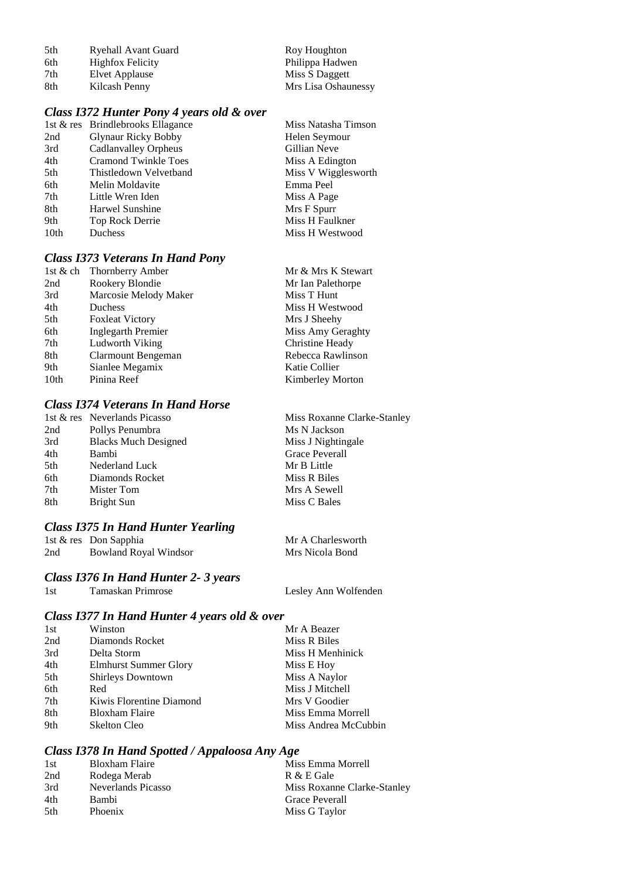| 5th | Ryehall Avant Guard     | Roy Houghton        |
|-----|-------------------------|---------------------|
| 6th | <b>Highfox Felicity</b> | Philippa Hadwen     |
| 7th | Elvet Applause          | Miss S Daggett      |
| 8th | Kilcash Penny           | Mrs Lisa Oshaunessy |

## *Class I372 Hunter Pony 4 years old & over*

|                  | 1st & res Brindlebrooks Ellagance | Miss Natasha Timson |
|------------------|-----------------------------------|---------------------|
| 2nd              | <b>Glynaur Ricky Bobby</b>        | Helen Seymour       |
| 3rd              | Cadlanvalley Orpheus              | Gillian Neve        |
| 4th              | <b>Cramond Twinkle Toes</b>       | Miss A Edington     |
| 5th              | Thistledown Velvetband            | Miss V Wigglesworth |
| 6th              | Melin Moldavite                   | Emma Peel           |
| 7th              | Little Wren Iden                  | Miss A Page         |
| 8th              | Harwel Sunshine                   | Mrs F Spurr         |
| 9th              | Top Rock Derrie                   | Miss H Faulkner     |
| 10 <sub>th</sub> | Duchess                           | Miss H Westwood     |
|                  |                                   |                     |

# *Class I373 Veterans In Hand Pony*

| 1st & ch         | <b>Thornberry Amber</b>   | Mr & Mrs K Stewart      |
|------------------|---------------------------|-------------------------|
| 2nd              | Rookery Blondie           | Mr Ian Palethorpe       |
| 3rd              | Marcosie Melody Maker     | Miss T Hunt             |
| 4th              | Duchess                   | Miss H Westwood         |
| 5th              | <b>Foxleat Victory</b>    | Mrs J Sheehy            |
| 6th              | <b>Inglegarth Premier</b> | Miss Amy Geraghty       |
| 7th              | Ludworth Viking           | Christine Heady         |
| 8th              | Clarmount Bengeman        | Rebecca Rawlinson       |
| 9th              | Sianlee Megamix           | Katie Collier           |
| 10 <sub>th</sub> | Pinina Reef               | <b>Kimberley Morton</b> |
|                  |                           |                         |

## *Class I374 Veterans In Hand Horse*

|     | 1st & res Neverlands Picasso | Miss Roxanne Clarke-Stanley |
|-----|------------------------------|-----------------------------|
| 2nd | Pollys Penumbra              | Ms N Jackson                |
| 3rd | <b>Blacks Much Designed</b>  | Miss J Nightingale          |
| 4th | Bambi                        | Grace Peverall              |
| 5th | Nederland Luck               | Mr B Little                 |
| 6th | Diamonds Rocket              | Miss R Biles                |
| 7th | Mister Tom                   | Mrs A Sewell                |
| 8th | Bright Sun                   | Miss C Bales                |
|     |                              |                             |

## *Class I375 In Hand Hunter Yearling*

|     | 1st & res Don Sapphia        | Mr A Charlesworth |
|-----|------------------------------|-------------------|
| 2nd | <b>Bowland Royal Windsor</b> | Mrs Nicola Bond   |

### *Class I376 In Hand Hunter 2- 3 years*

| Tamaskan Primrose<br>1st | Lesley Ann Wolfenden |
|--------------------------|----------------------|

# *Class I377 In Hand Hunter 4 years old & over*

| 1st | Winston                      | Mr A Beazer          |
|-----|------------------------------|----------------------|
| 2nd | Diamonds Rocket              | Miss R Biles         |
| 3rd | Delta Storm                  | Miss H Menhinick     |
| 4th | <b>Elmhurst Summer Glory</b> | Miss E Hoy           |
| 5th | <b>Shirleys Downtown</b>     | Miss A Naylor        |
| 6th | Red                          | Miss J Mitchell      |
| 7th | Kiwis Florentine Diamond     | Mrs V Goodier        |
| 8th | <b>Bloxham Flaire</b>        | Miss Emma Morrell    |
| 9th | <b>Skelton Cleo</b>          | Miss Andrea McCubbin |

# *Class I378 In Hand Spotted / Appaloosa Any Age*

| 1st  | Bloxham Flaire     | Miss Emma Morrell           |
|------|--------------------|-----------------------------|
| 2nd  | Rodega Merab       | R & E Gale                  |
| 3rd  | Neverlands Picasso | Miss Roxanne Clarke-Stanley |
| 4th  | Bambi              | Grace Peverall              |
| .5th | Phoenix            | Miss G Taylor               |
|      |                    |                             |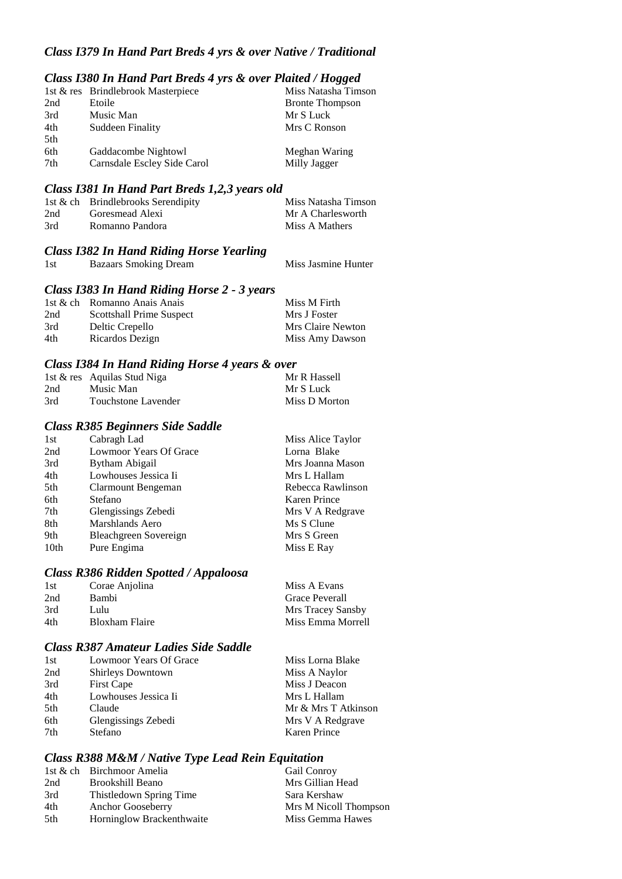## *Class I379 In Hand Part Breds 4 yrs & over Native / Traditional*

### *Class I380 In Hand Part Breds 4 yrs & over Plaited / Hogged*

|     | 1st & res Brindlebrook Masterpiece | Miss Natasha Timson    |
|-----|------------------------------------|------------------------|
| 2nd | Etoile                             | <b>Bronte Thompson</b> |
| 3rd | Music Man                          | Mr S Luck              |
| 4th | Suddeen Finality                   | Mrs C Ronson           |
| 5th |                                    |                        |
| 6th | Gaddacombe Nightowl                | Meghan Waring          |
| 7th | Carnsdale Escley Side Carol        | Milly Jagger           |

### *Class I381 In Hand Part Breds 1,2,3 years old*

|     | 1st $\&$ ch Brindlebrooks Serendipity | Miss Natasha Timson |
|-----|---------------------------------------|---------------------|
| 2nd | Goresmead Alexi                       | Mr A Charlesworth   |
| 3rd | Romanno Pandora                       | Miss A Mathers      |

### *Class I382 In Hand Riding Horse Yearling*

1st Bazaars Smoking Dream Miss Jasmine Hunter

## *Class I383 In Hand Riding Horse 2 - 3 years*

|     | 1st & ch Romanno Anais Anais | Miss M Firth      |
|-----|------------------------------|-------------------|
| 2nd | Scottshall Prime Suspect     | Mrs J Foster      |
| 3rd | Deltic Crepello              | Mrs Claire Newton |
| 4th | Ricardos Dezign              | Miss Amy Dawson   |

### *Class I384 In Hand Riding Horse 4 years & over*

|     | 1st & res Aquilas Stud Niga | Mr R Hassell  |
|-----|-----------------------------|---------------|
| 2nd | Music Man                   | Mr S Luck     |
| 3rd | Touchstone Lavender         | Miss D Morton |

#### *Class R385 Beginners Side Saddle*

| 1st              | Cabragh Lad            | Miss Alice Taylor   |
|------------------|------------------------|---------------------|
| 2nd              | Lowmoor Years Of Grace | Lorna Blake         |
| 3rd              | Bytham Abigail         | Mrs Joanna Mason    |
| 4th              | Lowhouses Jessica Ii   | Mrs L Hallam        |
| 5th              | Clarmount Bengeman     | Rebecca Rawlinson   |
| 6th              | Stefano                | <b>Karen Prince</b> |
| 7th              | Glengissings Zebedi    | Mrs V A Redgrave    |
| 8th              | Marshlands Aero        | Ms S Clune          |
| 9th              | Bleachgreen Sovereign  | Mrs S Green         |
| 10 <sub>th</sub> | Pure Engima            | Miss E Ray          |

### *Class R386 Ridden Spotted / Appaloosa*

| 1st | Corae Anjolina        | Miss A Evans      |
|-----|-----------------------|-------------------|
| 2nd | Bambi                 | Grace Peverall    |
| 3rd | Lulu                  | Mrs Tracey Sansby |
| 4th | <b>Bloxham Flaire</b> | Miss Emma Morrell |

## *Class R387 Amateur Ladies Side Saddle*

| 1st             | Lowmoor Years Of Grace   | Miss Lorna Blake    |
|-----------------|--------------------------|---------------------|
| 2nd             | <b>Shirleys Downtown</b> | Miss A Naylor       |
| 3rd             | <b>First Cape</b>        | Miss J Deacon       |
| 4th             | Lowhouses Jessica Ii     | Mrs L Hallam        |
| 5 <sup>th</sup> | Claude                   | Mr & Mrs T Atkinson |
| 6th             | Glengissings Zebedi      | Mrs V A Redgrave    |
| 7th             | Stefano                  | Karen Prince        |
|                 |                          |                     |

### *Class R388 M&M / Native Type Lead Rein Equitation*

|     | 1st & ch Birchmoor Amelia | <b>Gail Conroy</b>    |
|-----|---------------------------|-----------------------|
| 2nd | Brookshill Beano          | Mrs Gillian Head      |
| 3rd | Thistledown Spring Time   | Sara Kershaw          |
| 4th | <b>Anchor Gooseberry</b>  | Mrs M Nicoll Thompson |
| 5th | Horninglow Brackenthwaite | Miss Gemma Hawes      |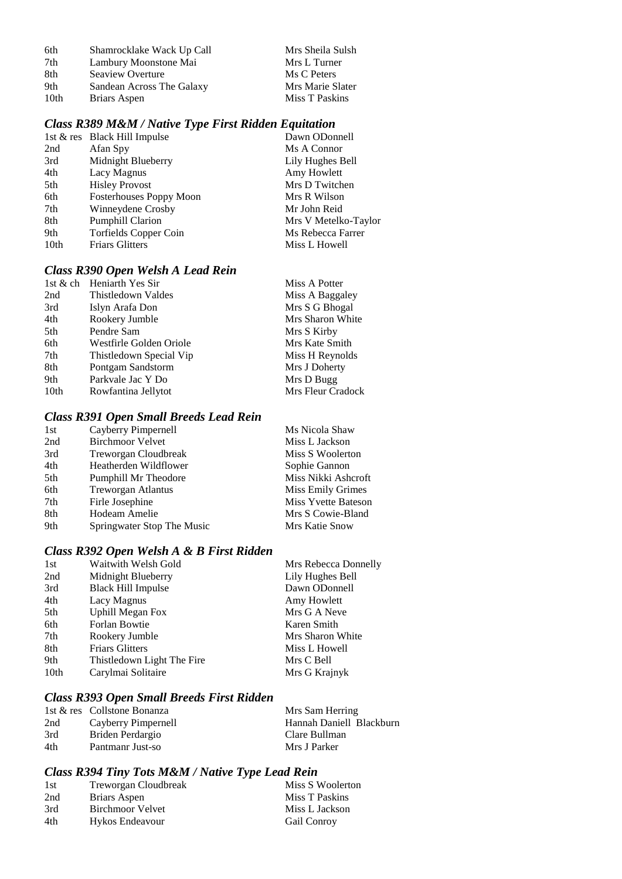| 6th  | Shamrocklake Wack Up Call | Mrs Sheila Sulsh |
|------|---------------------------|------------------|
| 7th  | Lambury Moonstone Mai     | Mrs L Turner     |
| 8th  | Seaview Overture          | Ms C Peters      |
| 9th  | Sandean Across The Galaxy | Mrs Marie Slater |
| 10th | Briars Aspen              | Miss T Paskins   |

## *Class R389 M&M / Native Type First Ridden Equitation*

|                  | 1st & res Black Hill Impulse   | Dawn ODonnell        |
|------------------|--------------------------------|----------------------|
| 2nd              | Afan Spy                       | Ms A Connor          |
| 3rd              | Midnight Blueberry             | Lily Hughes Bell     |
| 4th              | Lacy Magnus                    | Amy Howlett          |
| 5th              | <b>Hisley Provost</b>          | Mrs D Twitchen       |
| 6th              | <b>Fosterhouses Poppy Moon</b> | Mrs R Wilson         |
| 7th              | Winneydene Crosby              | Mr John Reid         |
| 8th              | <b>Pumphill Clarion</b>        | Mrs V Metelko-Taylor |
| 9th              | Torfields Copper Coin          | Ms Rebecca Farrer    |
| 10 <sub>th</sub> | <b>Friars Glitters</b>         | Miss L Howell        |
|                  |                                |                      |

## *Class R390 Open Welsh A Lead Rein*

|                  | 1st & ch Heniarth Yes Sir | Miss A Potter     |
|------------------|---------------------------|-------------------|
| 2nd              | Thistledown Valdes        | Miss A Baggaley   |
| 3rd              | Islyn Arafa Don           | Mrs S G Bhogal    |
| 4th              | Rookery Jumble            | Mrs Sharon White  |
| 5th              | Pendre Sam                | Mrs S Kirby       |
| 6th              | Westfirle Golden Oriole   | Mrs Kate Smith    |
| 7th              | Thistledown Special Vip   | Miss H Reynolds   |
| 8th              | Pontgam Sandstorm         | Mrs J Doherty     |
| 9th              | Parkvale Jac Y Do         | Mrs D Bugg        |
| 10 <sub>th</sub> | Rowfantina Jellytot       | Mrs Fleur Cradock |

## *Class R391 Open Small Breeds Lead Rein*

| Cayberry Pimpernell        | Ms Nicola Shaw             |
|----------------------------|----------------------------|
| <b>Birchmoor Velvet</b>    | Miss L Jackson             |
| Treworgan Cloudbreak       | Miss S Woolerton           |
| Heatherden Wildflower      | Sophie Gannon              |
| Pumphill Mr Theodore       | Miss Nikki Ashcroft        |
| <b>Treworgan Atlantus</b>  | Miss Emily Grimes          |
| Firle Josephine            | <b>Miss Yvette Bateson</b> |
| Hodeam Amelie              | Mrs S Cowie-Bland          |
| Springwater Stop The Music | Mrs Katie Snow             |
|                            |                            |

# *Class R392 Open Welsh A & B First Ridden*

| Waitwith Welsh Gold        | Mrs Rebecca Donnelly |
|----------------------------|----------------------|
| Midnight Blueberry         | Lily Hughes Bell     |
| <b>Black Hill Impulse</b>  | Dawn ODonnell        |
| Lacy Magnus                | Amy Howlett          |
| <b>Uphill Megan Fox</b>    | Mrs G A Neve         |
| Forlan Bowtie              | Karen Smith          |
| Rookery Jumble             | Mrs Sharon White     |
| <b>Friars Glitters</b>     | Miss L Howell        |
| Thistledown Light The Fire | Mrs C Bell           |
| Carylmai Solitaire         | Mrs G Krajnyk        |
|                            |                      |

## *Class R393 Open Small Breeds First Ridden*

|     | 1st & res Collstone Bonanza | Mrs Sam Herring          |
|-----|-----------------------------|--------------------------|
| 2nd | Cayberry Pimpernell         | Hannah Daniell Blackburn |
| 3rd | Briden Perdargio            | Clare Bullman            |
| 4th | Pantmanr Just-so            | Mrs J Parker             |

# *Class R394 Tiny Tots M&M / Native Type Lead Rein*

| 1st | Treworgan Cloudbreak    | Miss S Woolerton   |
|-----|-------------------------|--------------------|
| 2nd | Briars Aspen            | Miss T Paskins     |
| 3rd | <b>Birchmoor Velvet</b> | Miss L Jackson     |
| 4th | Hykos Endeavour         | <b>Gail Conroy</b> |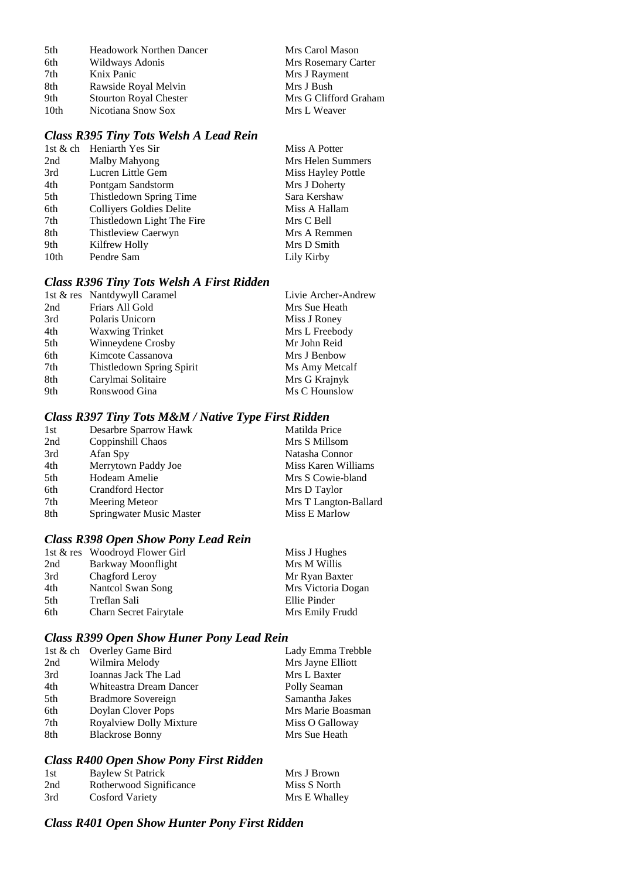| 5th              | <b>Headowork Northen Dancer</b> | Mrs Carol Mason       |
|------------------|---------------------------------|-----------------------|
| 6th              | Wildways Adonis                 | Mrs Rosemary Carter   |
| 7th              | Knix Panic                      | Mrs J Rayment         |
| 8th              | Rawside Royal Melvin            | Mrs J Bush            |
| 9th              | <b>Stourton Royal Chester</b>   | Mrs G Clifford Graham |
| 10 <sub>th</sub> | Nicotiana Snow Sox              | Mrs L Weaver          |

# *Class R395 Tiny Tots Welsh A Lead Rein*

|      | 1st & ch Heniarth Yes Sir  | Miss A Potter      |
|------|----------------------------|--------------------|
| 2nd  | Malby Mahyong              | Mrs Helen Summers  |
| 3rd  | Lucren Little Gem          | Miss Hayley Pottle |
| 4th  | Pontgam Sandstorm          | Mrs J Doherty      |
| 5th  | Thistledown Spring Time    | Sara Kershaw       |
| 6th  | Colliyers Goldies Delite   | Miss A Hallam      |
| 7th  | Thistledown Light The Fire | Mrs C Bell         |
| 8th  | Thistleview Caerwyn        | Mrs A Remmen       |
| 9th  | Kilfrew Holly              | Mrs D Smith        |
| 10th | Pendre Sam                 | Lily Kirby         |
|      |                            |                    |

## *Class R396 Tiny Tots Welsh A First Ridden*

|     | 1st & res Nantdywyll Caramel | Livie Archer-Andrew |
|-----|------------------------------|---------------------|
| 2nd | Friars All Gold              | Mrs Sue Heath       |
| 3rd | Polaris Unicorn              | Miss J Roney        |
| 4th | <b>Waxwing Trinket</b>       | Mrs L Freebody      |
| 5th | Winneydene Crosby            | Mr John Reid        |
| 6th | Kimcote Cassanova            | Mrs J Benbow        |
| 7th | Thistledown Spring Spirit    | Ms Amy Metcalf      |
| 8th | Carylmai Solitaire           | Mrs G Krajnyk       |
| 9th | Ronswood Gina                | Ms C Hounslow       |
|     |                              |                     |

## *Class R397 Tiny Tots M&M / Native Type First Ridden*

| Desarbre Sparrow Hawk    | Matilda Price         |
|--------------------------|-----------------------|
| Coppinshill Chaos        | Mrs S Millsom         |
| Afan Spy                 | Natasha Connor        |
| Merrytown Paddy Joe      | Miss Karen Williams   |
| Hodeam Amelie            | Mrs S Cowie-bland     |
| <b>Crandford Hector</b>  | Mrs D Taylor          |
| Meering Meteor           | Mrs T Langton-Ballard |
| Springwater Music Master | Miss E Marlow         |
|                          |                       |

# *Class R398 Open Show Pony Lead Rein*

|     | 1st & res Woodroyd Flower Girl | Miss J Hughes      |
|-----|--------------------------------|--------------------|
| 2nd | Barkway Moonflight             | Mrs M Willis       |
| 3rd | Chagford Leroy                 | Mr Ryan Baxter     |
| 4th | Nantcol Swan Song              | Mrs Victoria Dogan |
| 5th | Treflan Sali                   | Ellie Pinder       |
| 6th | Charn Secret Fairytale         | Mrs Emily Frudd    |

## *Class R399 Open Show Huner Pony Lead Rein*

|     | 1st & ch Overley Game Bird | Lady Emma Trebble |
|-----|----------------------------|-------------------|
| 2nd | Wilmira Melody             | Mrs Jayne Elliott |
| 3rd | Ioannas Jack The Lad       | Mrs L Baxter      |
| 4th | Whiteastra Dream Dancer    | Polly Seaman      |
| 5th | Bradmore Sovereign         | Samantha Jakes    |
| 6th | Doylan Clover Pops         | Mrs Marie Boasman |
| 7th | Royalview Dolly Mixture    | Miss O Galloway   |
| 8th | <b>Blackrose Bonny</b>     | Mrs Sue Heath     |

## *Class R400 Open Show Pony First Ridden*

| 1st | Baylew St Patrick       | Mrs J Brown   |
|-----|-------------------------|---------------|
| 2nd | Rotherwood Significance | Miss S North  |
| 3rd | <b>Cosford Variety</b>  | Mrs E Whalley |

# *Class R401 Open Show Hunter Pony First Ridden*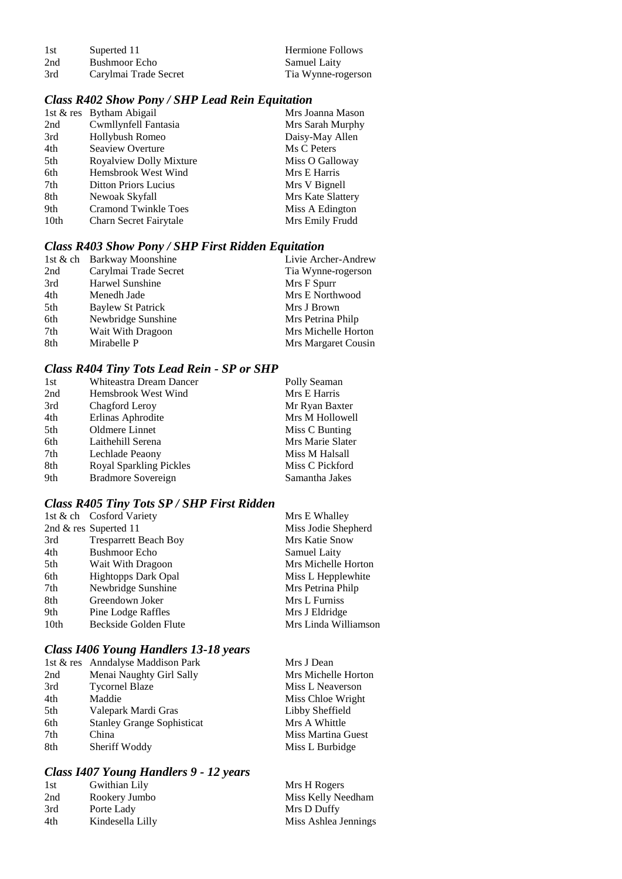| 1st | Superted 11           | <b>Hermione Follows</b> |
|-----|-----------------------|-------------------------|
| 2nd | Bushmoor Echo         | <b>Samuel Laity</b>     |
| 3rd | Carylmai Trade Secret | Tia Wynne-rogerson      |

## *Class R402 Show Pony / SHP Lead Rein Equitation*

|      | 1st & res Bytham Abigail    | Mrs Joanna Mason  |
|------|-----------------------------|-------------------|
| 2nd  | Cwmllynfell Fantasia        | Mrs Sarah Murphy  |
| 3rd  | Hollybush Romeo             | Daisy-May Allen   |
| 4th  | Seaview Overture            | Ms C Peters       |
| 5th  | Royalview Dolly Mixture     | Miss O Galloway   |
| 6th  | Hemsbrook West Wind         | Mrs E Harris      |
| 7th  | <b>Ditton Priors Lucius</b> | Mrs V Bignell     |
| 8th  | Newoak Skyfall              | Mrs Kate Slattery |
| 9th  | <b>Cramond Twinkle Toes</b> | Miss A Edington   |
| 10th | Charn Secret Fairytale      | Mrs Emily Frudd   |

## *Class R403 Show Pony / SHP First Ridden Equitation*

|     | 1st & ch Barkway Moonshine | Livie Archer-Andrew |
|-----|----------------------------|---------------------|
| 2nd | Carylmai Trade Secret      | Tia Wynne-rogerson  |
| 3rd | Harwel Sunshine            | Mrs F Spurr         |
| 4th | Menedh Jade                | Mrs E Northwood     |
| 5th | <b>Baylew St Patrick</b>   | Mrs J Brown         |
| 6th | Newbridge Sunshine         | Mrs Petrina Philp   |
| 7th | Wait With Dragoon          | Mrs Michelle Horton |
| 8th | Mirabelle P                | Mrs Margaret Cousin |

# *Class R404 Tiny Tots Lead Rein - SP or SHP*

| 1st | Whiteastra Dream Dancer        | Polly Seaman     |
|-----|--------------------------------|------------------|
| 2nd | Hemsbrook West Wind            | Mrs E Harris     |
| 3rd | Chagford Leroy                 | Mr Ryan Baxter   |
| 4th | Erlinas Aphrodite              | Mrs M Hollowell  |
| 5th | Oldmere Linnet                 | Miss C Bunting   |
| 6th | Laithehill Serena              | Mrs Marie Slater |
| 7th | Lechlade Peaony                | Miss M Halsall   |
| 8th | <b>Royal Sparkling Pickles</b> | Miss C Pickford  |
| 9th | Bradmore Sovereign             | Samantha Jakes   |

# *Class R405 Tiny Tots SP / SHP First Ridden*

|      | 1st & ch Cosford Variety     | Mrs E Whalley        |
|------|------------------------------|----------------------|
|      | 2nd $&$ res Superted 11      | Miss Jodie Shepherd  |
| 3rd  | <b>Tresparrett Beach Boy</b> | Mrs Katie Snow       |
| 4th  | <b>Bushmoor Echo</b>         | <b>Samuel Laity</b>  |
| 5th  | Wait With Dragoon            | Mrs Michelle Horton  |
| 6th  | <b>Hightopps Dark Opal</b>   | Miss L Hepplewhite   |
| 7th  | Newbridge Sunshine           | Mrs Petrina Philp    |
| 8th  | Greendown Joker              | Mrs L Furniss        |
| 9th  | Pine Lodge Raffles           | Mrs J Eldridge       |
| 10th | Beckside Golden Flute        | Mrs Linda Williamson |

# *Class I406 Young Handlers 13-18 years*

|     | 1st & res Anndalyse Maddison Park | Mrs J Dean          |
|-----|-----------------------------------|---------------------|
| 2nd | Menai Naughty Girl Sally          | Mrs Michelle Horton |
| 3rd | <b>Tycornel Blaze</b>             | Miss L Neaverson    |
| 4th | Maddie                            | Miss Chloe Wright   |
| 5th | Valepark Mardi Gras               | Libby Sheffield     |
| 6th | <b>Stanley Grange Sophisticat</b> | Mrs A Whittle       |
| 7th | China                             | Miss Martina Guest  |
| 8th | Sheriff Woddy                     | Miss L Burbidge     |
|     |                                   |                     |

## *Class I407 Young Handlers 9 - 12 years*

| 1st | Gwithian Lily    | Mrs H Rogers         |
|-----|------------------|----------------------|
| 2nd | Rookery Jumbo    | Miss Kelly Needham   |
| 3rd | Porte Lady       | Mrs D Duffy          |
| 4th | Kindesella Lilly | Miss Ashlea Jennings |
|     |                  |                      |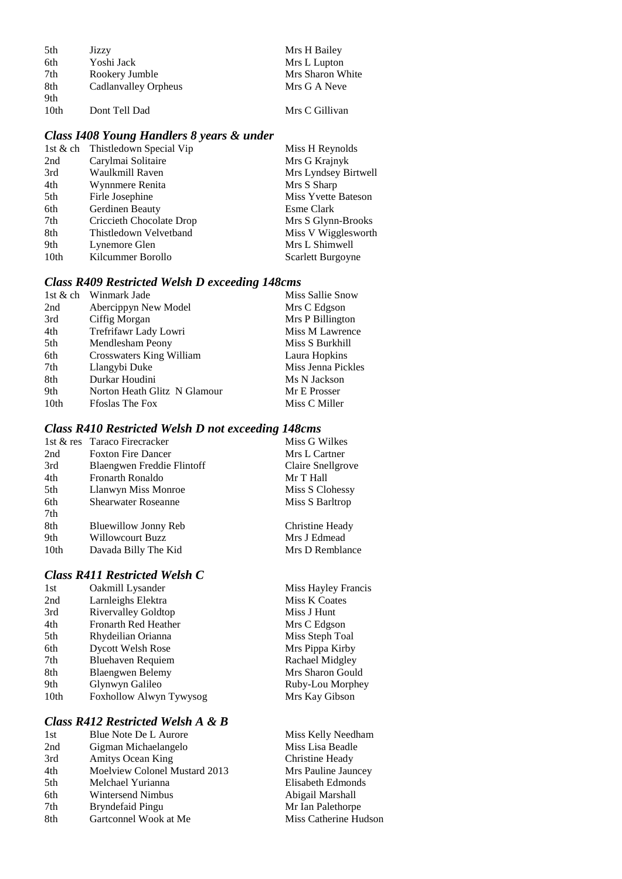| 5th | Jizzy                | Mrs H Bailey     |
|-----|----------------------|------------------|
| 6th | Yoshi Jack           | Mrs L Lupton     |
| 7th | Rookery Jumble       | Mrs Sharon White |
| 8th | Cadlanvalley Orpheus | Mrs G A Neve     |
| 9th |                      |                  |

10th Dont Tell Dad Mrs C Gillivan

## *Class I408 Young Handlers 8 years & under*

| 1st & ch Thistledown Special Vip | Miss H Reynolds            |
|----------------------------------|----------------------------|
| Carylmai Solitaire               | Mrs G Krajnyk              |
| Waulkmill Raven                  | Mrs Lyndsey Birtwell       |
| Wynnmere Renita                  | Mrs S Sharp                |
| Firle Josephine                  | <b>Miss Yvette Bateson</b> |
| Gerdinen Beauty                  | Esme Clark                 |
| Criccieth Chocolate Drop         | Mrs S Glynn-Brooks         |
| Thistledown Velvetband           | Miss V Wigglesworth        |
| Lynemore Glen                    | Mrs L Shimwell             |
| Kilcummer Borollo                | Scarlett Burgoyne          |
|                                  |                            |

## *Class R409 Restricted Welsh D exceeding 148cms*

| Winmark Jade                 | Miss Sallie Snow   |
|------------------------------|--------------------|
| Abercippyn New Model         | Mrs C Edgson       |
| Ciffig Morgan                | Mrs P Billington   |
| Trefrifawr Lady Lowri        | Miss M Lawrence    |
| Mendlesham Peony             | Miss S Burkhill    |
| Crosswaters King William     | Laura Hopkins      |
| Llangybi Duke                | Miss Jenna Pickles |
| Durkar Houdini               | Ms N Jackson       |
| Norton Heath Glitz N Glamour | Mr E Prosser       |
| <b>Ffoslas The Fox</b>       | Miss C Miller      |
|                              |                    |

## *Class R410 Restricted Welsh D not exceeding 148cms*

|      | 1st & res Taraco Firecracker | Miss G Wilkes     |
|------|------------------------------|-------------------|
| 2nd  | <b>Foxton Fire Dancer</b>    | Mrs L Cartner     |
| 3rd  | Blaengwen Freddie Flintoff   | Claire Snellgrove |
| 4th  | <b>Fronarth Ronaldo</b>      | Mr T Hall         |
| 5th  | Llanwyn Miss Monroe          | Miss S Clohessy   |
| 6th  | <b>Shearwater Roseanne</b>   | Miss S Barltrop   |
| 7th  |                              |                   |
| 8th  | Bluewillow Jonny Reb         | Christine Heady   |
| 9th  | Willowcourt Buzz             | Mrs J Edmead      |
| 10th | Davada Billy The Kid         | Mrs D Remblance   |

## *Class R411 Restricted Welsh C*

| 1st  | Oakmill Lysander            |
|------|-----------------------------|
| 2nd  | Larnleighs Elektra          |
| 3rd  | <b>Rivervalley Goldtop</b>  |
| 4th  | <b>Fronarth Red Heather</b> |
| 5th  | Rhydeilian Orianna          |
| 6th  | Dycott Welsh Rose           |
| 7th  | <b>Bluehaven Requiem</b>    |
| 8th  | <b>Blaengwen Belemy</b>     |
| 9th  | Glynwyn Galileo             |
| 10th | Foxhollow Alwyn Tywysog     |
|      |                             |

# *Class R412 Restricted Welsh A & B*

| 1st | Blue Note De L Aurore                |
|-----|--------------------------------------|
| 2nd | Gigman Michaelangelo                 |
| 3rd | Amitys Ocean King                    |
| 4th | <b>Moelview Colonel Mustard 2013</b> |
| 5th | Melchael Yurianna                    |
| 6th | <b>Wintersend Nimbus</b>             |
| 7th | Bryndefaid Pingu                     |
| 8th | Gartconnel Wook at Me                |
|     |                                      |

Miss Hayley Francis Miss K Coates Miss J Hunt Mrs C Edgson Miss Steph Toal Mrs Pippa Kirby Rachael Midgley Mrs Sharon Gould Ruby-Lou Morphey 10th Foxholm Foxholm Mrs Kay Gibson

> Miss Kelly Needham Miss Lisa Beadle **218** Christine Heady<br>3<br>**7** Mrs Pauline Jaur Mrs Pauline Jauncey Elisabeth Edmonds Abigail Marshall Mr Ian Palethorpe Miss Catherine Hudson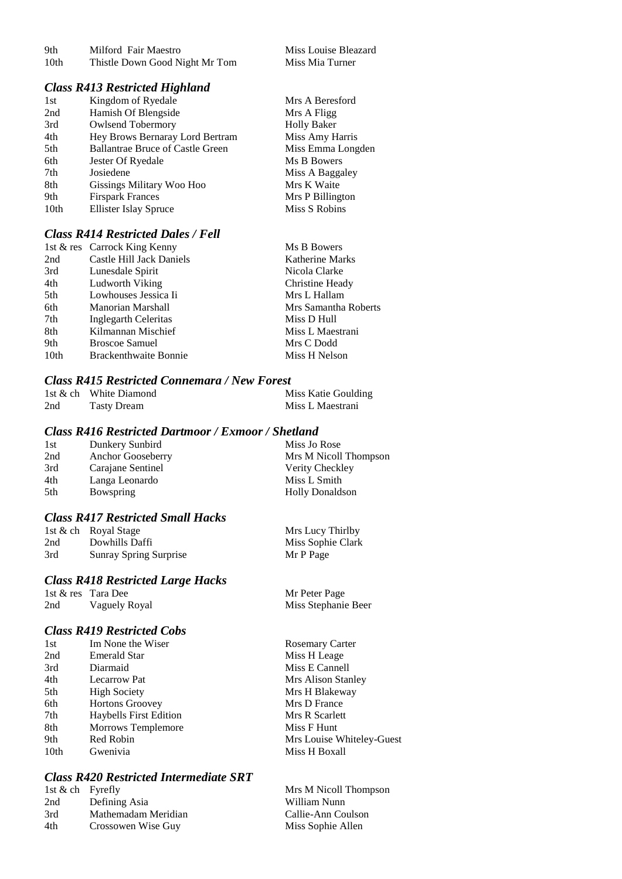| 9th              | Milford Fair Maestro           |
|------------------|--------------------------------|
| 10 <sub>th</sub> | Thistle Down Good Night Mr Tom |

### *Class R413 Restricted Highland*

| 1st  | Kingdom of Ryedale                      | Mrs A Beresford    |
|------|-----------------------------------------|--------------------|
| 2nd  | Hamish Of Blengside                     | Mrs A Fligg        |
| 3rd  | <b>Owlsend Tobermory</b>                | <b>Holly Baker</b> |
| 4th  | Hey Brows Bernaray Lord Bertram         | Miss Amy Harris    |
| 5th  | <b>Ballantrae Bruce of Castle Green</b> | Miss Emma Longden  |
| 6th  | Jester Of Ryedale                       | Ms B Bowers        |
| 7th  | Josiedene                               | Miss A Baggaley    |
| 8th  | Gissings Military Woo Hoo               | Mrs K Waite        |
| 9th  | <b>Firspark Frances</b>                 | Mrs P Billington   |
| 10th | <b>Ellister Islay Spruce</b>            | Miss S Robins      |
|      |                                         |                    |

Miss Louise Bleazard Miss Mia Turner

### *Class R414 Restricted Dales / Fell*

|                  | 1st & res Carrock King Kenny | Ms B Bowers            |
|------------------|------------------------------|------------------------|
| 2nd              | Castle Hill Jack Daniels     | <b>Katherine Marks</b> |
| 3rd              | Lunesdale Spirit             | Nicola Clarke          |
| 4th              | Ludworth Viking              | Christine Heady        |
| 5th              | Lowhouses Jessica Ii         | Mrs L Hallam           |
| 6th              | Manorian Marshall            | Mrs Samantha Roberts   |
| 7th              | Inglegarth Celeritas         | Miss D Hull            |
| 8th              | Kilmannan Mischief           | Miss L Maestrani       |
| 9th              | <b>Broscoe Samuel</b>        | Mrs C Dodd             |
| 10 <sub>th</sub> | <b>Brackenthwaite Bonnie</b> | Miss H Nelson          |

#### *Class R415 Restricted Connemara / New Forest*

|     | 1st & ch White Diamond | Miss Katie Goulding |
|-----|------------------------|---------------------|
| 2nd | <b>Tasty Dream</b>     | Miss L Maestrani    |

### *Class R416 Restricted Dartmoor / Exmoor / Shetland*

| 1st | Dunkery Sunbird   | Miss Jo Rose           |
|-----|-------------------|------------------------|
| 2nd | Anchor Gooseberry | Mrs M Nicoll Thompson  |
| 3rd | Carajane Sentinel | Verity Checkley        |
| 4th | Langa Leonardo    | Miss L Smith           |
| 5th | Bowspring         | <b>Holly Donaldson</b> |

### *Class R417 Restricted Small Hacks*

|     | 1st & ch Royal Stage          | Mrs Lucy Thirlby  |
|-----|-------------------------------|-------------------|
| 2nd | Dowhills Daffi                | Miss Sophie Clark |
| 3rd | <b>Sunray Spring Surprise</b> | Mr P Page         |

## *Class R418 Restricted Large Hacks*

|     | 1st & res Tara Dee | Mr Peter Page       |
|-----|--------------------|---------------------|
| 2nd | Vaguely Royal      | Miss Stephanie Beer |

### *Class R419 Restricted Cobs*

| 1st              | Im None the Wiser             | <b>Rosemary Carter</b>    |
|------------------|-------------------------------|---------------------------|
| 2nd              | <b>Emerald Star</b>           | Miss H Leage              |
| 3rd              | Diarmaid                      | Miss E Cannell            |
| 4th              | <b>Lecarrow Pat</b>           | Mrs Alison Stanley        |
| 5th              | <b>High Society</b>           | Mrs H Blakeway            |
| 6th              | <b>Hortons Groovey</b>        | Mrs D France              |
| 7th              | <b>Haybells First Edition</b> | Mrs R Scarlett            |
| 8th              | <b>Morrows Templemore</b>     | Miss F Hunt               |
| 9th              | Red Robin                     | Mrs Louise Whiteley-Guest |
| 10 <sub>th</sub> | Gwenivia                      | Miss H Boxall             |
|                  |                               |                           |

## *Class R420 Restricted Intermediate SRT*

| 1st & ch Fyrefly |                     | Mrs M Nicoll Thompson |
|------------------|---------------------|-----------------------|
| 2nd              | Defining Asia       | William Nunn          |
| 3rd              | Mathemadam Meridian | Callie-Ann Coulson    |
| 4th              | Crossowen Wise Guy  | Miss Sophie Allen     |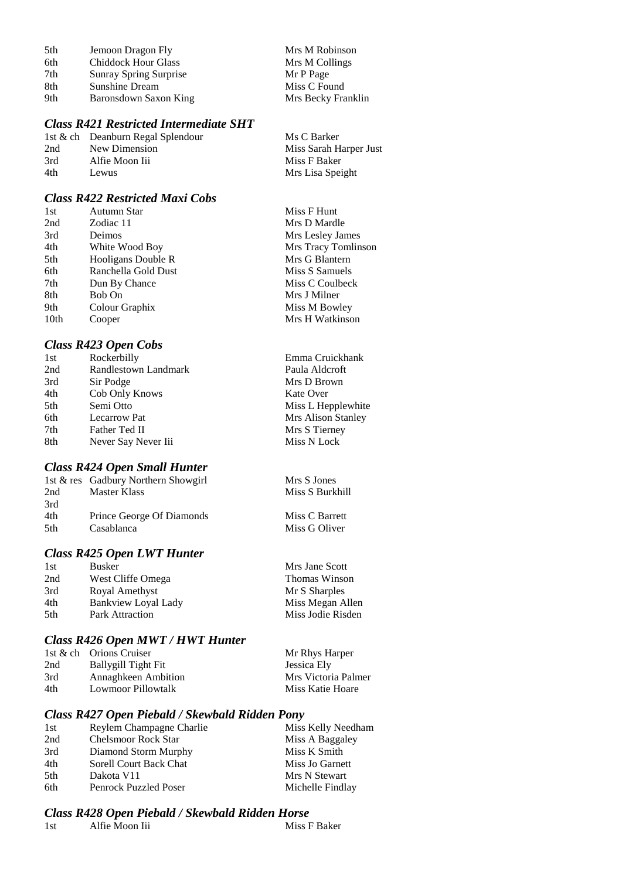| 5th | Jemoon Dragon Fly             | Mrs M Robinson     |
|-----|-------------------------------|--------------------|
| 6th | <b>Chiddock Hour Glass</b>    | Mrs M Collings     |
| 7th | <b>Sunray Spring Surprise</b> | Mr P Page          |
| 8th | <b>Sunshine Dream</b>         | Miss C Found       |
| 9th | Baronsdown Saxon King         | Mrs Becky Franklin |

## *Class R421 Restricted Intermediate SHT*

|                | Ms C Barker                       |
|----------------|-----------------------------------|
| New Dimension  | Miss Sarah Harper Just            |
| Alfie Moon Iii | Miss F Baker                      |
| Lewus          | Mrs Lisa Speight                  |
|                | 1st & ch Deanburn Regal Splendour |

## *Class R422 Restricted Maxi Cobs*

| 1st  | Autumn Star         | Miss F Hunt         |
|------|---------------------|---------------------|
| 2nd  | Zodiac 11           | Mrs D Mardle        |
| 3rd  | Deimos              | Mrs Lesley James    |
| 4th  | White Wood Boy      | Mrs Tracy Tomlinson |
| 5th  | Hooligans Double R  | Mrs G Blantern      |
| 6th  | Ranchella Gold Dust | Miss S Samuels      |
| 7th  | Dun By Chance       | Miss C Coulbeck     |
| 8th  | Bob On              | Mrs J Milner        |
| 9th  | Colour Graphix      | Miss M Bowley       |
| 10th | Cooper              | Mrs H Watkinson     |
|      |                     |                     |

### *Class R423 Open Cobs*

| 1st | Rockerbilly          | Emma Cruickhank    |
|-----|----------------------|--------------------|
| 2nd | Randlestown Landmark | Paula Aldcroft     |
| 3rd | Sir Podge            | Mrs D Brown        |
| 4th | Cob Only Knows       | Kate Over          |
| 5th | Semi Otto            | Miss L Hepplewhite |
| 6th | <b>Lecarrow Pat</b>  | Mrs Alison Stanley |
| 7th | Father Ted II        | Mrs S Tierney      |
| 8th | Never Say Never Iii  | Miss N Lock        |
|     |                      |                    |

S Burkhill

C Barrett G Oliver

### *Class R424 Open Small Hunter*

|      | 1st & res Gadbury Northern Showgirl | Mrs S Jones |
|------|-------------------------------------|-------------|
| 2nd  | Master Klass                        | Miss S Burk |
| 3rd  |                                     |             |
| 4th  | Prince George Of Diamonds           | Miss C Barr |
| .5th | Casablanca                          | Miss G Oliv |

### *Class R425 Open LWT Hunter*

| 1st | <b>Busker</b>          | Mrs Jane Scott       |
|-----|------------------------|----------------------|
| 2nd | West Cliffe Omega      | <b>Thomas Winson</b> |
| 3rd | Royal Amethyst         | Mr S Sharples        |
| 4th | Bankview Loyal Lady    | Miss Megan Allen     |
| 5th | <b>Park Attraction</b> | Miss Jodie Risden    |
|     |                        |                      |

### *Class R426 Open MWT / HWT Hunter*

|     | 1st & ch Orions Cruiser    | Mr Rhys Harper      |
|-----|----------------------------|---------------------|
| 2nd | Ballygill Tight Fit        | Jessica Ely         |
| 3rd | <b>Annaghkeen Ambition</b> | Mrs Victoria Palmer |
| 4th | Lowmoor Pillowtalk         | Miss Katie Hoare    |

## *Class R427 Open Piebald / Skewbald Ridden Pony*

| 1st | Reylem Champagne Charlie   | Miss Kelly Needham |
|-----|----------------------------|--------------------|
| 2nd | <b>Chelsmoor Rock Star</b> | Miss A Baggaley    |
| 3rd | Diamond Storm Murphy       | Miss K Smith       |
| 4th | Sorell Court Back Chat     | Miss Jo Garnett    |
| 5th | Dakota V11                 | Mrs N Stewart      |
| 6th | Penrock Puzzled Poser      | Michelle Findlay   |
|     |                            |                    |

# *Class R428 Open Piebald / Skewbald Ridden Horse*

| Miss F Baker<br>Alfie Moon Iii<br>1st |  |
|---------------------------------------|--|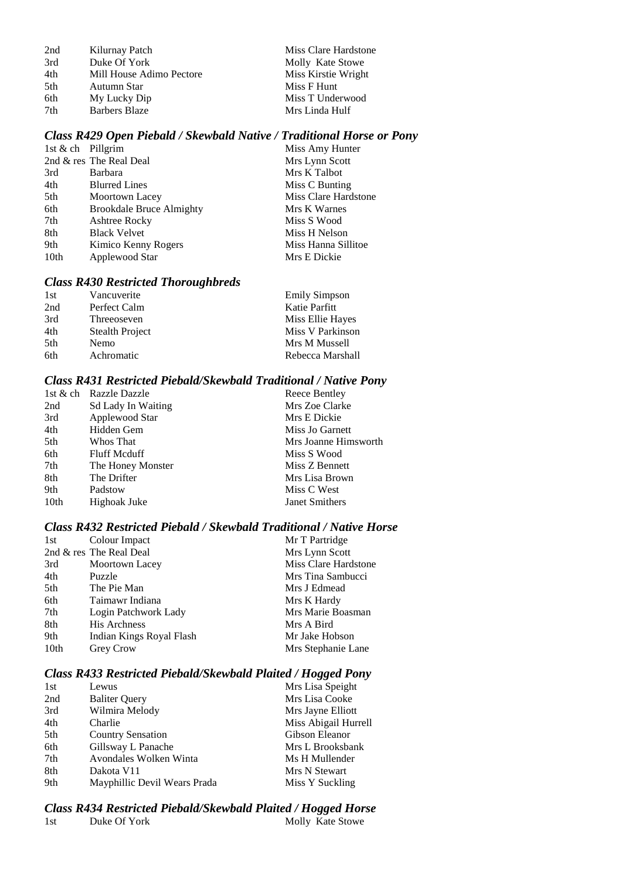| Kilurnay Patch           |
|--------------------------|
| Duke Of York             |
| Mill House Adimo Pectore |
| Autumn Star              |
| My Lucky Dip             |
| <b>Barbers Blaze</b>     |
|                          |

Miss Clare Hardstone Molly Kate Stowe Miss Kirstie Wright Miss F Hunt Miss T Underwood Mrs Linda Hulf

### *Class R429 Open Piebald / Skewbald Native / Traditional Horse or Pony*

| 1st & ch Pillgrim |                                 | Miss Amy Hunter      |
|-------------------|---------------------------------|----------------------|
|                   | 2nd & res The Real Deal         | Mrs Lynn Scott       |
| 3rd               | <b>Barbara</b>                  | Mrs K Talbot         |
| 4th               | <b>Blurred Lines</b>            | Miss C Bunting       |
| 5th               | Moortown Lacey                  | Miss Clare Hardstone |
| 6th               | <b>Brookdale Bruce Almighty</b> | Mrs K Warnes         |
| 7th               | Ashtree Rocky                   | Miss S Wood          |
| 8th               | <b>Black Velvet</b>             | Miss H Nelson        |
| 9th               | Kimico Kenny Rogers             | Miss Hanna Sillitoe  |
| 10th              | Applewood Star                  | Mrs E Dickie         |

### *Class R430 Restricted Thoroughbreds*

| 1st | Vancuverite     | <b>Emily Simpson</b> |
|-----|-----------------|----------------------|
| 2nd | Perfect Calm    | Katie Parfitt        |
| 3rd | Threeoseven     | Miss Ellie Hayes     |
| 4th | Stealth Project | Miss V Parkinson     |
| 5th | Nemo            | Mrs M Mussell        |
| 6th | Achromatic      | Rebecca Marshall     |

#### *Class R431 Restricted Piebald/Skewbald Traditional / Native Pony*

| 1st & ch Razzle Dazzle | Reece Bentley        |
|------------------------|----------------------|
| Sd Lady In Waiting     | Mrs Zoe Clarke       |
| Applewood Star         | Mrs E Dickie         |
| Hidden Gem             | Miss Jo Garnett      |
| Whos That              | Mrs Joanne Himsworth |
| <b>Fluff Mcduff</b>    | Miss S Wood          |
| The Honey Monster      | Miss Z Bennett       |
| The Drifter            | Mrs Lisa Brown       |
| Padstow                | Miss C West          |
| Highoak Juke           | Janet Smithers       |
|                        |                      |

#### *Class R432 Restricted Piebald / Skewbald Traditional / Native Horse*

| 1st              | Colour Impact            | Mr T Partridge       |
|------------------|--------------------------|----------------------|
|                  | 2nd & res The Real Deal  | Mrs Lynn Scott       |
| 3rd              | <b>Moortown Lacey</b>    | Miss Clare Hardstone |
| 4th              | Puzzle                   | Mrs Tina Sambucci    |
| 5th              | The Pie Man              | Mrs J Edmead         |
| 6th              | Taimawr Indiana          | Mrs K Hardy          |
| 7th              | Login Patchwork Lady     | Mrs Marie Boasman    |
| 8th              | <b>His Archness</b>      | Mrs A Bird           |
| 9th              | Indian Kings Royal Flash | Mr Jake Hobson       |
| 10 <sub>th</sub> | Grey Crow                | Mrs Stephanie Lane   |

## *Class R433 Restricted Piebald/Skewbald Plaited / Hogged Pony*

| 1st | Lewus                        | Mrs Lisa Speight     |
|-----|------------------------------|----------------------|
| 2nd | <b>Baliter Query</b>         | Mrs Lisa Cooke       |
| 3rd | Wilmira Melody               | Mrs Jayne Elliott    |
| 4th | Charlie                      | Miss Abigail Hurrell |
| 5th | <b>Country Sensation</b>     | Gibson Eleanor       |
| 6th | Gillsway L Panache           | Mrs L Brooksbank     |
| 7th | Avondales Wolken Winta       | Ms H Mullender       |
| 8th | Dakota V11                   | Mrs N Stewart        |
| 9th | Mayphillic Devil Wears Prada | Miss Y Suckling      |

### *Class R434 Restricted Piebald/Skewbald Plaited / Hogged Horse* Molly Kate Stowe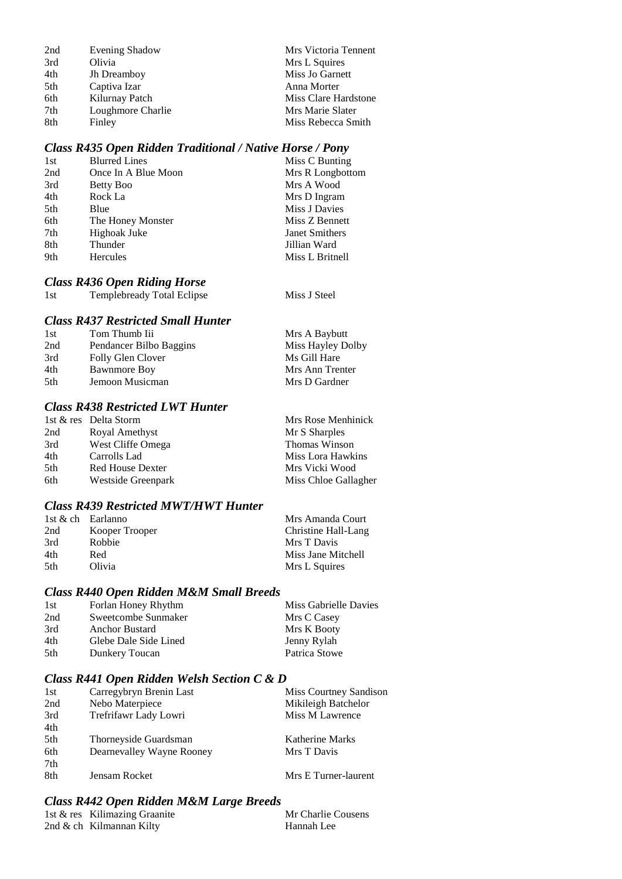| 2nd | Evening Shadow    | Mrs Victoria Tennent |
|-----|-------------------|----------------------|
| 3rd | Olivia            | Mrs L Squires        |
| 4th | Jh Dreamboy       | Miss Jo Garnett      |
| 5th | Captiva Izar      | Anna Morter          |
| 6th | Kilurnay Patch    | Miss Clare Hardstone |
| 7th | Loughmore Charlie | Mrs Marie Slater     |
| 8th | Finley            | Miss Rebecca Smith   |

## *Class R435 Open Ridden Traditional / Native Horse / Pony*

| 1st | <b>Blurred Lines</b> | Miss C Bunting        |
|-----|----------------------|-----------------------|
| 2nd | Once In A Blue Moon  | Mrs R Longbottom      |
| 3rd | Betty Boo            | Mrs A Wood            |
| 4th | Rock La              | Mrs D Ingram          |
| 5th | Blue                 | Miss J Davies         |
| 6th | The Honey Monster    | Miss Z Bennett        |
| 7th | Highoak Juke         | <b>Janet Smithers</b> |
| 8th | Thunder              | Jillian Ward          |
| 9th | Hercules             | Miss L Britnell       |
|     |                      |                       |

# *Class R436 Open Riding Horse*

| 1st | <b>Templebready Total Eclipse</b> | Miss J Steel |
|-----|-----------------------------------|--------------|
|-----|-----------------------------------|--------------|

## *Class R437 Restricted Small Hunter*

| Tom Thumb Iii           | Mrs A Baybutt     |
|-------------------------|-------------------|
| Pendancer Bilbo Baggins | Miss Hayley Dolby |
| Folly Glen Clover       | Ms Gill Hare      |
| Bawnmore Boy            | Mrs Ann Trenter   |
| Jemoon Musicman         | Mrs D Gardner     |
|                         |                   |

## *Class R438 Restricted LWT Hunter*

|     | 1st & res Delta Storm   | Mrs Rose Menhinick   |
|-----|-------------------------|----------------------|
| 2nd | Royal Amethyst          | Mr S Sharples        |
| 3rd | West Cliffe Omega       | Thomas Winson        |
| 4th | Carrolls Lad            | Miss Lora Hawkins    |
| 5th | <b>Red House Dexter</b> | Mrs Vicki Wood       |
| 6th | Westside Greenpark      | Miss Chloe Gallagher |

## *Class R439 Restricted MWT/HWT Hunter*

| 1st & ch Earlanno |                | Mrs Amanda Court    |
|-------------------|----------------|---------------------|
| 2nd               | Kooper Trooper | Christine Hall-Lang |
| 3rd               | <b>Robbie</b>  | Mrs T Davis         |
| 4th               | Red            | Miss Jane Mitchell  |
| .5th              | Olivia         | Mrs L Squires       |

## *Class R440 Open Ridden M&M Small Breeds*

| Forlan Honey Rhythm   | Miss Gabrielle Davies |
|-----------------------|-----------------------|
| Sweetcombe Sunmaker   | Mrs C Casey           |
| Anchor Bustard        | Mrs K Booty           |
| Glebe Dale Side Lined | Jenny Rylah           |
| Dunkery Toucan        | Patrica Stowe         |
|                       |                       |

### *Class R441 Open Ridden Welsh Section C & D*

| 1st | Carregybryn Brenin Last   | Miss Courtney Sandison |
|-----|---------------------------|------------------------|
| 2nd | Nebo Materpiece           | Mikileigh Batchelor    |
| 3rd | Trefrifawr Lady Lowri     | Miss M Lawrence        |
| 4th |                           |                        |
| 5th | Thorneyside Guardsman     | Katherine Marks        |
| 6th | Dearnevalley Wayne Rooney | Mrs T Davis            |
| 7th |                           |                        |
| 8th | Jensam Rocket             | Mrs E Turner-laurent   |

### *Class R442 Open Ridden M&M Large Breeds*

| 1st & res Kilimazing Graanite | Mr Charlie Cousens |
|-------------------------------|--------------------|
| 2nd $\&$ ch Kilmannan Kilty   | Hannah Lee         |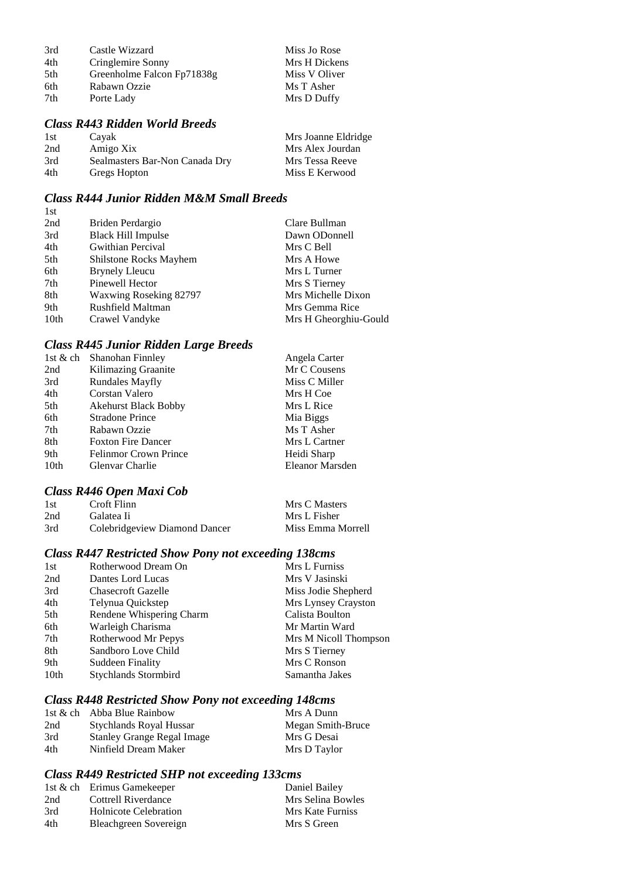| 3rd | Castle Wizzard             | Miss Jo Rose  |
|-----|----------------------------|---------------|
| 4th | Cringlemire Sonny          | Mrs H Dickens |
| 5th | Greenholme Falcon Fp71838g | Miss V Oliver |
| 6th | Rabawn Ozzie               | Ms T Asher    |
| 7th | Porte Lady                 | Mrs D Duffy   |

## *Class R443 Ridden World Breeds*

| 1st | Cayak                          | Mrs Joanne Eldridge |
|-----|--------------------------------|---------------------|
| 2nd | Amigo Xix                      | Mrs Alex Jourdan    |
| 3rd | Sealmasters Bar-Non Canada Dry | Mrs Tessa Reeve     |
| 4th | Gregs Hopton                   | Miss E Kerwood      |

## *Class R444 Junior Ridden M&M Small Breeds*

| 2nd  | Briden Perdargio              | Clare Bullman         |
|------|-------------------------------|-----------------------|
| 3rd  | <b>Black Hill Impulse</b>     | Dawn ODonnell         |
| 4th  | Gwithian Percival             | Mrs C Bell            |
| 5th  | <b>Shilstone Rocks Mayhem</b> | Mrs A Howe            |
| 6th  | <b>Brynely Lleucu</b>         | Mrs L Turner          |
| 7th  | Pinewell Hector               | Mrs S Tierney         |
| 8th  | Waxwing Roseking 82797        | Mrs Michelle Dixon    |
| 9th  | Rushfield Maltman             | Mrs Gemma Rice        |
| 10th | Crawel Vandyke                | Mrs H Gheorghiu-Gould |

## *Class R445 Junior Ridden Large Breeds*

|      | 1st & ch Shanohan Finnley   | Angela Carter   |
|------|-----------------------------|-----------------|
| 2nd  | Kilimazing Graanite         | Mr C Cousens    |
| 3rd  | <b>Rundales Mayfly</b>      | Miss C Miller   |
| 4th  | Corstan Valero              | Mrs H Coe       |
| 5th  | <b>Akehurst Black Bobby</b> | Mrs L Rice      |
| 6th  | <b>Stradone Prince</b>      | Mia Biggs       |
| 7th  | Rabawn Ozzie                | Ms T Asher      |
| 8th  | <b>Foxton Fire Dancer</b>   | Mrs L Cartner   |
| 9th  | Felinmor Crown Prince       | Heidi Sharp     |
| 10th | Glenvar Charlie             | Eleanor Marsden |
|      |                             |                 |

# *Class R446 Open Maxi Cob*

| 1st | Croft Flinn                   | Mrs C Masters     |
|-----|-------------------------------|-------------------|
| 2nd | Galatea Ii                    | Mrs L Fisher      |
| 3rd | Colebridgeview Diamond Dancer | Miss Emma Morrell |

## *Class R447 Restricted Show Pony not exceeding 138cms*

| 1st  | Rotherwood Dream On       | Mrs L Furniss         |
|------|---------------------------|-----------------------|
| 2nd  | Dantes Lord Lucas         | Mrs V Jasinski        |
| 3rd  | <b>Chasecroft Gazelle</b> | Miss Jodie Shepherd   |
| 4th  | Telynua Quickstep         | Mrs Lynsey Crayston   |
| 5th  | Rendene Whispering Charm  | Calista Boulton       |
| 6th  | Warleigh Charisma         | Mr Martin Ward        |
| 7th  | Rotherwood Mr Pepys       | Mrs M Nicoll Thompson |
| 8th  | Sandboro Love Child       | Mrs S Tierney         |
| 9th  | <b>Suddeen Finality</b>   | Mrs C Ronson          |
| 10th | Stychlands Stormbird      | Samantha Jakes        |

## *Class R448 Restricted Show Pony not exceeding 148cms*

|     | 1st & ch Abba Blue Rainbow | Mrs A Dunn        |
|-----|----------------------------|-------------------|
| 2nd | Stychlands Royal Hussar    | Megan Smith-Bruce |
| 3rd | Stanley Grange Regal Image | Mrs G Desai       |
| 4th | Ninfield Dream Maker       | Mrs D Taylor      |

# *Class R449 Restricted SHP not exceeding 133cms*

|     | 1st & ch Erimus Gamekeeper   | Daniel Bailey     |
|-----|------------------------------|-------------------|
| 2nd | Cottrell Riverdance          | Mrs Selina Bowles |
| 3rd | <b>Holnicote Celebration</b> | Mrs Kate Furniss  |
| 4th | Bleachgreen Sovereign        | Mrs S Green       |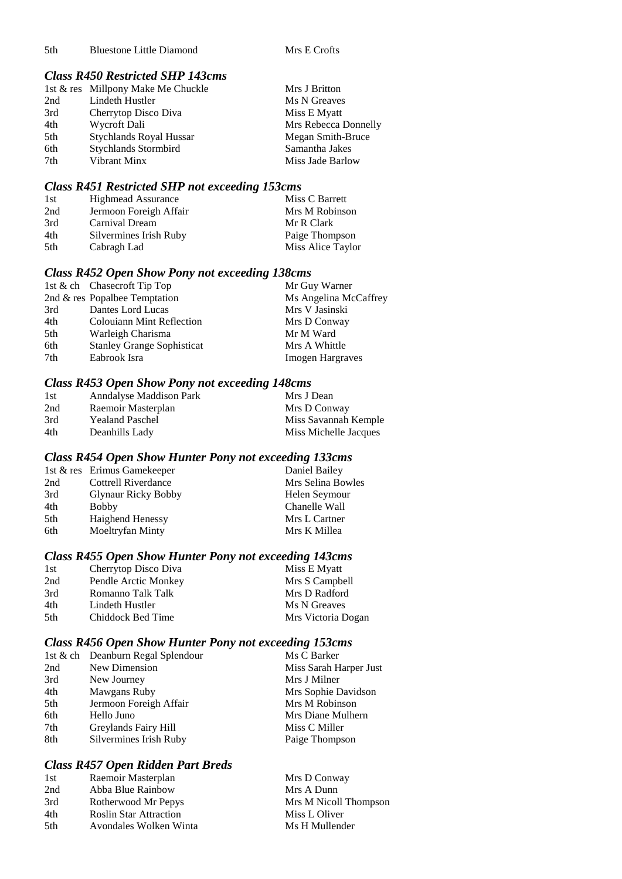5th Bluestone Little Diamond Mrs E Crofts

## *Class R450 Restricted SHP 143cms*

|     | 1st & res Millpony Make Me Chuckle | Mrs J Britton        |
|-----|------------------------------------|----------------------|
| 2nd | Lindeth Hustler                    | Ms N Greaves         |
| 3rd | Cherrytop Disco Diva               | Miss E Myatt         |
| 4th | Wycroft Dali                       | Mrs Rebecca Donnelly |
| 5th | <b>Stychlands Royal Hussar</b>     | Megan Smith-Bruce    |
| 6th | <b>Stychlands Stormbird</b>        | Samantha Jakes       |
| 7th | Vibrant Minx                       | Miss Jade Barlow     |

## *Class R451 Restricted SHP not exceeding 153cms*

| 1st | <b>Highmead Assurance</b> | Miss C Barrett    |
|-----|---------------------------|-------------------|
| 2nd | Jermoon Foreigh Affair    | Mrs M Robinson    |
| 3rd | Carnival Dream            | Mr R Clark        |
| 4th | Silvermines Irish Ruby    | Paige Thompson    |
| 5th | Cabragh Lad               | Miss Alice Taylor |

### *Class R452 Open Show Pony not exceeding 138cms*

|     | 1st & ch Chasecroft Tip Top       | Mr Guy Warner           |
|-----|-----------------------------------|-------------------------|
|     | 2nd & res Popalbee Temptation     | Ms Angelina McCaffrey   |
| 3rd | Dantes Lord Lucas                 | Mrs V Jasinski          |
| 4th | <b>Colouiann Mint Reflection</b>  | Mrs D Conway            |
| 5th | Warleigh Charisma                 | Mr M Ward               |
| 6th | <b>Stanley Grange Sophisticat</b> | Mrs A Whittle           |
| 7th | Eabrook Isra                      | <b>Imogen Hargraves</b> |

### *Class R453 Open Show Pony not exceeding 148cms*

| 1st | Anndalyse Maddison Park | Mrs J Dean            |
|-----|-------------------------|-----------------------|
| 2nd | Raemoir Masterplan      | Mrs D Conway          |
| 3rd | <b>Yealand Paschel</b>  | Miss Savannah Kemple  |
| 4th | Deanhills Lady          | Miss Michelle Jacques |

### *Class R454 Open Show Hunter Pony not exceeding 133cms*

|                            | Daniel Bailey               |
|----------------------------|-----------------------------|
| Cottrell Riverdance        | Mrs Selina Bowles           |
| <b>Glynaur Ricky Bobby</b> | Helen Seymour               |
| <b>Bobby</b>               | Chanelle Wall               |
| <b>Haighend Henessy</b>    | Mrs L Cartner               |
| Moeltryfan Minty           | Mrs K Millea                |
|                            | 1st & res Erimus Gamekeeper |

# *Class R455 Open Show Hunter Pony not exceeding 143cms*

| 1st  | Cherrytop Disco Diva | Miss E Myatt       |
|------|----------------------|--------------------|
| 2nd  | Pendle Arctic Monkey | Mrs S Campbell     |
| 3rd  | Romanno Talk Talk    | Mrs D Radford      |
| 4th  | Lindeth Hustler      | Ms N Greaves       |
| .5th | Chiddock Bed Time    | Mrs Victoria Dogan |

## *Class R456 Open Show Hunter Pony not exceeding 153cms*

|     | 1st & ch Deanburn Regal Splendour | Ms C Barker            |
|-----|-----------------------------------|------------------------|
| 2nd | New Dimension                     | Miss Sarah Harper Just |
| 3rd | New Journey                       | Mrs J Milner           |
| 4th | Mawgans Ruby                      | Mrs Sophie Davidson    |
| 5th | Jermoon Foreigh Affair            | Mrs M Robinson         |
| 6th | Hello Juno                        | Mrs Diane Mulhern      |
| 7th | Greylands Fairy Hill              | Miss C Miller          |
| 8th | Silvermines Irish Ruby            | Paige Thompson         |

## *Class R457 Open Ridden Part Breds*

| 1st | Raemoir Masterplan            | Mrs D Conway          |
|-----|-------------------------------|-----------------------|
| 2nd | Abba Blue Rainbow             | Mrs A Dunn            |
| 3rd | Rotherwood Mr Pepys           | Mrs M Nicoll Thompson |
| 4th | <b>Roslin Star Attraction</b> | Miss L Oliver         |
| 5th | Avondales Wolken Winta        | Ms H Mullender        |
|     |                               |                       |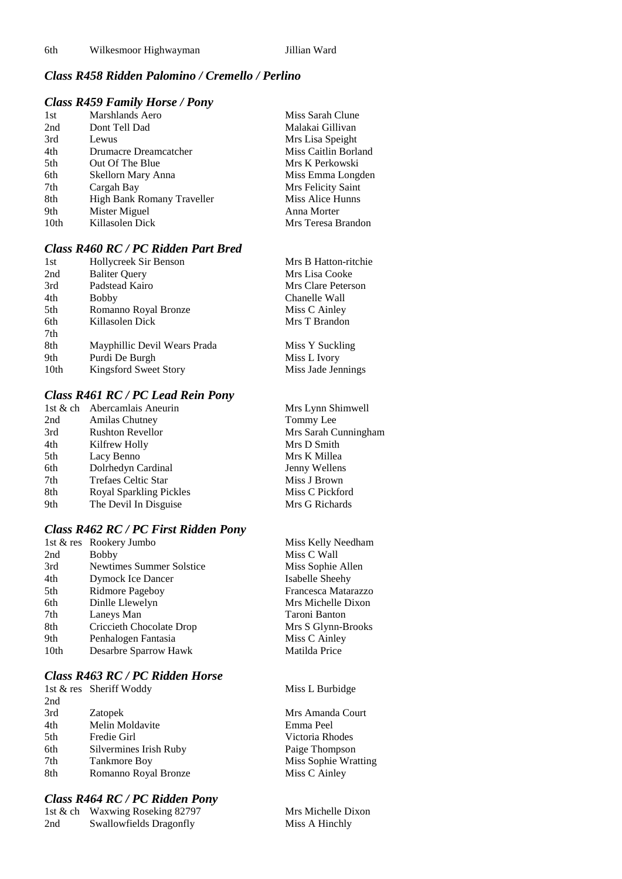## *Class R458 Ridden Palomino / Cremello / Perlino*

### *Class R459 Family Horse / Pony*

| 1st  | Marshlands Aero            | Miss Sarah Clune     |
|------|----------------------------|----------------------|
| 2nd  | Dont Tell Dad              | Malakai Gillivan     |
| 3rd  | Lewus                      | Mrs Lisa Speight     |
| 4th  | Drumacre Dreamcatcher      | Miss Caitlin Borland |
| 5th  | Out Of The Blue            | Mrs K Perkowski      |
| 6th  | Skellorn Mary Anna         | Miss Emma Longden    |
| 7th  | Cargah Bay                 | Mrs Felicity Saint   |
| 8th  | High Bank Romany Traveller | Miss Alice Hunns     |
| 9th  | Mister Miguel              | Anna Morter          |
| 10th | Killasolen Dick            | Mrs Teresa Brandon   |

## *Class R460 RC / PC Ridden Part Bred*

| 1st  | Hollycreek Sir Benson        | Mrs B Hatton-ritchie |
|------|------------------------------|----------------------|
| 2nd  | <b>Baliter Query</b>         | Mrs Lisa Cooke       |
| 3rd  | Padstead Kairo               | Mrs Clare Peterson   |
| 4th  | <b>Bobby</b>                 | Chanelle Wall        |
| 5th  | Romanno Royal Bronze         | Miss C Ainley        |
| 6th  | Killasolen Dick              | Mrs T Brandon        |
| 7th  |                              |                      |
| 8th  | Mayphillic Devil Wears Prada | Miss Y Suckling      |
| 9th  | Purdi De Burgh               | Miss L Ivory         |
| 10th | Kingsford Sweet Story        | Miss Jade Jennings   |

### *Class R461 RC / PC Lead Rein Pony*

|     | 1st & ch Abercamlais Aneurin | Mrs Lynn Shimwell    |
|-----|------------------------------|----------------------|
| 2nd | Amilas Chutney               | Tommy Lee            |
| 3rd | <b>Rushton Revellor</b>      | Mrs Sarah Cunningham |
| 4th | Kilfrew Holly                | Mrs D Smith          |
| 5th | Lacy Benno                   | Mrs K Millea         |
| 6th | Dolrhedyn Cardinal           | Jenny Wellens        |
| 7th | Trefaes Celtic Star          | Miss J Brown         |
| 8th | Royal Sparkling Pickles      | Miss C Pickford      |
| 9th | The Devil In Disguise        | Mrs G Richards       |
|     |                              |                      |

#### *Class R462 RC / PC First Ridden Pony*

|      | 1st & res Rookery Jumbo  | Miss Kelly Ne  |
|------|--------------------------|----------------|
| 2nd  | <b>Bobby</b>             | Miss C Wall    |
| 3rd  | Newtimes Summer Solstice | Miss Sophie A  |
| 4th  | <b>Dymock Ice Dancer</b> | Isabelle Sheeh |
| 5th  | Ridmore Pageboy          | Francesca Mat  |
| 6th  | Dinlle Llewelyn          | Mrs Michelle   |
| 7th  | Laneys Man               | Taroni Banton  |
| 8th  | Criccieth Chocolate Drop | Mrs S Glynn-I  |
| 9th  | Penhalogen Fantasia      | Miss C Ainley  |
| 10th | Desarbre Sparrow Hawk    | Matilda Price  |
|      |                          |                |

#### *Class R463 RC / PC Ridden Horse*

|     | 1st & res Sheriff Woddy | Miss L Burbidge |
|-----|-------------------------|-----------------|
| 2nd |                         |                 |
| 3rd | Zatopek                 | Mrs Amanda Co   |
| 4th | Melin Moldavite         | Emma Peel       |
| 5th | Fredie Girl             | Victoria Rhodes |
| 6th | Silvermines Irish Ruby  | Paige Thompson  |
| 7th | <b>Tankmore Boy</b>     | Miss Sophie Wra |
| 8th | Romanno Royal Bronze    | Miss C Ainley   |
|     |                         |                 |

### *Class R464 RC / PC Ridden Pony*

|     | 1st & ch Waxwing Roseking 82797 |
|-----|---------------------------------|
| 2nd | <b>Swallowfields Dragonfly</b>  |

Kelly Needha<mark>m</mark><br>C Wall Sophie Allen le Sheehy esca Matarazzo Iichelle Dixon Glynn-Brooks  $\overline{C}$  Ainley

da Court ie Wratting

Mrs Michelle Dixon Miss A Hinchly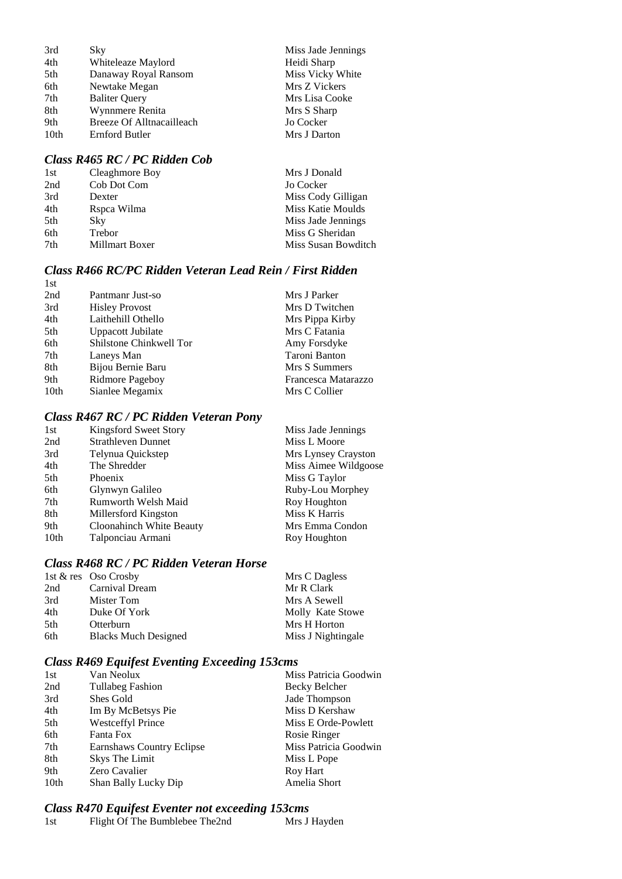| 3rd              | Sky                       | Miss Jade Jennings |
|------------------|---------------------------|--------------------|
| 4th              | Whiteleaze Maylord        | Heidi Sharp        |
| 5th              | Danaway Royal Ransom      | Miss Vicky White   |
| 6th              | Newtake Megan             | Mrs Z Vickers      |
| 7th              | <b>Baliter Query</b>      | Mrs Lisa Cooke     |
| 8th              | Wynnmere Renita           | Mrs S Sharp        |
| 9th              | Breeze Of Alltnacailleach | Jo Cocker          |
| 10 <sub>th</sub> | Ernford Butler            | Mrs J Darton       |
|                  |                           |                    |

### *Class R465 RC / PC Ridden Cob*

| 1st | Cleaghmore Boy | Mrs J Donald        |
|-----|----------------|---------------------|
| 2nd | Cob Dot Com    | Jo Cocker           |
| 3rd | Dexter         | Miss Cody Gilligan  |
| 4th | Rspca Wilma    | Miss Katie Moulds   |
| 5th | Sky            | Miss Jade Jennings  |
| 6th | Trebor         | Miss G Sheridan     |
| 7th | Millmart Boxer | Miss Susan Bowditch |
|     |                |                     |

#### *Class R466 RC/PC Ridden Veteran Lead Rein / First Ridden* 1st

| 2nd  | Pantmanr Just-so        | Mrs J Parker        |
|------|-------------------------|---------------------|
| 3rd  | <b>Hisley Provost</b>   | Mrs D Twitchen      |
| 4th  | Laithehill Othello      | Mrs Pippa Kirby     |
| 5th  | Uppacott Jubilate       | Mrs C Fatania       |
| 6th  | Shilstone Chinkwell Tor | Amy Forsdyke        |
| 7th  | Laneys Man              | Taroni Banton       |
| 8th  | Bijou Bernie Baru       | Mrs S Summers       |
| 9th  | Ridmore Pageboy         | Francesca Matarazzo |
| 10th | Sianlee Megamix         | Mrs C Collier       |

## *Class R467 RC / PC Ridden Veteran Pony*

| 1st  | Kingsford Sweet Story     | Miss Jade Jennings   |
|------|---------------------------|----------------------|
| 2nd  | <b>Strathleven Dunnet</b> | Miss L Moore         |
| 3rd  | Telynua Quickstep         | Mrs Lynsey Crayston  |
| 4th  | The Shredder              | Miss Aimee Wildgoose |
| 5th  | Phoenix                   | Miss G Taylor        |
| 6th  | Glynwyn Galileo           | Ruby-Lou Morphey     |
| 7th  | Rumworth Welsh Maid       | Roy Houghton         |
| 8th  | Millersford Kingston      | Miss K Harris        |
| 9th  | Cloonahinch White Beauty  | Mrs Emma Condon      |
| 10th | Talponciau Armani         | Roy Houghton         |
|      |                           |                      |

## *Class R468 RC / PC Ridden Veteran Horse*

|      | 1st $\&$ res Oso Crosby     | Mrs C Dagless      |
|------|-----------------------------|--------------------|
| 2nd  | Carnival Dream              | Mr R Clark         |
| 3rd  | Mister Tom                  | Mrs A Sewell       |
| 4th  | Duke Of York                | Molly Kate Stowe   |
| .5th | Otterburn                   | Mrs H Horton       |
| 6th  | <b>Blacks Much Designed</b> | Miss J Nightingale |

# *Class R469 Equifest Eventing Exceeding 153cms*

| 1st  | Van Neolux                | Miss Patricia Goodwin |
|------|---------------------------|-----------------------|
| 2nd  | <b>Tullabeg Fashion</b>   | Becky Belcher         |
| 3rd  | Shes Gold                 | Jade Thompson         |
| 4th  | Im By McBetsys Pie        | Miss D Kershaw        |
| 5th  | <b>Westceffyl Prince</b>  | Miss E Orde-Powlett   |
| 6th  | Fanta Fox                 | Rosie Ringer          |
| 7th  | Earnshaws Country Eclipse | Miss Patricia Goodwin |
| 8th  | Skys The Limit            | Miss L Pope           |
| 9th  | Zero Cavalier             | Roy Hart              |
| 10th | Shan Bally Lucky Dip      | Amelia Short          |
|      |                           |                       |

# *Class R470 Equifest Eventer not exceeding 153cms*

| 1st | Flight Of The Bumblebee The2nd | Mrs J Hayden |
|-----|--------------------------------|--------------|
|     |                                |              |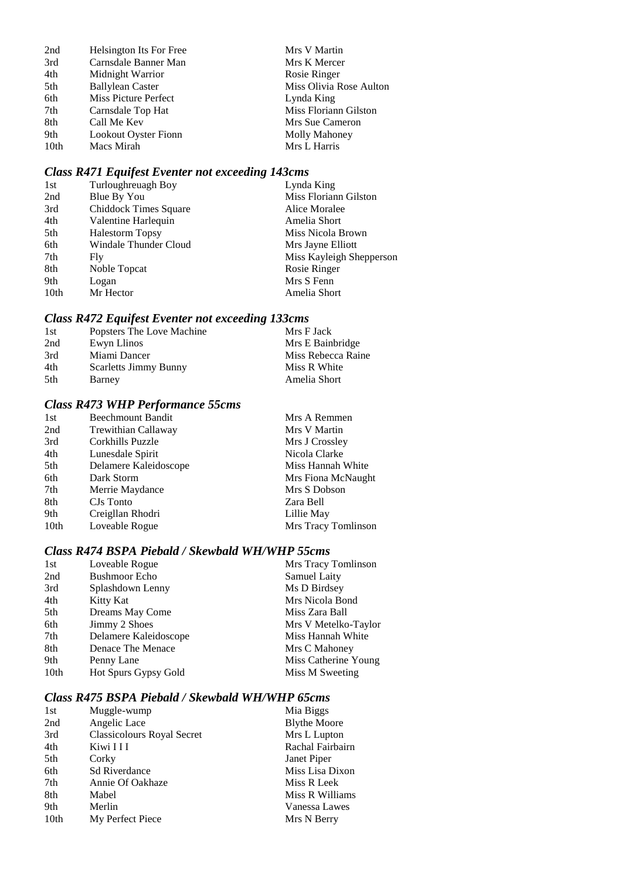| 2nd  | Helsington Its For Free     | Mrs V Martin            |
|------|-----------------------------|-------------------------|
| 3rd  | Carnsdale Banner Man        | Mrs K Mercer            |
| 4th  | Midnight Warrior            | Rosie Ringer            |
| 5th  | <b>Ballylean Caster</b>     | Miss Olivia Rose Aulton |
| 6th  | <b>Miss Picture Perfect</b> | Lynda King              |
| 7th  | Carnsdale Top Hat           | Miss Floriann Gilston   |
| 8th  | Call Me Kev                 | Mrs Sue Cameron         |
| 9th  | <b>Lookout Oyster Fionn</b> | Molly Mahoney           |
| 10th | Macs Mirah                  | Mrs L Harris            |

# *Class R471 Equifest Eventer not exceeding 143cms*

| 1st              | Turloughreuagh Boy     | Lynda King               |
|------------------|------------------------|--------------------------|
| 2nd              | Blue By You            | Miss Floriann Gilston    |
| 3rd              | Chiddock Times Square  | Alice Moralee            |
| 4th              | Valentine Harlequin    | Amelia Short             |
| 5th              | <b>Halestorm Topsy</b> | Miss Nicola Brown        |
| 6th              | Windale Thunder Cloud  | Mrs Jayne Elliott        |
| 7th              | Fly                    | Miss Kayleigh Shepperson |
| 8th              | Noble Topcat           | Rosie Ringer             |
| 9th              | Logan                  | Mrs S Fenn               |
| 10 <sub>th</sub> | Mr Hector              | Amelia Short             |

# *Class R472 Equifest Eventer not exceeding 133cms*

| 1st | Popsters The Love Machine    | Mrs F Jack         |
|-----|------------------------------|--------------------|
| 2nd | Ewyn Llinos                  | Mrs E Bainbridge   |
| 3rd | Miami Dancer                 | Miss Rebecca Raine |
| 4th | <b>Scarletts Jimmy Bunny</b> | Miss R White       |
| 5th | Barney                       | Amelia Short       |

## *Class R473 WHP Performance 55cms*

| 1st  | <b>Beechmount Bandit</b> | Mrs A Remmen        |
|------|--------------------------|---------------------|
| 2nd  | Trewithian Callaway      | Mrs V Martin        |
| 3rd  | Corkhills Puzzle         | Mrs J Crossley      |
| 4th  | Lunesdale Spirit         | Nicola Clarke       |
| 5th  | Delamere Kaleidoscope    | Miss Hannah White   |
| 6th  | Dark Storm               | Mrs Fiona McNaught  |
| 7th  | Merrie Maydance          | Mrs S Dobson        |
| 8th  | CJs Tonto                | Zara Bell           |
| 9th  | Creigllan Rhodri         | Lillie May          |
| 10th | Loveable Rogue           | Mrs Tracy Tomlinson |

### *Class R474 BSPA Piebald / Skewbald WH/WHP 55cms*

| 1st  | Loveable Rogue        | Mrs Tracy Tomlinson  |
|------|-----------------------|----------------------|
| 2nd  | <b>Bushmoor Echo</b>  | Samuel Laity         |
| 3rd  | Splashdown Lenny      | Ms D Birdsey         |
| 4th  | Kitty Kat             | Mrs Nicola Bond      |
| 5th  | Dreams May Come       | Miss Zara Ball       |
| 6th  | Jimmy 2 Shoes         | Mrs V Metelko-Taylor |
| 7th  | Delamere Kaleidoscope | Miss Hannah White    |
| 8th  | Denace The Menace     | Mrs C Mahoney        |
| 9th  | Penny Lane            | Miss Catherine Young |
| 10th | Hot Spurs Gypsy Gold  | Miss M Sweeting      |

### *Class R475 BSPA Piebald / Skewbald WH/WHP 65cms*

| 1st              | Muggle-wump                       | Mia Biggs           |
|------------------|-----------------------------------|---------------------|
| 2nd              | Angelic Lace                      | <b>Blythe Moore</b> |
| 3rd              | <b>Classicolours Royal Secret</b> | Mrs L Lupton        |
| 4th              | Kiwi I I I                        | Rachal Fairbairn    |
| 5th              | Corky                             | Janet Piper         |
| 6th              | <b>Sd Riverdance</b>              | Miss Lisa Dixon     |
| 7th              | Annie Of Oakhaze                  | Miss R Leek         |
| 8th              | Mabel                             | Miss R Williams     |
| 9th              | Merlin                            | Vanessa Lawes       |
| 10 <sub>th</sub> | My Perfect Piece                  | Mrs N Berry         |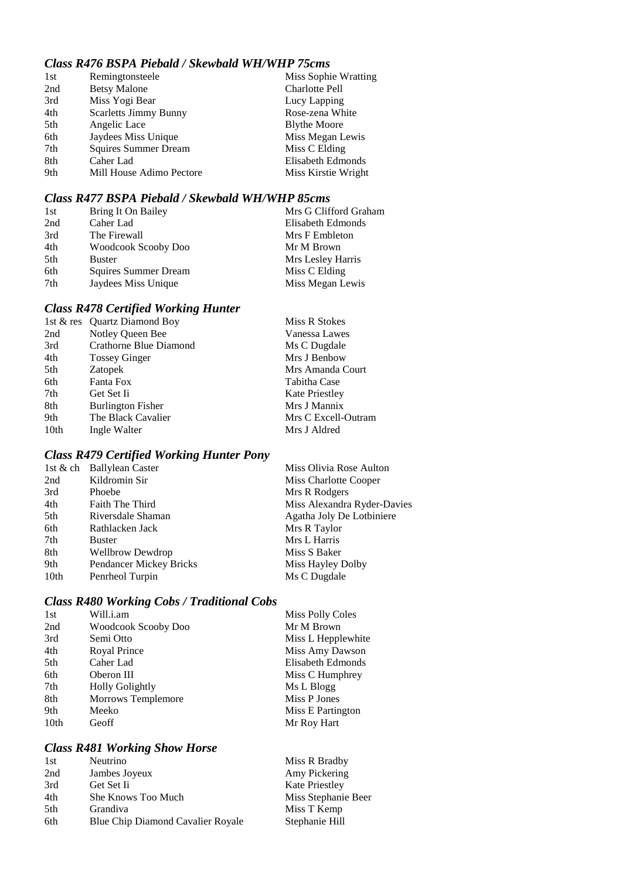## *Class R476 BSPA Piebald / Skewbald WH/WHP 75cms*

| 1st | Remingtonsteele              | Miss Sophie Wratting  |
|-----|------------------------------|-----------------------|
| 2nd | <b>Betsy Malone</b>          | <b>Charlotte Pell</b> |
| 3rd | Miss Yogi Bear               | Lucy Lapping          |
| 4th | <b>Scarletts Jimmy Bunny</b> | Rose-zena White       |
| 5th | Angelic Lace                 | <b>Blythe Moore</b>   |
| 6th | Jaydees Miss Unique          | Miss Megan Lewis      |
| 7th | <b>Squires Summer Dream</b>  | Miss C Elding         |
| 8th | Caher Lad                    | Elisabeth Edmonds     |
| 9th | Mill House Adimo Pectore     | Miss Kirstie Wright   |

## *Class R477 BSPA Piebald / Skewbald WH/WHP 85cms*

| 1st | Bring It On Bailey   | Mrs G Clifford Graham |
|-----|----------------------|-----------------------|
| 2nd | Caher Lad            | Elisabeth Edmonds     |
| 3rd | The Firewall         | Mrs F Embleton        |
| 4th | Woodcook Scooby Doo  | Mr M Brown            |
| 5th | <b>Buster</b>        | Mrs Lesley Harris     |
| 6th | Squires Summer Dream | Miss C Elding         |
| 7th | Jaydees Miss Unique  | Miss Megan Lewis      |

# *Class R478 Certified Working Hunter*

|      | 1st & res Quartz Diamond Boy | Miss R Stokes         |
|------|------------------------------|-----------------------|
| 2nd  | Notley Queen Bee             | Vanessa Lawes         |
| 3rd  | Crathorne Blue Diamond       | Ms C Dugdale          |
| 4th  | <b>Tossey Ginger</b>         | Mrs J Benbow          |
| 5th  | Zatopek                      | Mrs Amanda Court      |
| 6th  | Fanta Fox                    | Tabitha Case          |
| 7th  | Get Set Ii                   | <b>Kate Priestley</b> |
| 8th  | <b>Burlington Fisher</b>     | Mrs J Mannix          |
| 9th  | The Black Cavalier           | Mrs C Excell-Outram   |
| 10th | Ingle Walter                 | Mrs J Aldred          |

# *Class R479 Certified Working Hunter Pony*

| 1st & ch Ballylean Caster | Miss Olivia Rose Aulton     |
|---------------------------|-----------------------------|
| Kildromin Sir             | Miss Charlotte Cooper       |
| Phoebe                    | Mrs R Rodgers               |
| Faith The Third           | Miss Alexandra Ryder-Davies |
| Riversdale Shaman         | Agatha Joly De Lotbiniere   |
| Rathlacken Jack           | Mrs R Taylor                |
| <b>Buster</b>             | Mrs L Harris                |
| <b>Wellbrow Dewdrop</b>   | Miss S Baker                |
| Pendancer Mickey Bricks   | Miss Hayley Dolby           |
| Penrheol Turpin           | Ms C Dugdale                |
|                           |                             |

# *Class R480 Working Cobs / Traditional Cobs*

| <b>Miss Polly Coles</b> |
|-------------------------|
| Mr M Brown              |
| Miss L Hepplewhite      |
| Miss Amy Dawson         |
| Elisabeth Edmonds       |
| Miss C Humphrey         |
| Ms L Blogg              |
| Miss P Jones            |
| Miss E Partington       |
| Mr Roy Hart             |
|                         |

## *Class R481 Working Show Horse*

| Miss R Bradby         |
|-----------------------|
| Amy Pickering         |
| <b>Kate Priestley</b> |
| Miss Stephanie Beer   |
| Miss T Kemp           |
| Stephanie Hill        |
|                       |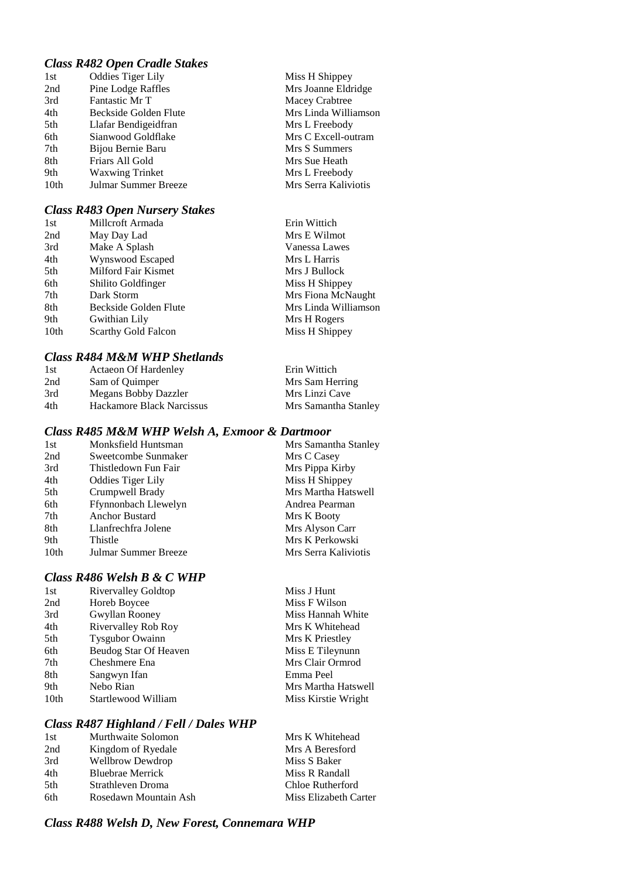### *Class R482 Open Cradle Stakes*

| 1st              | <b>Oddies Tiger Lily</b> |
|------------------|--------------------------|
| 2nd              | Pine Lodge Raffles       |
| 3rd              | Fantastic Mr T           |
| 4th              | Beckside Golden Flute    |
| 5th              | Llafar Bendigeidfran     |
| 6th              | Sianwood Goldflake       |
| 7th              | Bijou Bernie Baru        |
| 8th              | Friars All Gold          |
| 9th              | <b>Waxwing Trinket</b>   |
| 10 <sub>th</sub> | Julmar Summer Breeze     |
|                  |                          |

#### *Class R483 Open Nursery Stakes*

| 1st  | Millcroft Armada           | Erin Wittich         |
|------|----------------------------|----------------------|
| 2nd  | May Day Lad                | Mrs E Wilmot         |
| 3rd  | Make A Splash              | Vanessa Lawes        |
| 4th  | Wynswood Escaped           | Mrs L Harris         |
| 5th  | Milford Fair Kismet        | Mrs J Bullock        |
| 6th  | Shilito Goldfinger         | Miss H Shippey       |
| 7th  | Dark Storm                 | Mrs Fiona McNaught   |
| 8th  | Beckside Golden Flute      | Mrs Linda Williamson |
| 9th  | Gwithian Lily              | Mrs H Rogers         |
| 10th | <b>Scarthy Gold Falcon</b> | Miss H Shippey       |

Miss H Shippey Mrs Joanne Eldridge Macey Crabtree Mrs Linda Williamson Mrs L Freebody Mrs C Excell-outram Mrs S Summers Mrs Sue Heath Mrs L Freebody Mrs Serra Kaliviotis

#### *Class R484 M&M WHP Shetlands*

| 1st | <b>Actaeon Of Hardenley</b> | Erin Wittich         |
|-----|-----------------------------|----------------------|
| 2nd | Sam of Ouimper              | Mrs Sam Herring      |
| 3rd | Megans Bobby Dazzler        | Mrs Linzi Cave       |
| 4th | Hackamore Black Narcissus   | Mrs Samantha Stanley |

### *Class R485 M&M WHP Welsh A, Exmoor & Dartmoor*

| 1st  | Monksfield Huntsman      | Mrs Samantha Stanley |
|------|--------------------------|----------------------|
| 2nd  | Sweetcombe Sunmaker      | Mrs C Casey          |
| 3rd  | Thistledown Fun Fair     | Mrs Pippa Kirby      |
| 4th  | <b>Oddies Tiger Lily</b> | Miss H Shippey       |
| 5th  | Crumpwell Brady          | Mrs Martha Hatswell  |
| 6th  | Ffynnonbach Llewelyn     | Andrea Pearman       |
| 7th  | <b>Anchor Bustard</b>    | Mrs K Booty          |
| 8th  | Llanfrechfra Jolene      | Mrs Alyson Carr      |
| 9th  | Thistle                  | Mrs K Perkowski      |
| 10th | Julmar Summer Breeze     | Mrs Serra Kaliviotis |

## *Class R486 Welsh B & C WHP*

| 1st              | <b>Rivervalley Goldtop</b> | Miss J Hunt         |
|------------------|----------------------------|---------------------|
| 2nd              | Horeb Boycee               | Miss F Wilson       |
| 3rd              | Gwyllan Rooney             | Miss Hannah White   |
| 4th              | Rivervalley Rob Roy        | Mrs K Whitehead     |
| 5th              | <b>Tysgubor Owainn</b>     | Mrs K Priestley     |
| 6th              | Beudog Star Of Heaven      | Miss E Tileynunn    |
| 7th              | Cheshmere Ena              | Mrs Clair Ormrod    |
| 8th              | Sangwyn Ifan               | Emma Peel           |
| 9th              | Nebo Rian                  | Mrs Martha Hatswell |
| 10 <sub>th</sub> | Startlewood William        | Miss Kirstie Wright |
|                  |                            |                     |

### *Class R487 Highland / Fell / Dales WHP*

| 1st | Murthwaite Solomon      | Mrs K Whitehead       |
|-----|-------------------------|-----------------------|
| 2nd | Kingdom of Ryedale      | Mrs A Beresford       |
| 3rd | <b>Wellbrow Dewdrop</b> | Miss S Baker          |
| 4th | <b>Bluebrae Merrick</b> | Miss R Randall        |
| 5th | Strathleven Droma       | Chloe Rutherford      |
| 6th | Rosedawn Mountain Ash   | Miss Elizabeth Carter |

### *Class R488 Welsh D, New Forest, Connemara WHP*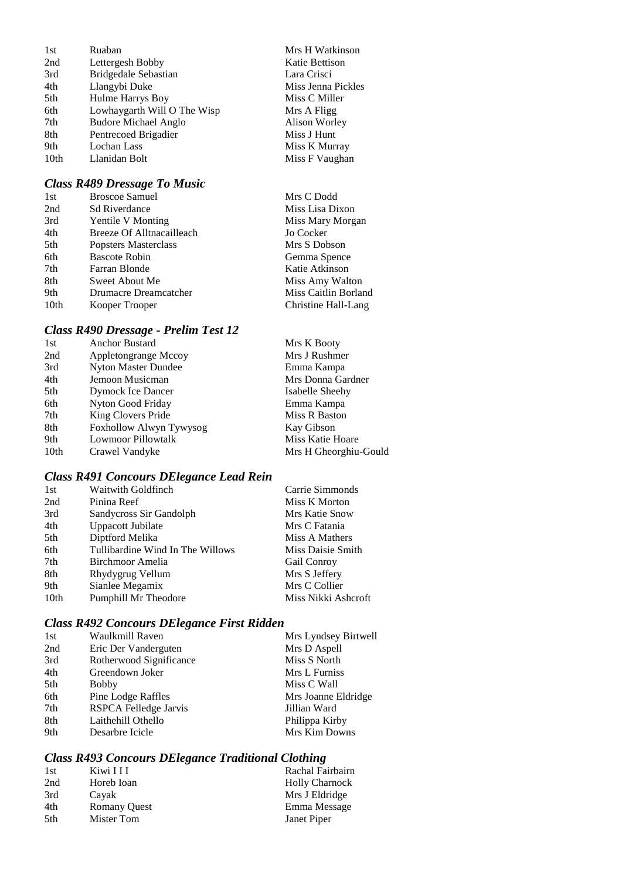| 1st              | Ruaban                      |
|------------------|-----------------------------|
| 2nd              | Lettergesh Bobby            |
| 3rd              | Bridgedale Sebastian        |
| 4th              | Llangybi Duke               |
| 5th              | Hulme Harrys Boy            |
| 6th              | Lowhaygarth Will O The Wisp |
| 7th              | <b>Budore Michael Anglo</b> |
| 8th              | Pentrecoed Brigadier        |
| 9th              | Lochan Lass                 |
| 10 <sub>th</sub> | Llanidan Bolt               |
|                  |                             |

## *Class R489 Dressage To Music*

| 1st              | <b>Broscoe Samuel</b>     | Mrs C Dodd           |
|------------------|---------------------------|----------------------|
| 2nd              | <b>Sd Riverdance</b>      | Miss Lisa Dixon      |
| 3rd              | <b>Yentile V Monting</b>  | Miss Mary Morgan     |
| 4th              | Breeze Of Alltnacailleach | Jo Cocker            |
| 5th              | Popsters Masterclass      | Mrs S Dobson         |
| 6th              | <b>Bascote Robin</b>      | Gemma Spence         |
| 7th              | Farran Blonde             | Katie Atkinson       |
| 8th              | Sweet About Me            | Miss Amy Walton      |
| 9th              | Drumacre Dreamcatcher     | Miss Caitlin Borland |
| 10 <sub>th</sub> | Kooper Trooper            | Christine Hall-Lang  |

Mrs H Watkinson Katie Bettison Lara Crisci Miss Jenna Pickles Miss C Miller Mrs A Fligg Alison Worley Miss J Hunt Miss K Murray Miss F Vaughan

## *Class R490 Dressage - Prelim Test 12*

| <b>Anchor Bustard</b>     | Mrs K Booty           |
|---------------------------|-----------------------|
| Appletongrange Mccoy      | Mrs J Rushmer         |
| Nyton Master Dundee       | Emma Kampa            |
| Jemoon Musicman           | Mrs Donna Gardner     |
| Dymock Ice Dancer         | Isabelle Sheehy       |
| Nyton Good Friday         | Emma Kampa            |
| King Clovers Pride        | Miss R Baston         |
| Foxhollow Alwyn Tywysog   | Kay Gibson            |
| <b>Lowmoor Pillowtalk</b> | Miss Katie Hoare      |
| Crawel Vandyke            | Mrs H Gheorghiu-Gould |
|                           |                       |

# *Class R491 Concours DElegance Lead Rein*

| 1st  | <b>Waitwith Goldfinch</b>        | Carrie Simmonds     |
|------|----------------------------------|---------------------|
| 2nd  | Pinina Reef                      | Miss K Morton       |
| 3rd  | Sandycross Sir Gandolph          | Mrs Katie Snow      |
| 4th  | Uppacott Jubilate                | Mrs C Fatania       |
| 5th  | Diptford Melika                  | Miss A Mathers      |
| 6th  | Tullibardine Wind In The Willows | Miss Daisie Smith   |
| 7th  | Birchmoor Amelia                 | <b>Gail Conroy</b>  |
| 8th  | Rhydygrug Vellum                 | Mrs S Jeffery       |
| 9th  | Sianlee Megamix                  | Mrs C Collier       |
| 10th | Pumphill Mr Theodore             | Miss Nikki Ashcroft |

## *Class R492 Concours DElegance First Ridden*

| 1st | Waulkmill Raven         | Mrs Lyndsey Birtwell |
|-----|-------------------------|----------------------|
| 2nd | Eric Der Vanderguten    | Mrs D Aspell         |
| 3rd | Rotherwood Significance | Miss S North         |
| 4th | Greendown Joker         | Mrs L Furniss        |
| 5th | <b>Bobby</b>            | Miss C Wall          |
| 6th | Pine Lodge Raffles      | Mrs Joanne Eldridge  |
| 7th | RSPCA Felledge Jarvis   | Jillian Ward         |
| 8th | Laithehill Othello      | Philippa Kirby       |
| 9th | Desarbre Icicle         | Mrs Kim Downs        |

## *Class R493 Concours DElegance Traditional Clothing*

| Kiwi I I I          | Rachal Fairbairn      |
|---------------------|-----------------------|
| Horeb Ioan          | <b>Holly Charnock</b> |
| Cayak               | Mrs J Eldridge        |
| <b>Romany Ouest</b> | Emma Message          |
| Mister Tom          | Janet Piper           |
|                     |                       |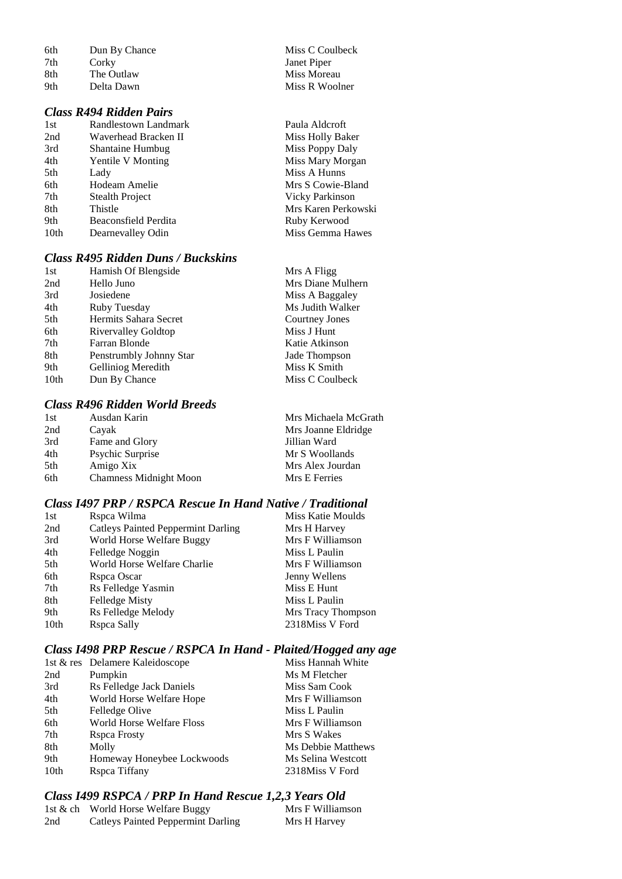| 6th | Dun By Chance |
|-----|---------------|
| 7th | Corky         |
| 8th | The Outlaw    |
| 9th | Delta Dawn    |

### *Class R494 Ridden Pairs*

| 1st              | Randlestown Landmark     |
|------------------|--------------------------|
| 2nd              | Waverhead Bracken II     |
| 3rd              | <b>Shantaine Humbug</b>  |
| 4th              | <b>Yentile V Monting</b> |
| 5th              | Lady                     |
| 6th              | Hodeam Amelie            |
| 7th              | <b>Stealth Project</b>   |
| 8th              | Thistle                  |
| 9th              | Beaconsfield Perdita     |
| 10 <sub>th</sub> | Dearnevalley Odin        |

## *Class R495 Ridden Duns / Buckskins*

| 1st  | Hamish Of Blengside     | Mrs A Fligg       |
|------|-------------------------|-------------------|
| 2nd  | Hello Juno              | Mrs Diane Mulhern |
| 3rd  | Josiedene               | Miss A Baggaley   |
| 4th  | Ruby Tuesday            | Ms Judith Walker  |
| 5th  | Hermits Sahara Secret   | Courtney Jones    |
| 6th  | Rivervalley Goldtop     | Miss J Hunt       |
| 7th  | Farran Blonde           | Katie Atkinson    |
| 8th  | Penstrumbly Johnny Star | Jade Thompson     |
| 9th  | Gelliniog Meredith      | Miss K Smith      |
| 10th | Dun By Chance           | Miss C Coulbeck   |
|      |                         |                   |

## *Class R496 Ridden World Breeds*

| 1st | Ausdan Karin                  | Mrs Michaela McGrath |
|-----|-------------------------------|----------------------|
| 2nd | Cayak                         | Mrs Joanne Eldridge  |
| 3rd | Fame and Glory                | Jillian Ward         |
| 4th | Psychic Surprise              | Mr S Woollands       |
| 5th | Amigo Xix                     | Mrs Alex Jourdan     |
| 6th | <b>Chamness Midnight Moon</b> | Mrs E Ferries        |
|     |                               |                      |

## *Class I497 PRP / RSPCA Rescue In Hand Native / Traditional*

| 1st  | Rspca Wilma                               | Miss Katie Moulds  |
|------|-------------------------------------------|--------------------|
| 2nd  | <b>Catleys Painted Peppermint Darling</b> | Mrs H Harvey       |
| 3rd  | World Horse Welfare Buggy                 | Mrs F Williamson   |
| 4th  | Felledge Noggin                           | Miss L Paulin      |
| 5th  | World Horse Welfare Charlie               | Mrs F Williamson   |
| 6th  | Rspca Oscar                               | Jenny Wellens      |
| 7th  | Rs Felledge Yasmin                        | Miss E Hunt        |
| 8th  | Felledge Misty                            | Miss L Paulin      |
| 9th  | Rs Felledge Melody                        | Mrs Tracy Thompson |
| 10th | Rspca Sally                               | 2318Miss V Ford    |

## *Class I498 PRP Rescue / RSPCA In Hand - Plaited/Hogged any age*

|      | 1st & res Delamere Kaleidoscope  | Miss Hannah White  |
|------|----------------------------------|--------------------|
| 2nd  | Pumpkin                          | Ms M Fletcher      |
| 3rd  | Rs Felledge Jack Daniels         | Miss Sam Cook      |
| 4th  | World Horse Welfare Hope         | Mrs F Williamson   |
| 5th  | Felledge Olive                   | Miss L Paulin      |
| 6th  | <b>World Horse Welfare Floss</b> | Mrs F Williamson   |
| 7th  | Rspca Frosty                     | Mrs S Wakes        |
| 8th  | Molly                            | Ms Debbie Matthews |
| 9th  | Homeway Honeybee Lockwoods       | Ms Selina Westcott |
| 10th | Rspea Tiffany                    | 2318Miss V Ford    |

## *Class I499 RSPCA / PRP In Hand Rescue 1,2,3 Years Old*

|     | 1st & ch World Horse Welfare Buggy        | Mrs F Williamson |
|-----|-------------------------------------------|------------------|
| 2nd | <b>Catleys Painted Peppermint Darling</b> | Mrs H Harvey     |

Miss C Coulbeck Janet Piper Miss Moreau Miss R Woolner

Paula Aldcroft Miss Holly Baker Miss Poppy Daly Miss Mary Morgan Miss A Hunns Mrs S Cowie-Bland Vicky Parkinson Mrs Karen Perkowski Ruby Kerwood Miss Gemma Hawes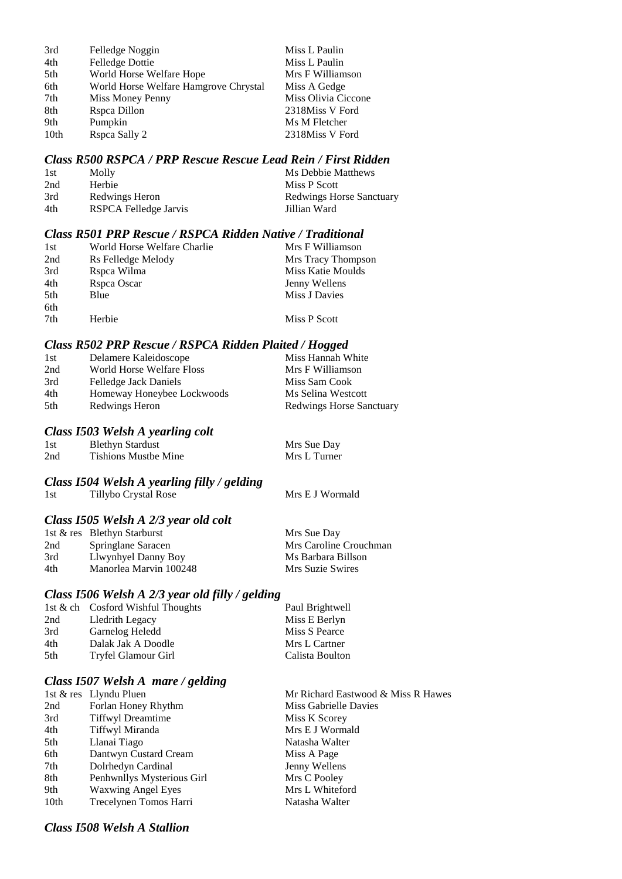| 3rd  | Felledge Noggin                       | Miss L Paulin       |
|------|---------------------------------------|---------------------|
| 4th  | <b>Felledge Dottie</b>                | Miss L Paulin       |
| 5th  | World Horse Welfare Hope              | Mrs F Williamson    |
| 6th  | World Horse Welfare Hamgrove Chrystal | Miss A Gedge        |
| 7th  | Miss Money Penny                      | Miss Olivia Ciccone |
| 8th  | Rspca Dillon                          | 2318Miss V Ford     |
| 9th  | Pumpkin                               | Ms M Fletcher       |
| 10th | Rspca Sally 2                         | 2318Miss V Ford     |

#### *Class R500 RSPCA / PRP Rescue Rescue Lead Rein / First Ridden*

| 1st | Molly                 | Ms Debbie Matthews              |
|-----|-----------------------|---------------------------------|
| 2nd | Herbie                | Miss P Scott                    |
| 3rd | Redwings Heron        | <b>Redwings Horse Sanctuary</b> |
| 4th | RSPCA Felledge Jarvis | Jillian Ward                    |

#### *Class R501 PRP Rescue / RSPCA Ridden Native / Traditional*

| 1st | World Horse Welfare Charlie | Mrs F Williamson   |
|-----|-----------------------------|--------------------|
| 2nd | Rs Felledge Melody          | Mrs Tracy Thompson |
| 3rd | Rspca Wilma                 | Miss Katie Moulds  |
| 4th | Rspca Oscar                 | Jenny Wellens      |
| 5th | Blue                        | Miss J Davies      |
| 6th |                             |                    |
| 7th | Herbie                      | Miss P Scott       |

#### *Class R502 PRP Rescue / RSPCA Ridden Plaited / Hogged*

| Delamere Kaleidoscope        | Miss Hannah White               |
|------------------------------|---------------------------------|
| World Horse Welfare Floss    | Mrs F Williamson                |
| <b>Felledge Jack Daniels</b> | Miss Sam Cook                   |
| Homeway Honeybee Lockwoods   | Ms Selina Westcott              |
| Redwings Heron               | <b>Redwings Horse Sanctuary</b> |
|                              |                                 |

#### *Class I503 Welsh A yearling colt*

| 1st | <b>Blethyn Stardust</b>     | Mrs Sue Day  |
|-----|-----------------------------|--------------|
| 2nd | <b>Tishions Mustbe Mine</b> | Mrs L Turner |

#### *Class I504 Welsh A yearling filly / gelding*

| 1st | Tillybo Crystal Rose | Mrs E J Wormald |
|-----|----------------------|-----------------|
|-----|----------------------|-----------------|

### *Class I505 Welsh A 2/3 year old colt*

|     | 1st & res Blethyn Starburst | Mrs Sue Day            |
|-----|-----------------------------|------------------------|
| 2nd | Springlane Saracen          | Mrs Caroline Crouchman |
| 3rd | Llwynhyel Danny Boy         | Ms Barbara Billson     |
| 4th | Manorlea Marvin 100248      | Mrs Suzie Swires       |

#### *Class I506 Welsh A 2/3 year old filly / gelding*

|                     | Paul Brightwell                   |
|---------------------|-----------------------------------|
| Lledrith Legacy     | Miss E Berlyn                     |
| Garnelog Heledd     | Miss S Pearce                     |
| Dalak Jak A Doodle  | Mrs L Cartner                     |
| Tryfel Glamour Girl | Calista Boulton                   |
|                     | 1st & ch Cosford Wishful Thoughts |

## *Class I507 Welsh A mare / gelding*

|                  | 1st & res Llyndu Pluen     | Mr Richard East  |
|------------------|----------------------------|------------------|
| 2nd              | Forlan Honey Rhythm        | Miss Gabrielle I |
| 3rd              | <b>Tiffwyl Dreamtime</b>   | Miss K Scorey    |
| 4th              | Tiffwyl Miranda            | Mrs E J Wormal   |
| 5th              | Llanai Tiago               | Natasha Walter   |
| 6th              | Dantwyn Custard Cream      | Miss A Page      |
| 7th              | Dolrhedyn Cardinal         | Jenny Wellens    |
| 8th              | Penhwnllys Mysterious Girl | Mrs C Pooley     |
| 9th              | <b>Waxwing Angel Eyes</b>  | Mrs L Whiteford  |
| 10 <sub>th</sub> | Trecelynen Tomos Harri     | Natasha Walter   |
|                  |                            |                  |

Mr Richard Eastwood & Miss R Hawes Miss Gabrielle Davies Miss K Scorey Mrs E J Wormald Natasha Walter Miss A Page Jenny Wellens Mrs C Pooley Mrs L Whiteford

#### *Class I508 Welsh A Stallion*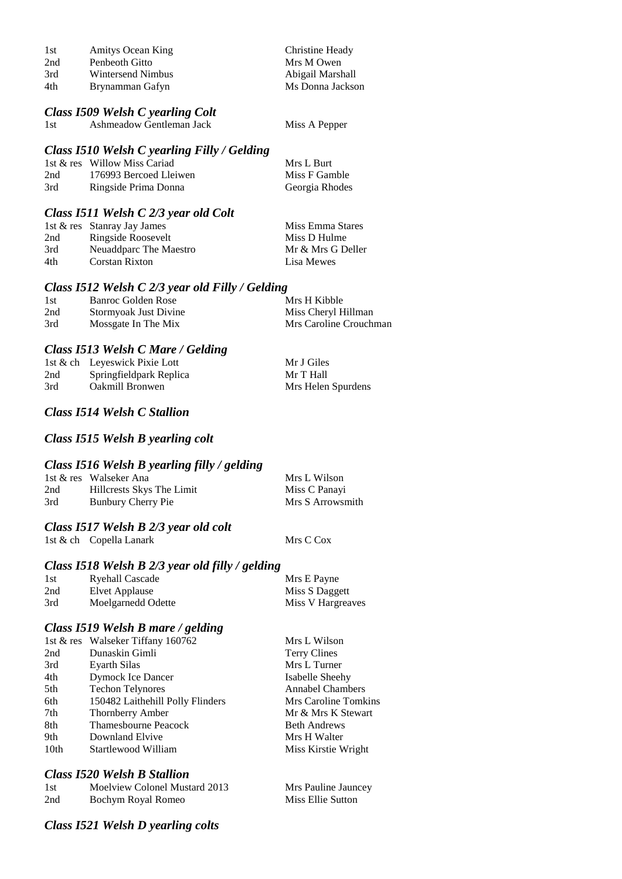| 1st | <b>Amitys Ocean King</b> | Christine Heady  |
|-----|--------------------------|------------------|
| 2nd | Penbeoth Gitto           | Mrs M Owen       |
| 3rd | Wintersend Nimbus        | Abigail Marshall |
| 4th | Brynamman Gafyn          | Ms Donna Jackson |

### *Class I509 Welsh C yearling Colt*

1st Ashmeadow Gentleman Jack Miss A Pepper

#### *Class I510 Welsh C yearling Filly / Gelding*

|     | 1st & res Willow Miss Cariad | Mrs L Burt     |
|-----|------------------------------|----------------|
| 2nd | 176993 Bercoed Lleiwen       | Miss F Gamble  |
| 3rd | Ringside Prima Donna         | Georgia Rhodes |

### *Class I511 Welsh C 2/3 year old Colt*

|     | 1st & res Stanray Jay James | Miss Emma Stares  |
|-----|-----------------------------|-------------------|
| 2nd | Ringside Roosevelt          | Miss D Hulme      |
| 3rd | Neuaddparc The Maestro      | Mr & Mrs G Deller |
| 4th | Corstan Rixton              | Lisa Mewes        |

#### *Class I512 Welsh C 2/3 year old Filly / Gelding*

| 1st | Banroc Golden Rose    | Mrs H Kibble           |
|-----|-----------------------|------------------------|
| 2nd | Stormyoak Just Divine | Miss Cheryl Hillman    |
| 3rd | Mossgate In The Mix   | Mrs Caroline Crouchman |

### *Class I513 Welsh C Mare / Gelding*

|     | 1st & ch Leyeswick Pixie Lott | Mr J Giles         |
|-----|-------------------------------|--------------------|
| 2nd | Springfieldpark Replica       | Mr T Hall          |
| 3rd | <b>Oakmill Bronwen</b>        | Mrs Helen Spurdens |

### *Class I514 Welsh C Stallion*

### *Class I515 Welsh B yearling colt*

### *Class I516 Welsh B yearling filly / gelding*

|     | 1st & res Walseker Ana    | Mrs L Wilson     |
|-----|---------------------------|------------------|
| 2nd | Hillcrests Skys The Limit | Miss C Panayi    |
| 3rd | Bunbury Cherry Pie        | Mrs S Arrowsmith |

#### *Class I517 Welsh B 2/3 year old colt*

1st & ch Copella Lanark Mrs C Cox

### *Class I518 Welsh B 2/3 year old filly / gelding*

| 1st | Ryehall Cascade    | Mrs E Payne       |
|-----|--------------------|-------------------|
| 2nd | Elvet Applause     | Miss S Daggett    |
| 3rd | Moelgarnedd Odette | Miss V Hargreaves |

### *Class I519 Welsh B mare / gelding*

|      | 1st & res Walseker Tiffany 160762 | Mrs L Wilson            |
|------|-----------------------------------|-------------------------|
| 2nd  | Dunaskin Gimli                    | <b>Terry Clines</b>     |
| 3rd  | Eyarth Silas                      | Mrs L Turner            |
| 4th  | Dymock Ice Dancer                 | Isabelle Sheehy         |
| 5th  | <b>Techon Telynores</b>           | <b>Annabel Chambers</b> |
| 6th  | 150482 Laithehill Polly Flinders  | Mrs Caroline Tomkins    |
| 7th  | Thornberry Amber                  | Mr & Mrs K Stewart      |
| 8th  | <b>Thamesbourne Peacock</b>       | <b>Beth Andrews</b>     |
| 9th  | Downland Elvive                   | Mrs H Walter            |
| 10th | Startlewood William               | Miss Kirstie Wright     |
|      |                                   |                         |

### *Class I520 Welsh B Stallion*

| 1st | Moelview Colonel Mustard 2013 | Mrs Pauline Jauncey |
|-----|-------------------------------|---------------------|
| 2nd | Bochym Royal Romeo            | Miss Ellie Sutton   |

### *Class I521 Welsh D yearling colts*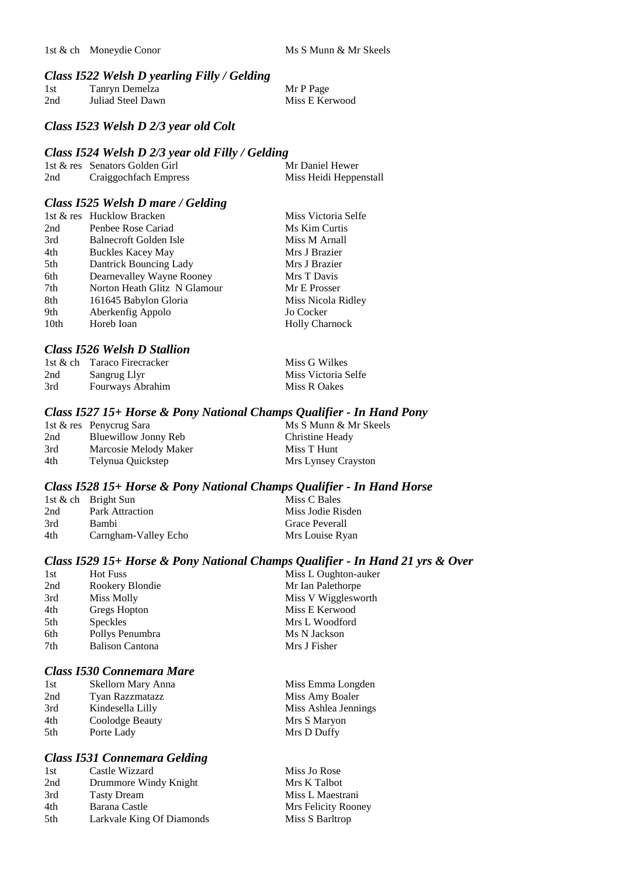#### *Class I522 Welsh D yearling Filly / Gelding*

| 1st | Tanryn Demelza    | Mr P Page      |
|-----|-------------------|----------------|
| 2nd | Juliad Steel Dawn | Miss E Kerwood |

#### *Class I523 Welsh D 2/3 year old Colt*

#### *Class I524 Welsh D 2/3 year old Filly / Gelding*

|     | 1st & res Senators Golden Girl | Mr Daniel Hewer        |
|-----|--------------------------------|------------------------|
| 2nd | Craiggochfach Empress          | Miss Heidi Heppenstall |

#### *Class I525 Welsh D mare / Gelding*

|      | 1st & res Hucklow Bracken    | Miss Victoria Selfe   |
|------|------------------------------|-----------------------|
| 2nd  | Penbee Rose Cariad           | Ms Kim Curtis         |
| 3rd  | Balnecroft Golden Isle       | Miss M Arnall         |
| 4th  | <b>Buckles Kacey May</b>     | Mrs J Brazier         |
| 5th  | Dantrick Bouncing Lady       | Mrs J Brazier         |
| 6th  | Dearnevalley Wayne Rooney    | Mrs T Davis           |
| 7th  | Norton Heath Glitz N Glamour | Mr E Prosser          |
| 8th  | 161645 Babylon Gloria        | Miss Nicola Ridley    |
| 9th  | Aberkenfig Appolo            | Jo Cocker             |
| 10th | Horeb Ioan                   | <b>Holly Charnock</b> |

#### *Class I526 Welsh D Stallion*

|     | 1st & ch Taraco Firecracker | Miss G Wilkes       |
|-----|-----------------------------|---------------------|
| 2nd | Sangrug Llyr                | Miss Victoria Selfe |
| 3rd | Fourways Abrahim            | Miss R Oakes        |

#### *Class I527 15+ Horse & Pony National Champs Qualifier - In Hand Pony*

|     | 1st & res Penycrug Sara | Ms S Munn & Mr Skeels |
|-----|-------------------------|-----------------------|
| 2nd | Bluewillow Jonny Reb    | Christine Heady       |
| 3rd | Marcosie Melody Maker   | Miss T Hunt           |
| 4th | Telynua Quickstep       | Mrs Lynsey Crayston   |

#### *Class I528 15+ Horse & Pony National Champs Qualifier - In Hand Horse*

|     | 1st & ch Bright Sun    | Miss C Bales          |
|-----|------------------------|-----------------------|
| 2nd | <b>Park Attraction</b> | Miss Jodie Risden     |
| 3rd | Bambi                  | <b>Grace Peverall</b> |
| 4th | Carngham-Valley Echo   | Mrs Louise Ryan       |

#### *Class I529 15+ Horse & Pony National Champs Qualifier - In Hand 21 yrs & Over*

Miss Emma Longden Miss Amy Boaler Miss Ashlea Jennings Mrs S Maryon Mrs D Duffy

| 1st | <b>Hot Fuss</b>        | Miss L Oughton-auker |
|-----|------------------------|----------------------|
| 2nd | Rookery Blondie        | Mr Ian Palethorpe    |
| 3rd | Miss Molly             | Miss V Wigglesworth  |
| 4th | Gregs Hopton           | Miss E Kerwood       |
| 5th | <b>Speckles</b>        | Mrs L Woodford       |
| 6th | Pollys Penumbra        | Ms N Jackson         |
| 7th | <b>Balison Cantona</b> | Mrs J Fisher         |
|     |                        |                      |

## *Class I530 Connemara Mare*

| 1st | Skellorn Mary Anna     |  |
|-----|------------------------|--|
| 2nd | <b>Tyan Razzmatazz</b> |  |
| 3rd | Kindesella Lilly       |  |
| 4th | Coolodge Beauty        |  |
| 5th | Porte Lady             |  |

#### *Class I531 Connemara Gelding*

| 1st | Castle Wizzard            | Miss Jo Rose        |
|-----|---------------------------|---------------------|
| 2nd | Drummore Windy Knight     | Mrs K Talbot        |
| 3rd | <b>Tasty Dream</b>        | Miss L Maestrani    |
| 4th | Barana Castle             | Mrs Felicity Rooney |
| 5th | Larkvale King Of Diamonds | Miss S Barltrop     |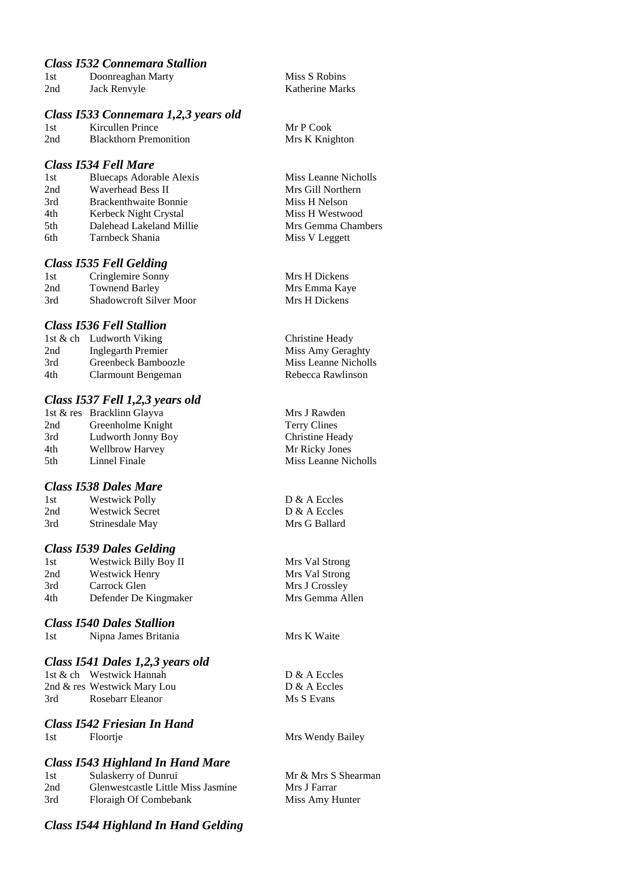## *Class I532 Connemara Stallion*

| 1st | Doonreaghan Marty |
|-----|-------------------|
| 2nd | Jack Renvyle      |

#### *Class I533 Connemara 1,2,3 years old*

1st Kircullen Prince Mr P Cook 2nd Blackthorn Premonition Mrs K Knighton

#### *Class I534 Fell Mare*

| Bluecaps Adorable Alexis     |
|------------------------------|
| Waverhead Bess II            |
| <b>Brackenthwaite Bonnie</b> |
| Kerbeck Night Crystal        |
| Dalehead Lakeland Millie     |
| Tarnbeck Shania              |
|                              |

#### *Class I535 Fell Gelding*

| 1st | Cringlemire Sonny              |
|-----|--------------------------------|
| 2nd | <b>Townend Barley</b>          |
| 3rd | <b>Shadowcroft Silver Moor</b> |

#### *Class I536 Fell Stallion*

|     | 1st & ch Ludworth Viking |
|-----|--------------------------|
| 2nd | Inglegarth Premier       |
| 3rd | Greenbeck Bamboozle      |
| 4th | Clarmount Bengeman       |

#### *Class I537 Fell 1,2,3 years old*

|     | 1st & res Bracklinn Glayva |
|-----|----------------------------|
| 2nd | Greenholme Knight          |
| 3rd | Ludworth Jonny Boy         |
| 4th | <b>Wellbrow Harvey</b>     |
| 5th | Linnel Finale              |

#### *Class I538 Dales Mare*

| 1st | <b>Westwick Polly</b>  |
|-----|------------------------|
| 2nd | <b>Westwick Secret</b> |
| 3rd | Strinesdale May        |

#### *Class I539 Dales Gelding*

1st Westwick Billy Boy II Mrs Val Strong 2nd Westwick Henry Mrs Val Strong 3rd Carrock Glen Mrs J Crossley 4th Defender De Kingmaker Mrs Gemma Allen

#### *Class I540 Dales Stallion*

## *Class I541 Dales 1,2,3 years old*

1st & ch Westwick Hannah D & A Eccles 2nd & res Westwick Mary Lou D & A Eccles 3rd Rosebarr Eleanor Ms S Evans

#### *Class I542 Friesian In Hand* 1st Floortje Mrs Wendy Bailey

## *Class I543 Highland In Hand Mare*

| 1st | Sulaskerry of Dunrui               |
|-----|------------------------------------|
| 2nd | Glenwestcastle Little Miss Jasmine |
| 3rd | Floraigh Of Combebank              |

# *Class I544 Highland In Hand Gelding*

Miss S Robins Katherine Marks

Miss Leanne Nicholls Mrs Gill Northern Miss H Nelson Miss H Westwood Mrs Gemma Chambers Miss V Leggett

Mrs H Dickens Mrs Emma Kaye Mrs H Dickens

Christine Heady Miss Amy Geraghty Miss Leanne Nicholls Rebecca Rawlinson

Mrs J Rawden Terry Clines Christine Heady Mr Ricky Jones Miss Leanne Nicholls

 $D & A$  Eccles  $D & A$  Eccles Mrs G Ballard

Mrs K Waite

Mr & Mrs S Shearman Mrs J Farrar Miss Amy Hunter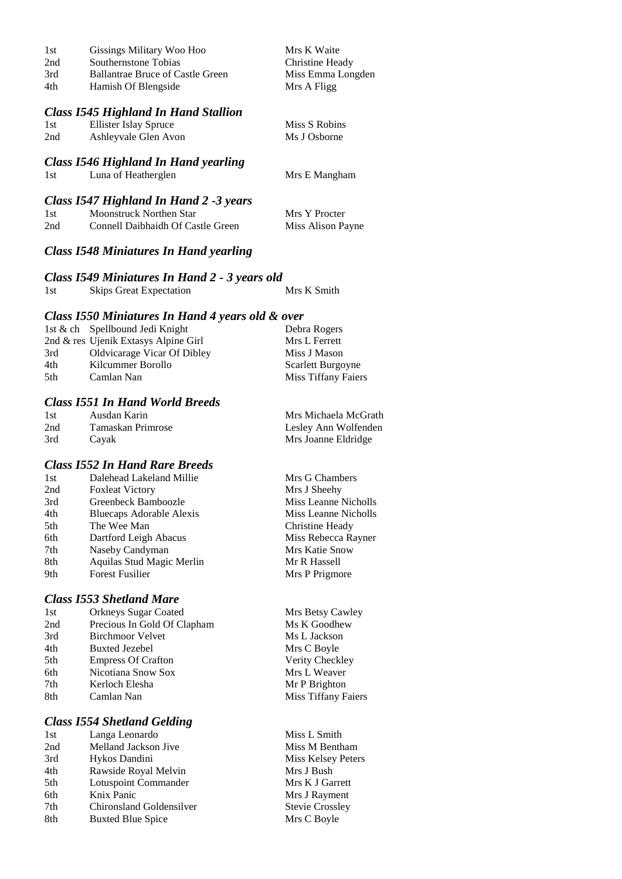| 1st | Gissings Military Woo Hoo                   | Mrs K Waite       |
|-----|---------------------------------------------|-------------------|
| 2nd | Southernstone Tobias                        | Christine Heady   |
| 3rd | <b>Ballantrae Bruce of Castle Green</b>     | Miss Emma Longden |
| 4th | Hamish Of Blengside                         | Mrs A Fligg       |
|     | <b>Class I545 Highland In Hand Stallion</b> |                   |
| 1st | Ellister Islay Spruce                       | Miss S Robins     |
| 2nd | Ashleyvale Glen Avon                        | Ms J Osborne      |
|     | Class 1546 Highland In Hand yearling        |                   |
| 1st | Luna of Heatherglen                         | Mrs E Mangham     |
|     | Class 1547 Highland In Hand 2 -3 years      |                   |
| 1st | <b>Moonstruck Northen Star</b>              | Mrs Y Procter     |
| 2nd | Connell Daibhaidh Of Castle Green           | Miss Alison Payne |

## *Class I548 Miniatures In Hand yearling*

#### *Class I549 Miniatures In Hand 2 - 3 years old*

| 1st<br><b>Skips Great Expectation</b> | Mrs K Smith |
|---------------------------------------|-------------|
|---------------------------------------|-------------|

#### *Class I550 Miniatures In Hand 4 years old & over*

|     | 1st & ch Spellbound Jedi Knight      | Debra Rogers             |
|-----|--------------------------------------|--------------------------|
|     | 2nd & res Ujenik Extasys Alpine Girl | Mrs L Ferrett            |
| 3rd | <b>Oldvicarage Vicar Of Dibley</b>   | Miss J Mason             |
| 4th | Kilcummer Borollo                    | <b>Scarlett Burgoyne</b> |
| 5th | Camlan Nan                           | Miss Tiffany Faiers      |
|     |                                      |                          |

#### *Class I551 In Hand World Breeds*

| 1st | Ausdan Karin      | Mrs Michaela McGrath |
|-----|-------------------|----------------------|
| 2nd | Tamaskan Primrose | Lesley Ann Wolfenden |
| 3rd | Cayak             | Mrs Joanne Eldridge  |

## *Class I552 In Hand Rare Breeds*

| 1st | Dalehead Lakeland Millie  | Mrs G Chambers       |
|-----|---------------------------|----------------------|
| 2nd | <b>Foxleat Victory</b>    | Mrs J Sheehy         |
| 3rd | Greenbeck Bamboozle       | Miss Leanne Nicholls |
| 4th | Bluecaps Adorable Alexis  | Miss Leanne Nicholls |
| 5th | The Wee Man               | Christine Heady      |
| 6th | Dartford Leigh Abacus     | Miss Rebecca Rayner  |
| 7th | Naseby Candyman           | Mrs Katie Snow       |
| 8th | Aquilas Stud Magic Merlin | Mr R Hassell         |
| 9th | <b>Forest Fusilier</b>    | Mrs P Prigmore       |
|     |                           |                      |

#### *Class I553 Shetland Mare*

| 1st | <b>Orkneys Sugar Coated</b> |
|-----|-----------------------------|
| 2nd | Precious In Gold Of Clapham |
| 3rd | <b>Birchmoor Velvet</b>     |
| 4th | Buxted Jezebel              |
| 5th | <b>Empress Of Crafton</b>   |
| 6th | Nicotiana Snow Sox          |
| 7th | Kerloch Elesha              |
| 8th | Camlan Nan                  |

#### *Class I554 Shetland Gelding*

| 1st | Langa Leonardo           |
|-----|--------------------------|
| 2nd | Melland Jackson Jive     |
| 3rd | Hykos Dandini            |
| 4th | Rawside Royal Melvin     |
| 5th | Lotuspoint Commander     |
| 6th | Knix Panic               |
| 7th | Chironsland Goldensilver |
| 8th | <b>Buxted Blue Spice</b> |
|     |                          |

Mrs Betsy Cawley Ms K Goodhew Ms L Jackson Mrs C Boyle Verity Checkley Mrs L Weaver Mr P Brighton Miss Tiffany Faiers

Miss L Smith Miss M Bentham Miss Kelsey Peters Mrs J Bush Mrs K J Garrett Mrs J Rayment Stevie Crossley Mrs C Boyle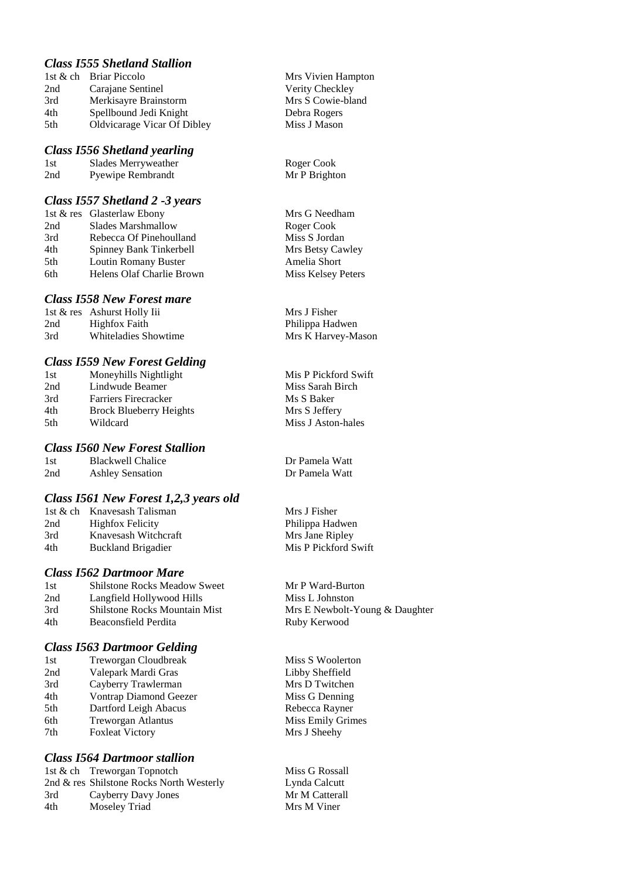## *Class I555 Shetland Stallion*

|     | 1st & ch Briar Piccolo      |
|-----|-----------------------------|
| 2nd | Carajane Sentinel           |
| 3rd | Merkisayre Brainstorm       |
| 4th | Spellbound Jedi Knight      |
| 5th | Oldvicarage Vicar Of Dibley |

#### *Class I556 Shetland yearling*

| 1st | Slades Merryweather      | Roger Cook    |
|-----|--------------------------|---------------|
| 2nd | <b>Pyewipe Rembrandt</b> | Mr P Brighton |

#### *Class I557 Shetland 2 -3 years*

|     | 1st & res Glasterlaw Ebony |
|-----|----------------------------|
| 2nd | <b>Slades Marshmallow</b>  |
| 3rd | Rebecca Of Pinehoulland    |
| 4th | Spinney Bank Tinkerbell    |
| 5th | Loutin Romany Buster       |
| 6th | Helens Olaf Charlie Brown  |

#### *Class I558 New Forest mare*

|     | 1st & res Ashurst Holly Iii |
|-----|-----------------------------|
| 2nd | <b>Highfox Faith</b>        |
| 3rd | <b>Whiteladies Showtime</b> |

#### *Class I559 New Forest Gelding*

| 1st | Moneyhills Nightlight          |
|-----|--------------------------------|
| 2nd | Lindwude Beamer                |
| 3rd | <b>Farriers Firecracker</b>    |
| 4th | <b>Brock Blueberry Heights</b> |
| 5th | Wildcard                       |

#### *Class I560 New Forest Stallion*

1st Blackwell Chalice 1987 Dr Pamela Watt 2nd Ashley Sensation 1987 Dr Pamela Watt 2nd Ashley Sensation

#### *Class I561 New Forest 1,2,3 years old*

| 1st & ch Knavesash Talisman | Mrs J Fisher         |
|-----------------------------|----------------------|
| <b>Highfox Felicity</b>     | Philippa Hadwen      |
| Knavesash Witchcraft        | Mrs Jane Ripley      |
| <b>Buckland Brigadier</b>   | Mis P Pickford Swift |
|                             |                      |

#### *Class I562 Dartmoor Mare*

1st Shilstone Rocks Meadow Sweet Mr P Ward-Burton 2nd Langfield Hollywood Hills Miss L Johnston 3rd Shilstone Rocks Mountain Mist Mrs E Newbolt-Young & Daughter

#### *Class I563 Dartmoor Gelding*

| 1st | Treworgan Cloudbreak      |
|-----|---------------------------|
| 2nd | Valepark Mardi Gras       |
| 3rd | Cayberry Trawlerman       |
| 4th | Vontrap Diamond Geezer    |
| 5th | Dartford Leigh Abacus     |
| 6th | <b>Treworgan Atlantus</b> |
| 7th | <b>Foxleat Victory</b>    |

#### *Class I564 Dartmoor stallion*

1st & ch Treworgan Topnotch Miss G Rossall 2nd & res Shilstone Rocks North Westerly Lynda Calcutt<br>
2rd Cavberry Davy Jones Mr M Catterall 3rd Cayberry Davy Jones Mr M Cattera<br>
4th Moselev Triad Mrs M Viner 4th Moseley Triad

**Mrs Vivien Hampton** Verity Checkley Mrs S Cowie-bland Debra Rogers Miss J Mason

Mrs G Needham Roger Cook Miss S Jordan Mrs Betsy Cawley Amelia Short Miss Kelsey Peters

Mrs J Fisher Philippa Hadwen Mrs K Harvey-Mason

Mis P Pickford Swift Miss Sarah Birch Ms S Baker Mrs S Jeffery Miss J Aston-hales

4th Beaconsfield Perdita Ruby Kerwood

Miss S Woolerton Libby Sheffield Mrs D Twitchen Miss G Denning Rebecca Rayner Miss Emily Grimes Mrs J Sheehy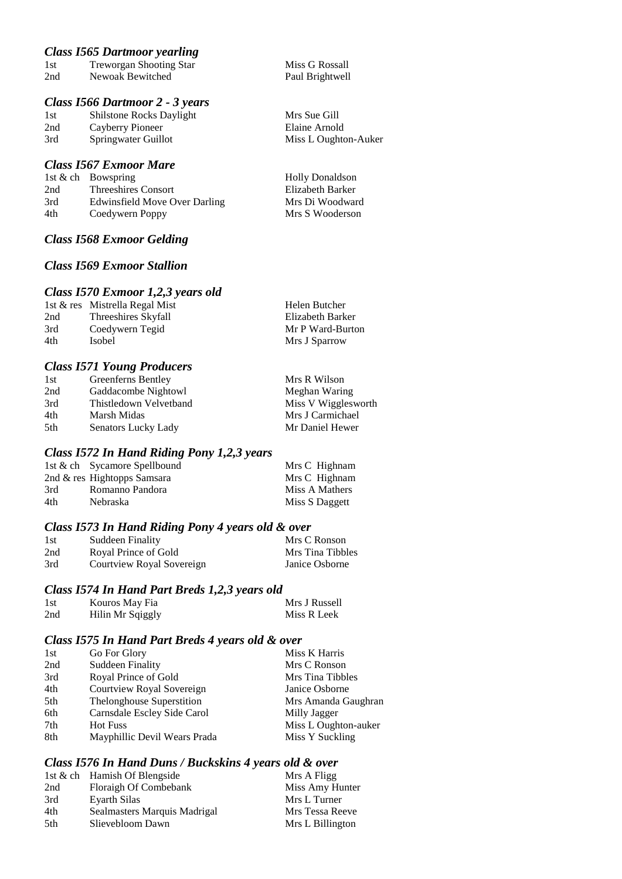#### *Class I565 Dartmoor yearling*

| 1st    | <b>Treworgan Shooting Star</b> |  |  |
|--------|--------------------------------|--|--|
| 2nd    | Newoak Bewitched               |  |  |
| $\sim$ | 7-11 D                         |  |  |

#### *Class I566 Dartmoor 2 - 3 years*

1st Shilstone Rocks Daylight Mrs Sue Gill 2nd Cayberry Pioneer Elaine Arnold 3rd Springwater Guillot Miss L Oughton-Auker

#### *Class I567 Exmoor Mare*

|     | 1st $\&$ ch Bowspring         |
|-----|-------------------------------|
| 2nd | <b>Threeshires Consort</b>    |
| 3rd | Edwinsfield Move Over Darling |
| 4th | Coedywern Poppy               |

#### *Class I568 Exmoor Gelding*

## *Class I569 Exmoor Stallion*

#### *Class I570 Exmoor 1,2,3 years old*

|     | 1st & res Mistrella Regal Mist | Helen Butcher    |
|-----|--------------------------------|------------------|
| 2nd | Threeshires Skyfall            | Elizabeth Barker |
| 3rd | Coedywern Tegid                | Mr P Ward-Burton |
| 4th | <b>Isobel</b>                  | Mrs J Sparrow    |

#### *Class I571 Young Producers*

| 1st | Greenferns Bentley     | Mrs R Wilson        |
|-----|------------------------|---------------------|
| 2nd | Gaddacombe Nightowl    | Meghan Waring       |
| 3rd | Thistledown Velvetband | Miss V Wigglesworth |
| 4th | Marsh Midas            | Mrs J Carmichael    |
| 5th | Senators Lucky Lady    | Mr Daniel Hewer     |

#### *Class I572 In Hand Riding Pony 1,2,3 years*

|     | 1st & ch Sycamore Spellbound | Mrs C Highnam  |
|-----|------------------------------|----------------|
|     | 2nd & res Hightopps Samsara  | Mrs C Highnam  |
| 3rd | Romanno Pandora              | Miss A Mathers |
| 4th | Nebraska                     | Miss S Daggett |

#### *Class I573 In Hand Riding Pony 4 years old & over*

| 1st | Suddeen Finality          | Mrs C Ronson     |
|-----|---------------------------|------------------|
| 2nd | Royal Prince of Gold      | Mrs Tina Tibbles |
| 3rd | Courtview Royal Sovereign | Janice Osborne   |

#### *Class I574 In Hand Part Breds 1,2,3 years old*

| 1st | Kouros May Fia   | Mrs J Russell |
|-----|------------------|---------------|
| 2nd | Hilin Mr Sqiggly | Miss R Leek   |

#### *Class I575 In Hand Part Breds 4 years old & over*

| 1st             | Go For Glory                 | Miss K Harris        |
|-----------------|------------------------------|----------------------|
| 2nd             | <b>Suddeen Finality</b>      | Mrs C Ronson         |
| 3rd             | Royal Prince of Gold         | Mrs Tina Tibbles     |
| 4th             | Courtview Royal Sovereign    | Janice Osborne       |
| 5th             | Thelonghouse Superstition    | Mrs Amanda Gaughran  |
| 6th             | Carnsdale Escley Side Carol  | Milly Jagger         |
| 7 <sub>th</sub> | <b>Hot Fuss</b>              | Miss L Oughton-auker |
| 8th             | Mayphillic Devil Wears Prada | Miss Y Suckling      |

#### *Class I576 In Hand Duns / Buckskins 4 years old & over*

|      | 1st $\&$ ch Hamish Of Blengside | Mrs A Fligg      |
|------|---------------------------------|------------------|
| 2nd  | Floraigh Of Combebank           | Miss Amy Hunter  |
| 3rd  | Evarth Silas                    | Mrs L Turner     |
| 4th  | Sealmasters Marquis Madrigal    | Mrs Tessa Reeve  |
| .5th | Slievebloom Dawn                | Mrs L Billington |

Miss G Rossall Paul Brightwell

Holly Donaldson Elizabeth Barker Mrs Di Woodward Mrs S Wooderson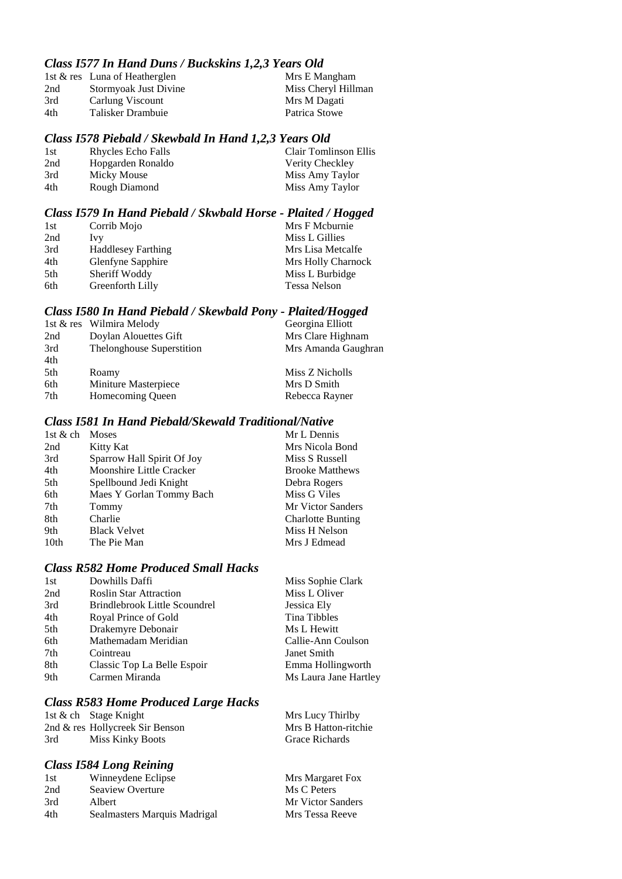## *Class I577 In Hand Duns / Buckskins 1,2,3 Years Old*

|     | 1st & res Luna of Heatherglen | Mrs E Mangham       |
|-----|-------------------------------|---------------------|
| 2nd | Stormyoak Just Divine         | Miss Cheryl Hillman |
| 3rd | Carlung Viscount              | Mrs M Dagati        |
| 4th | Talisker Drambuie             | Patrica Stowe       |
|     |                               |                     |

#### *Class I578 Piebald / Skewbald In Hand 1,2,3 Years Old*

| 1st | Rhycles Echo Falls | Clair Tomlinson Ellis |
|-----|--------------------|-----------------------|
| 2nd | Hopgarden Ronaldo  | Verity Checkley       |
| 3rd | Micky Mouse        | Miss Amy Taylor       |
| 4th | Rough Diamond      | Miss Amy Taylor       |
|     |                    |                       |

# *Class I579 In Hand Piebald / Skwbald Horse - Plaited / Hogged*

| 1st | Corrib Mojo               | Mrs F Mcburnie      |
|-----|---------------------------|---------------------|
| 2nd | Ivy                       | Miss L Gillies      |
| 3rd | <b>Haddlesey Farthing</b> | Mrs Lisa Metcalfe   |
| 4th | Glenfyne Sapphire         | Mrs Holly Charnock  |
| 5th | Sheriff Woddy             | Miss L Burbidge     |
| 6th | Greenforth Lilly          | <b>Tessa Nelson</b> |

#### *Class I580 In Hand Piebald / Skewbald Pony - Plaited/Hogged*

|                           | Georgina Elliott         |
|---------------------------|--------------------------|
| Doylan Alouettes Gift     | Mrs Clare Highnam        |
| Thelonghouse Superstition | Mrs Amanda Gaughran      |
|                           |                          |
| Roamy                     | Miss Z Nicholls          |
| Miniture Masterpiece      | Mrs D Smith              |
| Homecoming Queen          | Rebecca Rayner           |
|                           | 1st & res Wilmira Melody |

## *Class I581 In Hand Piebald/Skewald Traditional/Native*

| 1st $&$ ch       | <b>Moses</b>               | Mr L Dennis              |
|------------------|----------------------------|--------------------------|
| 2nd              | Kitty Kat                  | Mrs Nicola Bond          |
| 3rd              | Sparrow Hall Spirit Of Joy | Miss S Russell           |
| 4th              | Moonshire Little Cracker   | <b>Brooke Matthews</b>   |
| 5th              | Spellbound Jedi Knight     | Debra Rogers             |
| 6th              | Maes Y Gorlan Tommy Bach   | Miss G Viles             |
| 7th              | Tommy                      | Mr Victor Sanders        |
| 8th              | Charlie                    | <b>Charlotte Bunting</b> |
| 9th              | <b>Black Velvet</b>        | Miss H Nelson            |
| 10 <sub>th</sub> | The Pie Man                | Mrs J Edmead             |
|                  |                            |                          |

# *Class R582 Home Produced Small Hacks*

| 1st | Dowhills Daffi                | Miss Sophie Clark     |
|-----|-------------------------------|-----------------------|
| 2nd | <b>Roslin Star Attraction</b> | Miss L Oliver         |
| 3rd | Brindlebrook Little Scoundrel | Jessica Ely           |
| 4th | Royal Prince of Gold          | Tina Tibbles          |
| 5th | Drakemyre Debonair            | Ms L Hewitt           |
| 6th | Mathemadam Meridian           | Callie-Ann Coulson    |
| 7th | Cointreau                     | Janet Smith           |
| 8th | Classic Top La Belle Espoir   | Emma Hollingworth     |
| 9th | Carmen Miranda                | Ms Laura Jane Hartley |
|     |                               |                       |

# *Class R583 Home Produced Large Hacks*

|     | 1st & ch Stage Knight           | Mrs Lucy Thirlby     |
|-----|---------------------------------|----------------------|
|     | 2nd & res Hollycreek Sir Benson | Mrs B Hatton-ritchie |
| 3rd | Miss Kinky Boots                | Grace Richards       |

## *Class I584 Long Reining*

| 1st | Winneydene Eclipse           | Mrs Margaret Fox  |
|-----|------------------------------|-------------------|
| 2nd | Seaview Overture             | Ms C Peters       |
| 3rd | Albert                       | Mr Victor Sanders |
| 4th | Sealmasters Marquis Madrigal | Mrs Tessa Reeve   |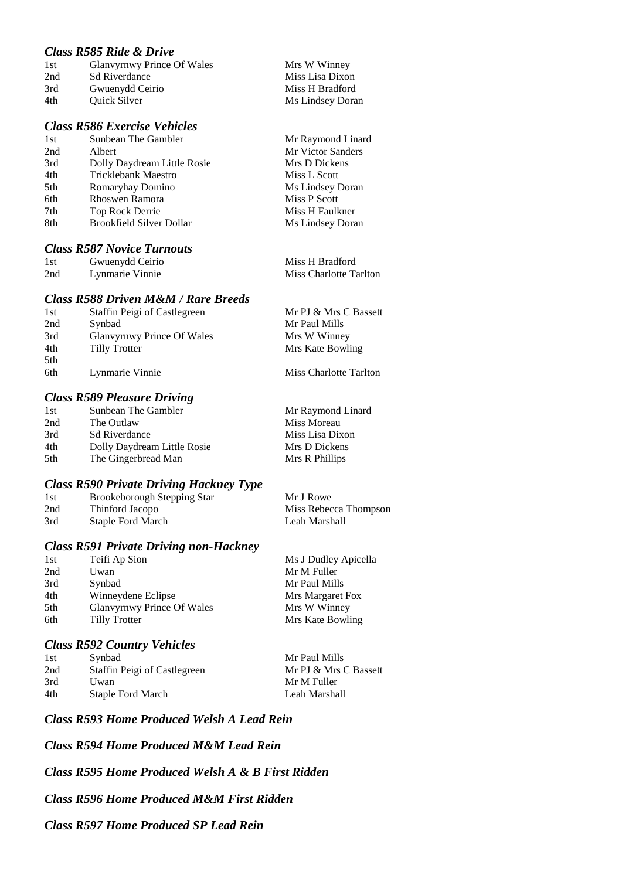## *Class R585 Ride & Drive*

| 1st | Glanvyrnwy Prince Of Wales | Mrs W Winney     |
|-----|----------------------------|------------------|
| 2nd | <b>Sd Riverdance</b>       | Miss Lisa Dixon  |
| 3rd | Gwuenydd Ceirio            | Miss H Bradford  |
| 4th | <b>Ouick Silver</b>        | Ms Lindsey Doran |

#### *Class R586 Exercise Vehicles*

| 1st | Sunbean The Gambler             |
|-----|---------------------------------|
| 2nd | Albert                          |
| 3rd | Dolly Daydream Little Rosie     |
| 4th | <b>Tricklebank Maestro</b>      |
| 5th | Romaryhay Domino                |
| 6th | Rhoswen Ramora                  |
| 7th | Top Rock Derrie                 |
| 8th | <b>Brookfield Silver Dollar</b> |
|     |                                 |

## *Class R587 Novice Turnouts*

| 1st | Gwuenydd Ceirio | Miss H Bradford        |
|-----|-----------------|------------------------|
| 2nd | Lynmarie Vinnie | Miss Charlotte Tarlton |

#### *Class R588 Driven M&M / Rare Breeds*

| 1st  | Staffin Peigi of Castlegreen      | Mr PJ & Mrs C Bassett  |
|------|-----------------------------------|------------------------|
| 2nd  | Synbad                            | Mr Paul Mills          |
| 3rd  | <b>Glanvyrnwy Prince Of Wales</b> | Mrs W Winney           |
| 4th  | Tilly Trotter                     | Mrs Kate Bowling       |
| .5th |                                   |                        |
| 6th  | Lynmarie Vinnie                   | Miss Charlotte Tarlton |

# *Class R589 Pleasure Driving*

| Cass Rooz I icasai c Diveniz |                   |  |
|------------------------------|-------------------|--|
| Sunbean The Gambler          | Mr Raymond Linard |  |
| The Outlaw                   | Miss Moreau       |  |
| <b>Sd Riverdance</b>         | Miss Lisa Dixon   |  |
| Dolly Daydream Little Rosie  | Mrs D Dickens     |  |
| The Gingerbread Man          | Mrs R Phillips    |  |
|                              |                   |  |

#### *Class R590 Private Driving Hackney Type*

| 1st | <b>Brookeborough Stepping Star</b> | Mr J Rowe             |
|-----|------------------------------------|-----------------------|
| 2nd | Thinford Jacopo                    | Miss Rebecca Thompson |
| 3rd | Staple Ford March                  | Leah Marshall         |

#### *Class R591 Private Driving non-Hackney*

| 1st | Teifi Ap Sion              | Ms J Dudley Apicella |
|-----|----------------------------|----------------------|
| 2nd | Uwan                       | Mr M Fuller          |
| 3rd | Synbad                     | Mr Paul Mills        |
| 4th | Winneydene Eclipse         | Mrs Margaret Fox     |
| 5th | Glanvyrnwy Prince Of Wales | Mrs W Winney         |
| 6th | Tilly Trotter              | Mrs Kate Bowling     |
|     |                            |                      |

#### *Class R592 Country Vehicles*

| 1st | Synbad                       |
|-----|------------------------------|
| 2nd | Staffin Peigi of Castlegreen |
| 3rd | Uwan                         |
| 4th | <b>Staple Ford March</b>     |

Mr Paul Mills

Mr Raymond Linard Mr Victor Sanders Mrs D Dickens Miss L Scott Ms Lindsey Doran Miss P Scott Miss H Faulkner Ms Lindsey Doran

Mr PJ & Mrs C Bassett Mr M Fuller Leah Marshall

## *Class R593 Home Produced Welsh A Lead Rein*

*Class R594 Home Produced M&M Lead Rein*

*Class R595 Home Produced Welsh A & B First Ridden*

# *Class R596 Home Produced M&M First Ridden*

## *Class R597 Home Produced SP Lead Rein*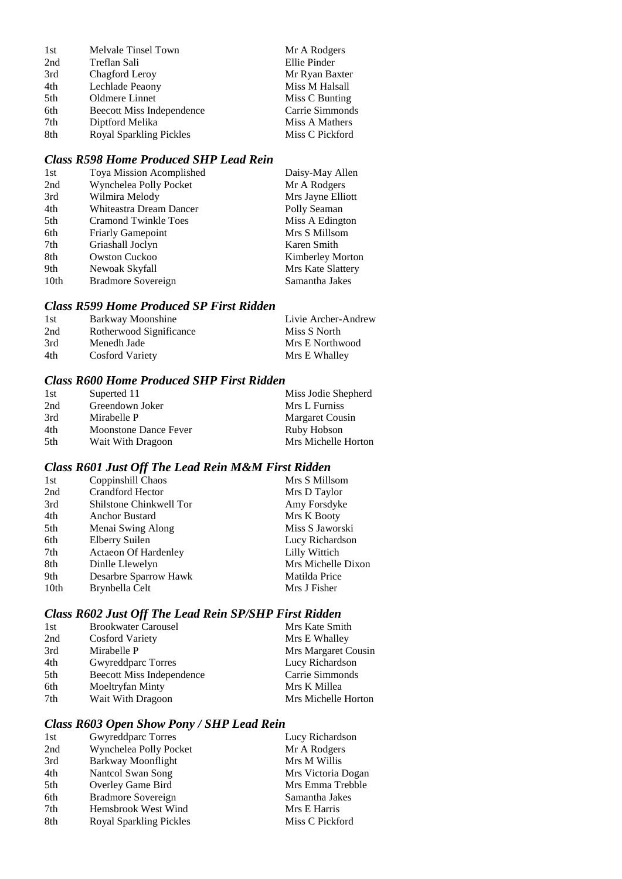| 1st | Melvale Tinsel Town            | Mr A Rodgers    |
|-----|--------------------------------|-----------------|
| 2nd | Treflan Sali                   | Ellie Pinder    |
| 3rd | Chagford Leroy                 | Mr Ryan Baxter  |
| 4th | Lechlade Peaony                | Miss M Halsall  |
| 5th | Oldmere Linnet                 | Miss C Bunting  |
| 6th | Beecott Miss Independence      | Carrie Simmonds |
| 7th | Diptford Melika                | Miss A Mathers  |
| 8th | <b>Royal Sparkling Pickles</b> | Miss C Pickford |

# *Class R598 Home Produced SHP Lead Rein*

| 1st              | Toya Mission Acomplished    | Daisy-May Allen         |
|------------------|-----------------------------|-------------------------|
| 2nd              | Wynchelea Polly Pocket      | Mr A Rodgers            |
| 3rd              | Wilmira Melody              | Mrs Jayne Elliott       |
| 4th              | Whiteastra Dream Dancer     | Polly Seaman            |
| 5th              | <b>Cramond Twinkle Toes</b> | Miss A Edington         |
| 6th              | <b>Friarly Gamepoint</b>    | Mrs S Millsom           |
| 7th              | Griashall Joclyn            | Karen Smith             |
| 8th              | <b>Owston Cuckoo</b>        | <b>Kimberley Morton</b> |
| 9th              | Newoak Skyfall              | Mrs Kate Slattery       |
| 10 <sub>th</sub> | Bradmore Sovereign          | Samantha Jakes          |

## *Class R599 Home Produced SP First Ridden*

| -1st | Barkway Moonshine       | Livie Archer-Andrew |
|------|-------------------------|---------------------|
| 2nd  | Rotherwood Significance | Miss S North        |
| 3rd  | Menedh Jade             | Mrs E Northwood     |
| 4th  | Cosford Variety         | Mrs E Whalley       |

## *Class R600 Home Produced SHP First Ridden*

| 1st | Superted 11           | Miss Jodie Shepherd |
|-----|-----------------------|---------------------|
| 2nd | Greendown Joker       | Mrs L Furniss       |
| 3rd | Mirabelle P           | Margaret Cousin     |
| 4th | Moonstone Dance Fever | Ruby Hobson         |
| 5th | Wait With Dragoon     | Mrs Michelle Horton |

# *Class R601 Just Off The Lead Rein M&M First Ridden*

| 1st              | Coppinshill Chaos           | Mrs S Millsom      |
|------------------|-----------------------------|--------------------|
| 2nd              | <b>Crandford Hector</b>     | Mrs D Taylor       |
| 3rd              | Shilstone Chinkwell Tor     | Amy Forsdyke       |
| 4th              | <b>Anchor Bustard</b>       | Mrs K Booty        |
| 5th              | Menai Swing Along           | Miss S Jaworski    |
| 6th              | Elberry Suilen              | Lucy Richardson    |
| 7th              | <b>Actaeon Of Hardenley</b> | Lilly Wittich      |
| 8th              | Dinlle Llewelyn             | Mrs Michelle Dixon |
| 9th              | Desarbre Sparrow Hawk       | Matilda Price      |
| 10 <sub>th</sub> | Brynbella Celt              | Mrs J Fisher       |
|                  |                             |                    |

# *Class R602 Just Off The Lead Rein SP/SHP First Ridden*

| 1st | <b>Brookwater Carousel</b>       | Mrs Kate Smith      |
|-----|----------------------------------|---------------------|
| 2nd | <b>Cosford Variety</b>           | Mrs E Whalley       |
| 3rd | Mirabelle P                      | Mrs Margaret Cousin |
| 4th | Gwyreddparc Torres               | Lucy Richardson     |
| 5th | <b>Beecott Miss Independence</b> | Carrie Simmonds     |
| 6th | Moeltryfan Minty                 | Mrs K Millea        |
| 7th | Wait With Dragoon                | Mrs Michelle Horton |

## *Class R603 Open Show Pony / SHP Lead Rein*

| 1st | Gwyreddparc Torres        | Lucy Richardson    |
|-----|---------------------------|--------------------|
| 2nd | Wynchelea Polly Pocket    | Mr A Rodgers       |
| 3rd | <b>Barkway Moonflight</b> | Mrs M Willis       |
| 4th | Nantcol Swan Song         | Mrs Victoria Dogan |
| 5th | Overley Game Bird         | Mrs Emma Trebble   |
| 6th | Bradmore Sovereign        | Samantha Jakes     |
| 7th | Hemsbrook West Wind       | Mrs E Harris       |
| 8th | Royal Sparkling Pickles   | Miss C Pickford    |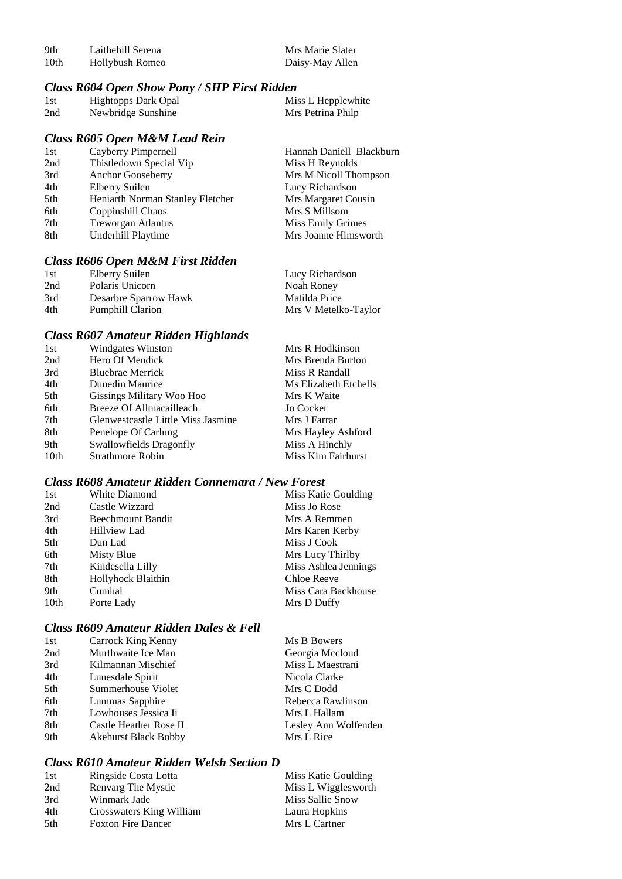| -9th | Laithehill Serena | Mrs Marie Slater |
|------|-------------------|------------------|
| 10th | Hollybush Romeo   | Daisy-May Allen  |

# *Class R604 Open Show Pony / SHP First Ridden*

| 1st | <b>Hightopps Dark Opal</b> | Miss L Hepplewhite |
|-----|----------------------------|--------------------|
| 2nd | Newbridge Sunshine         | Mrs Petrina Philp  |

## *Class R605 Open M&M Lead Rein*

| 1st | Cayberry Pimpernell              | Hannah Daniell Blackburn |
|-----|----------------------------------|--------------------------|
| 2nd | Thistledown Special Vip          | Miss H Reynolds          |
| 3rd | Anchor Gooseberry                | Mrs M Nicoll Thompson    |
| 4th | Elberry Suilen                   | Lucy Richardson          |
| 5th | Heniarth Norman Stanley Fletcher | Mrs Margaret Cousin      |
| 6th | Coppinshill Chaos                | Mrs S Millsom            |
| 7th | <b>Treworgan Atlantus</b>        | Miss Emily Grimes        |
| 8th | Underhill Playtime               | Mrs Joanne Himsworth     |
|     |                                  |                          |

# *Class R606 Open M&M First Ridden*

| 1st | Elberry Suilen          | Lucy Richardson      |
|-----|-------------------------|----------------------|
| 2nd | Polaris Unicorn         | Noah Roney           |
| 3rd | Desarbre Sparrow Hawk   | Matilda Price        |
| 4th | <b>Pumphill Clarion</b> | Mrs V Metelko-Taylor |

## *Class R607 Amateur Ridden Highlands*

| 1st  | Windgates Winston                  | Mrs R Hodkinson       |
|------|------------------------------------|-----------------------|
| 2nd  | Hero Of Mendick                    | Mrs Brenda Burton     |
| 3rd  | <b>Bluebrae Merrick</b>            | Miss R Randall        |
| 4th  | Dunedin Maurice                    | Ms Elizabeth Etchells |
| 5th  | Gissings Military Woo Hoo          | Mrs K Waite           |
| 6th  | Breeze Of Alltnacailleach          | Jo Cocker             |
| 7th  | Glenwestcastle Little Miss Jasmine | Mrs J Farrar          |
| 8th  | Penelope Of Carlung                | Mrs Hayley Ashford    |
| 9th  | Swallowfields Dragonfly            | Miss A Hinchly        |
| 10th | Strathmore Robin                   | Miss Kim Fairhurst    |
|      |                                    |                       |

#### *Class R608 Amateur Ridden Connemara / New Forest*

| 1st              | White Diamond            | Miss Katie Goulding  |
|------------------|--------------------------|----------------------|
| 2nd              | Castle Wizzard           | Miss Jo Rose         |
| 3rd              | <b>Beechmount Bandit</b> | Mrs A Remmen         |
| 4th              | <b>Hillview Lad</b>      | Mrs Karen Kerby      |
| 5th              | Dun Lad                  | Miss J Cook          |
| 6th              | Misty Blue               | Mrs Lucy Thirlby     |
| 7th              | Kindesella Lilly         | Miss Ashlea Jennings |
| 8th              | Hollyhock Blaithin       | Chloe Reeve          |
| 9th              | Cumhal                   | Miss Cara Backhouse  |
| 10 <sub>th</sub> | Porte Lady               | Mrs D Duffy          |

## *Class R609 Amateur Ridden Dales & Fell*

| 1st | Carrock King Kenny          | Ms B Bowers          |
|-----|-----------------------------|----------------------|
| 2nd | Murthwaite Ice Man          | Georgia Mccloud      |
| 3rd | Kilmannan Mischief          | Miss L Maestrani     |
| 4th | Lunesdale Spirit            | Nicola Clarke        |
| 5th | Summerhouse Violet          | Mrs C Dodd           |
| 6th | Lummas Sapphire             | Rebecca Rawlinson    |
| 7th | Lowhouses Jessica Ii        | Mrs L Hallam         |
| 8th | Castle Heather Rose II      | Lesley Ann Wolfenden |
| 9th | <b>Akehurst Black Bobby</b> | Mrs L Rice           |

## *Class R610 Amateur Ridden Welsh Section D*

| 1st | Ringside Costa Lotta      | Miss Katie Goulding |
|-----|---------------------------|---------------------|
| 2nd | Renvarg The Mystic        | Miss L Wigglesworth |
| 3rd | Winmark Jade              | Miss Sallie Snow    |
| 4th | Crosswaters King William  | Laura Hopkins       |
| 5th | <b>Foxton Fire Dancer</b> | Mrs L Cartner       |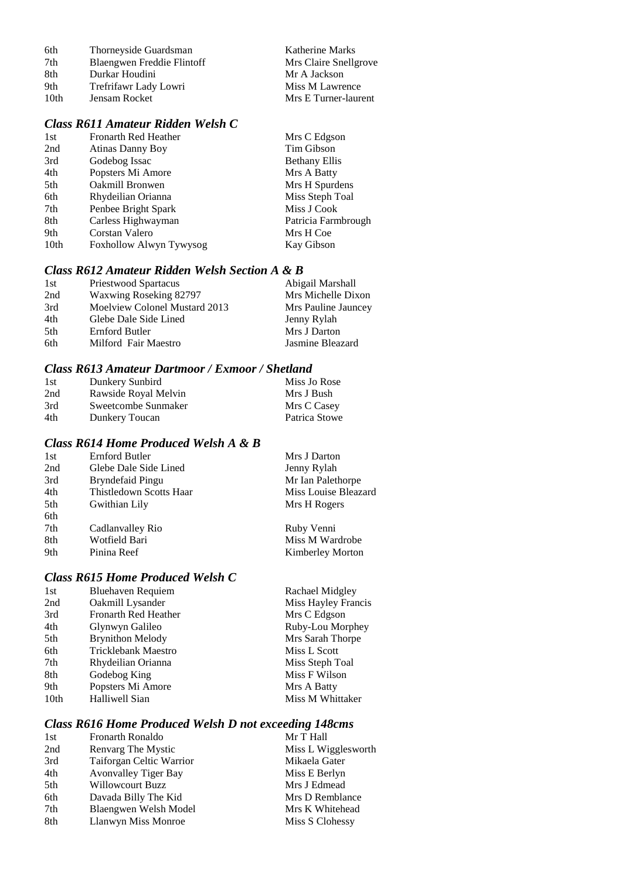| 6th  | Thorneyside Guardsman      | Katherine Marks       |
|------|----------------------------|-----------------------|
| 7th  | Blaengwen Freddie Flintoff | Mrs Claire Snellgrove |
| 8th  | Durkar Houdini             | Mr A Jackson          |
| 9th  | Trefrifawr Lady Lowri      | Miss M Lawrence       |
| 10th | Jensam Rocket              | Mrs E Turner-laurent  |

# *Class R611 Amateur Ridden Welsh C*

| 1st              | <b>Fronarth Red Heather</b> | Mrs C Edgson         |
|------------------|-----------------------------|----------------------|
| 2nd              | Atinas Danny Boy            | Tim Gibson           |
| 3rd              | Godebog Issac               | <b>Bethany Ellis</b> |
| 4th              | Popsters Mi Amore           | Mrs A Batty          |
| 5th              | Oakmill Bronwen             | Mrs H Spurdens       |
| 6th              | Rhydeilian Orianna          | Miss Steph Toal      |
| 7th              | Penbee Bright Spark         | Miss J Cook          |
| 8th              | Carless Highwayman          | Patricia Farmbrough  |
| 9th              | Corstan Valero              | Mrs H Coe            |
| 10 <sub>th</sub> | Foxhollow Alwyn Tywysog     | Kay Gibson           |
|                  |                             |                      |

## *Class R612 Amateur Ridden Welsh Section A & B*

| 1st  | Priestwood Spartacus          | Abigail Marshall    |
|------|-------------------------------|---------------------|
| 2nd  | Waxwing Roseking 82797        | Mrs Michelle Dixon  |
| 3rd  | Moelview Colonel Mustard 2013 | Mrs Pauline Jauncey |
| 4th  | Glebe Dale Side Lined         | Jenny Rylah         |
| .5th | Ernford Butler                | Mrs J Darton        |
| 6th  | Milford Fair Maestro          | Jasmine Bleazard    |

### *Class R613 Amateur Dartmoor / Exmoor / Shetland*

| 1st | Dunkery Sunbird      | Miss Jo Rose  |
|-----|----------------------|---------------|
| 2nd | Rawside Royal Melvin | Mrs J Bush    |
| 3rd | Sweetcombe Sunmaker  | Mrs C Casey   |
| 4th | Dunkery Toucan       | Patrica Stowe |

### *Class R614 Home Produced Welsh A & B*

| 1st | Ernford Butler          | Mrs J Darton            |
|-----|-------------------------|-------------------------|
| 2nd | Glebe Dale Side Lined   | Jenny Rylah             |
| 3rd | Bryndefaid Pingu        | Mr Ian Palethorpe       |
| 4th | Thistledown Scotts Haar | Miss Louise Bleazard    |
| 5th | Gwithian Lily           | Mrs H Rogers            |
| 6th |                         |                         |
| 7th | Cadlanvalley Rio        | Ruby Venni              |
| 8th | Wotfield Bari           | Miss M Wardrobe         |
| 9th | Pinina Reef             | <b>Kimberley Morton</b> |

## *Class R615 Home Produced Welsh C*

| 1st              | Bluehaven Requiem           | Rachael Midgley     |
|------------------|-----------------------------|---------------------|
| 2nd              | Oakmill Lysander            | Miss Hayley Francis |
| 3rd              | <b>Fronarth Red Heather</b> | Mrs C Edgson        |
| 4th              | Glynwyn Galileo             | Ruby-Lou Morphey    |
| 5th              | <b>Brynithon Melody</b>     | Mrs Sarah Thorpe    |
| 6th              | Tricklebank Maestro         | Miss L Scott        |
| 7th              | Rhydeilian Orianna          | Miss Steph Toal     |
| 8th              | Godebog King                | Miss F Wilson       |
| 9th              | Popsters Mi Amore           | Mrs A Batty         |
| 10 <sub>th</sub> | Halliwell Sian              | Miss M Whittaker    |
|                  |                             |                     |

## *Class R616 Home Produced Welsh D not exceeding 148cms*

| 1st | Fronarth Ronaldo            | Mr T Hall           |
|-----|-----------------------------|---------------------|
| 2nd | Renvarg The Mystic          | Miss L Wigglesworth |
| 3rd | Taiforgan Celtic Warrior    | Mikaela Gater       |
| 4th | <b>Avonvalley Tiger Bay</b> | Miss E Berlyn       |
| 5th | Willowcourt Buzz            | Mrs J Edmead        |
| 6th | Davada Billy The Kid        | Mrs D Remblance     |
| 7th | Blaengwen Welsh Model       | Mrs K Whitehead     |
| 8th | Llanwyn Miss Monroe         | Miss S Clohessy     |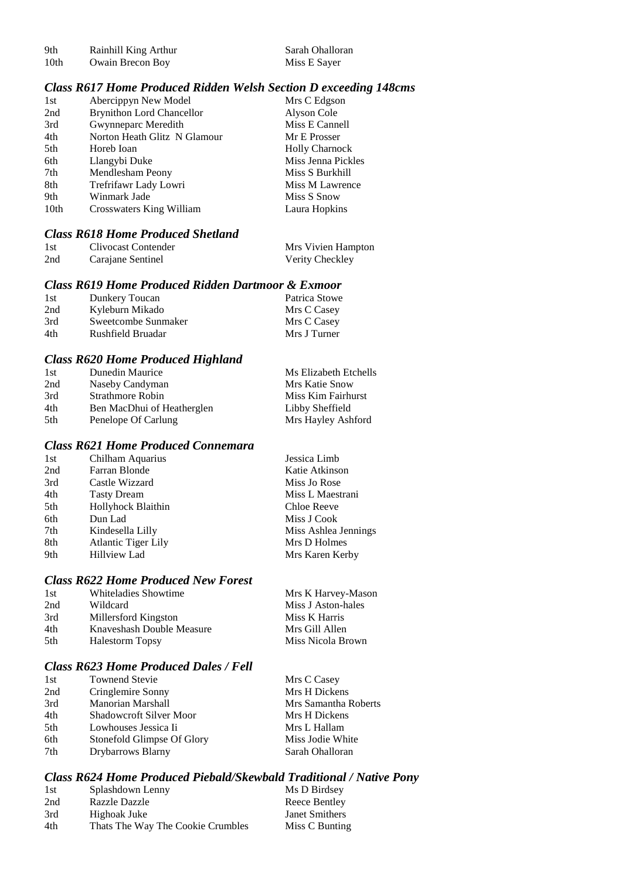| 9th  | Rainhill King Arthur | Sarah Ohalloran |
|------|----------------------|-----------------|
| 10th | Owain Brecon Boy     | Miss E Sayer    |

#### *Class R617 Home Produced Ridden Welsh Section D exceeding 148cms*

| 1st              | Abercippyn New Model             | Mrs C Edgson          |
|------------------|----------------------------------|-----------------------|
| 2nd              | <b>Brynithon Lord Chancellor</b> | Alyson Cole           |
| 3rd              | Gwynneparc Meredith              | Miss E Cannell        |
| 4th              | Norton Heath Glitz N Glamour     | Mr E Prosser          |
| 5th              | Horeb Ioan                       | <b>Holly Charnock</b> |
| 6th              | Llangybi Duke                    | Miss Jenna Pickles    |
| 7th              | Mendlesham Peony                 | Miss S Burkhill       |
| 8th              | Trefrifawr Lady Lowri            | Miss M Lawrence       |
| 9th              | Winmark Jade                     | Miss S Snow           |
| 10 <sub>th</sub> | Crosswaters King William         | Laura Hopkins         |

## *Class R618 Home Produced Shetland*

| 1st | Clivocast Contender | Mrs Vivien Hampton |
|-----|---------------------|--------------------|
| 2nd | Carajane Sentinel   | Verity Checkley    |

## *Class R619 Home Produced Ridden Dartmoor & Exmoor*

| 1st | Dunkery Toucan      | Patrica Stowe |
|-----|---------------------|---------------|
| 2nd | Kyleburn Mikado     | Mrs C Casey   |
| 3rd | Sweetcombe Sunmaker | Mrs C Casey   |
| 4th | Rushfield Bruadar   | Mrs J Turner  |

## *Class R620 Home Produced Highland*

| 1st | Dunedin Maurice            | Ms Elizabeth Etchells |
|-----|----------------------------|-----------------------|
| 2nd | Naseby Candyman            | Mrs Katie Snow        |
| 3rd | Strathmore Robin           | Miss Kim Fairhurst    |
| 4th | Ben MacDhui of Heatherglen | Libby Sheffield       |
| 5th | Penelope Of Carlung        | Mrs Hayley Ashford    |

## *Class R621 Home Produced Connemara*

| Chilham Aquarius           | Jessica Limb         |
|----------------------------|----------------------|
| Farran Blonde              | Katie Atkinson       |
| Castle Wizzard             | Miss Jo Rose         |
| <b>Tasty Dream</b>         | Miss L Maestrani     |
| Hollyhock Blaithin         | Chloe Reeve          |
| Dun Lad                    | Miss J Cook          |
| Kindesella Lilly           | Miss Ashlea Jennings |
| <b>Atlantic Tiger Lily</b> | Mrs D Holmes         |
| <b>Hillview Lad</b>        | Mrs Karen Kerby      |
|                            |                      |

## *Class R622 Home Produced New Forest*

| 1st  | Whiteladies Showtime      | Mrs K Harvey-Mason |
|------|---------------------------|--------------------|
| 2nd  | Wildcard                  | Miss J Aston-hales |
| 3rd  | Millersford Kingston      | Miss K Harris      |
| 4th  | Knaveshash Double Measure | Mrs Gill Allen     |
| .5th | <b>Halestorm Topsy</b>    | Miss Nicola Brown  |

## *Class R623 Home Produced Dales / Fell*

| 1st             | <b>Townend Stevie</b>          | Mrs C Casey          |
|-----------------|--------------------------------|----------------------|
| 2nd             | Cringlemire Sonny              | Mrs H Dickens        |
| 3rd             | <b>Manorian Marshall</b>       | Mrs Samantha Roberts |
| 4th             | <b>Shadowcroft Silver Moor</b> | Mrs H Dickens        |
| 5 <sup>th</sup> | Lowhouses Jessica Ii           | Mrs L Hallam         |
| 6th             | Stonefold Glimpse Of Glory     | Miss Jodie White     |
| 7th             | Drybarrows Blarny              | Sarah Ohalloran      |

#### *Class R624 Home Produced Piebald/Skewbald Traditional / Native Pony*

| 1st | Splashdown Lenny                  | Ms D Birdsey   |
|-----|-----------------------------------|----------------|
| 2nd | <b>Razzle Dazzle</b>              | Reece Bentley  |
| 3rd | Highoak Juke                      | Janet Smithers |
| 4th | Thats The Way The Cookie Crumbles | Miss C Bunting |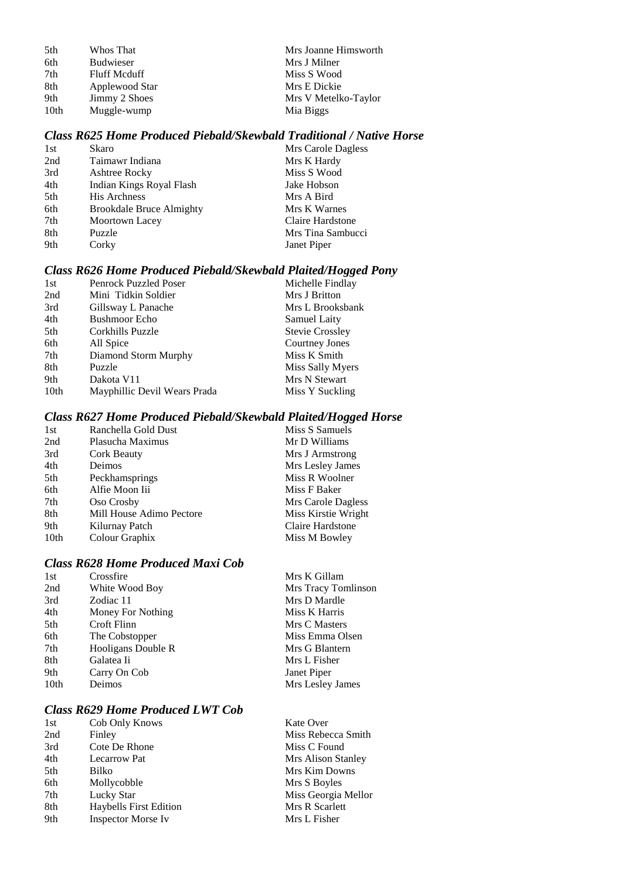| 5th              | Whos That        |
|------------------|------------------|
| 6th              | <b>Budwieser</b> |
| 7th              | Fluff Mcduff     |
| 8th              | Applewood Star   |
| 9th              | Jimmy 2 Shoes    |
| 10 <sub>th</sub> | Muggle-wump      |

Mrs Joanne Himsworth Mrs J Milner Miss S Wood Mrs E Dickie Mrs V Metelko-Taylor Mia Biggs

## *Class R625 Home Produced Piebald/Skewbald Traditional / Native Horse*

| 1st | Skaro                           | Mrs Carole Dagless |
|-----|---------------------------------|--------------------|
| 2nd | Taimawr Indiana                 | Mrs K Hardy        |
| 3rd | Ashtree Rocky                   | Miss S Wood        |
| 4th | Indian Kings Royal Flash        | Jake Hobson        |
| 5th | <b>His Archness</b>             | Mrs A Bird         |
| 6th | <b>Brookdale Bruce Almighty</b> | Mrs K Warnes       |
| 7th | Moortown Lacey                  | Claire Hardstone   |
| 8th | Puzzle                          | Mrs Tina Sambucci  |
| 9th | Corky                           | Janet Piper        |

# *Class R626 Home Produced Piebald/Skewbald Plaited/Hogged Pony*

| Penrock Puzzled Poser        | Michelle Findlay       |
|------------------------------|------------------------|
| Mini Tidkin Soldier          | Mrs J Britton          |
| Gillsway L Panache           | Mrs L Brooksbank       |
| <b>Bushmoor Echo</b>         | Samuel Laity           |
| Corkhills Puzzle             | <b>Stevie Crossley</b> |
| All Spice                    | Courtney Jones         |
| Diamond Storm Murphy         | Miss K Smith           |
| Puzzle                       | Miss Sally Myers       |
| Dakota V11                   | Mrs N Stewart          |
| Mayphillic Devil Wears Prada | Miss Y Suckling        |
|                              |                        |

## *Class R627 Home Produced Piebald/Skewbald Plaited/Hogged Horse*

| 1st  | Ranchella Gold Dust      | Miss S Samuels      |
|------|--------------------------|---------------------|
| 2nd  | Plasucha Maximus         | Mr D Williams       |
| 3rd  | Cork Beauty              | Mrs J Armstrong     |
| 4th  | Deimos                   | Mrs Lesley James    |
| 5th  | Peckhamsprings           | Miss R Woolner      |
| 6th  | Alfie Moon Iii           | Miss F Baker        |
| 7th  | Oso Crosby               | Mrs Carole Dagless  |
| 8th  | Mill House Adimo Pectore | Miss Kirstie Wright |
| 9th  | Kilurnay Patch           | Claire Hardstone    |
| 10th | Colour Graphix           | Miss M Bowley       |
|      |                          |                     |

## *Class R628 Home Produced Maxi Cob*

| 1st  | Crossfire          | Mrs K Gillam        |
|------|--------------------|---------------------|
| 2nd  | White Wood Boy     | Mrs Tracy Tomlinson |
| 3rd  | Zodiac 11          | Mrs D Mardle        |
| 4th  | Money For Nothing  | Miss K Harris       |
| 5th  | Croft Flinn        | Mrs C Masters       |
| 6th  | The Cobstopper     | Miss Emma Olsen     |
| 7th  | Hooligans Double R | Mrs G Blantern      |
| 8th  | Galatea Ii         | Mrs L Fisher        |
| 9th  | Carry On Cob       | Janet Piper         |
| 10th | Deimos             | Mrs Lesley James    |
|      |                    |                     |

# *Class R629 Home Produced LWT Cob*

| 1st | Cob Only Knows                | <b>Kate Over</b>    |
|-----|-------------------------------|---------------------|
| 2nd | Finley                        | Miss Rebecca Smith  |
| 3rd | Cote De Rhone                 | Miss C Found        |
| 4th | Lecarrow Pat                  | Mrs Alison Stanley  |
| 5th | Bilko                         | Mrs Kim Downs       |
| 6th | Mollycobble                   | Mrs S Boyles        |
| 7th | Lucky Star                    | Miss Georgia Mellor |
| 8th | <b>Haybells First Edition</b> | Mrs R Scarlett      |
| 9th | <b>Inspector Morse Iv</b>     | Mrs L Fisher        |
|     |                               |                     |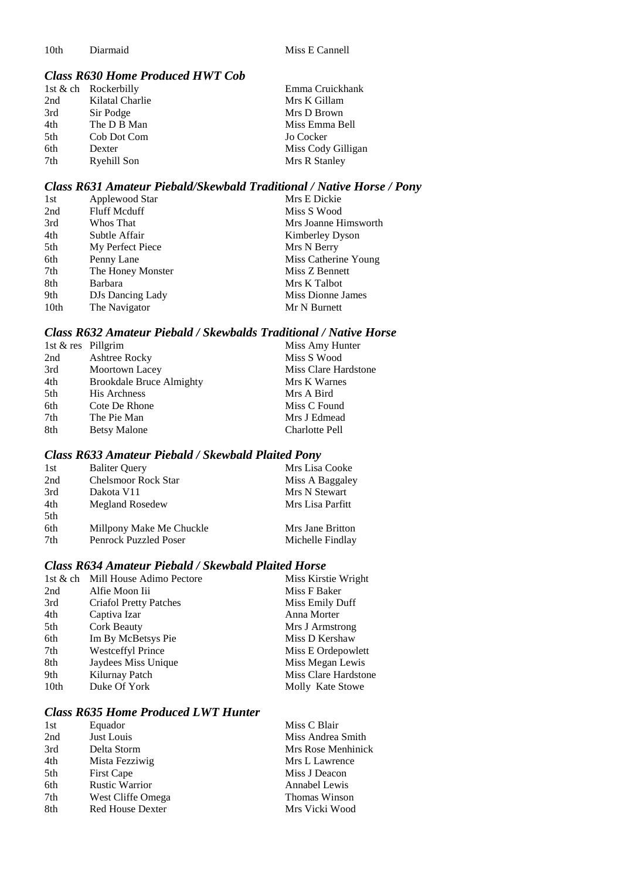## *Class R630 Home Produced HWT Cob*

|     | 1st $\&$ ch Rockerbilly | Emma Cruickhank    |
|-----|-------------------------|--------------------|
| 2nd | Kilatal Charlie         | Mrs K Gillam       |
| 3rd | Sir Podge               | Mrs D Brown        |
| 4th | The D B Man             | Miss Emma Bell     |
| 5th | Cob Dot Com             | Jo Cocker          |
| 6th | Dexter                  | Miss Cody Gilligan |
| 7th | Ryehill Son             | Mrs R Stanley      |

#### *Class R631 Amateur Piebald/Skewbald Traditional / Native Horse / Pony*

| 1st              | Applewood Star      | Mrs E Dickie         |
|------------------|---------------------|----------------------|
| 2nd              | <b>Fluff Mcduff</b> | Miss S Wood          |
| 3rd              | Whos That           | Mrs Joanne Himsworth |
| 4th              | Subtle Affair       | Kimberley Dyson      |
| 5th              | My Perfect Piece    | Mrs N Berry          |
| 6th              | Penny Lane          | Miss Catherine Young |
| 7th              | The Honey Monster   | Miss Z Bennett       |
| 8th              | <b>Barbara</b>      | Mrs K Talbot         |
| 9th              | DJs Dancing Lady    | Miss Dionne James    |
| 10 <sub>th</sub> | The Navigator       | Mr N Burnett         |
|                  |                     |                      |

## *Class R632 Amateur Piebald / Skewbalds Traditional / Native Horse*

| 1st & res Pillgrim |                                 | Miss Amy Hunter       |
|--------------------|---------------------------------|-----------------------|
| 2nd                | Ashtree Rocky                   | Miss S Wood           |
| 3rd                | Moortown Lacey                  | Miss Clare Hardstone  |
| 4th                | <b>Brookdale Bruce Almighty</b> | Mrs K Warnes          |
| 5th                | <b>His Archness</b>             | Mrs A Bird            |
| 6th                | Cote De Rhone                   | Miss C Found          |
| 7th                | The Pie Man                     | Mrs J Edmead          |
| 8th                | <b>Betsy Malone</b>             | <b>Charlotte Pell</b> |

# *Class R633 Amateur Piebald / Skewbald Plaited Pony*

| 1st | <b>Baliter Query</b>       | Mrs Lisa Cooke   |
|-----|----------------------------|------------------|
| 2nd | <b>Chelsmoor Rock Star</b> | Miss A Baggaley  |
| 3rd | Dakota V11                 | Mrs N Stewart    |
| 4th | <b>Megland Rosedew</b>     | Mrs Lisa Parfitt |
| 5th |                            |                  |
| 6th | Millpony Make Me Chuckle   | Mrs Jane Britton |
| 7th | Penrock Puzzled Poser      | Michelle Findlay |
|     |                            |                  |

## *Class R634 Amateur Piebald / Skewbald Plaited Horse*

|                  | 1st & ch Mill House Adimo Pectore | Miss Kirstie Wright  |
|------------------|-----------------------------------|----------------------|
| 2nd              | Alfie Moon Iii                    | Miss F Baker         |
| 3rd              | <b>Criafol Pretty Patches</b>     | Miss Emily Duff      |
| 4th              | Captiva Izar                      | Anna Morter          |
| 5th              | <b>Cork Beauty</b>                | Mrs J Armstrong      |
| 6th              | Im By McBetsys Pie                | Miss D Kershaw       |
| 7th              | <b>Westceffyl Prince</b>          | Miss E Ordepowlett   |
| 8th              | Jaydees Miss Unique               | Miss Megan Lewis     |
| 9th              | Kilurnay Patch                    | Miss Clare Hardstone |
| 10 <sub>th</sub> | Duke Of York                      | Molly Kate Stowe     |

## *Class R635 Home Produced LWT Hunter*

| 1st | Equador                 | Miss C Blair       |
|-----|-------------------------|--------------------|
| 2nd | Just Louis              | Miss Andrea Smith  |
| 3rd | Delta Storm             | Mrs Rose Menhinick |
| 4th | Mista Fezziwig          | Mrs L Lawrence     |
| 5th | <b>First Cape</b>       | Miss J Deacon      |
| 6th | <b>Rustic Warrior</b>   | Annabel Lewis      |
| 7th | West Cliffe Omega       | Thomas Winson      |
| 8th | <b>Red House Dexter</b> | Mrs Vicki Wood     |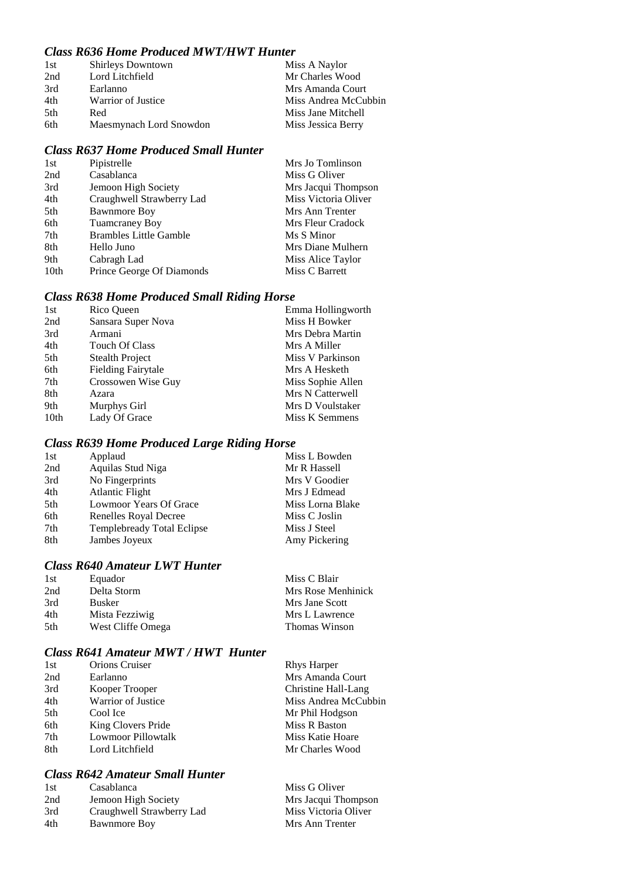## *Class R636 Home Produced MWT/HWT Hunter*

| 1st  | <b>Shirleys Downtown</b> | Miss A Naylor        |
|------|--------------------------|----------------------|
| 2nd  | Lord Litchfield          | Mr Charles Wood      |
| 3rd  | Earlanno                 | Mrs Amanda Court     |
| 4th  | Warrior of Justice       | Miss Andrea McCubbin |
| .5th | Red                      | Miss Jane Mitchell   |
| 6th  | Maesmynach Lord Snowdon  | Miss Jessica Berry   |

## *Class R637 Home Produced Small Hunter*

| 1st              | Pipistrelle                   | Mrs Jo Tomlinson     |
|------------------|-------------------------------|----------------------|
| 2nd              | Casablanca                    | Miss G Oliver        |
| 3rd              | Jemoon High Society           | Mrs Jacqui Thompson  |
| 4th              | Craughwell Strawberry Lad     | Miss Victoria Oliver |
| 5th              | <b>Bawnmore Boy</b>           | Mrs Ann Trenter      |
| 6th              | <b>Tuamcraney Boy</b>         | Mrs Fleur Cradock    |
| 7th              | <b>Brambles Little Gamble</b> | Ms S Minor           |
| 8th              | Hello Juno                    | Mrs Diane Mulhern    |
| 9th              | Cabragh Lad                   | Miss Alice Taylor    |
| 10 <sub>th</sub> | Prince George Of Diamonds     | Miss C Barrett       |

# *Class R638 Home Produced Small Riding Horse*

| 1st  | Rico Queen                | Emma Hollingworth |
|------|---------------------------|-------------------|
| 2nd  | Sansara Super Nova        | Miss H Bowker     |
| 3rd  | Armani                    | Mrs Debra Martin  |
| 4th  | <b>Touch Of Class</b>     | Mrs A Miller      |
| 5th  | <b>Stealth Project</b>    | Miss V Parkinson  |
| 6th  | <b>Fielding Fairytale</b> | Mrs A Hesketh     |
| 7th  | Crossowen Wise Guy        | Miss Sophie Allen |
| 8th  | Azara                     | Mrs N Catterwell  |
| 9th  | Murphys Girl              | Mrs D Voulstaker  |
| 10th | Lady Of Grace             | Miss K Semmens    |
|      |                           |                   |

# *Class R639 Home Produced Large Riding Horse*

| 1st | Applaud                    | Miss L Bowden    |
|-----|----------------------------|------------------|
| 2nd | Aquilas Stud Niga          | Mr R Hassell     |
| 3rd | No Fingerprints            | Mrs V Goodier    |
| 4th | <b>Atlantic Flight</b>     | Mrs J Edmead     |
| 5th | Lowmoor Years Of Grace     | Miss Lorna Blake |
| 6th | Renelles Royal Decree      | Miss C Joslin    |
| 7th | Templebready Total Eclipse | Miss J Steel     |
| 8th | Jambes Joyeux              | Amy Pickering    |

## *Class R640 Amateur LWT Hunter*

| 1st | Equador           | Miss C Blair       |
|-----|-------------------|--------------------|
| 2nd | Delta Storm       | Mrs Rose Menhinick |
| 3rd | <b>Busker</b>     | Mrs Jane Scott     |
| 4th | Mista Fezziwig    | Mrs L Lawrence     |
| 5th | West Cliffe Omega | Thomas Winson      |

## *Class R641 Amateur MWT / HWT Hunter*

| 1st | Orions Cruiser            | <b>Rhys Harper</b>   |
|-----|---------------------------|----------------------|
| 2nd | Earlanno                  | Mrs Amanda Court     |
| 3rd | Kooper Trooper            | Christine Hall-Lang  |
| 4th | Warrior of Justice        | Miss Andrea McCubbin |
| 5th | Cool Ice                  | Mr Phil Hodgson      |
| 6th | King Clovers Pride        | Miss R Baston        |
| 7th | <b>Lowmoor Pillowtalk</b> | Miss Katie Hoare     |
| 8th | Lord Litchfield           | Mr Charles Wood      |
|     |                           |                      |

# *Class R642 Amateur Small Hunter*

| 1st | Casablanca                | Miss G Oliver        |
|-----|---------------------------|----------------------|
| 2nd | Jemoon High Society       | Mrs Jacqui Thompson  |
| 3rd | Craughwell Strawberry Lad | Miss Victoria Oliver |
| 4th | <b>Bawnmore Boy</b>       | Mrs Ann Trenter      |
|     |                           |                      |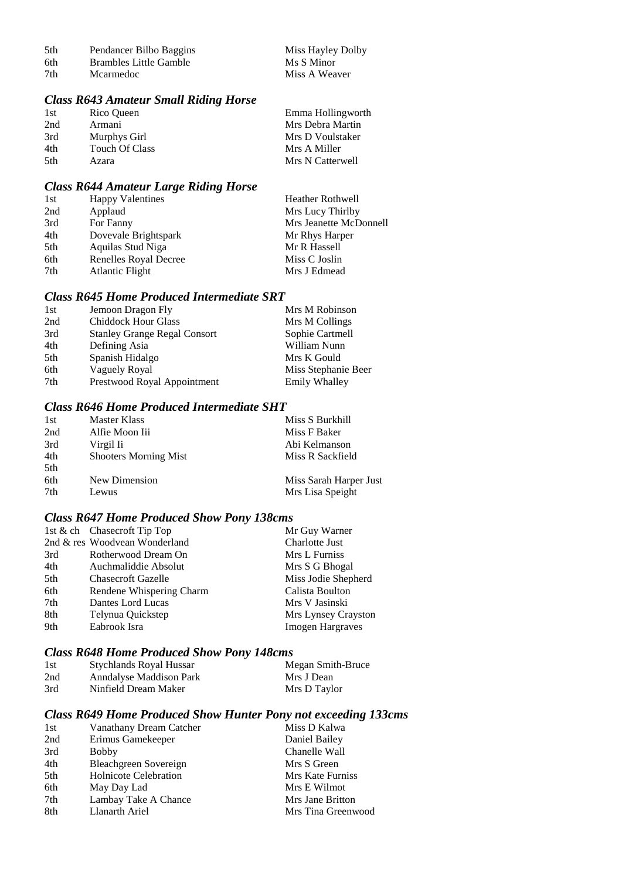| 5th | Pendancer Bilbo Baggins | Miss Hayley Dolby |
|-----|-------------------------|-------------------|
| 6th | Brambles Little Gamble  | Ms S Minor        |
| 7th | <b>Mcarmedoc</b>        | Miss A Weaver     |

# *Class R643 Amateur Small Riding Horse*

| 1st | Rico Queen            | Emma Hollingworth |
|-----|-----------------------|-------------------|
| 2nd | Armani                | Mrs Debra Martin  |
| 3rd | Murphys Girl          | Mrs D Voulstaker  |
| 4th | <b>Touch Of Class</b> | Mrs A Miller      |
| 5th | Azara                 | Mrs N Catterwell  |

# *Class R644 Amateur Large Riding Horse*

| 1st | <b>Happy Valentines</b> | <b>Heather Rothwell</b> |
|-----|-------------------------|-------------------------|
| 2nd | Applaud                 | Mrs Lucy Thirlby        |
| 3rd | For Fanny               | Mrs Jeanette McDonnell  |
| 4th | Dovevale Brightspark    | Mr Rhys Harper          |
| 5th | Aquilas Stud Niga       | Mr R Hassell            |
| 6th | Renelles Royal Decree   | Miss C Joslin           |
| 7th | Atlantic Flight         | Mrs J Edmead            |

## *Class R645 Home Produced Intermediate SRT*

| 1st | Jemoon Dragon Fly                   | Mrs M Robinson      |
|-----|-------------------------------------|---------------------|
| 2nd | <b>Chiddock Hour Glass</b>          | Mrs M Collings      |
| 3rd | <b>Stanley Grange Regal Consort</b> | Sophie Cartmell     |
| 4th | Defining Asia                       | William Nunn        |
| 5th | Spanish Hidalgo                     | Mrs K Gould         |
| 6th | Vaguely Royal                       | Miss Stephanie Beer |
| 7th | Prestwood Royal Appointment         | Emily Whalley       |
|     |                                     |                     |

# *Class R646 Home Produced Intermediate SHT*

| 1st | Master Klass                 | Miss S Burkhill        |
|-----|------------------------------|------------------------|
| 2nd | Alfie Moon Iii               | Miss F Baker           |
| 3rd | Virgil Ii                    | Abi Kelmanson          |
| 4th | <b>Shooters Morning Mist</b> | Miss R Sackfield       |
| 5th |                              |                        |
| 6th | New Dimension                | Miss Sarah Harper Just |
| 7th | Lewus                        | Mrs Lisa Speight       |

# *Class R647 Home Produced Show Pony 138cms*

|     | 1st & ch Chasecroft Tip Top   | Mr Guy Warner           |
|-----|-------------------------------|-------------------------|
|     | 2nd & res Woodvean Wonderland | <b>Charlotte Just</b>   |
| 3rd | Rotherwood Dream On           | Mrs L Furniss           |
| 4th | Auchmaliddie Absolut          | Mrs S G Bhogal          |
| 5th | <b>Chasecroft Gazelle</b>     | Miss Jodie Shepherd     |
| 6th | Rendene Whispering Charm      | Calista Boulton         |
| 7th | Dantes Lord Lucas             | Mrs V Jasinski          |
| 8th | Telynua Quickstep             | Mrs Lynsey Crayston     |
| 9th | Eabrook Isra                  | <b>Imogen Hargraves</b> |

# *Class R648 Home Produced Show Pony 148cms*

| 1st | Stychlands Royal Hussar | Megan Smith-Bruce |
|-----|-------------------------|-------------------|
| 2nd | Anndalyse Maddison Park | Mrs J Dean        |
| 3rd | Ninfield Dream Maker    | Mrs D Taylor      |

## *Class R649 Home Produced Show Hunter Pony not exceeding 133cms*

| 1st | Vanathany Dream Catcher      | Miss D Kalwa       |
|-----|------------------------------|--------------------|
| 2nd | Erimus Gamekeeper            | Daniel Bailey      |
| 3rd | <b>Bobby</b>                 | Chanelle Wall      |
| 4th | Bleachgreen Sovereign        | Mrs S Green        |
| 5th | <b>Holnicote Celebration</b> | Mrs Kate Furniss   |
| 6th | May Day Lad                  | Mrs E Wilmot       |
| 7th | Lambay Take A Chance         | Mrs Jane Britton   |
| 8th | Llanarth Ariel               | Mrs Tina Greenwood |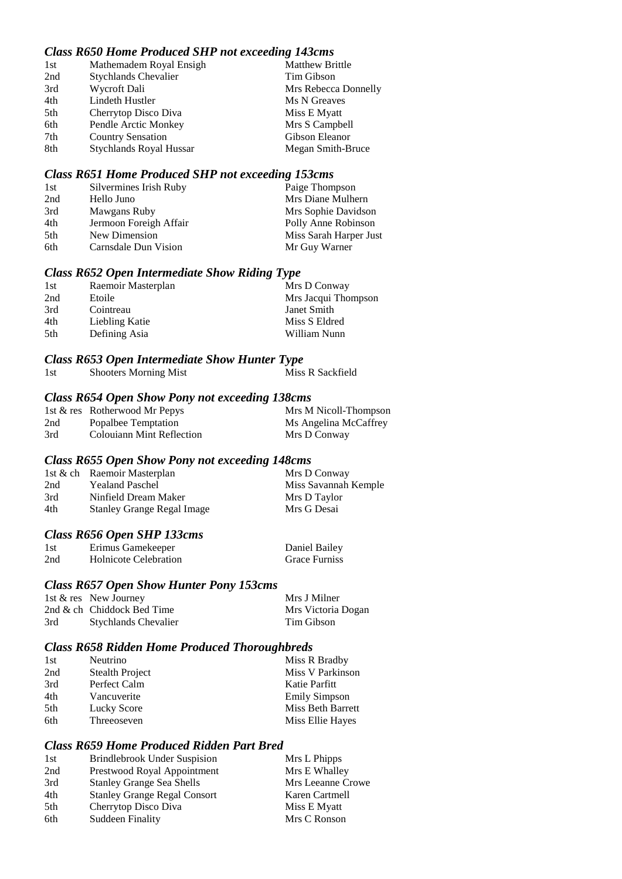## *Class R650 Home Produced SHP not exceeding 143cms*

| 1st | Mathemadem Royal Ensigh        | <b>Matthew Brittle</b> |
|-----|--------------------------------|------------------------|
| 2nd | <b>Stychlands Chevalier</b>    | Tim Gibson             |
| 3rd | Wycroft Dali                   | Mrs Rebecca Donnelly   |
| 4th | Lindeth Hustler                | Ms N Greaves           |
| 5th | Cherrytop Disco Diva           | Miss E Myatt           |
| 6th | Pendle Arctic Monkey           | Mrs S Campbell         |
| 7th | <b>Country Sensation</b>       | Gibson Eleanor         |
| 8th | <b>Stychlands Royal Hussar</b> | Megan Smith-Bruce      |

#### *Class R651 Home Produced SHP not exceeding 153cms*

| 1st | Silvermines Irish Ruby | Paige Thompson         |
|-----|------------------------|------------------------|
| 2nd | Hello Juno             | Mrs Diane Mulhern      |
| 3rd | Mawgans Ruby           | Mrs Sophie Davidson    |
| 4th | Jermoon Foreigh Affair | Polly Anne Robinson    |
| 5th | New Dimension          | Miss Sarah Harper Just |
| 6th | Carnsdale Dun Vision   | Mr Guy Warner          |

#### *Class R652 Open Intermediate Show Riding Type*

| 1st | Raemoir Masterplan | Mrs D Conway        |
|-----|--------------------|---------------------|
| 2nd | Etoile             | Mrs Jacqui Thompson |
| 3rd | Cointreau          | Janet Smith         |
| 4th | Liebling Katie     | Miss S Eldred       |
| 5th | Defining Asia      | William Nunn        |

#### *Class R653 Open Intermediate Show Hunter Type*

| 1st | <b>Shooters Morning Mist</b> | Miss R Sackfield |
|-----|------------------------------|------------------|

## *Class R654 Open Show Pony not exceeding 138cms*

|     | 1st & res Rotherwood Mr Pepys | Mrs M Nicoll-Thompson |
|-----|-------------------------------|-----------------------|
| 2nd | Popalbee Temptation           | Ms Angelina McCaffrey |
| 3rd | Colouiann Mint Reflection     | Mrs D Conway          |

#### *Class R655 Open Show Pony not exceeding 148cms*

|     | 1st & ch Raemoir Masterplan       | Mrs D Conway         |
|-----|-----------------------------------|----------------------|
| 2nd | <b>Yealand Paschel</b>            | Miss Savannah Kemple |
| 3rd | Ninfield Dream Maker              | Mrs D Taylor         |
| 4th | <b>Stanley Grange Regal Image</b> | Mrs G Desai          |

## *Class R656 Open SHP 133cms*

| 1st | Erimus Gamekeeper     | Daniel Bailey        |
|-----|-----------------------|----------------------|
| 2nd | Holnicote Celebration | <b>Grace Furniss</b> |

#### *Class R657 Open Show Hunter Pony 153cms*

|     | 1st $\&$ res New Journey    | Mrs J Milner       |
|-----|-----------------------------|--------------------|
|     | 2nd & ch Chiddock Bed Time  | Mrs Victoria Dogan |
| 3rd | <b>Stychlands Chevalier</b> | Tim Gibson         |

# *Class R658 Ridden Home Produced Thoroughbreds*

| 1st | Neutrino               | Miss R Bradby        |
|-----|------------------------|----------------------|
| 2nd | <b>Stealth Project</b> | Miss V Parkinson     |
| 3rd | Perfect Calm           | Katie Parfitt        |
| 4th | Vancuverite            | <b>Emily Simpson</b> |
| 5th | Lucky Score            | Miss Beth Barrett    |
| 6th | Threeoseven            | Miss Ellie Hayes     |

## *Class R659 Home Produced Ridden Part Bred*

| 1st | <b>Brindlebrook Under Suspision</b> | Mrs L Phipps      |
|-----|-------------------------------------|-------------------|
| 2nd | Prestwood Royal Appointment         | Mrs E Whalley     |
| 3rd | <b>Stanley Grange Sea Shells</b>    | Mrs Leeanne Crowe |
| 4th | <b>Stanley Grange Regal Consort</b> | Karen Cartmell    |
| 5th | Cherrytop Disco Diva                | Miss E Myatt      |
| 6th | Suddeen Finality                    | Mrs C Ronson      |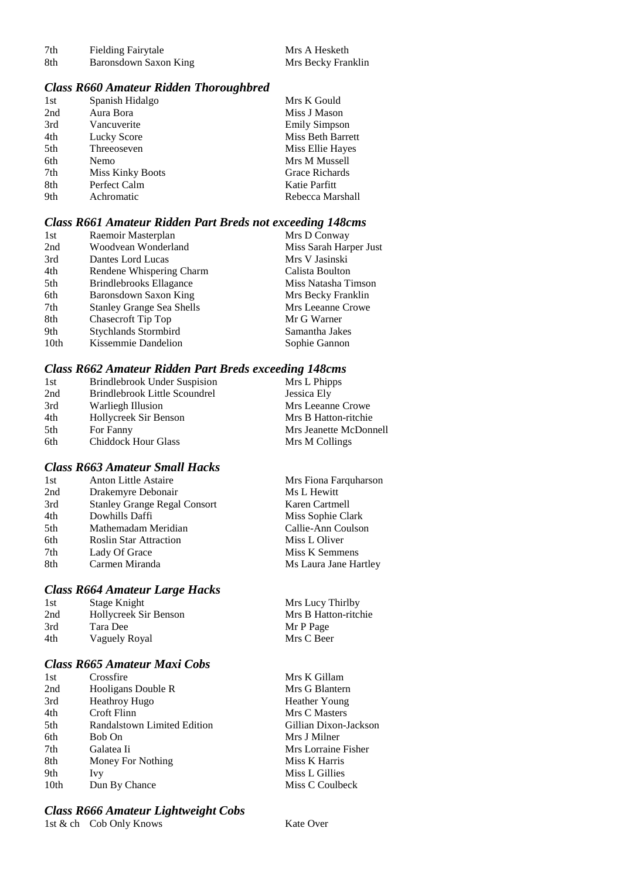| 7th  | <b>Fielding Fairytale</b> | Mrs A Hesketh      |
|------|---------------------------|--------------------|
| -8th | Baronsdown Saxon King     | Mrs Becky Franklin |

#### *Class R660 Amateur Ridden Thoroughbred*

| 1st | Spanish Hidalgo         | Mrs K Gould              |
|-----|-------------------------|--------------------------|
| 2nd | Aura Bora               | Miss J Mason             |
| 3rd | Vancuverite             | <b>Emily Simpson</b>     |
| 4th | Lucky Score             | <b>Miss Beth Barrett</b> |
| 5th | Threeoseven             | Miss Ellie Hayes         |
| 6th | <b>Nemo</b>             | Mrs M Mussell            |
| 7th | <b>Miss Kinky Boots</b> | Grace Richards           |
| 8th | Perfect Calm            | Katie Parfitt            |
| 9th | Achromatic              | Rebecca Marshall         |

## *Class R661 Amateur Ridden Part Breds not exceeding 148cms*

| Miss Sarah Harper Just<br>2nd<br>Woodvean Wonderland<br>3rd<br>Mrs V Jasinski<br>Dantes Lord Lucas<br>4th<br>Rendene Whispering Charm<br>Calista Boulton<br>5th<br><b>Brindlebrooks Ellagance</b><br>Miss Natasha Timson<br>6th<br>Baronsdown Saxon King<br>Mrs Becky Franklin<br><b>Stanley Grange Sea Shells</b><br>Mrs Leeanne Crowe<br>7th<br>8th<br>Chasecroft Tip Top<br>Mr G Warner<br>9th<br><b>Stychlands Stormbird</b><br>Samantha Jakes | 1st  | Raemoir Masterplan  | Mrs D Conway  |
|----------------------------------------------------------------------------------------------------------------------------------------------------------------------------------------------------------------------------------------------------------------------------------------------------------------------------------------------------------------------------------------------------------------------------------------------------|------|---------------------|---------------|
|                                                                                                                                                                                                                                                                                                                                                                                                                                                    |      |                     |               |
|                                                                                                                                                                                                                                                                                                                                                                                                                                                    |      |                     |               |
|                                                                                                                                                                                                                                                                                                                                                                                                                                                    |      |                     |               |
|                                                                                                                                                                                                                                                                                                                                                                                                                                                    |      |                     |               |
|                                                                                                                                                                                                                                                                                                                                                                                                                                                    |      |                     |               |
|                                                                                                                                                                                                                                                                                                                                                                                                                                                    |      |                     |               |
|                                                                                                                                                                                                                                                                                                                                                                                                                                                    |      |                     |               |
|                                                                                                                                                                                                                                                                                                                                                                                                                                                    |      |                     |               |
|                                                                                                                                                                                                                                                                                                                                                                                                                                                    | 10th | Kissemmie Dandelion | Sophie Gannon |

# *Class R662 Amateur Ridden Part Breds exceeding 148cms*

| 1st | Brindlebrook Under Suspision  | Mrs L Phipps           |
|-----|-------------------------------|------------------------|
| 2nd | Brindlebrook Little Scoundrel | Jessica Ely            |
| 3rd | Warliegh Illusion             | Mrs Leeanne Crowe      |
| 4th | Hollycreek Sir Benson         | Mrs B Hatton-ritchie   |
| 5th | For Fanny                     | Mrs Jeanette McDonnell |
| 6th | <b>Chiddock Hour Glass</b>    | Mrs M Collings         |

# *Class R663 Amateur Small Hacks*

| 1st | <b>Anton Little Astaire</b>         | Mrs Fiona Farquharson |
|-----|-------------------------------------|-----------------------|
| 2nd | Drakemyre Debonair                  | Ms L Hewitt           |
| 3rd | <b>Stanley Grange Regal Consort</b> | Karen Cartmell        |
| 4th | Dowhills Daffi                      | Miss Sophie Clark     |
| 5th | Mathemadam Meridian                 | Callie-Ann Coulson    |
| 6th | <b>Roslin Star Attraction</b>       | Miss L Oliver         |
| 7th | Lady Of Grace                       | Miss K Semmens        |
| 8th | Carmen Miranda                      | Ms Laura Jane Hartley |
|     |                                     |                       |

## *Class R664 Amateur Large Hacks*

| 1st | Stage Knight          | Mrs Lucy Thirlby     |
|-----|-----------------------|----------------------|
| 2nd | Hollycreek Sir Benson | Mrs B Hatton-ritchie |
| 3rd | Tara Dee              | Mr P Page            |
| 4th | Vaguely Royal         | Mrs C Beer           |
|     |                       |                      |

# *Class R665 Amateur Maxi Cobs*

| 1st              | Crossfire                   | Mrs K Gillam          |
|------------------|-----------------------------|-----------------------|
| 2nd              | Hooligans Double R          | Mrs G Blantern        |
| 3rd              | <b>Heathroy Hugo</b>        | <b>Heather Young</b>  |
| 4th              | Croft Flinn                 | Mrs C Masters         |
| 5th              | Randalstown Limited Edition | Gillian Dixon-Jackson |
| 6th              | Bob On                      | Mrs J Milner          |
| 7th              | Galatea Ii                  | Mrs Lorraine Fisher   |
| 8th              | Money For Nothing           | Miss K Harris         |
| 9th              | Ivy                         | Miss L Gillies        |
| 10 <sub>th</sub> | Dun By Chance               | Miss C Coulbeck       |

# *Class R666 Amateur Lightweight Cobs*

1st & ch Cob Only Knows Kate Over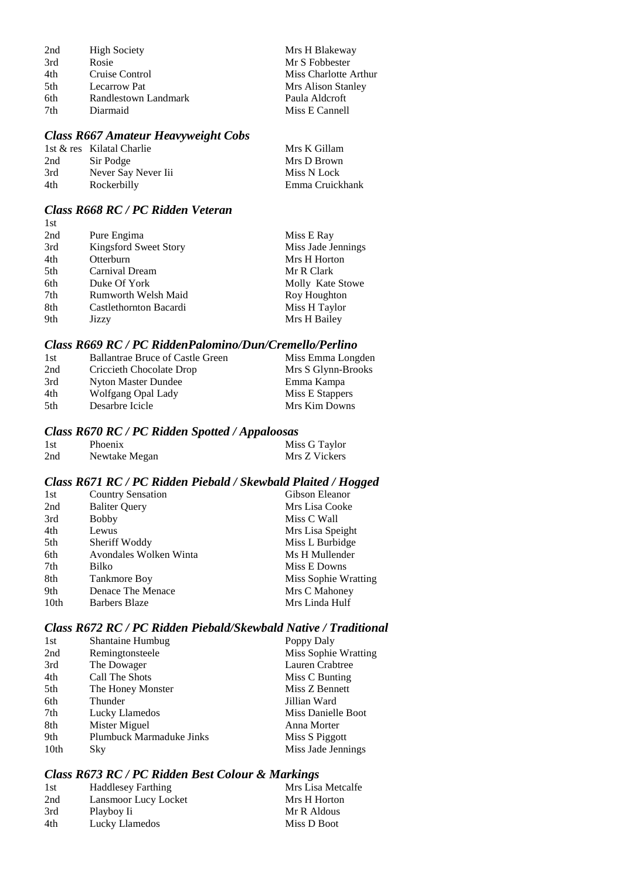| 2nd | <b>High Society</b>  | Mrs H Blakeway        |
|-----|----------------------|-----------------------|
| 3rd | Rosie                | Mr S Fobbester        |
| 4th | Cruise Control       | Miss Charlotte Arthur |
| 5th | Lecarrow Pat         | Mrs Alison Stanley    |
| 6th | Randlestown Landmark | Paula Aldcroft        |
| 7th | Diarmaid             | Miss E Cannell        |

# *Class R667 Amateur Heavyweight Cobs*

|     | 1st & res Kilatal Charlie | Mrs K Gillam    |
|-----|---------------------------|-----------------|
| 2nd | Sir Podge                 | Mrs D Brown     |
| 3rd | Never Say Never Iii       | Miss N Lock     |
| 4th | Rockerbilly               | Emma Cruickhank |

#### *Class R668 RC / PC Ridden Veteran*  $1st$

| 1 D L |                              |                    |
|-------|------------------------------|--------------------|
| 2nd   | Pure Engima                  | Miss E Ray         |
| 3rd   | <b>Kingsford Sweet Story</b> | Miss Jade Jennings |
| 4th   | Otterburn                    | Mrs H Horton       |
| 5th   | Carnival Dream               | Mr R Clark         |
| 6th   | Duke Of York                 | Molly Kate Stowe   |
| 7th   | Rumworth Welsh Maid          | Roy Houghton       |
| 8th   | Castlethornton Bacardi       | Miss H Taylor      |
| 9th   | Jizzy                        | Mrs H Bailey       |
|       |                              |                    |

#### *Class R669 RC / PC RiddenPalomino/Dun/Cremello/Perlino*

| <b>Ballantrae Bruce of Castle Green</b> | Miss Emma Longden  |
|-----------------------------------------|--------------------|
| Criccieth Chocolate Drop                | Mrs S Glynn-Brooks |
| Nyton Master Dundee                     | Emma Kampa         |
| Wolfgang Opal Lady                      | Miss E Stappers    |
| Desarbre Icicle                         | Mrs Kim Downs      |
|                                         |                    |

#### *Class R670 RC / PC Ridden Spotted / Appaloosas*

| 1st | Phoenix       | Miss G Taylor |
|-----|---------------|---------------|
| 2nd | Newtake Megan | Mrs Z Vickers |

## *Class R671 RC / PC Ridden Piebald / Skewbald Plaited / Hogged*

| 1st              | <b>Country Sensation</b> | Gibson Eleanor       |
|------------------|--------------------------|----------------------|
| 2nd              | <b>Baliter Query</b>     | Mrs Lisa Cooke       |
| 3rd              | <b>Bobby</b>             | Miss C Wall          |
| 4th              | Lewus                    | Mrs Lisa Speight     |
| 5th              | Sheriff Woddy            | Miss L Burbidge      |
| 6th              | Avondales Wolken Winta   | Ms H Mullender       |
| 7th              | Bilko                    | Miss E Downs         |
| 8th              | <b>Tankmore Boy</b>      | Miss Sophie Wratting |
| 9th              | Denace The Menace        | Mrs C Mahoney        |
| 10 <sub>th</sub> | Barbers Blaze            | Mrs Linda Hulf       |

## *Class R672 RC / PC Ridden Piebald/Skewbald Native / Traditional*

| 1st  | <b>Shantaine Humbug</b>         | Poppy Daly           |
|------|---------------------------------|----------------------|
| 2nd  | Remingtonsteele                 | Miss Sophie Wratting |
| 3rd  | The Dowager                     | Lauren Crabtree      |
| 4th  | Call The Shots                  | Miss C Bunting       |
| 5th  | The Honey Monster               | Miss Z Bennett       |
| 6th  | Thunder                         | Jillian Ward         |
| 7th  | Lucky Llamedos                  | Miss Danielle Boot   |
| 8th  | Mister Miguel                   | Anna Morter          |
| 9th  | <b>Plumbuck Marmaduke Jinks</b> | Miss S Piggott       |
| 10th | Sky                             | Miss Jade Jennings   |

# *Class R673 RC / PC Ridden Best Colour & Markings*

| 1st | <b>Haddlesey Farthing</b> | Mrs Lisa Metcalfe |
|-----|---------------------------|-------------------|
| 2nd | Lansmoor Lucy Locket      | Mrs H Horton      |
| 3rd | Playboy Ii                | Mr R Aldous       |
| 4th | Lucky Llamedos            | Miss D Boot       |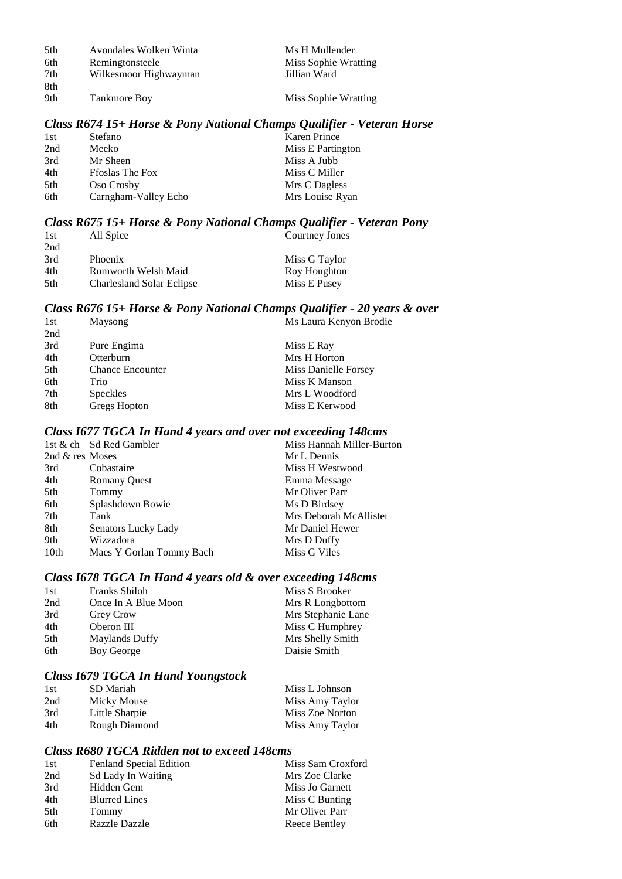| 5th | Avondales Wolken Winta | Ms H Mullender       |
|-----|------------------------|----------------------|
| 6th | Remingtonsteele        | Miss Sophie Wratting |
| 7th | Wilkesmoor Highwayman  | Jillian Ward         |
| 8th |                        |                      |
| 9th | <b>Tankmore Boy</b>    | Miss Sophie Wratting |

#### *Class R674 15+ Horse & Pony National Champs Qualifier - Veteran Horse*

| 1st | Stefano                | <b>Karen Prince</b> |
|-----|------------------------|---------------------|
| 2nd | Meeko                  | Miss E Partington   |
| 3rd | Mr Sheen               | Miss A Jubb         |
| 4th | <b>Froslas The Fox</b> | Miss C Miller       |
| 5th | Oso Crosby             | Mrs C Dagless       |
| 6th | Carngham-Valley Echo   | Mrs Louise Ryan     |

#### *Class R675 15+ Horse & Pony National Champs Qualifier - Veteran Pony*

| 1st  | All Spice                        | Courtney Jones |
|------|----------------------------------|----------------|
| 2nd  |                                  |                |
| 3rd  | <b>Phoenix</b>                   | Miss G Taylor  |
| 4th  | Rumworth Welsh Maid              | Roy Houghton   |
| .5th | <b>Charlesland Solar Eclipse</b> | Miss E Pusey   |

#### *Class R676 15+ Horse & Pony National Champs Qualifier - 20 years & over* 1st Maysong Ms Laura Kenyon Brodie

| 2nd |                         |                      |
|-----|-------------------------|----------------------|
| 3rd | Pure Engima             | Miss E Ray           |
| 4th | Otterburn               | Mrs H Horton         |
| 5th | <b>Chance Encounter</b> | Miss Danielle Forsey |
| 6th | Trio                    | Miss K Manson        |
| 7th | <b>Speckles</b>         | Mrs L Woodford       |
| 8th | Gregs Hopton            | Miss E Kerwood       |
|     |                         |                      |

#### *Class I677 TGCA In Hand 4 years and over not exceeding 148cms*

|                 | 1st & ch Sd Red Gambler  | Miss Hannah Miller-Burton |
|-----------------|--------------------------|---------------------------|
| 2nd & res Moses |                          | Mr L Dennis               |
| 3rd             | Cobastaire               | Miss H Westwood           |
| 4th             | <b>Romany Quest</b>      | Emma Message              |
| 5th             | Tommy                    | Mr Oliver Parr            |
| 6th             | Splashdown Bowie         | Ms D Birdsey              |
| 7th             | Tank                     | Mrs Deborah McAllister    |
| 8th             | Senators Lucky Lady      | Mr Daniel Hewer           |
| 9th             | Wizzadora                | Mrs D Duffy               |
| 10th            | Maes Y Gorlan Tommy Bach | Miss G Viles              |
|                 |                          |                           |

## *Class I678 TGCA In Hand 4 years old & over exceeding 148cms*

| <b>Franks Shiloh</b>  | Miss S Brooker     |
|-----------------------|--------------------|
| Once In A Blue Moon   | Mrs R Longbottom   |
| <b>Grey Crow</b>      | Mrs Stephanie Lane |
| Oberon III            | Miss C Humphrey    |
| <b>Maylands Duffy</b> | Mrs Shelly Smith   |
| Boy George            | Daisie Smith       |
|                       |                    |

#### *Class I679 TGCA In Hand Youngstock*

| 1st | SD Mariah      | Miss L Johnson  |
|-----|----------------|-----------------|
| 2nd | Micky Mouse    | Miss Amy Taylor |
| 3rd | Little Sharpie | Miss Zoe Norton |
| 4th | Rough Diamond  | Miss Amy Taylor |

## *Class R680 TGCA Ridden not to exceed 148cms*

| 1st | Fenland Special Edition   | Miss Sam Croxford |
|-----|---------------------------|-------------------|
| 2nd | <b>Sd Lady In Waiting</b> | Mrs Zoe Clarke    |
| 3rd | Hidden Gem                | Miss Jo Garnett   |
| 4th | <b>Blurred Lines</b>      | Miss C Bunting    |
| 5th | Tommy                     | Mr Oliver Parr    |
| 6th | <b>Razzle Dazzle</b>      | Reece Bentley     |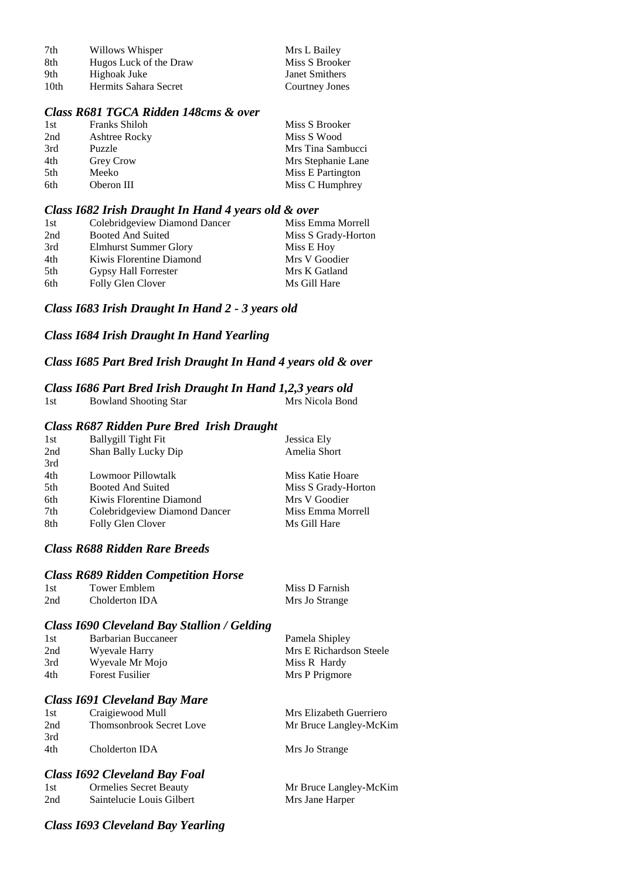| 7th  | Willows Whisper        | Mrs L Bailey   |
|------|------------------------|----------------|
| 8th  | Hugos Luck of the Draw | Miss S Brooker |
| 9th  | Highoak Juke           | Janet Smithers |
| 10th | Hermits Sahara Secret  | Courtney Jones |

#### *Class R681 TGCA Ridden 148cms & over*

| <b>Franks Shiloh</b> | Miss S Brooker     |
|----------------------|--------------------|
| <b>Ashtree Rocky</b> | Miss S Wood        |
| Puzzle               | Mrs Tina Sambucci  |
| <b>Grey Crow</b>     | Mrs Stephanie Lane |
| Meeko                | Miss E Partington  |
| Oberon III           | Miss C Humphrey    |
|                      |                    |

#### *Class I682 Irish Draught In Hand 4 years old & over*

| Miss Emma Morrell   |
|---------------------|
| Miss S Grady-Horton |
| Miss E Hoy          |
| Mrs V Goodier       |
| Mrs K Gatland       |
| Ms Gill Hare        |
|                     |

## *Class I683 Irish Draught In Hand 2 - 3 years old*

### *Class I684 Irish Draught In Hand Yearling*

## *Class I685 Part Bred Irish Draught In Hand 4 years old & over*

#### *Class I686 Part Bred Irish Draught In Hand 1,2,3 years old*

| 1st | <b>Bowland Shooting Star</b>                     | Mrs Nicola Bond  |
|-----|--------------------------------------------------|------------------|
|     | <b>Class R687 Ridden Pure Bred Irish Draught</b> |                  |
| 1st | <b>Ballygill Tight Fit</b>                       | Jessica Ely      |
| 2nd | Shan Bally Lucky Dip                             | Amelia Short     |
| 3rd |                                                  |                  |
| 4th | Lowmoor Pillowtalk                               | Miss Katie Hoare |
|     |                                                  |                  |

| .5th | Booted And Suited             | Miss S Grady-Horton |
|------|-------------------------------|---------------------|
| 6th  | Kiwis Florentine Diamond      | Mrs V Goodier       |
| 7th  | Colebridgeview Diamond Dancer | Miss Emma Morrell   |
| 8th  | Folly Glen Clover             | Ms Gill Hare        |
|      |                               |                     |

## *Class R688 Ridden Rare Breeds*

#### *Class R689 Ridden Competition Horse*

| 1st | Tower Emblem   | Miss D Farnish |
|-----|----------------|----------------|
| 2nd | Cholderton IDA | Mrs Jo Strange |

#### *Class I690 Cleveland Bay Stallion / Gelding*

| 1st | Barbarian Buccaneer    | Pamela Shipley          |
|-----|------------------------|-------------------------|
| 2nd | Wyevale Harry          | Mrs E Richardson Steele |
| 3rd | Wyevale Mr Mojo        | Miss R Hardy            |
| 4th | <b>Forest Fusilier</b> | Mrs P Prigmore          |

Mrs Elizabeth Guerriero Mr Bruce Langley-McKim

Mrs Jo Strange

#### *Class I691 Cleveland Bay Mare*

| 1st | Craigiewood Mull                |  |
|-----|---------------------------------|--|
| 2nd | <b>Thomsonbrook Secret Love</b> |  |
| 3rd |                                 |  |
| 4th | Cholderton IDA                  |  |

# *Class I692 Cleveland Bay Foal*

|     | $\frac{1}{2}$ $\frac{1}{2}$ $\frac{1}{2}$ $\frac{1}{2}$ $\frac{1}{2}$ $\frac{1}{2}$ $\frac{1}{2}$ $\frac{1}{2}$ $\frac{1}{2}$ $\frac{1}{2}$ $\frac{1}{2}$ $\frac{1}{2}$ $\frac{1}{2}$ $\frac{1}{2}$ $\frac{1}{2}$ $\frac{1}{2}$ $\frac{1}{2}$ $\frac{1}{2}$ $\frac{1}{2}$ $\frac{1}{2}$ $\frac{1}{2}$ $\frac{1}{2}$ |                        |
|-----|---------------------------------------------------------------------------------------------------------------------------------------------------------------------------------------------------------------------------------------------------------------------------------------------------------------------|------------------------|
| 1st | <b>Ormelies Secret Beauty</b>                                                                                                                                                                                                                                                                                       | Mr Bruce Langley-McKim |
| 2nd | Saintelucie Louis Gilbert                                                                                                                                                                                                                                                                                           | Mrs Jane Harper        |
|     |                                                                                                                                                                                                                                                                                                                     |                        |

## *Class I693 Cleveland Bay Yearling*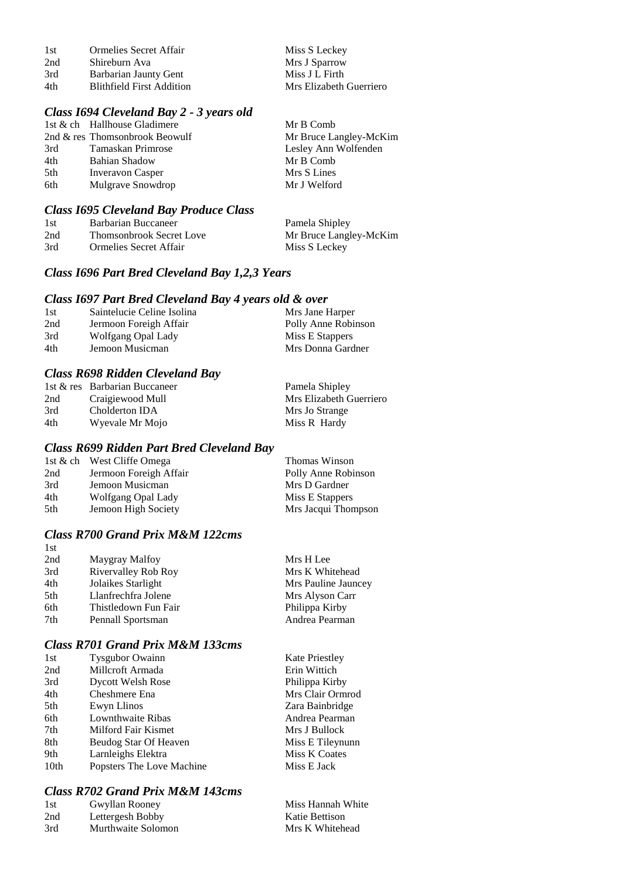| 1st | Ormelies Secret Affair    | Miss S Leckey           |
|-----|---------------------------|-------------------------|
| 2nd | Shireburn Ava             | Mrs J Sparrow           |
| 3rd | Barbarian Jaunty Gent     | Miss J L Firth          |
| 4th | Blithfield First Addition | Mrs Elizabeth Guerriero |

# *Class I694 Cleveland Bay 2 - 3 years old*

|     | 1st & ch Hallhouse Gladimere   | Mr B Comb              |
|-----|--------------------------------|------------------------|
|     | 2nd & res Thomsonbrook Beowulf | Mr Bruce Langley-McKim |
| 3rd | Tamaskan Primrose              | Lesley Ann Wolfenden   |
| 4th | Bahian Shadow                  | Mr B Comb              |
| 5th | <b>Inveravon Casper</b>        | Mrs S Lines            |
| 6th | Mulgrave Snowdrop              | Mr J Welford           |
|     |                                |                        |

# *Class I695 Cleveland Bay Produce Class*

| -1 st | Barbarian Buccaneer             | Pamela Shipley         |
|-------|---------------------------------|------------------------|
| 2nd   | <b>Thomsonbrook Secret Love</b> | Mr Bruce Langley-McKim |
| 3rd   | Ormelies Secret Affair          | Miss S Leckey          |

## *Class I696 Part Bred Cleveland Bay 1,2,3 Years*

#### *Class I697 Part Bred Cleveland Bay 4 years old & over*

| 1st | Saintelucie Celine Isolina | Mrs Jane Harper     |
|-----|----------------------------|---------------------|
| 2nd | Jermoon Foreigh Affair     | Polly Anne Robinson |
| 3rd | Wolfgang Opal Lady         | Miss E Stappers     |
| 4th | Jemoon Musicman            | Mrs Donna Gardner   |

## *Class R698 Ridden Cleveland Bay*

|     | 1st & res Barbarian Buccaneer | Pamela Shipley          |
|-----|-------------------------------|-------------------------|
| 2nd | Craigiewood Mull              | Mrs Elizabeth Guerriero |
| 3rd | Cholderton IDA                | Mrs Jo Strange          |
| 4th | Wyevale Mr Mojo               | Miss R Hardy            |

## *Class R699 Ridden Part Bred Cleveland Bay*

|     | 1st & ch West Cliffe Omega | Thomas Winson       |
|-----|----------------------------|---------------------|
| 2nd | Jermoon Foreigh Affair     | Polly Anne Robinson |
| 3rd | Jemoon Musicman            | Mrs D Gardner       |
| 4th | Wolfgang Opal Lady         | Miss E Stappers     |
| 5th | Jemoon High Society        | Mrs Jacqui Thompson |
|     |                            |                     |

# *Class R700 Grand Prix M&M 122cms*

| 1st |                      |                     |
|-----|----------------------|---------------------|
| 2nd | Maygray Malfoy       | Mrs H Lee           |
| 3rd | Rivervalley Rob Roy  | Mrs K Whitehead     |
| 4th | Jolaikes Starlight   | Mrs Pauline Jauncey |
| 5th | Llanfrechfra Jolene  | Mrs Alyson Carr     |
| 6th | Thistledown Fun Fair | Philippa Kirby      |
| 7th | Pennall Sportsman    | Andrea Pearman      |
|     |                      |                     |

# *Class R701 Grand Prix M&M 133cms*

| 1st              | <b>Tysgubor Owainn</b>    | <b>Kate Priestley</b> |
|------------------|---------------------------|-----------------------|
| 2nd              | Millcroft Armada          | Erin Wittich          |
| 3rd              | <b>Dycott Welsh Rose</b>  | Philippa Kirby        |
| 4th              | Cheshmere Ena             | Mrs Clair Ormrod      |
| 5th              | Ewyn Llinos               | Zara Bainbridge       |
| 6th              | Lownthwaite Ribas         | Andrea Pearman        |
| 7th              | Milford Fair Kismet       | Mrs J Bullock         |
| 8th              | Beudog Star Of Heaven     | Miss E Tileynunn      |
| 9th              | Larnleighs Elektra        | Miss K Coates         |
| 10 <sub>th</sub> | Popsters The Love Machine | Miss E Jack           |
|                  |                           |                       |

## *Class R702 Grand Prix M&M 143cms*

| 1st | Gwyllan Rooney     | Miss Hannah White |
|-----|--------------------|-------------------|
| 2nd | Lettergesh Bobby   | Katie Bettison    |
| 3rd | Murthwaite Solomon | Mrs K Whitehead   |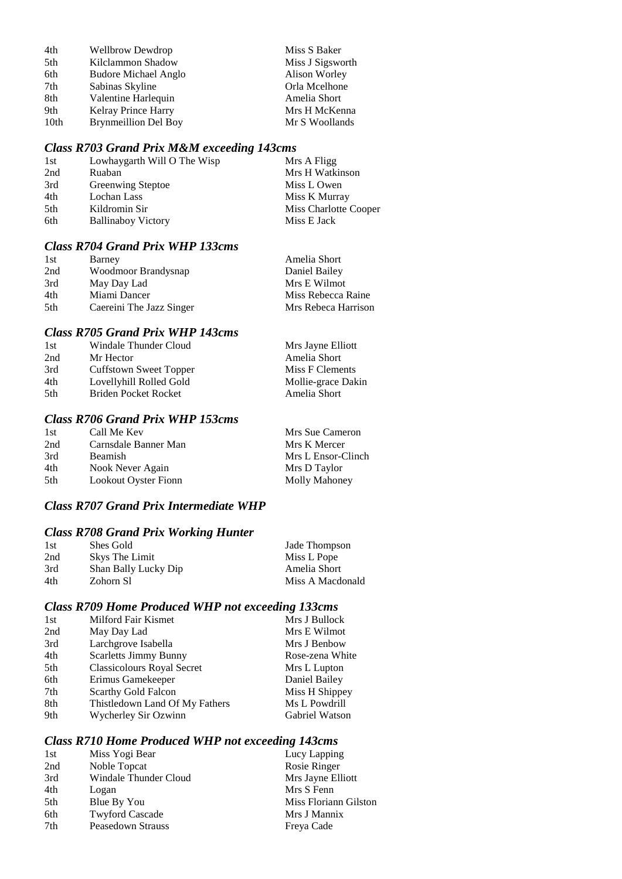| 4th  | <b>Wellbrow Dewdrop</b>     | Miss S Baker     |
|------|-----------------------------|------------------|
| 5th  | Kilclammon Shadow           | Miss J Sigsworth |
| 6th  | <b>Budore Michael Anglo</b> | Alison Worley    |
| 7th  | Sabinas Skyline             | Orla Mcelhone    |
| 8th  | Valentine Harlequin         | Amelia Short     |
| 9th  | <b>Kelray Prince Harry</b>  | Mrs H McKenna    |
| 10th | <b>Brynmeillion Del Boy</b> | Mr S Woollands   |

# *Class R703 Grand Prix M&M exceeding 143cms*

| Lowhaygarth Will O The Wisp | Mrs A Fligg           |
|-----------------------------|-----------------------|
| Ruaban                      | Mrs H Watkinson       |
| Greenwing Steptoe           | Miss L Owen           |
| Lochan Lass                 | Miss K Murray         |
| Kildromin Sir               | Miss Charlotte Cooper |
| <b>Ballinaboy Victory</b>   | Miss E Jack           |
|                             |                       |

## *Class R704 Grand Prix WHP 133cms*

| Barney                   | Amelia Short        |
|--------------------------|---------------------|
| Woodmoor Brandysnap      | Daniel Bailey       |
| May Day Lad              | Mrs E Wilmot        |
| Miami Dancer             | Miss Rebecca Raine  |
| Caereini The Jazz Singer | Mrs Rebeca Harrison |
|                          |                     |

## *Class R705 Grand Prix WHP 143cms*

| Mrs Jayne Elliott                                                                                                      |
|------------------------------------------------------------------------------------------------------------------------|
| Amelia Short                                                                                                           |
| Miss F Clements                                                                                                        |
| Mollie-grace Dakin                                                                                                     |
| Amelia Short                                                                                                           |
| Windale Thunder Cloud<br>Mr Hector<br>Cuffstown Sweet Topper<br>Lovellyhill Rolled Gold<br><b>Briden Pocket Rocket</b> |

# *Class R706 Grand Prix WHP 153cms*

| 1st | Call Me Kev          | Mrs Sue Cameron    |
|-----|----------------------|--------------------|
| 2nd | Carnsdale Banner Man | Mrs K Mercer       |
| 3rd | <b>Beamish</b>       | Mrs L Ensor-Clinch |
| 4th | Nook Never Again     | Mrs D Taylor       |
| 5th | Lookout Oyster Fionn | Molly Mahoney      |

### *Class R707 Grand Prix Intermediate WHP*

# *Class R708 Grand Prix Working Hunter*

| 1st | Shes Gold            | Jade Thompson    |
|-----|----------------------|------------------|
| 2nd | Skys The Limit       | Miss L Pope      |
| 3rd | Shan Bally Lucky Dip | Amelia Short     |
| 4th | Zohorn S1            | Miss A Macdonald |

# *Class R709 Home Produced WHP not exceeding 133cms*

| 1st | Milford Fair Kismet               | Mrs J Bullock   |
|-----|-----------------------------------|-----------------|
| 2nd | May Day Lad                       | Mrs E Wilmot    |
| 3rd | Larchgrove Isabella               | Mrs J Benbow    |
| 4th | <b>Scarletts Jimmy Bunny</b>      | Rose-zena White |
| 5th | <b>Classicolours Royal Secret</b> | Mrs L Lupton    |
| 6th | Erimus Gamekeeper                 | Daniel Bailey   |
| 7th | Scarthy Gold Falcon               | Miss H Shippey  |
| 8th | Thistledown Land Of My Fathers    | Ms L Powdrill   |
| 9th | Wycherley Sir Ozwinn              | Gabriel Watson  |
|     |                                   |                 |

# *Class R710 Home Produced WHP not exceeding 143cms*

| Miss Yogi Bear         | Lucy Lapping          |
|------------------------|-----------------------|
| Noble Topcat           | Rosie Ringer          |
| Windale Thunder Cloud  | Mrs Jayne Elliott     |
| Logan                  | Mrs S Fenn            |
| Blue By You            | Miss Floriann Gilston |
| <b>Twyford Cascade</b> | Mrs J Mannix          |
| Peasedown Strauss      | Freya Cade            |
|                        |                       |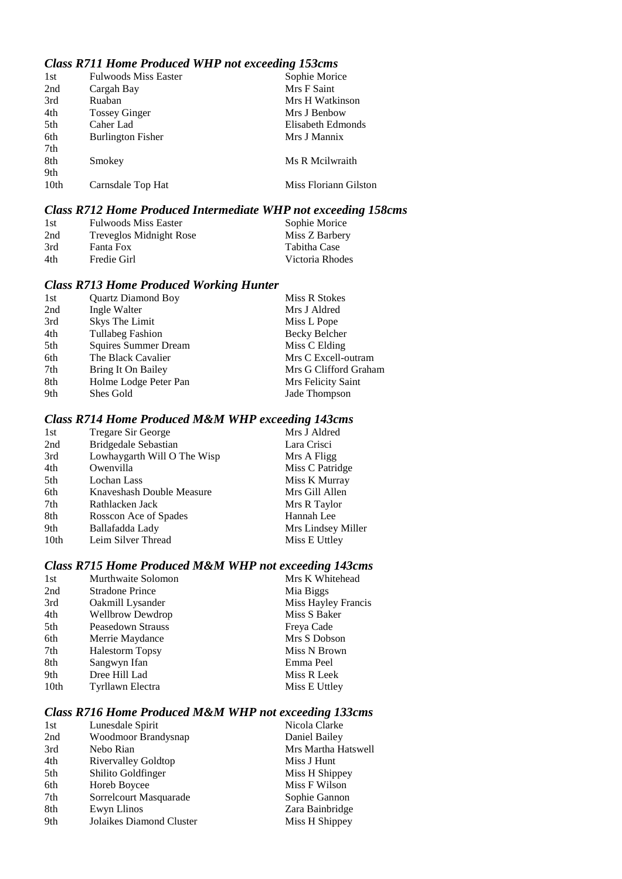# *Class R711 Home Produced WHP not exceeding 153cms*

| 1st  | <b>Fulwoods Miss Easter</b> | Sophie Morice         |
|------|-----------------------------|-----------------------|
| 2nd  | Cargah Bay                  | Mrs F Saint           |
| 3rd  | Ruaban                      | Mrs H Watkinson       |
| 4th  | <b>Tossey Ginger</b>        | Mrs J Benbow          |
| 5th  | Caher Lad                   | Elisabeth Edmonds     |
| 6th  | <b>Burlington Fisher</b>    | Mrs J Mannix          |
| 7th  |                             |                       |
| 8th  | Smokey                      | Ms R Meilwraith       |
| 9th  |                             |                       |
| 10th | Carnsdale Top Hat           | Miss Floriann Gilston |
|      |                             |                       |

## *Class R712 Home Produced Intermediate WHP not exceeding 158cms*

| 1st | <b>Fulwoods Miss Easter</b> | Sophie Morice   |
|-----|-----------------------------|-----------------|
| 2nd | Treveglos Midnight Rose     | Miss Z Barbery  |
| 3rd | Fanta Fox                   | Tabitha Case    |
| 4th | Fredie Girl                 | Victoria Rhodes |

# *Class R713 Home Produced Working Hunter*

| 1st | <b>Quartz Diamond Boy</b> | Miss R Stokes         |
|-----|---------------------------|-----------------------|
| 2nd | Ingle Walter              | Mrs J Aldred          |
| 3rd | Skys The Limit            | Miss L Pope           |
| 4th | <b>Tullabeg Fashion</b>   | Becky Belcher         |
| 5th | Squires Summer Dream      | Miss C Elding         |
| 6th | The Black Cavalier        | Mrs C Excell-outram   |
| 7th | Bring It On Bailey        | Mrs G Clifford Graham |
| 8th | Holme Lodge Peter Pan     | Mrs Felicity Saint    |
| 9th | Shes Gold                 | Jade Thompson         |
|     |                           |                       |

# *Class R714 Home Produced M&M WHP exceeding 143cms*

| 1st              | <b>Tregare Sir George</b>   | Mrs J Aldred       |
|------------------|-----------------------------|--------------------|
| 2nd              | <b>Bridgedale Sebastian</b> | Lara Crisci        |
| 3rd              | Lowhaygarth Will O The Wisp | Mrs A Fligg        |
| 4th              | Owenvilla                   | Miss C Patridge    |
| 5th              | Lochan Lass                 | Miss K Murray      |
| 6th              | Knaveshash Double Measure   | Mrs Gill Allen     |
| 7th              | Rathlacken Jack             | Mrs R Taylor       |
| 8th              | Rosscon Ace of Spades       | Hannah Lee         |
| 9th              | Ballafadda Lady             | Mrs Lindsey Miller |
| 10 <sub>th</sub> | Leim Silver Thread          | Miss E Uttley      |
|                  |                             |                    |

# *Class R715 Home Produced M&M WHP not exceeding 143cms*

| Murthwaite Solomon      | Mrs K Whitehead     |
|-------------------------|---------------------|
| <b>Stradone Prince</b>  | Mia Biggs           |
| Oakmill Lysander        | Miss Hayley Francis |
| <b>Wellbrow Dewdrop</b> | Miss S Baker        |
| Peasedown Strauss       | Freya Cade          |
| Merrie Maydance         | Mrs S Dobson        |
| <b>Halestorm Topsy</b>  | Miss N Brown        |
| Sangwyn Ifan            | Emma Peel           |
| Dree Hill Lad           | Miss R Leek         |
| Tyrllawn Electra        | Miss E Uttley       |
|                         |                     |

## *Class R716 Home Produced M&M WHP not exceeding 133cms*

| 1st | Lunesdale Spirit         | Nicola Clarke       |
|-----|--------------------------|---------------------|
| 2nd | Woodmoor Brandysnap      | Daniel Bailey       |
| 3rd | Nebo Rian                | Mrs Martha Hatswell |
| 4th | Rivervalley Goldtop      | Miss J Hunt         |
| 5th | Shilito Goldfinger       | Miss H Shippey      |
| 6th | Horeb Boycee             | Miss F Wilson       |
| 7th | Sorrelcourt Masquarade   | Sophie Gannon       |
| 8th | Ewyn Llinos              | Zara Bainbridge     |
| 9th | Jolaikes Diamond Cluster | Miss H Shippey      |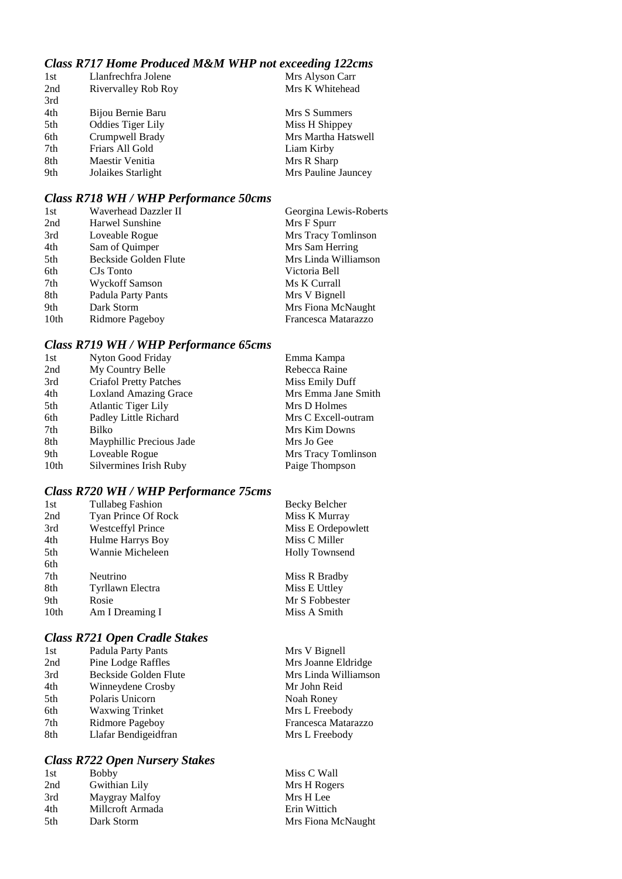# *Class R717 Home Produced M&M WHP not exceeding 122cms*

| 1st | Llanfrechfra Jolene      | Mrs Alyson Carr     |
|-----|--------------------------|---------------------|
| 2nd | Rivervalley Rob Roy      | Mrs K Whitehead     |
| 3rd |                          |                     |
| 4th | Bijou Bernie Baru        | Mrs S Summers       |
| 5th | <b>Oddies Tiger Lily</b> | Miss H Shippey      |
| 6th | Crumpwell Brady          | Mrs Martha Hatswell |
| 7th | Friars All Gold          | Liam Kirby          |
| 8th | Maestir Venitia          | Mrs R Sharp         |
| 9th | Jolaikes Starlight       | Mrs Pauline Jauncey |
|     |                          |                     |

#### *Class R718 WH / WHP Performance 50cms*

| 1st  | Waverhead Dazzler II  | Georgina Lewis-Roberts |
|------|-----------------------|------------------------|
| 2nd  | Harwel Sunshine       | Mrs F Spurr            |
| 3rd  | Loveable Rogue        | Mrs Tracy Tomlinson    |
| 4th  | Sam of Quimper        | Mrs Sam Herring        |
| 5th  | Beckside Golden Flute | Mrs Linda Williamson   |
| 6th  | CJs Tonto             | Victoria Bell          |
| 7th  | Wyckoff Samson        | Ms K Currall           |
| 8th  | Padula Party Pants    | Mrs V Bignell          |
| 9th  | Dark Storm            | Mrs Fiona McNaught     |
| 10th | Ridmore Pageboy       | Francesca Matarazzo    |

# *Class R719 WH / WHP Performance 65cms*

| Nyton Good Friday             | Emma Kampa          |
|-------------------------------|---------------------|
| My Country Belle              | Rebecca Raine       |
| <b>Criafol Pretty Patches</b> | Miss Emily Duff     |
| <b>Loxland Amazing Grace</b>  | Mrs Emma Jane Smith |
| <b>Atlantic Tiger Lily</b>    | Mrs D Holmes        |
| Padley Little Richard         | Mrs C Excell-outram |
| Bilko                         | Mrs Kim Downs       |
| Mayphillic Precious Jade      | Mrs Jo Gee          |
| Loveable Rogue                | Mrs Tracy Tomlinson |
| Silvermines Irish Ruby        | Paige Thompson      |
|                               |                     |

# *Class R720 WH / WHP Performance 75cms*

| 1st  | <b>Tullabeg Fashion</b>  | Becky Belcher         |
|------|--------------------------|-----------------------|
| 2nd  | Tyan Prince Of Rock      | Miss K Murray         |
| 3rd  | <b>Westceffyl Prince</b> | Miss E Ordepowlett    |
| 4th  | Hulme Harrys Boy         | Miss C Miller         |
| 5th  | Wannie Micheleen         | <b>Holly Townsend</b> |
| 6th  |                          |                       |
| 7th  | Neutrino                 | Miss R Bradby         |
| 8th  | Tyrllawn Electra         | Miss E Uttley         |
| 9th  | Rosie                    | Mr S Fobbester        |
| 10th | Am I Dreaming I          | Miss A Smith          |

# *Class R721 Open Cradle Stakes*

| 1st | Padula Party Pants     | Mrs V Bignell        |
|-----|------------------------|----------------------|
| 2nd | Pine Lodge Raffles     | Mrs Joanne Eldridge  |
| 3rd | Beckside Golden Flute  | Mrs Linda Williamson |
| 4th | Winneydene Crosby      | Mr John Reid         |
| 5th | Polaris Unicorn        | Noah Roney           |
| 6th | <b>Waxwing Trinket</b> | Mrs L Freebody       |
| 7th | Ridmore Pageboy        | Francesca Matarazzo  |
| 8th | Llafar Bendigeidfran   | Mrs L Freebody       |
|     |                        |                      |

# *Class R722 Open Nursery Stakes*

| 1st  | <b>Bobby</b>     | Miss C Wall        |
|------|------------------|--------------------|
| 2nd  | Gwithian Lily    | Mrs H Rogers       |
| 3rd  | Maygray Malfoy   | Mrs H Lee          |
| 4th  | Millcroft Armada | Erin Wittich       |
| .5th | Dark Storm       | Mrs Fiona McNaught |
|      |                  |                    |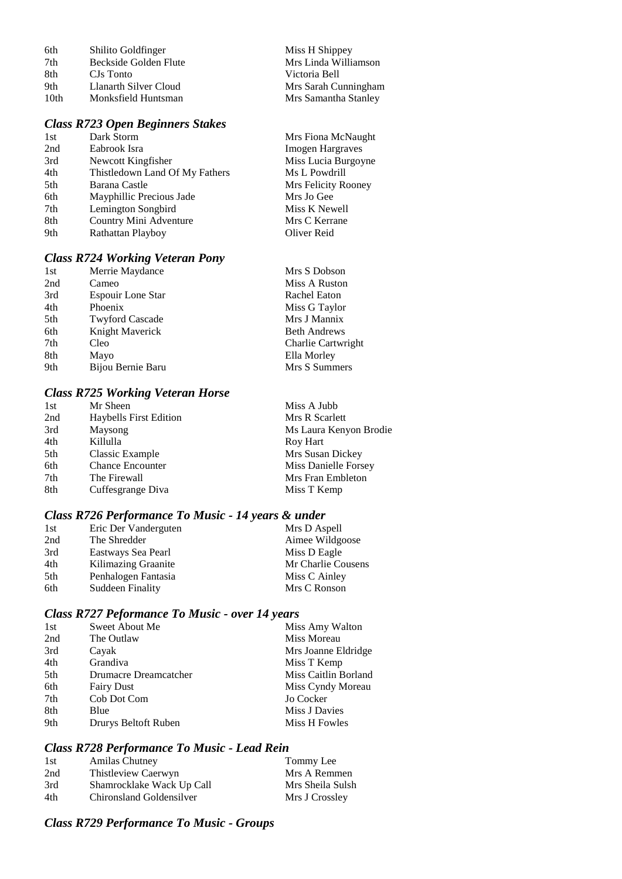| 6th  | Shilito Goldfinger    | Miss H Shippey       |
|------|-----------------------|----------------------|
| 7th  | Beckside Golden Flute | Mrs Linda Williamson |
| -8th | CJs Tonto             | Victoria Bell        |
| 9th  | Llanarth Silver Cloud | Mrs Sarah Cunningham |
| 10th | Monksfield Huntsman   | Mrs Samantha Stanley |

# *Class R723 Open Beginners Stakes*

| 1st | Dark Storm                     | Mrs Fiona McNaught      |
|-----|--------------------------------|-------------------------|
| 2nd | Eabrook Isra                   | <b>Imogen Hargraves</b> |
| 3rd | Newcott Kingfisher             | Miss Lucia Burgoyne     |
| 4th | Thistledown Land Of My Fathers | Ms L Powdrill           |
| 5th | Barana Castle                  | Mrs Felicity Rooney     |
| 6th | Mayphillic Precious Jade       | Mrs Jo Gee              |
| 7th | Lemington Songbird             | Miss K Newell           |
| 8th | Country Mini Adventure         | Mrs C Kerrane           |
| 9th | Rathattan Playboy              | Oliver Reid             |
|     |                                |                         |

# *Class R724 Working Veteran Pony*

| 1st | Merrie Maydance          | Mrs S Dobson        |
|-----|--------------------------|---------------------|
| 2nd | Cameo                    | Miss A Ruston       |
| 3rd | <b>Espouir Lone Star</b> | Rachel Eaton        |
| 4th | Phoenix                  | Miss G Taylor       |
| 5th | <b>Twyford Cascade</b>   | Mrs J Mannix        |
| 6th | Knight Maverick          | <b>Beth Andrews</b> |
| 7th | Cleo                     | Charlie Cartwright  |
| 8th | Mayo                     | Ella Morley         |
| 9th | Bijou Bernie Baru        | Mrs S Summers       |

# *Class R725 Working Veteran Horse*

| 1st | Mr Sheen                      | Miss A Jubb            |
|-----|-------------------------------|------------------------|
| 2nd | <b>Haybells First Edition</b> | Mrs R Scarlett         |
| 3rd | Maysong                       | Ms Laura Kenyon Brodie |
| 4th | Killulla                      | Roy Hart               |
| 5th | Classic Example               | Mrs Susan Dickey       |
| 6th | <b>Chance Encounter</b>       | Miss Danielle Forsey   |
| 7th | The Firewall                  | Mrs Fran Embleton      |
| 8th | Cuffesgrange Diva             | Miss T Kemp            |

# *Class R726 Performance To Music - 14 years & under*

| 1st | Eric Der Vanderguten | Mrs D Aspell       |
|-----|----------------------|--------------------|
| 2nd | The Shredder         | Aimee Wildgoose    |
| 3rd | Eastways Sea Pearl   | Miss D Eagle       |
| 4th | Kilimazing Graanite  | Mr Charlie Cousens |
| 5th | Penhalogen Fantasia  | Miss C Ainley      |
| 6th | Suddeen Finality     | Mrs C Ronson       |

# *Class R727 Peformance To Music - over 14 years*

| 1st | Sweet About Me        | Miss Amy Walton      |
|-----|-----------------------|----------------------|
| 2nd | The Outlaw            | Miss Moreau          |
| 3rd | Cayak                 | Mrs Joanne Eldridge  |
| 4th | Grandiva              | Miss T Kemp          |
| 5th | Drumacre Dreamcatcher | Miss Caitlin Borland |
| 6th | <b>Fairy Dust</b>     | Miss Cyndy Moreau    |
| 7th | Cob Dot Com           | Jo Cocker            |
| 8th | Blue                  | Miss J Davies        |
| 9th | Drurys Beltoft Ruben  | Miss H Fowles        |
|     |                       |                      |

## *Class R728 Performance To Music - Lead Rein*

| <b>Amilas Chutney</b>     | Tommy Lee        |
|---------------------------|------------------|
| Thistleview Caerwyn       | Mrs A Remmen     |
| Shamrocklake Wack Up Call | Mrs Sheila Sulsh |
| Chironsland Goldensilver  | Mrs J Crossley   |
|                           |                  |

# *Class R729 Performance To Music - Groups*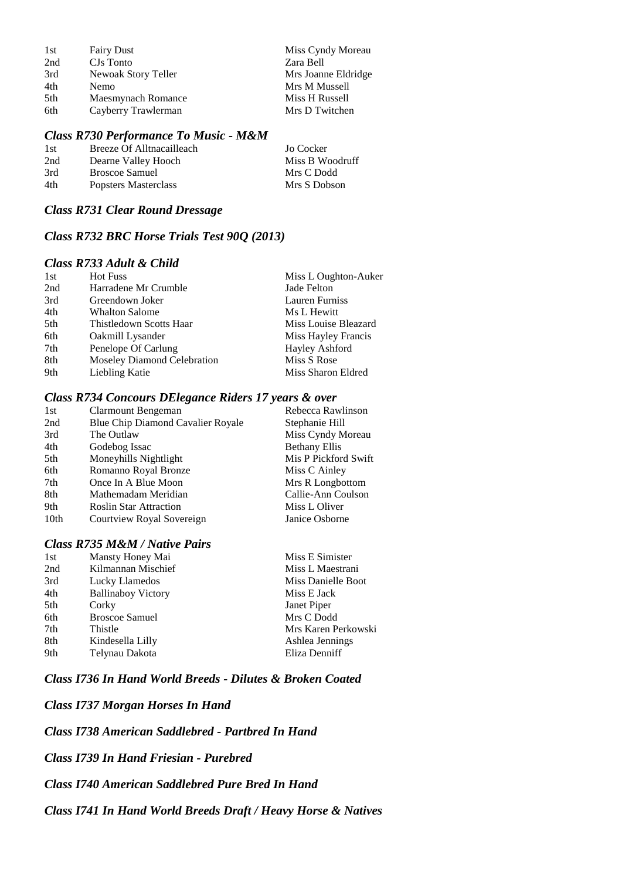| 1st | <b>Fairy Dust</b>   | Miss Cyndy Moreau   |
|-----|---------------------|---------------------|
| 2nd | CJs Tonto           | Zara Bell           |
| 3rd | Newoak Story Teller | Mrs Joanne Eldridge |
| 4th | <b>Nemo</b>         | Mrs M Mussell       |
| 5th | Maesmynach Romance  | Miss H Russell      |
| 6th | Cayberry Trawlerman | Mrs D Twitchen      |

## *Class R730 Performance To Music - M&M*

| 1st | Breeze Of Alltnacailleach | Jo Cocker       |
|-----|---------------------------|-----------------|
| 2nd | Dearne Valley Hooch       | Miss B Woodruff |
| 3rd | Broscoe Samuel            | Mrs C Dodd      |
| 4th | Popsters Masterclass      | Mrs S Dobson    |

#### *Class R731 Clear Round Dressage*

## *Class R732 BRC Horse Trials Test 90Q (2013)*

# *Class R733 Adult & Child*

| 1st | <b>Hot Fuss</b>             | Miss L Oughton-Auker  |
|-----|-----------------------------|-----------------------|
| 2nd | Harradene Mr Crumble        | Jade Felton           |
| 3rd | Greendown Joker             | <b>Lauren Furniss</b> |
| 4th | <b>Whalton Salome</b>       | Ms L Hewitt           |
| 5th | Thistledown Scotts Haar     | Miss Louise Bleazard  |
| 6th | Oakmill Lysander            | Miss Hayley Francis   |
| 7th | Penelope Of Carlung         | Hayley Ashford        |
| 8th | Moseley Diamond Celebration | Miss S Rose           |
| 9th | Liebling Katie              | Miss Sharon Eldred    |

#### *Class R734 Concours DElegance Riders 17 years & over*

| 1st              | Clarmount Bengeman                | Rebecca Rawlinson    |
|------------------|-----------------------------------|----------------------|
| 2nd              | Blue Chip Diamond Cavalier Royale | Stephanie Hill       |
| 3rd              | The Outlaw                        | Miss Cyndy Moreau    |
| 4th              | Godebog Issac                     | <b>Bethany Ellis</b> |
| 5th              | Moneyhills Nightlight             | Mis P Pickford Swift |
| 6th              | Romanno Royal Bronze              | Miss C Ainley        |
| 7th              | Once In A Blue Moon               | Mrs R Longbottom     |
| 8th              | Mathemadam Meridian               | Callie-Ann Coulson   |
| 9th              | <b>Roslin Star Attraction</b>     | Miss L Oliver        |
| 10 <sub>th</sub> | Courtview Royal Sovereign         | Janice Osborne       |

## *Class R735 M&M / Native Pairs*

| 1st | Mansty Honey Mai          | Miss E Simister     |
|-----|---------------------------|---------------------|
| 2nd | Kilmannan Mischief        | Miss L Maestrani    |
| 3rd | Lucky Llamedos            | Miss Danielle Boot  |
| 4th | <b>Ballinaboy Victory</b> | Miss E Jack         |
| 5th | Corky                     | Janet Piper         |
| 6th | <b>Broscoe Samuel</b>     | Mrs C Dodd          |
| 7th | Thistle                   | Mrs Karen Perkowski |
| 8th | Kindesella Lilly          | Ashlea Jennings     |
| 9th | Telynau Dakota            | Eliza Denniff       |
|     |                           |                     |

## *Class I736 In Hand World Breeds - Dilutes & Broken Coated*

*Class I737 Morgan Horses In Hand*

*Class I738 American Saddlebred - Partbred In Hand*

*Class I739 In Hand Friesian - Purebred*

*Class I740 American Saddlebred Pure Bred In Hand*

*Class I741 In Hand World Breeds Draft / Heavy Horse & Natives*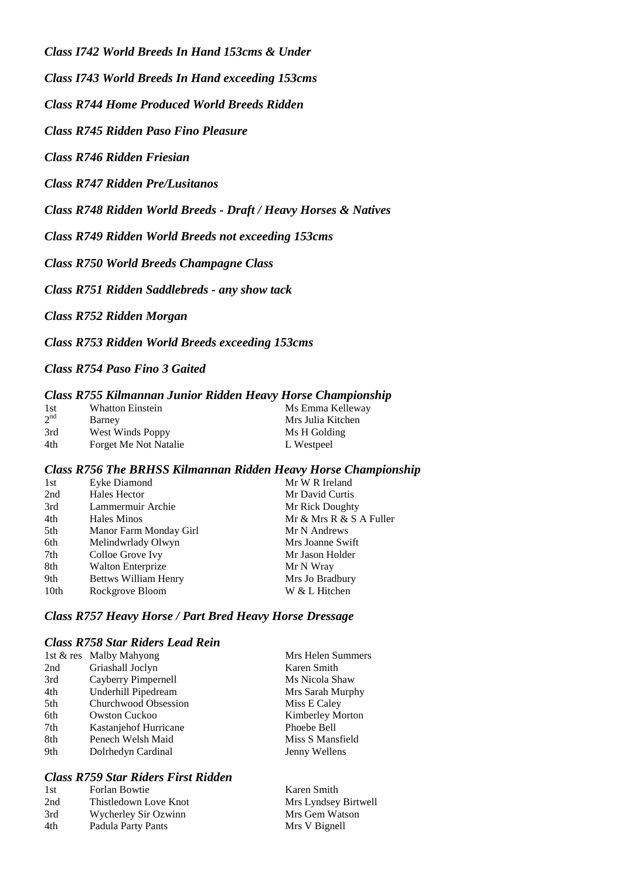*Class I742 World Breeds In Hand 153cms & Under*

*Class I743 World Breeds In Hand exceeding 153cms*

*Class R744 Home Produced World Breeds Ridden*

*Class R745 Ridden Paso Fino Pleasure*

*Class R746 Ridden Friesian*

*Class R747 Ridden Pre/Lusitanos*

*Class R748 Ridden World Breeds - Draft / Heavy Horses & Natives*

*Class R749 Ridden World Breeds not exceeding 153cms*

*Class R750 World Breeds Champagne Class*

*Class R751 Ridden Saddlebreds - any show tack*

*Class R752 Ridden Morgan*

*Class R753 Ridden World Breeds exceeding 153cms*

*Class R754 Paso Fino 3 Gaited*

#### *Class R755 Kilmannan Junior Ridden Heavy Horse Championship*

| 1st             | <b>Whatton Einstein</b> | Ms Emma Kelleway  |
|-----------------|-------------------------|-------------------|
| 2 <sup>nd</sup> | Barney                  | Mrs Julia Kitchen |
| 3rd             | West Winds Poppy        | Ms H Golding      |
| 4th             | Forget Me Not Natalie   | L Westpeel        |

#### *Class R756 The BRHSS Kilmannan Ridden Heavy Horse Championship*

| 1st  | Eyke Diamond                | Mr W R Ireland          |
|------|-----------------------------|-------------------------|
| 2nd  | Hales Hector                | Mr David Curtis         |
| 3rd  | Lammermuir Archie           | Mr Rick Doughty         |
| 4th  | Hales Minos                 | Mr & Mrs R & S A Fuller |
| 5th  | Manor Farm Monday Girl      | Mr N Andrews            |
| 6th  | Melindwrlady Olwyn          | Mrs Joanne Swift        |
| 7th  | Colloe Grove Ivy            | Mr Jason Holder         |
| 8th  | <b>Walton Enterprize</b>    | Mr N Wray               |
| 9th  | <b>Bettws William Henry</b> | Mrs Jo Bradbury         |
| 10th | Rockgrove Bloom             | W & L Hitchen           |

## *Class R757 Heavy Horse / Part Bred Heavy Horse Dressage*

#### *Class R758 Star Riders Lead Rein*

|     | 1st & res Malby Mahyong | Mrs Helen Summers |
|-----|-------------------------|-------------------|
| 2nd | Griashall Joclyn        | Karen Smith       |
| 3rd | Cayberry Pimpernell     | Ms Nicola Shaw    |
| 4th | Underhill Pipedream     | Mrs Sarah Murphy  |
| 5th | Churchwood Obsession    | Miss E Caley      |
| 6th | <b>Owston Cuckoo</b>    | Kimberley Morton  |
| 7th | Kastanjehof Hurricane   | Phoebe Bell       |
| 8th | Penech Welsh Maid       | Miss S Mansfield  |
| 9th | Dolrhedyn Cardinal      | Jenny Wellens     |
|     |                         |                   |

## *Class R759 Star Riders First Ridden*

| 1st | Forlan Bowtie         | Karen Smith          |
|-----|-----------------------|----------------------|
| 2nd | Thistledown Love Knot | Mrs Lyndsey Birtwell |
| 3rd | Wycherley Sir Ozwinn  | Mrs Gem Watson       |
| 4th | Padula Party Pants    | Mrs V Bignell        |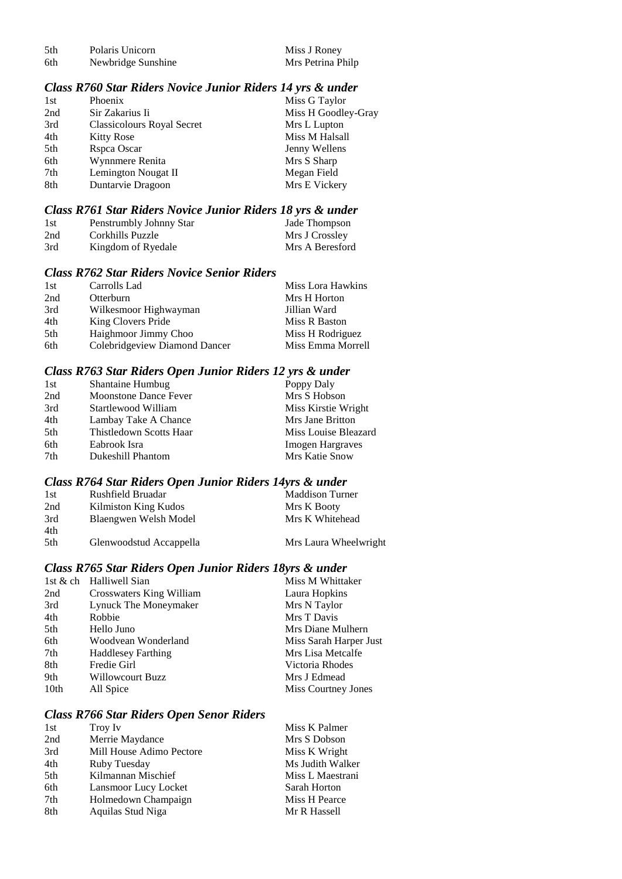| .5th | Polaris Unicorn    |
|------|--------------------|
| 6th  | Newbridge Sunshine |

Miss J Roney<br>Mrs Petrina Philp

#### *Class R760 Star Riders Novice Junior Riders 14 yrs & under*

| 1st | Phoenix                           | Miss G Taylor       |
|-----|-----------------------------------|---------------------|
| 2nd | Sir Zakarius Ii                   | Miss H Goodley-Gray |
| 3rd | <b>Classicolours Royal Secret</b> | Mrs L Lupton        |
| 4th | <b>Kitty Rose</b>                 | Miss M Halsall      |
| 5th | Rspca Oscar                       | Jenny Wellens       |
| 6th | Wynnmere Renita                   | Mrs S Sharp         |
| 7th | Lemington Nougat II               | Megan Field         |
| 8th | Duntarvie Dragoon                 | Mrs E Vickery       |
|     |                                   |                     |

#### *Class R761 Star Riders Novice Junior Riders 18 yrs & under*

| 1st | Penstrumbly Johnny Star | Jade Thompson   |
|-----|-------------------------|-----------------|
| 2nd | Corkhills Puzzle        | Mrs J Crossley  |
| 3rd | Kingdom of Ryedale      | Mrs A Beresford |

#### *Class R762 Star Riders Novice Senior Riders*

| 1st | Carrolls Lad                  | Miss Lora Hawkins |
|-----|-------------------------------|-------------------|
| 2nd | Otterburn                     | Mrs H Horton      |
| 3rd | Wilkesmoor Highwayman         | Jillian Ward      |
| 4th | King Clovers Pride            | Miss R Baston     |
| 5th | Haighmoor Jimmy Choo          | Miss H Rodriguez  |
| 6th | Colebridgeview Diamond Dancer | Miss Emma Morrell |

## *Class R763 Star Riders Open Junior Riders 12 yrs & under*

| Shantaine Humbug             | Poppy Daly              |
|------------------------------|-------------------------|
| <b>Moonstone Dance Fever</b> | Mrs S Hobson            |
| Startlewood William          | Miss Kirstie Wright     |
| Lambay Take A Chance         | Mrs Jane Britton        |
| Thistledown Scotts Haar      | Miss Louise Bleazard    |
| Eabrook Isra                 | <b>Imogen Hargraves</b> |
| Dukeshill Phantom            | Mrs Katie Snow          |
|                              |                         |

# *Class R764 Star Riders Open Junior Riders 14yrs & under*

| 1st | Rushfield Bruadar       | <b>Maddison Turner</b> |
|-----|-------------------------|------------------------|
| 2nd | Kilmiston King Kudos    | Mrs K Booty            |
| 3rd | Blaengwen Welsh Model   | Mrs K Whitehead        |
| 4th |                         |                        |
| 5th | Glenwoodstud Accappella | Mrs Laura Wheelwright  |

## *Class R765 Star Riders Open Junior Riders 18yrs & under*

| 1st & ch Halliwell Sian   | Miss M Whittaker       |
|---------------------------|------------------------|
| Crosswaters King William  | Laura Hopkins          |
| Lynuck The Moneymaker     | Mrs N Taylor           |
| Robbie                    | Mrs T Davis            |
| Hello Juno                | Mrs Diane Mulhern      |
| Woodvean Wonderland       | Miss Sarah Harper Just |
| <b>Haddlesey Farthing</b> | Mrs Lisa Metcalfe      |
| Fredie Girl               | Victoria Rhodes        |
| <b>Willowcourt Buzz</b>   | Mrs J Edmead           |
| All Spice                 | Miss Courtney Jones    |
|                           |                        |

#### *Class R766 Star Riders Open Senor Riders*

| 1st | Troy Iv                  | Miss K Palmer    |
|-----|--------------------------|------------------|
| 2nd | Merrie Maydance          | Mrs S Dobson     |
| 3rd | Mill House Adimo Pectore | Miss K Wright    |
| 4th | Ruby Tuesday             | Ms Judith Walker |
| 5th | Kilmannan Mischief       | Miss L Maestrani |
| 6th | Lansmoor Lucy Locket     | Sarah Horton     |
| 7th | Holmedown Champaign      | Miss H Pearce    |
| 8th | Aquilas Stud Niga        | Mr R Hassell     |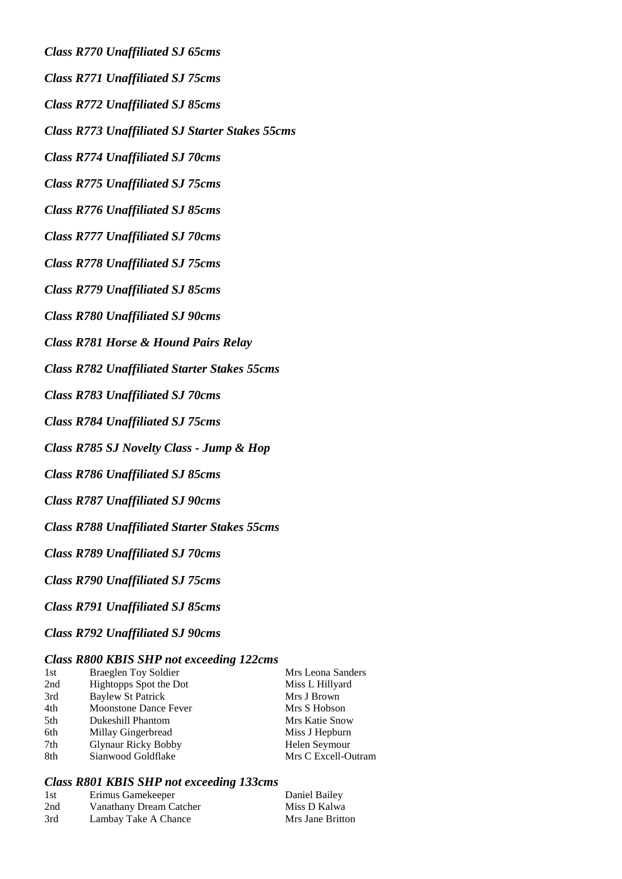*Class R770 Unaffiliated SJ 65cms*

*Class R771 Unaffiliated SJ 75cms*

*Class R772 Unaffiliated SJ 85cms*

*Class R773 Unaffiliated SJ Starter Stakes 55cms*

*Class R774 Unaffiliated SJ 70cms*

*Class R775 Unaffiliated SJ 75cms*

*Class R776 Unaffiliated SJ 85cms*

*Class R777 Unaffiliated SJ 70cms*

*Class R778 Unaffiliated SJ 75cms*

*Class R779 Unaffiliated SJ 85cms*

*Class R780 Unaffiliated SJ 90cms*

*Class R781 Horse & Hound Pairs Relay*

*Class R782 Unaffiliated Starter Stakes 55cms*

*Class R783 Unaffiliated SJ 70cms*

*Class R784 Unaffiliated SJ 75cms*

*Class R785 SJ Novelty Class - Jump & Hop*

*Class R786 Unaffiliated SJ 85cms*

*Class R787 Unaffiliated SJ 90cms*

*Class R788 Unaffiliated Starter Stakes 55cms*

*Class R789 Unaffiliated SJ 70cms*

*Class R790 Unaffiliated SJ 75cms*

*Class R791 Unaffiliated SJ 85cms*

*Class R792 Unaffiliated SJ 90cms*

## *Class R800 KBIS SHP not exceeding 122cms*

| 1st | Braeglen Toy Soldier         | Mrs Leona Sanders   |
|-----|------------------------------|---------------------|
| 2nd | Hightopps Spot the Dot       | Miss L Hillyard     |
| 3rd | <b>Baylew St Patrick</b>     | Mrs J Brown         |
| 4th | <b>Moonstone Dance Fever</b> | Mrs S Hobson        |
| 5th | Dukeshill Phantom            | Mrs Katie Snow      |
| 6th | Millay Gingerbread           | Miss J Hepburn      |
| 7th | <b>Glynaur Ricky Bobby</b>   | Helen Seymour       |
| 8th | Sianwood Goldflake           | Mrs C Excell-Outram |

## *Class R801 KBIS SHP not exceeding 133cms*

| 1st | Erimus Gamekeeper       | Daniel Bailey    |
|-----|-------------------------|------------------|
| 2nd | Vanathany Dream Catcher | Miss D Kalwa     |
| 3rd | Lambay Take A Chance    | Mrs Jane Britton |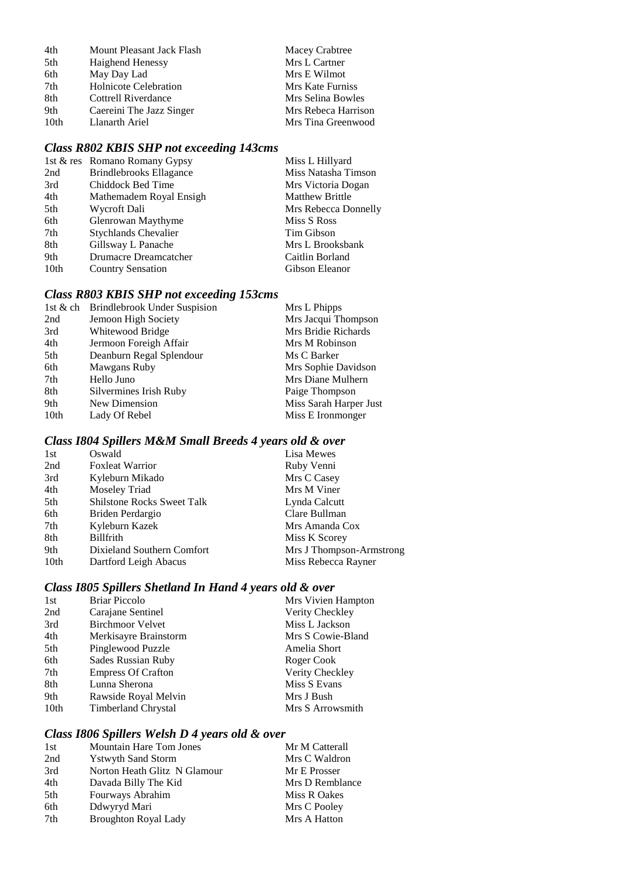| 4th  | Mount Pleasant Jack Flash    | Macey Crabtree      |
|------|------------------------------|---------------------|
| 5th  | Haighend Henessy             | Mrs L Cartner       |
| 6th  | May Day Lad                  | Mrs E Wilmot        |
| 7th  | <b>Holnicote Celebration</b> | Mrs Kate Furniss    |
| 8th  | Cottrell Riverdance          | Mrs Selina Bowles   |
| 9th  | Caereini The Jazz Singer     | Mrs Rebeca Harrison |
| 10th | Llanarth Ariel               | Mrs Tina Greenwood  |

# *Class R802 KBIS SHP not exceeding 143cms*

|                  | 1st & res Romano Romany Gypsy | Miss L Hillyard        |
|------------------|-------------------------------|------------------------|
| 2nd              | Brindlebrooks Ellagance       | Miss Natasha Timson    |
| 3rd              | Chiddock Bed Time             | Mrs Victoria Dogan     |
| 4th              | Mathemadem Royal Ensigh       | <b>Matthew Brittle</b> |
| 5th              | Wycroft Dali                  | Mrs Rebecca Donnelly   |
| 6th              | Glenrowan Maythyme            | Miss S Ross            |
| 7th              | <b>Stychlands Chevalier</b>   | Tim Gibson             |
| 8th              | Gillsway L Panache            | Mrs L Brooksbank       |
| 9th              | Drumacre Dreamcatcher         | Caitlin Borland        |
| 10 <sub>th</sub> | <b>Country Sensation</b>      | Gibson Eleanor         |
|                  |                               |                        |

# *Class R803 KBIS SHP not exceeding 153cms*

|      | 1st & ch Brindlebrook Under Suspision | Mrs L Phipps           |
|------|---------------------------------------|------------------------|
| 2nd  | Jemoon High Society                   | Mrs Jacqui Thompson    |
| 3rd  | Whitewood Bridge                      | Mrs Bridie Richards    |
| 4th  | Jermoon Foreigh Affair                | Mrs M Robinson         |
| 5th  | Deanburn Regal Splendour              | Ms C Barker            |
| 6th  | Mawgans Ruby                          | Mrs Sophie Davidson    |
| 7th  | Hello Juno                            | Mrs Diane Mulhern      |
| 8th  | Silvermines Irish Ruby                | Paige Thompson         |
| 9th  | New Dimension                         | Miss Sarah Harper Just |
| 10th | Lady Of Rebel                         | Miss E Ironmonger      |
|      |                                       |                        |

## *Class I804 Spillers M&M Small Breeds 4 years old & over*

| 1st  | Oswald                            | Lisa Mewes               |
|------|-----------------------------------|--------------------------|
| 2nd  | <b>Foxleat Warrior</b>            | Ruby Venni               |
| 3rd  | Kyleburn Mikado                   | Mrs C Casey              |
| 4th  | Moseley Triad                     | Mrs M Viner              |
| 5th  | <b>Shilstone Rocks Sweet Talk</b> | Lynda Calcutt            |
| 6th  | Briden Perdargio                  | Clare Bullman            |
| 7th  | Kyleburn Kazek                    | Mrs Amanda Cox           |
| 8th  | <b>Billfrith</b>                  | Miss K Scorey            |
| 9th  | Dixieland Southern Comfort        | Mrs J Thompson-Armstrong |
| 10th | Dartford Leigh Abacus             | Miss Rebecca Rayner      |
|      |                                   |                          |

# *Class I805 Spillers Shetland In Hand 4 years old & over*

| 1st              | <b>Briar Piccolo</b>      | Mrs Vivien Hampton |
|------------------|---------------------------|--------------------|
| 2nd              | Carajane Sentinel         | Verity Checkley    |
| 3rd              | <b>Birchmoor Velvet</b>   | Miss L Jackson     |
| 4th              | Merkisayre Brainstorm     | Mrs S Cowie-Bland  |
| 5th              | Pinglewood Puzzle         | Amelia Short       |
| 6th              | <b>Sades Russian Ruby</b> | Roger Cook         |
| 7th              | <b>Empress Of Crafton</b> | Verity Checkley    |
| 8th              | Lunna Sherona             | Miss S Evans       |
| 9th              | Rawside Royal Melvin      | Mrs J Bush         |
| 10 <sub>th</sub> | Timberland Chrystal       | Mrs S Arrowsmith   |

# *Class I806 Spillers Welsh D 4 years old & over*

| 1st | <b>Mountain Hare Tom Jones</b> | Mr M Catterall  |
|-----|--------------------------------|-----------------|
| 2nd | <b>Ystwyth Sand Storm</b>      | Mrs C Waldron   |
| 3rd | Norton Heath Glitz N Glamour   | Mr E Prosser    |
| 4th | Davada Billy The Kid           | Mrs D Remblance |
| 5th | Fourways Abrahim               | Miss R Oakes    |
| 6th | Ddwyryd Mari                   | Mrs C Pooley    |
| 7th | <b>Broughton Royal Lady</b>    | Mrs A Hatton    |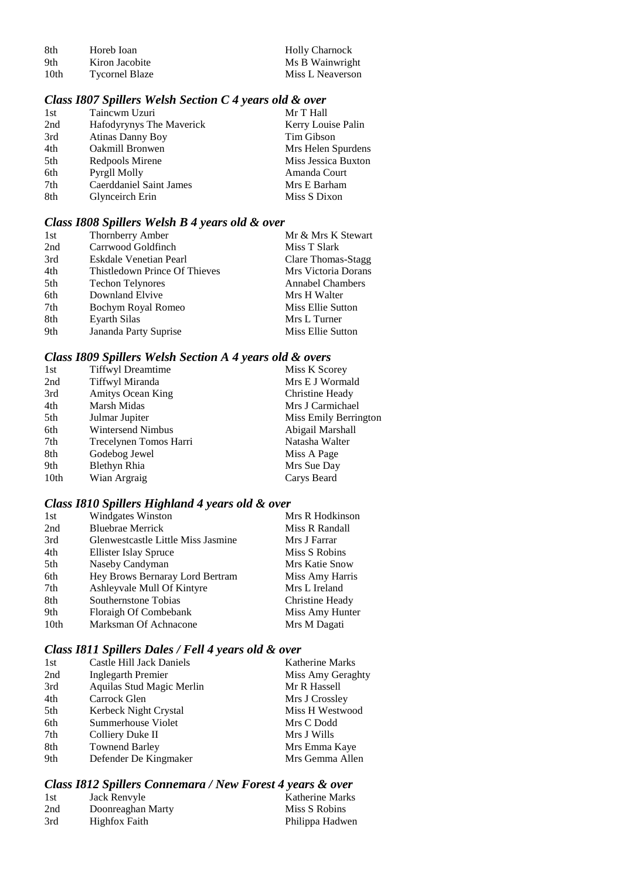| -8th | Horeb Ioan            | <b>Holly Charnock</b> |
|------|-----------------------|-----------------------|
| -9th | Kiron Jacobite        | Ms B Wainwright       |
| 10th | <b>Tycornel Blaze</b> | Miss L Neaverson      |

# *Class I807 Spillers Welsh Section C 4 years old & over*

| 1st | Taincwm Uzuri            | Mr T Hall           |
|-----|--------------------------|---------------------|
| 2nd | Hafodyrynys The Maverick | Kerry Louise Palin  |
| 3rd | <b>Atinas Danny Boy</b>  | Tim Gibson          |
| 4th | Oakmill Bronwen          | Mrs Helen Spurdens  |
| 5th | Redpools Mirene          | Miss Jessica Buxton |
| 6th | Pyrgll Molly             | Amanda Court        |
| 7th | Caerddaniel Saint James  | Mrs E Barham        |
| 8th | Glynceirch Erin          | Miss S Dixon        |
|     |                          |                     |

## *Class I808 Spillers Welsh B 4 years old & over*

| 1st | Thornberry Amber              | Mr & Mrs K Stewart      |
|-----|-------------------------------|-------------------------|
| 2nd | Carrwood Goldfinch            | Miss T Slark            |
| 3rd | Eskdale Venetian Pearl        | Clare Thomas-Stagg      |
| 4th | Thistledown Prince Of Thieves | Mrs Victoria Dorans     |
| 5th | <b>Techon Telynores</b>       | <b>Annabel Chambers</b> |
| 6th | Downland Elvive               | Mrs H Walter            |
| 7th | Bochym Royal Romeo            | Miss Ellie Sutton       |
| 8th | <b>Eyarth Silas</b>           | Mrs L Turner            |
| 9th | Jananda Party Suprise         | Miss Ellie Sutton       |

## *Class I809 Spillers Welsh Section A 4 years old & overs*

| 1st              | <b>Tiffwyl Dreamtime</b> | Miss K Scorey         |
|------------------|--------------------------|-----------------------|
| 2nd              | Tiffwyl Miranda          | Mrs E J Wormald       |
| 3rd              | Amitys Ocean King        | Christine Heady       |
| 4th              | Marsh Midas              | Mrs J Carmichael      |
| 5th              | Julmar Jupiter           | Miss Emily Berrington |
| 6th              | Wintersend Nimbus        | Abigail Marshall      |
| 7th              | Trecelynen Tomos Harri   | Natasha Walter        |
| 8th              | Godebog Jewel            | Miss A Page           |
| 9th              | Blethyn Rhia             | Mrs Sue Day           |
| 10 <sub>th</sub> | Wian Argraig             | Carys Beard           |
|                  |                          |                       |

# *Class I810 Spillers Highland 4 years old & over*

| 1st  | <b>Windgates Winston</b>           | Mrs R Hodkinson |
|------|------------------------------------|-----------------|
| 2nd  | <b>Bluebrae Merrick</b>            | Miss R Randall  |
| 3rd  | Glenwestcastle Little Miss Jasmine | Mrs J Farrar    |
| 4th  | Ellister Islay Spruce              | Miss S Robins   |
| 5th  | Naseby Candyman                    | Mrs Katie Snow  |
| 6th  | Hey Brows Bernaray Lord Bertram    | Miss Amy Harris |
| 7th  | Ashleyvale Mull Of Kintyre         | Mrs L Ireland   |
| 8th  | Southernstone Tobias               | Christine Heady |
| 9th  | Floraigh Of Combebank              | Miss Amy Hunter |
| 10th | Marksman Of Achnacone              | Mrs M Dagati    |

# *Class I811 Spillers Dales / Fell 4 years old & over*

| Castle Hill Jack Daniels  | <b>Katherine Marks</b> |
|---------------------------|------------------------|
| Inglegarth Premier        | Miss Amy Geraghty      |
| Aquilas Stud Magic Merlin | Mr R Hassell           |
| Carrock Glen              | Mrs J Crossley         |
| Kerbeck Night Crystal     | Miss H Westwood        |
| Summerhouse Violet        | Mrs C Dodd             |
| Colliery Duke II          | Mrs J Wills            |
| <b>Townend Barley</b>     | Mrs Emma Kaye          |
| Defender De Kingmaker     | Mrs Gemma Allen        |
|                           |                        |

# *Class I812 Spillers Connemara / New Forest 4 years & over*

| 1st | Jack Renvyle      | <b>Katherine Marks</b> |
|-----|-------------------|------------------------|
| 2nd | Doonreaghan Marty | Miss S Robins          |
| 3rd | Highfox Faith     | Philippa Hadwen        |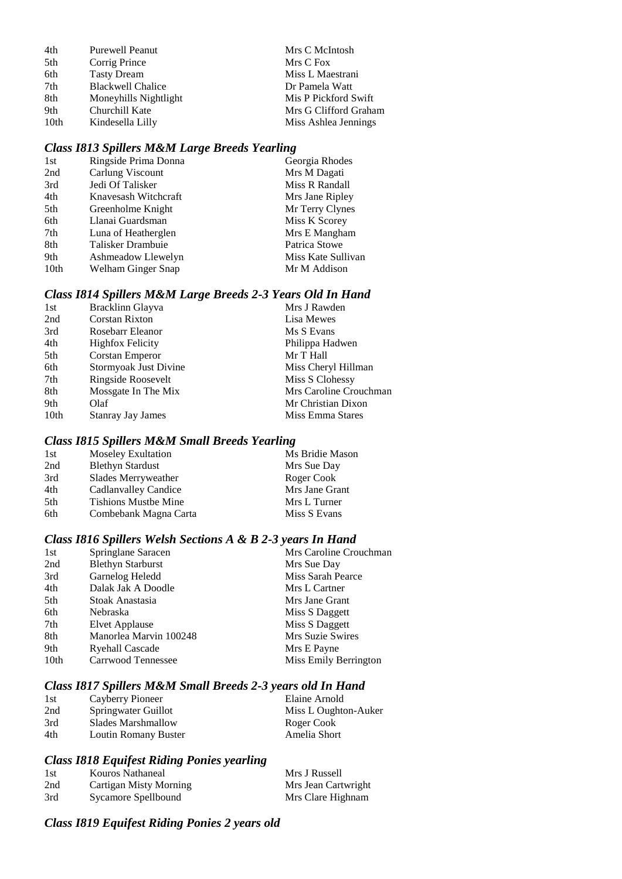| 4th  | <b>Purewell Peanut</b>   | Mrs C McIntosh        |
|------|--------------------------|-----------------------|
| 5th  | Corrig Prince            | Mrs C Fox             |
| 6th  | <b>Tasty Dream</b>       | Miss L Maestrani      |
| 7th  | <b>Blackwell Chalice</b> | Dr Pamela Watt        |
| 8th  | Moneyhills Nightlight    | Mis P Pickford Swift  |
| 9th  | Churchill Kate           | Mrs G Clifford Graham |
| 10th | Kindesella Lilly         | Miss Ashlea Jennings  |

# *Class I813 Spillers M&M Large Breeds Yearling*

| 1st              | Ringside Prima Donna | Georgia Rhodes     |
|------------------|----------------------|--------------------|
| 2nd              | Carlung Viscount     | Mrs M Dagati       |
| 3rd              | Jedi Of Talisker     | Miss R Randall     |
| 4th              | Knavesash Witchcraft | Mrs Jane Ripley    |
| 5th              | Greenholme Knight    | Mr Terry Clynes    |
| 6th              | Llanai Guardsman     | Miss K Scorey      |
| 7th              | Luna of Heatherglen  | Mrs E Mangham      |
| 8th              | Talisker Drambuie    | Patrica Stowe      |
| 9th              | Ashmeadow Llewelyn   | Miss Kate Sullivan |
| 10 <sub>th</sub> | Welham Ginger Snap   | Mr M Addison       |
|                  |                      |                    |

# *Class I814 Spillers M&M Large Breeds 2-3 Years Old In Hand*

| 1st  | Bracklinn Glayva         | Mrs J Rawden           |
|------|--------------------------|------------------------|
| 2nd  | <b>Corstan Rixton</b>    | Lisa Mewes             |
| 3rd  | Rosebarr Eleanor         | Ms S Evans             |
| 4th  | <b>Highfox Felicity</b>  | Philippa Hadwen        |
| 5th  | Corstan Emperor          | Mr T Hall              |
| 6th  | Stormyoak Just Divine    | Miss Cheryl Hillman    |
| 7th  | Ringside Roosevelt       | Miss S Clohessy        |
| 8th  | Mossgate In The Mix      | Mrs Caroline Crouchman |
| 9th  | Olaf                     | Mr Christian Dixon     |
| 10th | <b>Stanray Jay James</b> | Miss Emma Stares       |
|      |                          |                        |

## *Class I815 Spillers M&M Small Breeds Yearling*

| <b>Moseley Exultation</b>   | Ms Bridie Mason |
|-----------------------------|-----------------|
| <b>Blethyn Stardust</b>     | Mrs Sue Day     |
| Slades Merryweather         | Roger Cook      |
| Cadlanvalley Candice        | Mrs Jane Grant  |
| <b>Tishions Mustbe Mine</b> | Mrs L Turner    |
| Combebank Magna Carta       | Miss S Evans    |
|                             |                 |

## *Class I816 Spillers Welsh Sections A & B 2-3 years In Hand*

| 1st  | Springlane Saracen       | Mrs Caroline Crouchman |
|------|--------------------------|------------------------|
| 2nd  | <b>Blethyn Starburst</b> | Mrs Sue Day            |
| 3rd  | Garnelog Heledd          | Miss Sarah Pearce      |
| 4th  | Dalak Jak A Doodle       | Mrs L Cartner          |
| 5th  | Stoak Anastasia          | Mrs Jane Grant         |
| 6th  | Nebraska                 | Miss S Daggett         |
| 7th  | Elvet Applause           | Miss S Daggett         |
| 8th  | Manorlea Marvin 100248   | Mrs Suzie Swires       |
| 9th  | <b>Ryehall Cascade</b>   | Mrs E Payne            |
| 10th | Carrwood Tennessee       | Miss Emily Berrington  |

# *Class I817 Spillers M&M Small Breeds 2-3 years old In Hand*

| 1st | Cayberry Pioneer     | Elaine Arnold        |
|-----|----------------------|----------------------|
| 2nd | Springwater Guillot  | Miss L Oughton-Auker |
| 3rd | Slades Marshmallow   | Roger Cook           |
| 4th | Loutin Romany Buster | Amelia Short         |

# *Class I818 Equifest Riding Ponies yearling*

| -1st | Kouros Nathaneal       | Mrs J Russell       |
|------|------------------------|---------------------|
| 2nd  | Cartigan Misty Morning | Mrs Jean Cartwright |
| 3rd  | Sycamore Spellbound    | Mrs Clare Highnam   |

# *Class I819 Equifest Riding Ponies 2 years old*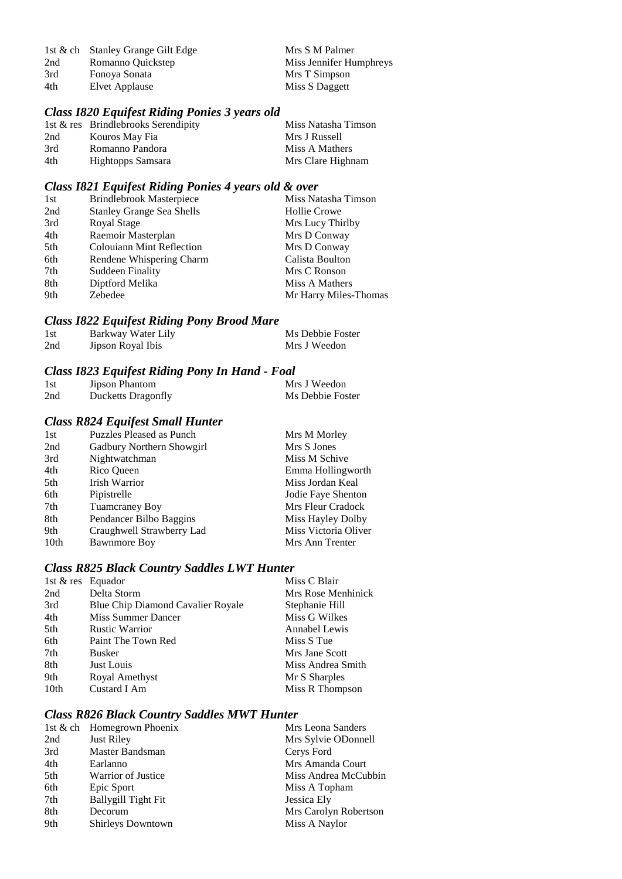|     | 1st & ch Stanley Grange Gilt Edge | Mrs S M Palmer          |
|-----|-----------------------------------|-------------------------|
| 2nd | Romanno Quickstep                 | Miss Jennifer Humphreys |
| 3rd | Fonova Sonata                     | Mrs T Simpson           |
| 4th | Elvet Applause                    | Miss S Daggett          |

# *Class I820 Equifest Riding Ponies 3 years old*

|     | 1st & res Brindlebrooks Serendipity | Miss Natasha Timson |
|-----|-------------------------------------|---------------------|
| 2nd | Kouros May Fia                      | Mrs J Russell       |
| 3rd | Romanno Pandora                     | Miss A Mathers      |
| 4th | Hightopps Samsara                   | Mrs Clare Highnam   |

# *Class I821 Equifest Riding Ponies 4 years old & over*

| 1st | <b>Brindlebrook Masterpiece</b>  | Miss Natasha Timson   |
|-----|----------------------------------|-----------------------|
| 2nd | <b>Stanley Grange Sea Shells</b> | <b>Hollie Crowe</b>   |
| 3rd | Royal Stage                      | Mrs Lucy Thirlby      |
| 4th | Raemoir Masterplan               | Mrs D Conway          |
| 5th | <b>Colouiann Mint Reflection</b> | Mrs D Conway          |
| 6th | Rendene Whispering Charm         | Calista Boulton       |
| 7th | Suddeen Finality                 | Mrs C Ronson          |
| 8th | Diptford Melika                  | Miss A Mathers        |
| 9th | Zebedee                          | Mr Harry Miles-Thomas |

# *Class I822 Equifest Riding Pony Brood Mare*

| 1st | Barkway Water Lily | Ms Debbie Foster |
|-----|--------------------|------------------|
| 2nd | Jipson Royal Ibis  | Mrs J Weedon     |

#### *Class I823 Equifest Riding Pony In Hand - Foal*

| 1st | <b>Jipson Phantom</b> | Mrs J Weedon     |
|-----|-----------------------|------------------|
| 2nd | Ducketts Dragonfly    | Ms Debbie Foster |

#### *Class R824 Equifest Small Hunter*

| 1st  | <b>Puzzles Pleased as Punch</b> | Mrs M Morley         |
|------|---------------------------------|----------------------|
| 2nd  | Gadbury Northern Showgirl       | Mrs S Jones          |
| 3rd  | Nightwatchman                   | Miss M Schive        |
| 4th  | Rico Queen                      | Emma Hollingworth    |
| 5th  | <b>Irish Warrior</b>            | Miss Jordan Keal     |
| 6th  | Pipistrelle                     | Jodie Faye Shenton   |
| 7th  | <b>Tuamcraney Boy</b>           | Mrs Fleur Cradock    |
| 8th  | Pendancer Bilbo Baggins         | Miss Hayley Dolby    |
| 9th  | Craughwell Strawberry Lad       | Miss Victoria Oliver |
| 10th | <b>Bawnmore Boy</b>             | Mrs Ann Trenter      |

# *Class R825 Black Country Saddles LWT Hunter*

| 1st $&$ res Equador |                                   | Miss C Blair       |
|---------------------|-----------------------------------|--------------------|
| 2nd                 | Delta Storm                       | Mrs Rose Menhinick |
| 3rd                 | Blue Chip Diamond Cavalier Royale | Stephanie Hill     |
| 4th                 | Miss Summer Dancer                | Miss G Wilkes      |
| 5th                 | <b>Rustic Warrior</b>             | Annabel Lewis      |
| 6th                 | Paint The Town Red                | Miss S Tue         |
| 7th                 | <b>Busker</b>                     | Mrs Jane Scott     |
| 8th                 | Just Louis                        | Miss Andrea Smith  |
| 9th                 | Royal Amethyst                    | Mr S Sharples      |
| 10 <sub>th</sub>    | Custard I Am                      | Miss R Thompson    |
|                     |                                   |                    |

## *Class R826 Black Country Saddles MWT Hunter*

|     | 1st & ch Homegrown Phoenix | Mrs Leona Sanders     |
|-----|----------------------------|-----------------------|
| 2nd | <b>Just Riley</b>          | Mrs Sylvie ODonnell   |
| 3rd | Master Bandsman            | Cerys Ford            |
| 4th | Earlanno                   | Mrs Amanda Court      |
| 5th | <b>Warrior of Justice</b>  | Miss Andrea McCubbin  |
| 6th | Epic Sport                 | Miss A Topham         |
| 7th | <b>Ballygill Tight Fit</b> | Jessica Ely           |
| 8th | Decorum                    | Mrs Carolyn Robertson |
| 9th | <b>Shirleys Downtown</b>   | Miss A Naylor         |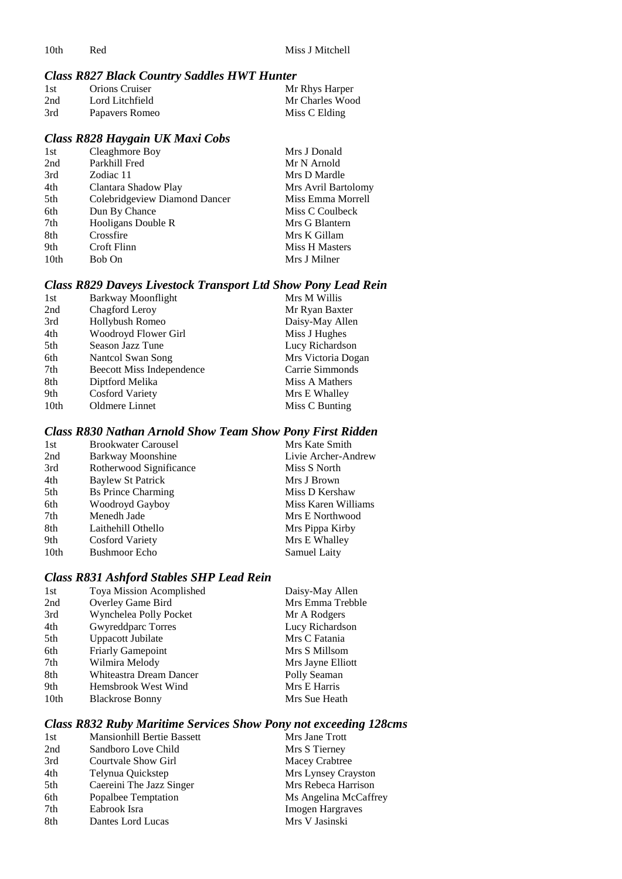# *Class R827 Black Country Saddles HWT Hunter*

| 1st | <b>Orions Cruiser</b> | Mr Rhys Harper  |
|-----|-----------------------|-----------------|
| 2nd | Lord Litchfield       | Mr Charles Wood |
| 3rd | Papavers Romeo        | Miss C Elding   |

#### *Class R828 Haygain UK Maxi Cobs*

| 1st  | Cleaghmore Boy                | Mrs J Donald          |
|------|-------------------------------|-----------------------|
| 2nd  | Parkhill Fred                 | Mr N Arnold           |
| 3rd  | Zodiac 11                     | Mrs D Mardle          |
| 4th  | Clantara Shadow Play          | Mrs Avril Bartolomy   |
| 5th  | Colebridgeview Diamond Dancer | Miss Emma Morrell     |
| 6th  | Dun By Chance                 | Miss C Coulbeck       |
| 7th  | Hooligans Double R            | Mrs G Blantern        |
| 8th  | Crossfire                     | Mrs K Gillam          |
| 9th  | Croft Flinn                   | <b>Miss H Masters</b> |
| 10th | Bob On                        | Mrs J Milner          |

# *Class R829 Daveys Livestock Transport Ltd Show Pony Lead Rein*

| 1st              | Barkway Moonflight               | Mrs M Willis       |
|------------------|----------------------------------|--------------------|
| 2nd              | Chagford Leroy                   | Mr Ryan Baxter     |
| 3rd              | Hollybush Romeo                  | Daisy-May Allen    |
| 4th              | Woodroyd Flower Girl             | Miss J Hughes      |
| 5th              | Season Jazz Tune                 | Lucy Richardson    |
| 6th              | Nantcol Swan Song                | Mrs Victoria Dogan |
| 7th              | <b>Beecott Miss Independence</b> | Carrie Simmonds    |
| 8th              | Diptford Melika                  | Miss A Mathers     |
| 9th              | <b>Cosford Variety</b>           | Mrs E Whalley      |
| 10 <sub>th</sub> | Oldmere Linnet                   | Miss C Bunting     |

# *Class R830 Nathan Arnold Show Team Show Pony First Ridden*

| 1st  | <b>Brookwater Carousel</b> | Mrs Kate Smith      |
|------|----------------------------|---------------------|
| 2nd  | Barkway Moonshine          | Livie Archer-Andrew |
| 3rd  | Rotherwood Significance    | Miss S North        |
| 4th  | Baylew St Patrick          | Mrs J Brown         |
| 5th  | <b>Bs Prince Charming</b>  | Miss D Kershaw      |
| 6th  | Woodroyd Gayboy            | Miss Karen Williams |
| 7th  | Menedh Jade                | Mrs E Northwood     |
| 8th  | Laithehill Othello         | Mrs Pippa Kirby     |
| 9th  | <b>Cosford Variety</b>     | Mrs E Whalley       |
| 10th | <b>Bushmoor Echo</b>       | Samuel Laity        |

## *Class R831 Ashford Stables SHP Lead Rein*

| 1st              | Toya Mission Acomplished | Daisy-May Allen   |
|------------------|--------------------------|-------------------|
| 2nd              | Overley Game Bird        | Mrs Emma Trebble  |
| 3rd              | Wynchelea Polly Pocket   | Mr A Rodgers      |
| 4th              | Gwyreddparc Torres       | Lucy Richardson   |
| 5th              | Uppacott Jubilate        | Mrs C Fatania     |
| 6th              | <b>Friarly Gamepoint</b> | Mrs S Millsom     |
| 7th              | Wilmira Melody           | Mrs Jayne Elliott |
| 8th              | Whiteastra Dream Dancer  | Polly Seaman      |
| 9th              | Hemsbrook West Wind      | Mrs E Harris      |
| 10 <sub>th</sub> | <b>Blackrose Bonny</b>   | Mrs Sue Heath     |

## *Class R832 Ruby Maritime Services Show Pony not exceeding 128cms*

| 1st | <b>Mansionhill Bertie Bassett</b> | Mrs Jane Trott          |
|-----|-----------------------------------|-------------------------|
| 2nd | Sandboro Love Child               | Mrs S Tierney           |
| 3rd | Courtvale Show Girl               | Macey Crabtree          |
| 4th | Telynua Quickstep                 | Mrs Lynsey Crayston     |
| 5th | Caereini The Jazz Singer          | Mrs Rebeca Harrison     |
| 6th | Popalbee Temptation               | Ms Angelina McCaffrey   |
| 7th | Eabrook Isra                      | <b>Imogen Hargraves</b> |
| 8th | Dantes Lord Lucas                 | Mrs V Jasinski          |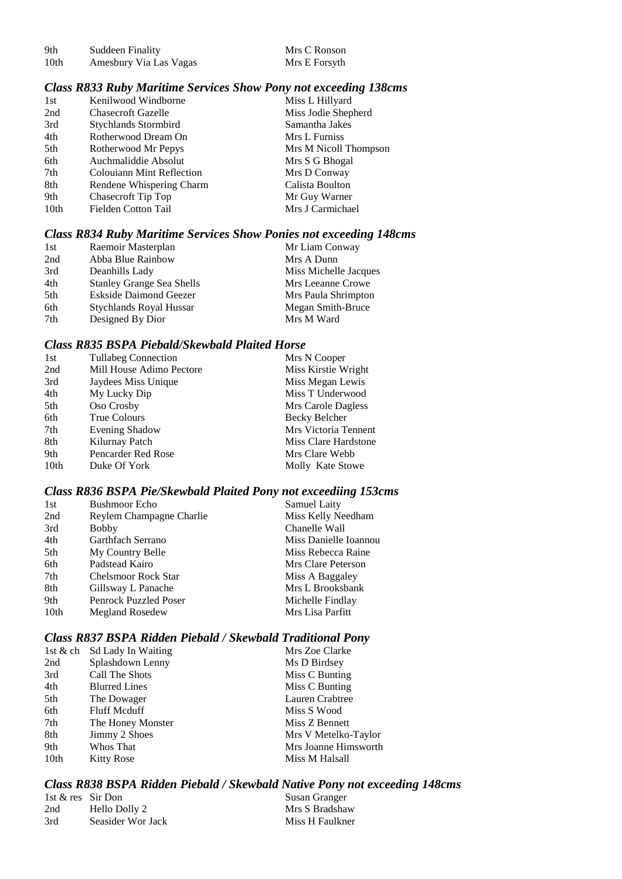| 9th  | Suddeen Finality       | Mrs C Ronson  |
|------|------------------------|---------------|
| 10th | Amesbury Via Las Vagas | Mrs E Forsyth |

## *Class R833 Ruby Maritime Services Show Pony not exceeding 138cms*

| 1st              | Kenilwood Windborne              | Miss L Hillyard       |
|------------------|----------------------------------|-----------------------|
| 2nd              | <b>Chasecroft Gazelle</b>        | Miss Jodie Shepherd   |
| 3rd              | Stychlands Stormbird             | Samantha Jakes        |
| 4th              | Rotherwood Dream On              | Mrs L Furniss         |
| 5th              | Rotherwood Mr Pepys              | Mrs M Nicoll Thompson |
| 6th              | Auchmaliddie Absolut             | Mrs S G Bhogal        |
| 7th              | <b>Colouiann Mint Reflection</b> | Mrs D Conway          |
| 8th              | Rendene Whispering Charm         | Calista Boulton       |
| 9th              | <b>Chasecroft Tip Top</b>        | Mr Guy Warner         |
| 10 <sub>th</sub> | Fielden Cotton Tail              | Mrs J Carmichael      |
|                  |                                  |                       |

## *Class R834 Ruby Maritime Services Show Ponies not exceeding 148cms*

| 1st | Raemoir Masterplan               | Mr Liam Conway        |
|-----|----------------------------------|-----------------------|
| 2nd | Abba Blue Rainbow                | Mrs A Dunn            |
| 3rd | Deanhills Lady                   | Miss Michelle Jacques |
| 4th | <b>Stanley Grange Sea Shells</b> | Mrs Leeanne Crowe     |
| 5th | Eskside Daimond Geezer           | Mrs Paula Shrimpton   |
| 6th | Stychlands Royal Hussar          | Megan Smith-Bruce     |
| 7th | Designed By Dior                 | Mrs M Ward            |

## *Class R835 BSPA Piebald/Skewbald Plaited Horse*

| 1st              | <b>Tullabeg Connection</b> | Mrs N Cooper         |
|------------------|----------------------------|----------------------|
| 2nd              | Mill House Adimo Pectore   | Miss Kirstie Wright  |
| 3rd              | Jaydees Miss Unique        | Miss Megan Lewis     |
| 4th              | My Lucky Dip               | Miss T Underwood     |
| 5th              | Oso Crosby                 | Mrs Carole Dagless   |
| 6th              | True Colours               | Becky Belcher        |
| 7th              | Evening Shadow             | Mrs Victoria Tennent |
| 8th              | Kilurnay Patch             | Miss Clare Hardstone |
| 9th              | Pencarder Red Rose         | Mrs Clare Webb       |
| 10 <sub>th</sub> | Duke Of York               | Molly Kate Stowe     |

# *Class R836 BSPA Pie/Skewbald Plaited Pony not exceediing 153cms*

| <b>Bushmoor Echo</b>         | Samuel Laity          |
|------------------------------|-----------------------|
| Reylem Champagne Charlie     | Miss Kelly Needham    |
| <b>Bobby</b>                 | Chanelle Wall         |
| Garthfach Serrano            | Miss Danielle Ioannou |
| My Country Belle             | Miss Rebecca Raine    |
| Padstead Kairo               | Mrs Clare Peterson    |
| <b>Chelsmoor Rock Star</b>   | Miss A Baggaley       |
| Gillsway L Panache           | Mrs L Brooksbank      |
| <b>Penrock Puzzled Poser</b> | Michelle Findlay      |
| Megland Rosedew              | Mrs Lisa Parfitt      |
|                              |                       |

## *Class R837 BSPA Ridden Piebald / Skewbald Traditional Pony*

|      | 1st & ch Sd Lady In Waiting | Mrs Zoe Clarke       |
|------|-----------------------------|----------------------|
| 2nd  | Splashdown Lenny            | Ms D Birdsey         |
| 3rd  | Call The Shots              | Miss C Bunting       |
| 4th  | <b>Blurred Lines</b>        | Miss C Bunting       |
| 5th  | The Dowager                 | Lauren Crabtree      |
| 6th  | <b>Fluff Mcduff</b>         | Miss S Wood          |
| 7th  | The Honey Monster           | Miss Z Bennett       |
| 8th  | Jimmy 2 Shoes               | Mrs V Metelko-Taylor |
| 9th  | Whos That                   | Mrs Joanne Himsworth |
| 10th | <b>Kitty Rose</b>           | Miss M Halsall       |

## *Class R838 BSPA Ridden Piebald / Skewbald Native Pony not exceeding 148cms*

| 1st & res Sir Don |                   | Susan Granger   |
|-------------------|-------------------|-----------------|
| 2nd               | Hello Dolly 2     | Mrs S Bradshaw  |
| 3rd               | Seasider Wor Jack | Miss H Faulkner |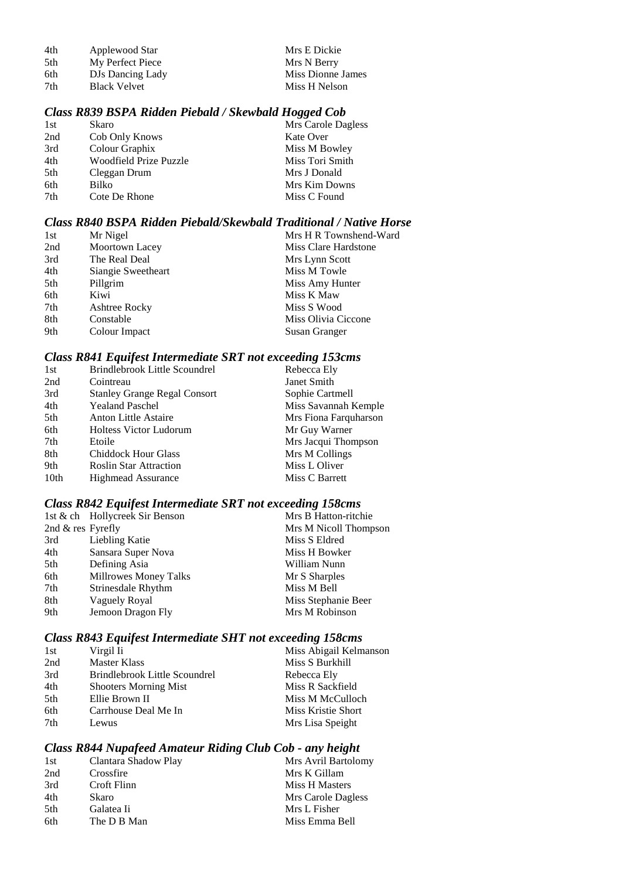| 4th | Applewood Star      | Mrs E Dickie      |
|-----|---------------------|-------------------|
| 5th | My Perfect Piece    | Mrs N Berry       |
| 6th | DJs Dancing Lady    | Miss Dionne James |
| 7th | <b>Black Velvet</b> | Miss H Nelson     |

#### *Class R839 BSPA Ridden Piebald / Skewbald Hogged Cob*

| 1st | Skaro                  | Mrs Carole Dagless |
|-----|------------------------|--------------------|
| 2nd | Cob Only Knows         | Kate Over          |
| 3rd | Colour Graphix         | Miss M Bowley      |
| 4th | Woodfield Prize Puzzle | Miss Tori Smith    |
| 5th | Cleggan Drum           | Mrs J Donald       |
| 6th | Bilko                  | Mrs Kim Downs      |
| 7th | Cote De Rhone          | Miss C Found       |
|     |                        |                    |

# *Class R840 BSPA Ridden Piebald/Skewbald Traditional / Native Horse*

| 1st | Mr Nigel           | Mrs H R Townshend-Ward |
|-----|--------------------|------------------------|
| 2nd | Moortown Lacey     | Miss Clare Hardstone   |
| 3rd | The Real Deal      | Mrs Lynn Scott         |
| 4th | Siangie Sweetheart | Miss M Towle           |
| 5th | Pillgrim           | Miss Amy Hunter        |
| 6th | Kiwi               | Miss K Maw             |
| 7th | Ashtree Rocky      | Miss S Wood            |
| 8th | Constable          | Miss Olivia Ciccone    |
| 9th | Colour Impact      | Susan Granger          |
|     |                    |                        |

## *Class R841 Equifest Intermediate SRT not exceeding 153cms*

| 1st  | Brindlebrook Little Scoundrel       | Rebecca Ely           |
|------|-------------------------------------|-----------------------|
| 2nd  | Cointreau                           | Janet Smith           |
| 3rd  | <b>Stanley Grange Regal Consort</b> | Sophie Cartmell       |
| 4th  | <b>Yealand Paschel</b>              | Miss Savannah Kemple  |
| 5th  | <b>Anton Little Astaire</b>         | Mrs Fiona Farquharson |
| 6th  | <b>Holtess Victor Ludorum</b>       | Mr Guy Warner         |
| 7th  | Etoile                              | Mrs Jacqui Thompson   |
| 8th  | <b>Chiddock Hour Glass</b>          | Mrs M Collings        |
| 9th  | <b>Roslin Star Attraction</b>       | Miss L Oliver         |
| 10th | <b>Highmead Assurance</b>           | Miss C Barrett        |
|      |                                     |                       |

## *Class R842 Equifest Intermediate SRT not exceeding 158cms*

|                   | 1st & ch Hollycreek Sir Benson | Mrs B Hatton-ritchie  |
|-------------------|--------------------------------|-----------------------|
| 2nd & res Fyrefly |                                | Mrs M Nicoll Thompson |
| 3rd               | Liebling Katie                 | Miss S Eldred         |
| 4th               | Sansara Super Nova             | Miss H Bowker         |
| 5th               | Defining Asia                  | William Nunn          |
| 6th               | Millrowes Money Talks          | Mr S Sharples         |
| 7th               | Strinesdale Rhythm             | Miss M Bell           |
| 8th               | Vaguely Royal                  | Miss Stephanie Beer   |
| 9th               | Jemoon Dragon Fly              | Mrs M Robinson        |
|                   |                                |                       |

# *Class R843 Equifest Intermediate SHT not exceeding 158cms*

| 1st | Virgil Ii                     | Miss Abigail Kelmanson |
|-----|-------------------------------|------------------------|
| 2nd | <b>Master Klass</b>           | Miss S Burkhill        |
| 3rd | Brindlebrook Little Scoundrel | Rebecca Ely            |
| 4th | <b>Shooters Morning Mist</b>  | Miss R Sackfield       |
| 5th | Ellie Brown II                | Miss M McCulloch       |
| 6th | Carrhouse Deal Me In          | Miss Kristie Short     |
| 7th | Lewus                         | Mrs Lisa Speight       |

## *Class R844 Nupafeed Amateur Riding Club Cob - any height*

| 1st | Clantara Shadow Play | Mrs Avril Bartolomy |
|-----|----------------------|---------------------|
| 2nd | Crossfire            | Mrs K Gillam        |
| 3rd | Croft Flinn          | Miss H Masters      |
| 4th | Skaro                | Mrs Carole Dagless  |
| 5th | Galatea Ii           | Mrs L Fisher        |
| 6th | The D B Man          | Miss Emma Bell      |
|     |                      |                     |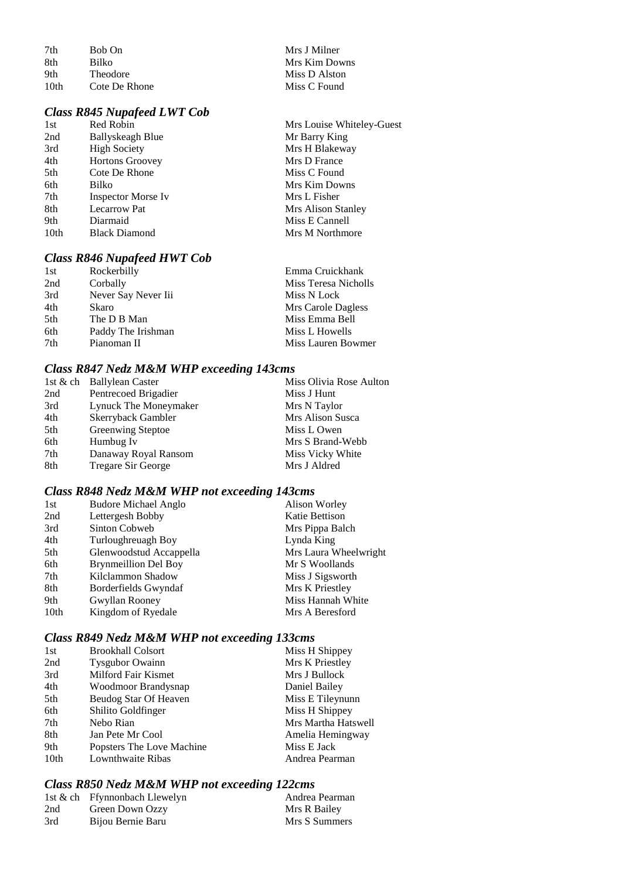| 7th              | Bob On          |
|------------------|-----------------|
| 8th              | Bilko           |
| 9th              | <b>Theodore</b> |
| 10 <sub>th</sub> | Cote De Rhone   |

# *Class R845 Nupafeed LWT Cob*

| 1st  | Red Robin                 | Mrs Louise Whiteley-Guest |
|------|---------------------------|---------------------------|
| 2nd  | Ballyskeagh Blue          | Mr Barry King             |
| 3rd  | <b>High Society</b>       | Mrs H Blakeway            |
| 4th  | <b>Hortons Groovey</b>    | Mrs D France              |
| 5th  | Cote De Rhone             | Miss C Found              |
| 6th  | Bilko                     | Mrs Kim Downs             |
| 7th  | <b>Inspector Morse Iv</b> | Mrs L Fisher              |
| 8th  | <b>Lecarrow Pat</b>       | Mrs Alison Stanley        |
| 9th  | Diarmaid                  | Miss E Cannell            |
| 10th | <b>Black Diamond</b>      | Mrs M Northmore           |
|      |                           |                           |

Mrs J Milner Mrs Kim Downs Miss D Alston Miss C Found

# *Class R846 Nupafeed HWT Cob*

| 1st | Rockerbilly         | Emma Cruickhank      |
|-----|---------------------|----------------------|
| 2nd | Corbally            | Miss Teresa Nicholls |
| 3rd | Never Say Never Iii | Miss N Lock          |
| 4th | Skaro               | Mrs Carole Dagless   |
| 5th | The D B Man         | Miss Emma Bell       |
| 6th | Paddy The Irishman  | Miss L Howells       |
| 7th | Pianoman II         | Miss Lauren Bowmer   |

# *Class R847 Nedz M&M WHP exceeding 143cms*

|     | 1st & ch Ballylean Caster | Miss Olivia Rose Aulton |
|-----|---------------------------|-------------------------|
| 2nd | Pentrecoed Brigadier      | Miss J Hunt             |
| 3rd | Lynuck The Moneymaker     | Mrs N Taylor            |
| 4th | Skerryback Gambler        | Mrs Alison Susca        |
| 5th | <b>Greenwing Steptoe</b>  | Miss L Owen             |
| 6th | Humbug Iv                 | Mrs S Brand-Webb        |
| 7th | Danaway Royal Ransom      | Miss Vicky White        |
| 8th | <b>Tregare Sir George</b> | Mrs J Aldred            |

# *Class R848 Nedz M&M WHP not exceeding 143cms*

| <b>Budore Michael Anglo</b> | Alison Worley         |
|-----------------------------|-----------------------|
| Lettergesh Bobby            | Katie Bettison        |
| Sinton Cobweb               | Mrs Pippa Balch       |
| Turloughreuagh Boy          | Lynda King            |
| Glenwoodstud Accappella     | Mrs Laura Wheelwright |
| <b>Brynmeillion Del Boy</b> | Mr S Woollands        |
| Kilclammon Shadow           | Miss J Sigsworth      |
| Borderfields Gwyndaf        | Mrs K Priestley       |
| Gwyllan Rooney              | Miss Hannah White     |
| Kingdom of Ryedale          | Mrs A Beresford       |
|                             |                       |

# *Class R849 Nedz M&M WHP not exceeding 133cms*

| 1st              | <b>Brookhall Colsort</b>  | Miss H Shippey      |
|------------------|---------------------------|---------------------|
| 2nd              | <b>Tysgubor Owainn</b>    | Mrs K Priestley     |
| 3rd              | Milford Fair Kismet       | Mrs J Bullock       |
| 4th              | Woodmoor Brandysnap       | Daniel Bailey       |
| 5th              | Beudog Star Of Heaven     | Miss E Tileynunn    |
| 6th              | Shilito Goldfinger        | Miss H Shippey      |
| 7th              | Nebo Rian                 | Mrs Martha Hatswell |
| 8th              | Jan Pete Mr Cool          | Amelia Hemingway    |
| 9th              | Popsters The Love Machine | Miss E Jack         |
| 10 <sub>th</sub> | Lownthwaite Ribas         | Andrea Pearman      |

# *Class R850 Nedz M&M WHP not exceeding 122cms*

|     | 1st & ch Ffynnonbach Llewelyn | Andrea Pearman |
|-----|-------------------------------|----------------|
| 2nd | Green Down Ozzy               | Mrs R Bailey   |
| 3rd | Bijou Bernie Baru             | Mrs S Summers  |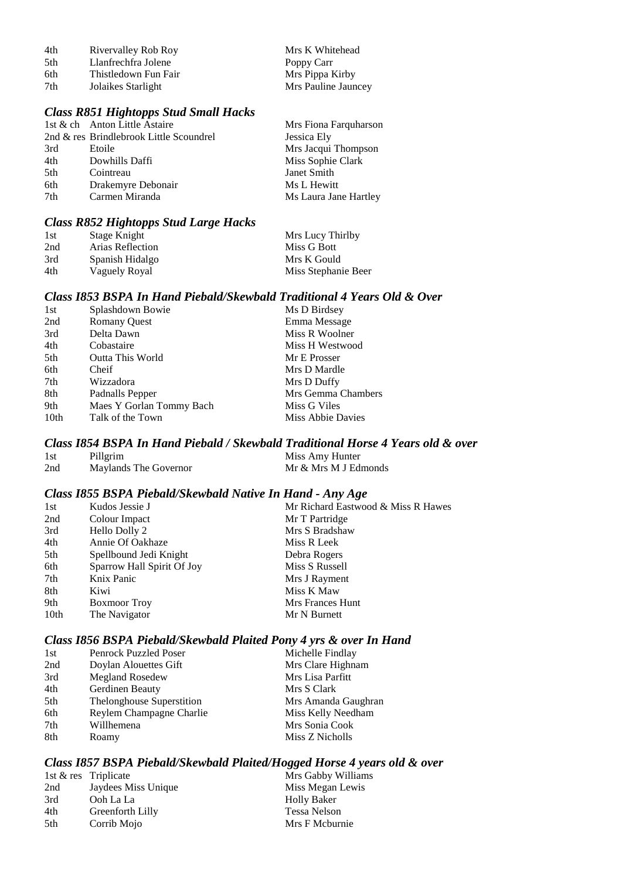| 4th  | Rivervalley Rob Roy  | Mrs K Whitehead     |
|------|----------------------|---------------------|
| .5th | Llanfrechfra Jolene  | Poppy Carr          |
| 6th  | Thistledown Fun Fair | Mrs Pippa Kirby     |
| 7th  | Jolaikes Starlight   | Mrs Pauline Jauncey |

#### *Class R851 Hightopps Stud Small Hacks*

|     | 1st & ch Anton Little Astaire           | Mrs Fiona Farquharson |
|-----|-----------------------------------------|-----------------------|
|     | 2nd & res Brindlebrook Little Scoundrel | Jessica Ely           |
| 3rd | Etoile                                  | Mrs Jacqui Thompson   |
| 4th | Dowhills Daffi                          | Miss Sophie Clark     |
| 5th | Cointreau                               | Janet Smith           |
| 6th | Drakemyre Debonair                      | Ms L Hewitt           |
| 7th | Carmen Miranda                          | Ms Laura Jane Hartley |
|     |                                         |                       |

#### *Class R852 Hightopps Stud Large Hacks*

| 1st | Stage Knight     | Mrs Lucy Thirlby    |
|-----|------------------|---------------------|
| 2nd | Arias Reflection | Miss G Bott         |
| 3rd | Spanish Hidalgo  | Mrs K Gould         |
| 4th | Vaguely Royal    | Miss Stephanie Beer |

#### *Class I853 BSPA In Hand Piebald/Skewbald Traditional 4 Years Old & Over*

| 1st  | Splashdown Bowie         | Ms D Birdsey       |
|------|--------------------------|--------------------|
| 2nd  | <b>Romany Quest</b>      | Emma Message       |
| 3rd  | Delta Dawn               | Miss R Woolner     |
| 4th  | Cobastaire               | Miss H Westwood    |
| 5th  | <b>Outta This World</b>  | Mr E Prosser       |
| 6th  | Cheif                    | Mrs D Mardle       |
| 7th  | Wizzadora                | Mrs D Duffy        |
| 8th  | Padnalls Pepper          | Mrs Gemma Chambers |
| 9th  | Maes Y Gorlan Tommy Bach | Miss G Viles       |
| 10th | Talk of the Town         | Miss Abbie Davies  |
|      |                          |                    |

# *Class I854 BSPA In Hand Piebald / Skewbald Traditional Horse 4 Years old & over*

#### 1st Pillgrim Miss Amy Hunter 2nd Maylands The Governor Mr & Mrs M J Edmonds

#### *Class I855 BSPA Piebald/Skewbald Native In Hand - Any Age*

| 1st  | Kudos Jessie J             | Mr Richard Eastwood & Miss R Hawes |
|------|----------------------------|------------------------------------|
| 2nd  | Colour Impact              | Mr T Partridge                     |
| 3rd  | Hello Dolly 2              | Mrs S Bradshaw                     |
| 4th  | Annie Of Oakhaze           | Miss R Leek                        |
| 5th  | Spellbound Jedi Knight     | Debra Rogers                       |
| 6th  | Sparrow Hall Spirit Of Joy | Miss S Russell                     |
| 7th  | Knix Panic                 | Mrs J Rayment                      |
| 8th  | Kiwi                       | Miss K Maw                         |
| 9th  | <b>Boxmoor</b> Troy        | Mrs Frances Hunt                   |
| 10th | The Navigator              | Mr N Burnett                       |
|      |                            |                                    |

## *Class I856 BSPA Piebald/Skewbald Plaited Pony 4 yrs & over In Hand*

| 1st | <b>Penrock Puzzled Poser</b> | Michelle Findlay    |
|-----|------------------------------|---------------------|
| 2nd | Doylan Alouettes Gift        | Mrs Clare Highnam   |
| 3rd | <b>Megland Rosedew</b>       | Mrs Lisa Parfitt    |
| 4th | Gerdinen Beauty              | Mrs S Clark         |
| 5th | Thelonghouse Superstition    | Mrs Amanda Gaughran |
| 6th | Reylem Champagne Charlie     | Miss Kelly Needham  |
| 7th | Willhemena                   | Mrs Sonia Cook      |
| 8th | Roamy                        | Miss Z Nicholls     |

## *Class I857 BSPA Piebald/Skewbald Plaited/Hogged Horse 4 years old & over*

|     | 1st & res Triplicate | Mı |
|-----|----------------------|----|
| 2nd | Jaydees Miss Unique  | Mi |
| 3rd | Ooh La La            | Hc |
| 4th | Greenforth Lilly     | Te |
| 5th | Corrib Mojo          | Mı |

s<br>rs Gabby Williams iss Megan Lewis blly Baker essa Nelson rs F Mcburnie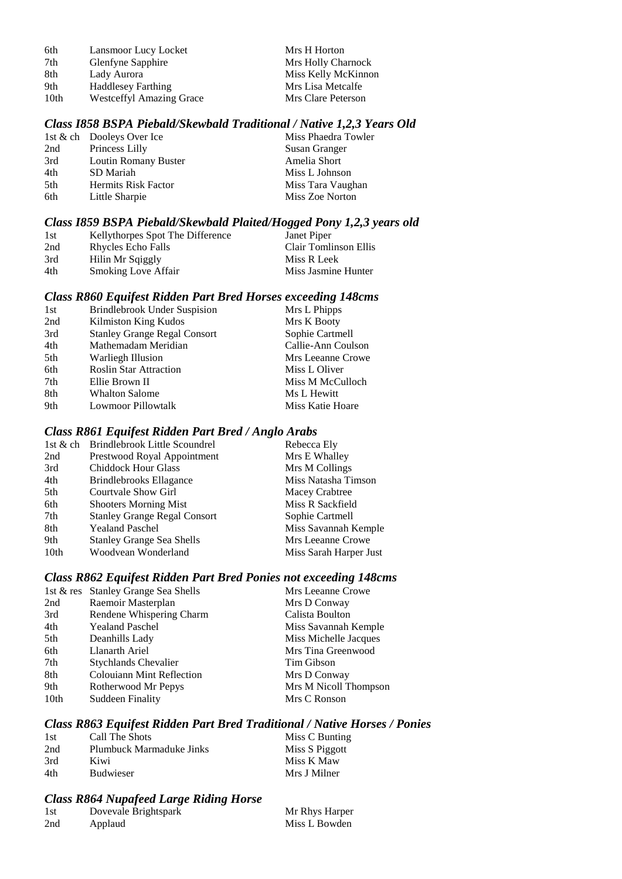| 6th  | Lansmoor Lucy Locket            | Mrs H Horton        |
|------|---------------------------------|---------------------|
| 7th  | Glenfyne Sapphire               | Mrs Holly Charnock  |
| 8th  | Lady Aurora                     | Miss Kelly McKinnon |
| 9th  | <b>Haddlesey Farthing</b>       | Mrs Lisa Metcalfe   |
| 10th | <b>Westceffyl Amazing Grace</b> | Mrs Clare Peterson  |

#### *Class I858 BSPA Piebald/Skewbald Traditional / Native 1,2,3 Years Old*

|     | 1st & ch Dooleys Over Ice | Miss Phaedra Towler |
|-----|---------------------------|---------------------|
| 2nd | Princess Lilly            | Susan Granger       |
| 3rd | Loutin Romany Buster      | Amelia Short        |
| 4th | SD Mariah                 | Miss L Johnson      |
| 5th | Hermits Risk Factor       | Miss Tara Vaughan   |
| 6th | Little Sharpie            | Miss Zoe Norton     |
|     |                           |                     |

#### *Class I859 BSPA Piebald/Skewbald Plaited/Hogged Pony 1,2,3 years old*

| 1st | Kellythorpes Spot The Difference | Janet Piper           |
|-----|----------------------------------|-----------------------|
| 2nd | Rhycles Echo Falls               | Clair Tomlinson Ellis |
| 3rd | Hilin Mr Sqiggly                 | Miss R Leek           |
| 4th | <b>Smoking Love Affair</b>       | Miss Jasmine Hunter   |

#### *Class R860 Equifest Ridden Part Bred Horses exceeding 148cms*

| 1st | Brindlebrook Under Suspision        | Mrs L Phipps       |
|-----|-------------------------------------|--------------------|
| 2nd | Kilmiston King Kudos                | Mrs K Booty        |
| 3rd | <b>Stanley Grange Regal Consort</b> | Sophie Cartmell    |
| 4th | Mathemadam Meridian                 | Callie-Ann Coulson |
| 5th | Warliegh Illusion                   | Mrs Leeanne Crowe  |
| 6th | <b>Roslin Star Attraction</b>       | Miss L Oliver      |
| 7th | Ellie Brown II                      | Miss M McCulloch   |
| 8th | <b>Whalton Salome</b>               | Ms L Hewitt        |
| 9th | Lowmoor Pillowtalk                  | Miss Katie Hoare   |

## *Class R861 Equifest Ridden Part Bred / Anglo Arabs*

|      | 1st & ch Brindlebrook Little Scoundrel | Rebecca Ely            |
|------|----------------------------------------|------------------------|
| 2nd  | Prestwood Royal Appointment            | Mrs E Whalley          |
| 3rd  | <b>Chiddock Hour Glass</b>             | Mrs M Collings         |
| 4th  | Brindlebrooks Ellagance                | Miss Natasha Timson    |
| 5th  | Courtvale Show Girl                    | Macey Crabtree         |
| 6th  | <b>Shooters Morning Mist</b>           | Miss R Sackfield       |
| 7th  | <b>Stanley Grange Regal Consort</b>    | Sophie Cartmell        |
| 8th  | <b>Yealand Paschel</b>                 | Miss Savannah Kemple   |
| 9th  | <b>Stanley Grange Sea Shells</b>       | Mrs Leeanne Crowe      |
| 10th | Woodvean Wonderland                    | Miss Sarah Harper Just |

## *Class R862 Equifest Ridden Part Bred Ponies not exceeding 148cms*

|      | 1st & res Stanley Grange Sea Shells | Mrs Leeanne Crowe     |
|------|-------------------------------------|-----------------------|
| 2nd  | Raemoir Masterplan                  | Mrs D Conway          |
| 3rd  | Rendene Whispering Charm            | Calista Boulton       |
| 4th  | <b>Yealand Paschel</b>              | Miss Savannah Kemple  |
| 5th  | Deanhills Lady                      | Miss Michelle Jacques |
| 6th  | Llanarth Ariel                      | Mrs Tina Greenwood    |
| 7th  | <b>Stychlands Chevalier</b>         | Tim Gibson            |
| 8th  | <b>Colouiann Mint Reflection</b>    | Mrs D Conway          |
| 9th  | Rotherwood Mr Pepys                 | Mrs M Nicoll Thompson |
| 10th | <b>Suddeen Finality</b>             | Mrs C Ronson          |
|      |                                     |                       |

## *Class R863 Equifest Ridden Part Bred Traditional / Native Horses / Ponies*

| 1st | Call The Shots           | Miss C Bunting |
|-----|--------------------------|----------------|
| 2nd | Plumbuck Marmaduke Jinks | Miss S Piggott |
| 3rd | Kiwi                     | Miss K Maw     |
| 4th | <b>Budwieser</b>         | Mrs J Milner   |

# *Class R864 Nupafeed Large Riding Horse*

| 1st | Dovevale Brightspark | Mr Rhys Harper |
|-----|----------------------|----------------|
| 2nd | Applaud              | Miss L Bowden  |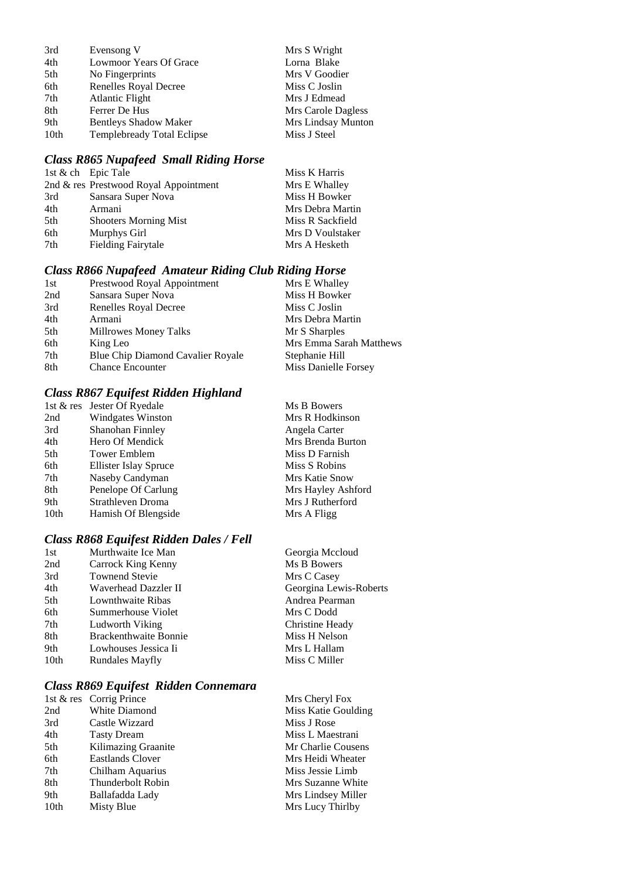| 3rd  | Evensong V                        | Mrs S Wright       |
|------|-----------------------------------|--------------------|
| 4th  | Lowmoor Years Of Grace            | Lorna Blake        |
| 5th  | No Fingerprints                   | Mrs V Goodier      |
| 6th  | Renelles Royal Decree             | Miss C Joslin      |
| 7th  | Atlantic Flight                   | Mrs J Edmead       |
| 8th  | Ferrer De Hus                     | Mrs Carole Dagless |
| 9th  | <b>Bentleys Shadow Maker</b>      | Mrs Lindsay Munton |
| 10th | <b>Templebready Total Eclipse</b> | Miss J Steel       |
|      |                                   |                    |

# *Class R865 Nupafeed Small Riding Horse*

|                              | Miss K Harris                                               |
|------------------------------|-------------------------------------------------------------|
|                              | Mrs E Whalley                                               |
| Sansara Super Nova           | Miss H Bowker                                               |
| Armani                       | Mrs Debra Martin                                            |
| <b>Shooters Morning Mist</b> | Miss R Sackfield                                            |
| Murphys Girl                 | Mrs D Voulstaker                                            |
| <b>Fielding Fairytale</b>    | Mrs A Hesketh                                               |
|                              | 1st & ch Epic Tale<br>2nd & res Prestwood Royal Appointment |

## *Class R866 Nupafeed Amateur Riding Club Riding Horse*

| 1st | Prestwood Royal Appointment       | Mrs E Whalley           |
|-----|-----------------------------------|-------------------------|
| 2nd | Sansara Super Nova                | Miss H Bowker           |
| 3rd | Renelles Royal Decree             | Miss C Joslin           |
| 4th | Armani                            | Mrs Debra Martin        |
| 5th | Millrowes Money Talks             | Mr S Sharples           |
| 6th | King Leo                          | Mrs Emma Sarah Matthews |
| 7th | Blue Chip Diamond Cavalier Royale | Stephanie Hill          |
| 8th | <b>Chance Encounter</b>           | Miss Danielle Forsey    |

# *Class R867 Equifest Ridden Highland*

|                  | 1st & res Jester Of Ryedale | Ms B Bowers        |
|------------------|-----------------------------|--------------------|
| 2nd              | <b>Windgates Winston</b>    | Mrs R Hodkinson    |
| 3rd              | Shanohan Finnley            | Angela Carter      |
| 4th              | Hero Of Mendick             | Mrs Brenda Burton  |
| 5th              | <b>Tower Emblem</b>         | Miss D Farnish     |
| 6th              | Ellister Islay Spruce       | Miss S Robins      |
| 7th              | Naseby Candyman             | Mrs Katie Snow     |
| 8th              | Penelope Of Carlung         | Mrs Hayley Ashford |
| 9th              | Strathleven Droma           | Mrs J Rutherford   |
| 10 <sub>th</sub> | Hamish Of Blengside         | Mrs A Fligg        |

# *Class R868 Equifest Ridden Dales / Fell*

| 1st  | Murthwaite Ice Man           | Georgia Mccloud        |
|------|------------------------------|------------------------|
| 2nd  | Carrock King Kenny           | Ms B Bowers            |
| 3rd  | <b>Townend Stevie</b>        | Mrs C Casey            |
| 4th  | Waverhead Dazzler II         | Georgina Lewis-Roberts |
| 5th  | Lownthwaite Ribas            | Andrea Pearman         |
| 6th  | Summerhouse Violet           | Mrs C Dodd             |
| 7th  | Ludworth Viking              | Christine Heady        |
| 8th  | <b>Brackenthwaite Bonnie</b> | Miss H Nelson          |
| 9th  | Lowhouses Jessica Ii         | Mrs L Hallam           |
| 10th | Rundales Mayfly              | Miss C Miller          |
|      |                              |                        |

# *Class R869 Equifest Ridden Connemara*

|      | 1st & res Corrig Prince  | Mrs Cheryl Fox      |
|------|--------------------------|---------------------|
| 2nd  | White Diamond            | Miss Katie Goulding |
| 3rd  | Castle Wizzard           | Miss J Rose         |
| 4th  | <b>Tasty Dream</b>       | Miss L Maestrani    |
| 5th  | Kilimazing Graanite      | Mr Charlie Cousens  |
| 6th  | Eastlands Clover         | Mrs Heidi Wheater   |
| 7th  | Chilham Aquarius         | Miss Jessie Limb    |
| 8th  | <b>Thunderbolt Robin</b> | Mrs Suzanne White   |
| 9th  | Ballafadda Lady          | Mrs Lindsey Miller  |
| 10th | Misty Blue               | Mrs Lucy Thirlby    |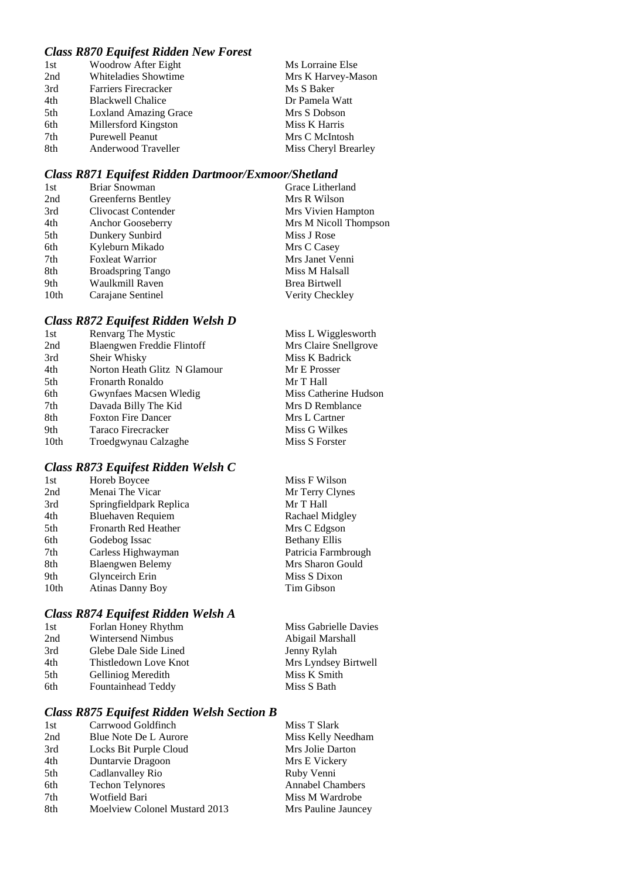# *Class R870 Equifest Ridden New Forest*

| 1st | Woodrow After Eight          | Ms Lorraine Else     |
|-----|------------------------------|----------------------|
| 2nd | Whiteladies Showtime         | Mrs K Harvey-Mason   |
| 3rd | <b>Farriers Firecracker</b>  | Ms S Baker           |
| 4th | <b>Blackwell Chalice</b>     | Dr Pamela Watt       |
| 5th | <b>Loxland Amazing Grace</b> | Mrs S Dobson         |
| 6th | Millersford Kingston         | Miss K Harris        |
| 7th | <b>Purewell Peanut</b>       | Mrs C McIntosh       |
| 8th | Anderwood Traveller          | Miss Cheryl Brearley |

#### *Class R871 Equifest Ridden Dartmoor/Exmoor/Shetland*

| 1st  | Briar Snowman            | Grace Litherland      |
|------|--------------------------|-----------------------|
| 2nd  | Greenferns Bentley       | Mrs R Wilson          |
| 3rd  | Clivocast Contender      | Mrs Vivien Hampton    |
| 4th  | Anchor Gooseberry        | Mrs M Nicoll Thompson |
| 5th  | Dunkery Sunbird          | Miss J Rose           |
| 6th  | Kyleburn Mikado          | Mrs C Casey           |
| 7th  | <b>Foxleat Warrior</b>   | Mrs Janet Venni       |
| 8th  | <b>Broadspring Tango</b> | Miss M Halsall        |
| 9th  | Waulkmill Raven          | <b>Brea Birtwell</b>  |
| 10th | Carajane Sentinel        | Verity Checkley       |
|      |                          |                       |

# *Class R872 Equifest Ridden Welsh D*

| 1st              | Renvarg The Mystic           | Miss L Wigglesworth   |
|------------------|------------------------------|-----------------------|
| 2nd              | Blaengwen Freddie Flintoff   | Mrs Claire Snellgrove |
| 3rd              | Sheir Whisky                 | Miss K Badrick        |
| 4th              | Norton Heath Glitz N Glamour | Mr E Prosser          |
| 5th              | Fronarth Ronaldo             | Mr T Hall             |
| 6th              | Gwynfaes Macsen Wledig       | Miss Catherine Hudson |
| 7th              | Davada Billy The Kid         | Mrs D Remblance       |
| 8th              | <b>Foxton Fire Dancer</b>    | Mrs L Cartner         |
| 9th              | Taraco Firecracker           | Miss G Wilkes         |
| 10 <sub>th</sub> | Troedgwynau Calzaghe         | Miss S Forster        |
|                  |                              |                       |

# *Class R873 Equifest Ridden Welsh C*

| 1st  | Horeb Boycee                | Miss F Wilson        |
|------|-----------------------------|----------------------|
| 2nd  | Menai The Vicar             | Mr Terry Clynes      |
| 3rd  | Springfieldpark Replica     | Mr T Hall            |
| 4th  | <b>Bluehaven Requiem</b>    | Rachael Midgley      |
| 5th  | <b>Fronarth Red Heather</b> | Mrs C Edgson         |
| 6th  | Godebog Issac               | <b>Bethany Ellis</b> |
| 7th  | Carless Highwayman          | Patricia Farmbrough  |
| 8th  | <b>Blaengwen Belemy</b>     | Mrs Sharon Gould     |
| 9th  | Glynceirch Erin             | Miss S Dixon         |
| 10th | <b>Atinas Danny Boy</b>     | Tim Gibson           |

# *Class R874 Equifest Ridden Welsh A*

| 1st | Forlan Honey Rhythm      | Miss Gabrielle Davies |
|-----|--------------------------|-----------------------|
| 2nd | <b>Wintersend Nimbus</b> | Abigail Marshall      |
| 3rd | Glebe Dale Side Lined    | Jenny Rylah           |
| 4th | Thistledown Love Knot    | Mrs Lyndsey Birtwell  |
| 5th | Gelliniog Meredith       | Miss K Smith          |
| 6th | Fountainhead Teddy       | Miss S Bath           |
|     |                          |                       |

# *Class R875 Equifest Ridden Welsh Section B*

| 1st | Carrwood Goldfinch            | Miss T Slark            |
|-----|-------------------------------|-------------------------|
| 2nd | Blue Note De L Aurore         | Miss Kelly Needham      |
| 3rd | Locks Bit Purple Cloud        | Mrs Jolie Darton        |
| 4th | Duntarvie Dragoon             | Mrs E Vickery           |
| 5th | Cadlanvalley Rio              | Ruby Venni              |
| 6th | <b>Techon Telynores</b>       | <b>Annabel Chambers</b> |
| 7th | Wotfield Bari                 | Miss M Wardrobe         |
| 8th | Moelview Colonel Mustard 2013 | Mrs Pauline Jauncey     |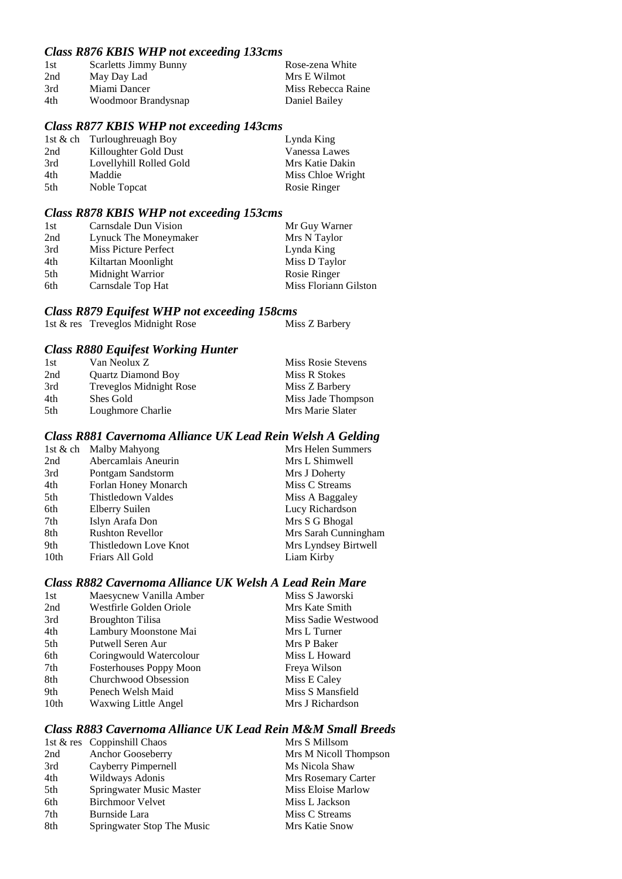## *Class R876 KBIS WHP not exceeding 133cms*

| 1st | <b>Scarletts Jimmy Bunny</b> | Rose-zena White    |
|-----|------------------------------|--------------------|
| 2nd | May Day Lad                  | Mrs E Wilmot       |
| 3rd | Miami Dancer                 | Miss Rebecca Raine |
| 4th | Woodmoor Brandysnap          | Daniel Bailey      |

#### *Class R877 KBIS WHP not exceeding 143cms*

|                         | Lynda King                   |
|-------------------------|------------------------------|
| Killoughter Gold Dust   | Vanessa Lawes                |
| Lovellyhill Rolled Gold | Mrs Katie Dakin              |
| Maddie                  | Miss Chloe Wright            |
| Noble Topcat            | Rosie Ringer                 |
|                         | 1st & ch Turlough reuagh Boy |

## *Class R878 KBIS WHP not exceeding 153cms*

| 1st | Carnsdale Dun Vision  | Mr Guy Warner         |
|-----|-----------------------|-----------------------|
| 2nd | Lynuck The Moneymaker | Mrs N Taylor          |
| 3rd | Miss Picture Perfect  | Lynda King            |
| 4th | Kiltartan Moonlight   | Miss D Taylor         |
| 5th | Midnight Warrior      | Rosie Ringer          |
| 6th | Carnsdale Top Hat     | Miss Floriann Gilston |

## *Class R879 Equifest WHP not exceeding 158cms*

1st  $\&$  res Treveglos Midnight Rose Miss Z Barbery

#### *Class R880 Equifest Working Hunter*

| Miss Rosie Stevens |
|--------------------|
|                    |
|                    |
| Miss Jade Thompson |
|                    |
|                    |

## *Class R881 Cavernoma Alliance UK Lead Rein Welsh A Gelding*

| Mrs Helen Summers    |
|----------------------|
| Mrs L Shimwell       |
| Mrs J Doherty        |
| Miss C Streams       |
| Miss A Baggaley      |
| Lucy Richardson      |
| Mrs S G Bhogal       |
| Mrs Sarah Cunningham |
| Mrs Lyndsey Birtwell |
| Liam Kirby           |
|                      |

#### *Class R882 Cavernoma Alliance UK Welsh A Lead Rein Mare*

| 1st  | Maesycnew Vanilla Amber        | Miss S Jaworski     |
|------|--------------------------------|---------------------|
| 2nd  | Westfirle Golden Oriole        | Mrs Kate Smith      |
| 3rd  | <b>Broughton Tilisa</b>        | Miss Sadie Westwood |
| 4th  | Lambury Moonstone Mai          | Mrs L Turner        |
| 5th  | Putwell Seren Aur              | Mrs P Baker         |
| 6th  | Coringwould Watercolour        | Miss L Howard       |
| 7th  | <b>Fosterhouses Poppy Moon</b> | Freya Wilson        |
| 8th  | Churchwood Obsession           | Miss E Caley        |
| 9th  | Penech Welsh Maid              | Miss S Mansfield    |
| 10th | <b>Waxwing Little Angel</b>    | Mrs J Richardson    |
|      |                                |                     |

# *Class R883 Cavernoma Alliance UK Lead Rein M&M Small Breeds*

|     | 1st & res Coppinshill Chaos | Mrs S Millsom         |
|-----|-----------------------------|-----------------------|
| 2nd | Anchor Gooseberry           | Mrs M Nicoll Thompson |
| 3rd | Cayberry Pimpernell         | Ms Nicola Shaw        |
| 4th | Wildways Adonis             | Mrs Rosemary Carter   |
| 5th | Springwater Music Master    | Miss Eloise Marlow    |
| 6th | <b>Birchmoor Velvet</b>     | Miss L Jackson        |
| 7th | Burnside Lara               | Miss C Streams        |
| 8th | Springwater Stop The Music  | Mrs Katie Snow        |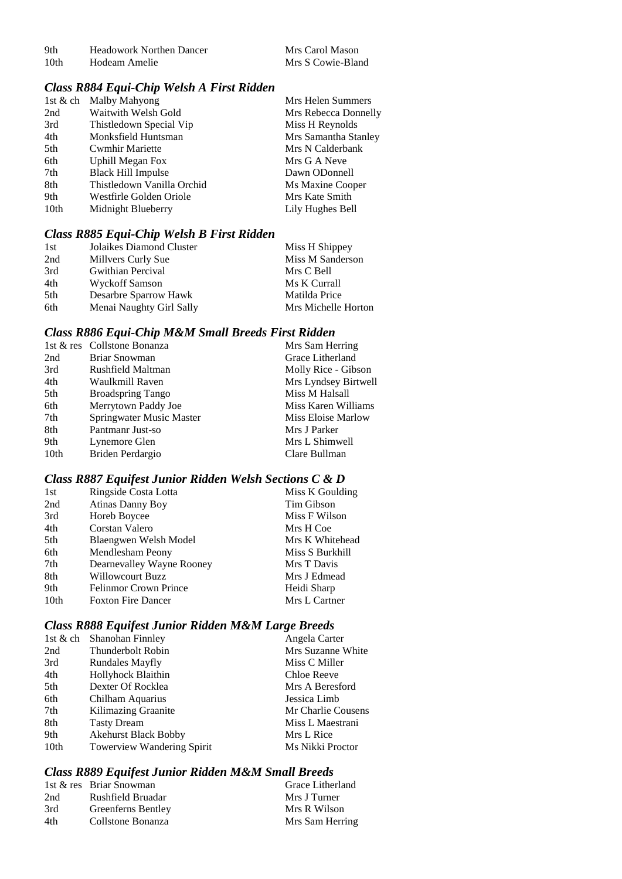| 9th              | Headowork Northen Dancer |
|------------------|--------------------------|
| 10 <sub>th</sub> | Hodeam Amelie            |

#### *Class R884 Equi-Chip Welsh A First Ridden*

|      | 1st & ch Malby Mahyong     | Mrs Helen Summers    |
|------|----------------------------|----------------------|
| 2nd  | Waitwith Welsh Gold        | Mrs Rebecca Donnelly |
| 3rd  | Thistledown Special Vip    | Miss H Reynolds      |
| 4th  | Monksfield Huntsman        | Mrs Samantha Stanley |
| 5th  | <b>Cwmhir Mariette</b>     | Mrs N Calderbank     |
| 6th  | <b>Uphill Megan Fox</b>    | Mrs G A Neve         |
| 7th  | <b>Black Hill Impulse</b>  | Dawn ODonnell        |
| 8th  | Thistledown Vanilla Orchid | Ms Maxine Cooper     |
| 9th  | Westfirle Golden Oriole    | Mrs Kate Smith       |
| 10th | Midnight Blueberry         | Lily Hughes Bell     |

# *Class R885 Equi-Chip Welsh B First Ridden*

| 1st | Jolaikes Diamond Cluster | Miss H Shippey      |
|-----|--------------------------|---------------------|
| 2nd | Millvers Curly Sue       | Miss M Sanderson    |
| 3rd | <b>Gwithian Percival</b> | Mrs C Bell          |
| 4th | Wyckoff Samson           | Ms K Currall        |
| 5th | Desarbre Sparrow Hawk    | Matilda Price       |
| 6th | Menai Naughty Girl Sally | Mrs Michelle Horton |

#### *Class R886 Equi-Chip M&M Small Breeds First Ridden*

|      | 1st & res Collstone Bonanza | Mrs Sam Herring      |
|------|-----------------------------|----------------------|
| 2nd  | Briar Snowman               | Grace Litherland     |
| 3rd  | Rushfield Maltman           | Molly Rice - Gibson  |
| 4th  | Waulkmill Raven             | Mrs Lyndsey Birtwell |
| 5th  | <b>Broadspring Tango</b>    | Miss M Halsall       |
| 6th  | Merrytown Paddy Joe         | Miss Karen Williams  |
| 7th  | Springwater Music Master    | Miss Eloise Marlow   |
| 8th  | Pantmanr Just-so            | Mrs J Parker         |
| 9th  | Lynemore Glen               | Mrs L Shimwell       |
| 10th | Briden Perdargio            | Clare Bullman        |
|      |                             |                      |

# *Class R887 Equifest Junior Ridden Welsh Sections C & D*

| 1st              | Ringside Costa Lotta         | Miss K Goulding |
|------------------|------------------------------|-----------------|
| 2nd              | <b>Atinas Danny Boy</b>      | Tim Gibson      |
| 3rd              | Horeb Boycee                 | Miss F Wilson   |
| 4th              | Corstan Valero               | Mrs H Coe       |
| 5th              | Blaengwen Welsh Model        | Mrs K Whitehead |
| 6th              | Mendlesham Peony             | Miss S Burkhill |
| 7th              | Dearnevalley Wayne Rooney    | Mrs T Davis     |
| 8th              | <b>Willowcourt Buzz</b>      | Mrs J Edmead    |
| 9th              | <b>Felinmor Crown Prince</b> | Heidi Sharp     |
| 10 <sub>th</sub> | <b>Foxton Fire Dancer</b>    | Mrs L Cartner   |

# *Class R888 Equifest Junior Ridden M&M Large Breeds*

| 1st & ch         | Shanohan Finnley            | Angela Carter      |
|------------------|-----------------------------|--------------------|
| 2nd              | Thunderbolt Robin           | Mrs Suzanne White  |
| 3rd              | Rundales Mayfly             | Miss C Miller      |
| 4th              | Hollyhock Blaithin          | Chloe Reeve        |
| 5th              | Dexter Of Rocklea           | Mrs A Beresford    |
| 6th              | Chilham Aquarius            | Jessica Limb       |
| 7th              | Kilimazing Graanite         | Mr Charlie Cousens |
| 8th              | <b>Tasty Dream</b>          | Miss L Maestrani   |
| 9th              | <b>Akehurst Black Bobby</b> | Mrs L Rice         |
| 10 <sub>th</sub> | Towerview Wandering Spirit  | Ms Nikki Proctor   |

# *Class R889 Equifest Junior Ridden M&M Small Breeds*

|     | 1st & res Briar Snowman | Grace Litherland |
|-----|-------------------------|------------------|
| 2nd | Rushfield Bruadar       | Mrs J Turner     |
| 3rd | Greenferns Bentley      | Mrs R Wilson     |
| 4th | Collstone Bonanza       | Mrs Sam Herring  |